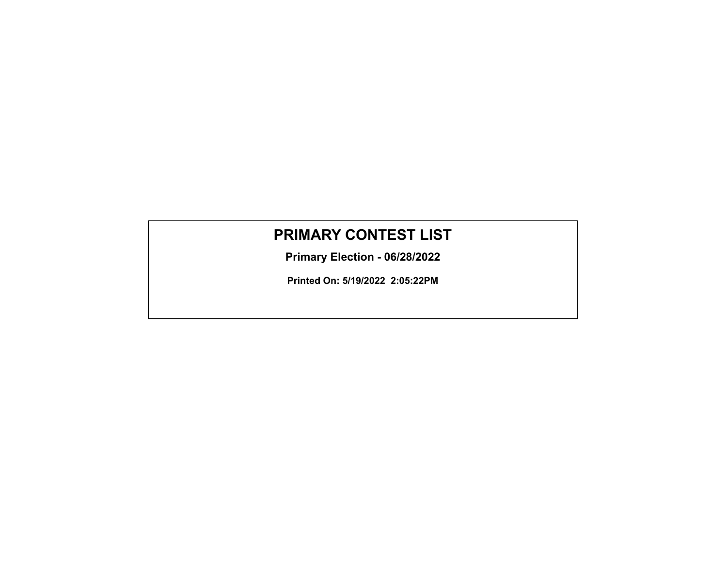# **PRIMARY CONTEST LIST**

**Primary Election - 06/28/2022**

**Printed On: 5/19/2022 2:05:22PM**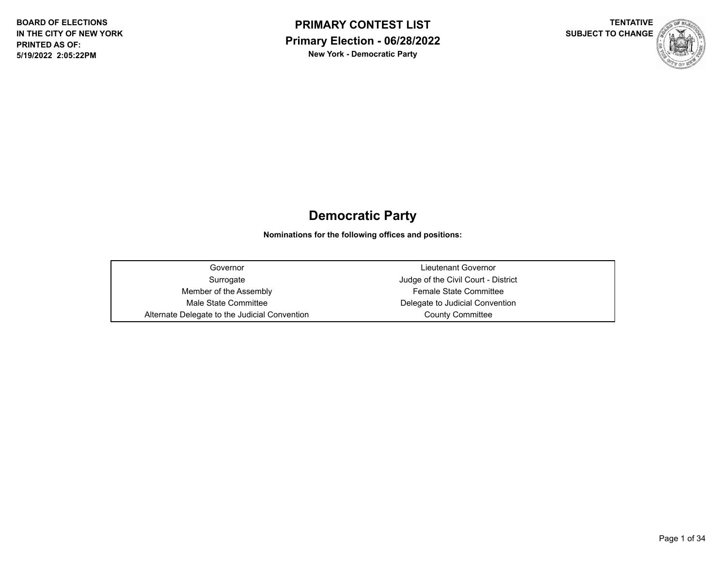



## **Democratic Party**

**Nominations for the following offices and positions:**

Governor Lieutenant Governor Member of the Assembly **Female State Committee** Male State Committee **Delegate to Judicial Convention** Alternate Delegate to the Judicial Convention **County County Committee** 

Surrogate **Surrogate** Judge of the Civil Court - District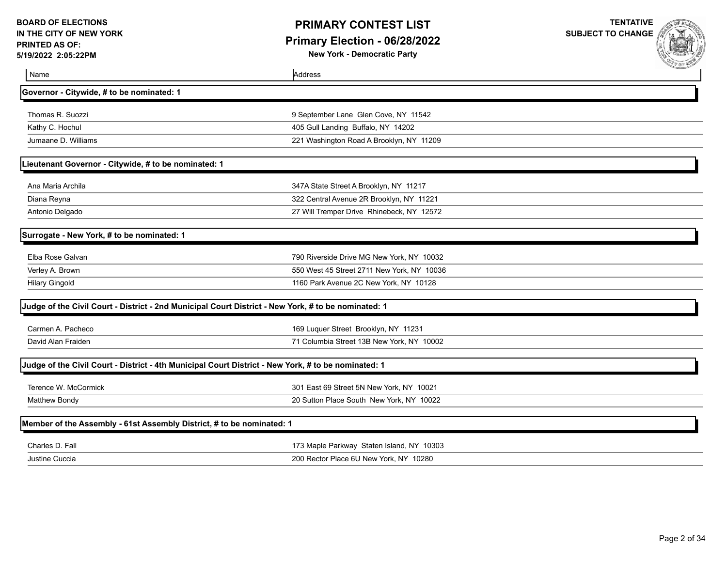## **PRIMARY CONTEST LIST Primary Election - 06/28/2022**

**New York - Democratic Party**



| Name                                                                  | Address                                                                                             | <b>COMMUNICATION</b> |
|-----------------------------------------------------------------------|-----------------------------------------------------------------------------------------------------|----------------------|
| Governor - Citywide, # to be nominated: 1                             |                                                                                                     |                      |
| Thomas R. Suozzi                                                      | 9 September Lane Glen Cove, NY 11542                                                                |                      |
| Kathy C. Hochul                                                       | 405 Gull Landing Buffalo, NY 14202                                                                  |                      |
| Jumaane D. Williams                                                   | 221 Washington Road A Brooklyn, NY 11209                                                            |                      |
| Lieutenant Governor - Citywide, # to be nominated: 1                  |                                                                                                     |                      |
| Ana Maria Archila                                                     | 347A State Street A Brooklyn, NY 11217                                                              |                      |
| Diana Reyna                                                           | 322 Central Avenue 2R Brooklyn, NY 11221                                                            |                      |
| Antonio Delgado                                                       | 27 Will Tremper Drive Rhinebeck, NY 12572                                                           |                      |
| Surrogate - New York, # to be nominated: 1                            |                                                                                                     |                      |
| Elba Rose Galvan                                                      | 790 Riverside Drive MG New York, NY 10032                                                           |                      |
| Verley A. Brown                                                       | 550 West 45 Street 2711 New York, NY 10036                                                          |                      |
| <b>Hilary Gingold</b>                                                 | 1160 Park Avenue 2C New York, NY 10128                                                              |                      |
|                                                                       | Judge of the Civil Court - District - 2nd Municipal Court District - New York, # to be nominated: 1 |                      |
| Carmen A. Pacheco                                                     | 169 Luquer Street Brooklyn, NY 11231                                                                |                      |
| David Alan Fraiden                                                    | 71 Columbia Street 13B New York, NY 10002                                                           |                      |
|                                                                       | Judge of the Civil Court - District - 4th Municipal Court District - New York, # to be nominated: 1 |                      |
| Terence W. McCormick                                                  | 301 East 69 Street 5N New York, NY 10021                                                            |                      |
| <b>Matthew Bondy</b>                                                  | 20 Sutton Place South New York, NY 10022                                                            |                      |
| Member of the Assembly - 61st Assembly District, # to be nominated: 1 |                                                                                                     |                      |
| Charles D. Fall                                                       | 173 Maple Parkway Staten Island, NY 10303                                                           |                      |
| Justine Cuccia                                                        | 200 Rector Place 6U New York, NY 10280                                                              |                      |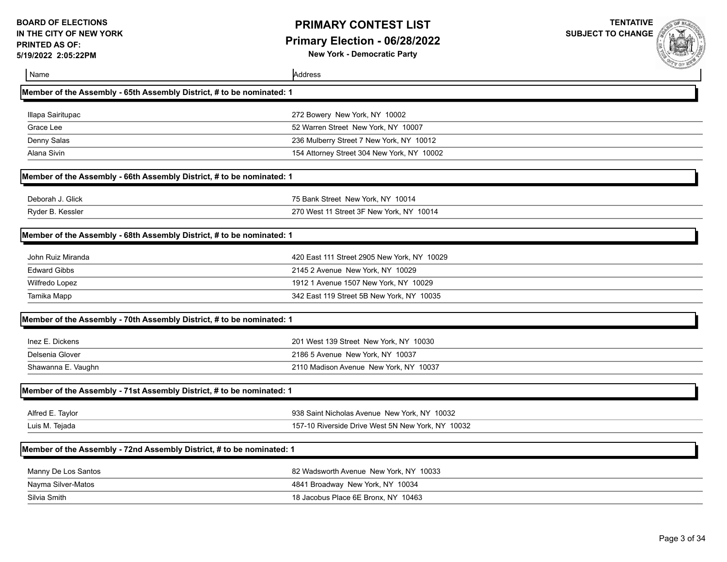## **PRIMARY CONTEST LIST Primary Election - 06/28/2022**

**New York - Democratic Party**



| Name                                                                  | Address                                           |  |
|-----------------------------------------------------------------------|---------------------------------------------------|--|
| Member of the Assembly - 65th Assembly District, # to be nominated: 1 |                                                   |  |
| Illapa Sairitupac                                                     | 272 Bowery New York, NY 10002                     |  |
| Grace Lee                                                             | 52 Warren Street New York, NY 10007               |  |
| Denny Salas                                                           | 236 Mulberry Street 7 New York, NY 10012          |  |
| Alana Sivin                                                           | 154 Attorney Street 304 New York, NY 10002        |  |
| Member of the Assembly - 66th Assembly District, # to be nominated: 1 |                                                   |  |
| Deborah J. Glick                                                      | 75 Bank Street New York, NY 10014                 |  |
| Ryder B. Kessler                                                      | 270 West 11 Street 3F New York, NY 10014          |  |
| Member of the Assembly - 68th Assembly District, # to be nominated: 1 |                                                   |  |
| John Ruiz Miranda                                                     | 420 East 111 Street 2905 New York, NY 10029       |  |
| <b>Edward Gibbs</b>                                                   | 2145 2 Avenue New York, NY 10029                  |  |
| Wilfredo Lopez                                                        | 1912 1 Avenue 1507 New York, NY 10029             |  |
| Tamika Mapp                                                           | 342 East 119 Street 5B New York, NY 10035         |  |
| Member of the Assembly - 70th Assembly District, # to be nominated: 1 |                                                   |  |
| Inez E. Dickens                                                       | 201 West 139 Street New York, NY 10030            |  |
| Delsenia Glover                                                       | 2186 5 Avenue New York, NY 10037                  |  |
| Shawanna E. Vaughn                                                    | 2110 Madison Avenue New York, NY 10037            |  |
| Member of the Assembly - 71st Assembly District, # to be nominated: 1 |                                                   |  |
| Alfred E. Taylor                                                      | 938 Saint Nicholas Avenue New York, NY 10032      |  |
| Luis M. Tejada                                                        | 157-10 Riverside Drive West 5N New York, NY 10032 |  |
| Member of the Assembly - 72nd Assembly District, # to be nominated: 1 |                                                   |  |
| Manny De Los Santos                                                   | 82 Wadsworth Avenue New York, NY 10033            |  |
| Nayma Silver-Matos                                                    | 4841 Broadway New York, NY 10034                  |  |
| Silvia Smith                                                          | 18 Jacobus Place 6E Bronx, NY 10463               |  |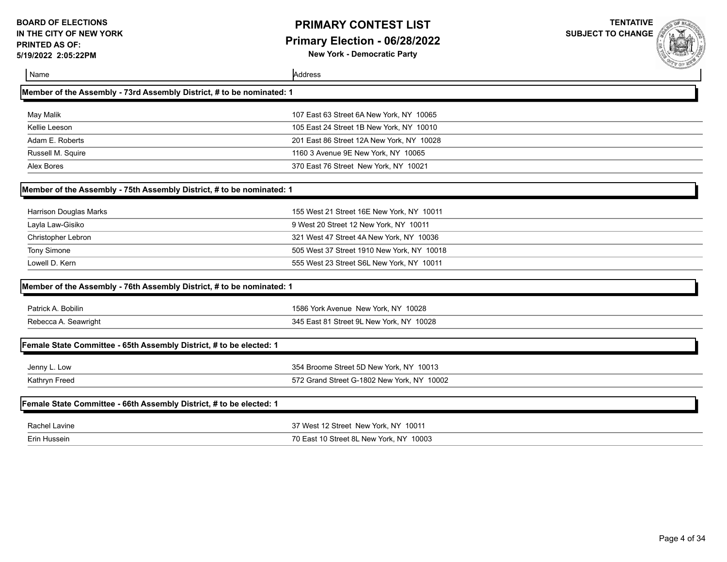## **PRIMARY CONTEST LIST Primary Election - 06/28/2022**

**New York - Democratic Party**

| Name                                                                  | Address                                    | <b>COMMERCIAL</b> |
|-----------------------------------------------------------------------|--------------------------------------------|-------------------|
| Member of the Assembly - 73rd Assembly District, # to be nominated: 1 |                                            |                   |
| May Malik                                                             | 107 East 63 Street 6A New York, NY 10065   |                   |
| Kellie Leeson                                                         | 105 East 24 Street 1B New York, NY 10010   |                   |
| Adam E. Roberts                                                       | 201 East 86 Street 12A New York, NY 10028  |                   |
| Russell M. Squire                                                     | 1160 3 Avenue 9E New York, NY 10065        |                   |
| Alex Bores                                                            | 370 East 76 Street New York, NY 10021      |                   |
| Member of the Assembly - 75th Assembly District, # to be nominated: 1 |                                            |                   |
| Harrison Douglas Marks                                                | 155 West 21 Street 16E New York, NY 10011  |                   |
| Layla Law-Gisiko                                                      | 9 West 20 Street 12 New York, NY 10011     |                   |
| Christopher Lebron                                                    | 321 West 47 Street 4A New York, NY 10036   |                   |
| Tony Simone                                                           | 505 West 37 Street 1910 New York, NY 10018 |                   |
| Lowell D. Kern                                                        | 555 West 23 Street S6L New York, NY 10011  |                   |
| Member of the Assembly - 76th Assembly District, # to be nominated: 1 |                                            |                   |
| Patrick A. Bobilin                                                    | 1586 York Avenue New York, NY 10028        |                   |
| Rebecca A. Seawright                                                  | 345 East 81 Street 9L New York, NY 10028   |                   |
| Female State Committee - 65th Assembly District, # to be elected: 1   |                                            |                   |
| Jenny L. Low                                                          | 354 Broome Street 5D New York, NY 10013    |                   |
| Kathryn Freed                                                         | 572 Grand Street G-1802 New York, NY 10002 |                   |
| Female State Committee - 66th Assembly District, # to be elected: 1   |                                            |                   |
| <b>Rachel Lavine</b>                                                  | 37 West 12 Street New York, NY 10011       |                   |
| Erin Hussein                                                          | 70 East 10 Street 8L New York, NY 10003    |                   |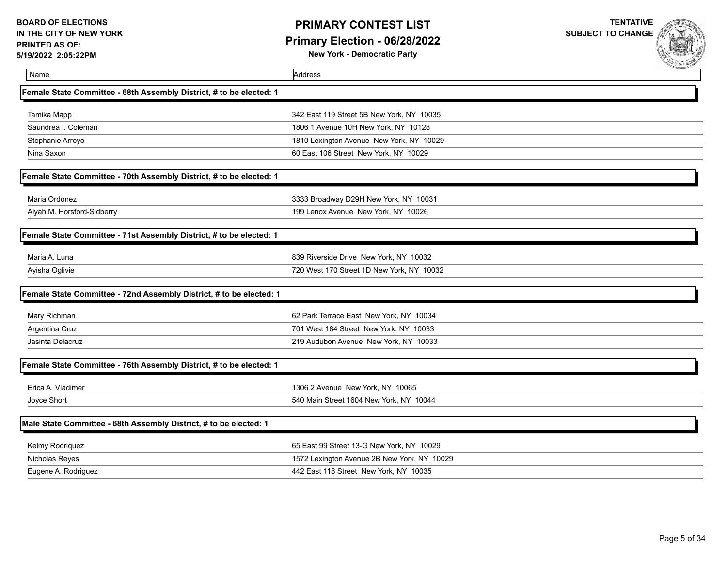## **PRIMARY CONTEST LIST Primary Election - 06/28/2022**

**New York - Democratic Party**

 $\mathbf{r}$ 

| Name                                                                | Address                                     |  |
|---------------------------------------------------------------------|---------------------------------------------|--|
| Female State Committee - 68th Assembly District, # to be elected: 1 |                                             |  |
| Tamika Mapp                                                         | 342 East 119 Street 5B New York, NY 10035   |  |
| Saundrea I. Coleman                                                 | 1806 1 Avenue 10H New York, NY 10128        |  |
| Stephanie Arroyo                                                    | 1810 Lexington Avenue New York, NY 10029    |  |
| Nina Saxon                                                          | 60 East 106 Street New York, NY 10029       |  |
| Female State Committee - 70th Assembly District, # to be elected: 1 |                                             |  |
| Maria Ordonez                                                       | 3333 Broadway D29H New York, NY 10031       |  |
| Alyah M. Horsford-Sidberry                                          | 199 Lenox Avenue New York, NY 10026         |  |
| Female State Committee - 71st Assembly District, # to be elected: 1 |                                             |  |
| Maria A. Luna                                                       | 839 Riverside Drive New York, NY 10032      |  |
| Ayisha Oglivie                                                      | 720 West 170 Street 1D New York, NY 10032   |  |
| Female State Committee - 72nd Assembly District, # to be elected: 1 |                                             |  |
| Mary Richman                                                        | 62 Park Terrace East New York, NY 10034     |  |
| Argentina Cruz                                                      | 701 West 184 Street New York, NY 10033      |  |
| Jasinta Delacruz                                                    | 219 Audubon Avenue New York, NY 10033       |  |
| Female State Committee - 76th Assembly District, # to be elected: 1 |                                             |  |
| Erica A. Vladimer                                                   | 1306 2 Avenue New York, NY 10065            |  |
| Joyce Short                                                         | 540 Main Street 1604 New York, NY 10044     |  |
| Male State Committee - 68th Assembly District, # to be elected: 1   |                                             |  |
| Kelmy Rodriquez                                                     | 65 East 99 Street 13-G New York, NY 10029   |  |
| Nicholas Reyes                                                      | 1572 Lexington Avenue 2B New York, NY 10029 |  |
| Eugene A. Rodriguez                                                 | 442 East 118 Street New York, NY 10035      |  |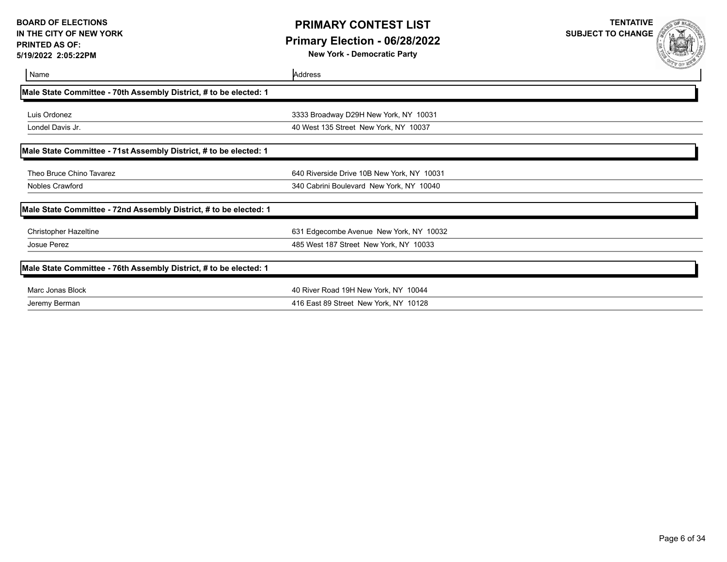## **PRIMARY CONTEST LIST Primary Election - 06/28/2022**

**New York - Democratic Party**

| Name                                                              | Address                                    | <b>SALES AND AND AND ADDRESS</b> |
|-------------------------------------------------------------------|--------------------------------------------|----------------------------------|
| Male State Committee - 70th Assembly District, # to be elected: 1 |                                            |                                  |
| Luis Ordonez                                                      | 3333 Broadway D29H New York, NY 10031      |                                  |
| Londel Davis Jr.                                                  | 40 West 135 Street New York, NY 10037      |                                  |
| Male State Committee - 71st Assembly District, # to be elected: 1 |                                            |                                  |
| Theo Bruce Chino Tavarez                                          | 640 Riverside Drive 10B New York, NY 10031 |                                  |
| Nobles Crawford                                                   | 340 Cabrini Boulevard New York, NY 10040   |                                  |
| Male State Committee - 72nd Assembly District, # to be elected: 1 |                                            |                                  |
| <b>Christopher Hazeltine</b>                                      | 631 Edgecombe Avenue New York, NY 10032    |                                  |
| Josue Perez                                                       | 485 West 187 Street New York, NY 10033     |                                  |
| Male State Committee - 76th Assembly District, # to be elected: 1 |                                            |                                  |
| Marc Jonas Block                                                  | 40 River Road 19H New York, NY 10044       |                                  |
| Jeremy Berman                                                     | 416 East 89 Street New York, NY 10128      |                                  |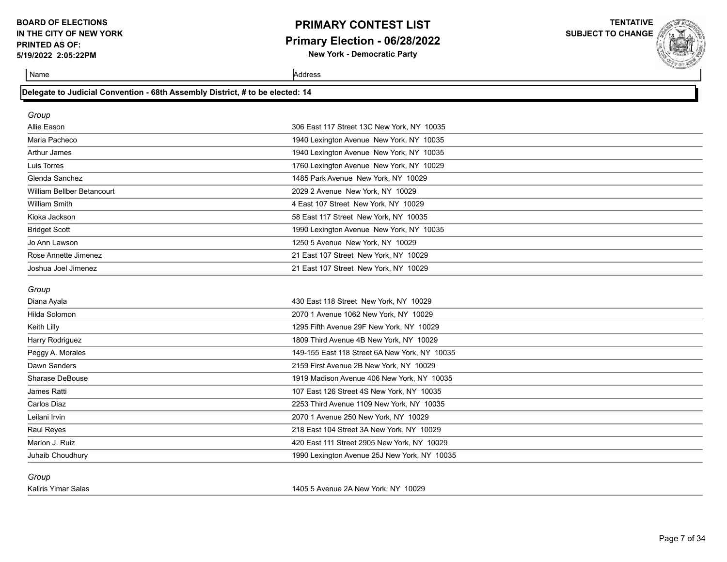## **PRIMARY CONTEST LIST Primary Election - 06/28/2022**

**New York - Democratic Party**

**TENTATIVE SUBJECT TO CHANGE**

Name Address

| Group                       |                                                                                |
|-----------------------------|--------------------------------------------------------------------------------|
| Allie Eason                 | 306 East 117 Street 13C New York, NY 10035                                     |
| Maria Pacheco               | 1940 Lexington Avenue New York, NY 10035                                       |
| <b>Arthur James</b>         | 1940 Lexington Avenue New York, NY 10035                                       |
| Luis Torres                 | 1760 Lexington Avenue New York, NY 10029                                       |
| Glenda Sanchez              | 1485 Park Avenue New York, NY 10029                                            |
| William Bellber Betancourt  | 2029 2 Avenue New York, NY 10029                                               |
| <b>William Smith</b>        | 4 East 107 Street New York, NY 10029                                           |
| المتحدث والمستراء والمتأكلة | $F_0 F_{\text{out}}$ 447 $G_{\text{in}}$ at Mapp $V_{\text{out}}$ , NIV, 4000F |

**Delegate to Judicial Convention - 68th Assembly District, # to be elected: 14**

| Arthur James               | 1940 Lexington Avenue New York, NY 10035 |
|----------------------------|------------------------------------------|
| Luis Torres                | 1760 Lexington Avenue New York, NY 10029 |
| Glenda Sanchez             | 1485 Park Avenue New York, NY 10029      |
| William Bellber Betancourt | 2029 2 Avenue New York, NY 10029         |
| William Smith              | 4 East 107 Street New York, NY 10029     |
| Kioka Jackson              | 58 East 117 Street New York, NY 10035    |
| <b>Bridget Scott</b>       | 1990 Lexington Avenue New York, NY 10035 |
| Jo Ann Lawson              | 1250 5 Avenue New York, NY 10029         |
| Rose Annette Jimenez       | 21 East 107 Street New York, NY 10029    |
| Joshua Joel Jimenez        | 21 East 107 Street New York, NY 10029    |

#### *Group*

| Diana Ayala            | 430 East 118 Street New York, NY 10029        |
|------------------------|-----------------------------------------------|
| Hilda Solomon          | 2070 1 Avenue 1062 New York, NY 10029         |
| Keith Lilly            | 1295 Fifth Avenue 29F New York, NY 10029      |
| Harry Rodriguez        | 1809 Third Avenue 4B New York, NY 10029       |
| Peggy A. Morales       | 149-155 East 118 Street 6A New York, NY 10035 |
| Dawn Sanders           | 2159 First Avenue 2B New York, NY 10029       |
| <b>Sharase DeBouse</b> | 1919 Madison Avenue 406 New York, NY 10035    |
| James Ratti            | 107 East 126 Street 4S New York, NY 10035     |
| Carlos Diaz            | 2253 Third Avenue 1109 New York, NY 10035     |
| Leilani Irvin          | 2070 1 Avenue 250 New York, NY 10029          |
| Raul Reyes             | 218 East 104 Street 3A New York, NY 10029     |
| Marlon J. Ruiz         | 420 East 111 Street 2905 New York, NY 10029   |
| Juhaib Choudhury       | 1990 Lexington Avenue 25J New York, NY 10035  |

*Group*

Kaliris Yimar Salas 1405 5 Avenue 2A New York, NY 10029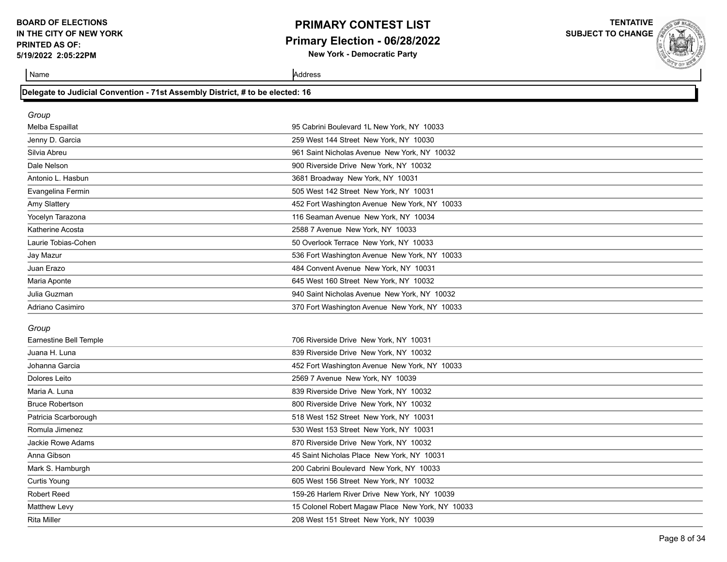### **PRIMARY CONTEST LIST Primary Election - 06/28/2022 New York - Democratic Party**

**TENTATIVE**

**SUBJECT TO CHANGE**

| Delegate to Judicial Convention - 71st Assembly District, # to be elected: 16 |  |
|-------------------------------------------------------------------------------|--|
|                                                                               |  |

| Group               |                                               |  |
|---------------------|-----------------------------------------------|--|
| Melba Espaillat     | 95 Cabrini Boulevard 1L New York, NY 10033    |  |
| Jenny D. Garcia     | 259 West 144 Street New York, NY 10030        |  |
| Silvia Abreu        | 961 Saint Nicholas Avenue New York, NY 10032  |  |
| Dale Nelson         | 900 Riverside Drive New York, NY 10032        |  |
| Antonio L. Hasbun   | 3681 Broadway New York, NY 10031              |  |
| Evangelina Fermin   | 505 West 142 Street New York, NY 10031        |  |
| Amy Slattery        | 452 Fort Washington Avenue New York, NY 10033 |  |
| Yocelyn Tarazona    | 116 Seaman Avenue New York, NY 10034          |  |
| Katherine Acosta    | 2588 7 Avenue New York, NY 10033              |  |
| Laurie Tobias-Cohen | 50 Overlook Terrace New York, NY 10033        |  |
| Jay Mazur           | 536 Fort Washington Avenue New York, NY 10033 |  |
| Juan Erazo          | 484 Convent Avenue New York, NY 10031         |  |
| Maria Aponte        | 645 West 160 Street New York, NY 10032        |  |
| Julia Guzman        | 940 Saint Nicholas Avenue New York, NY 10032  |  |
| Adriano Casimiro    | 370 Fort Washington Avenue New York, NY 10033 |  |
| Group               |                                               |  |

| Earnestine Bell Temple | 706 Riverside Drive New York, NY 10031           |
|------------------------|--------------------------------------------------|
| Juana H. Luna          | 839 Riverside Drive New York, NY 10032           |
| Johanna Garcia         | 452 Fort Washington Avenue New York, NY 10033    |
| Dolores Leito          | 2569 7 Avenue New York, NY 10039                 |
| Maria A. Luna          | 839 Riverside Drive New York, NY 10032           |
| <b>Bruce Robertson</b> | 800 Riverside Drive New York, NY 10032           |
| Patricia Scarborough   | 518 West 152 Street New York, NY 10031           |
| Romula Jimenez         | 530 West 153 Street New York, NY 10031           |
| Jackie Rowe Adams      | 870 Riverside Drive New York, NY 10032           |
| Anna Gibson            | 45 Saint Nicholas Place New York, NY 10031       |
| Mark S. Hamburgh       | 200 Cabrini Boulevard New York, NY 10033         |
| <b>Curtis Young</b>    | 605 West 156 Street New York, NY 10032           |
| <b>Robert Reed</b>     | 159-26 Harlem River Drive New York, NY 10039     |
| <b>Matthew Levy</b>    | 15 Colonel Robert Magaw Place New York, NY 10033 |
| <b>Rita Miller</b>     | 208 West 151 Street New York, NY 10039           |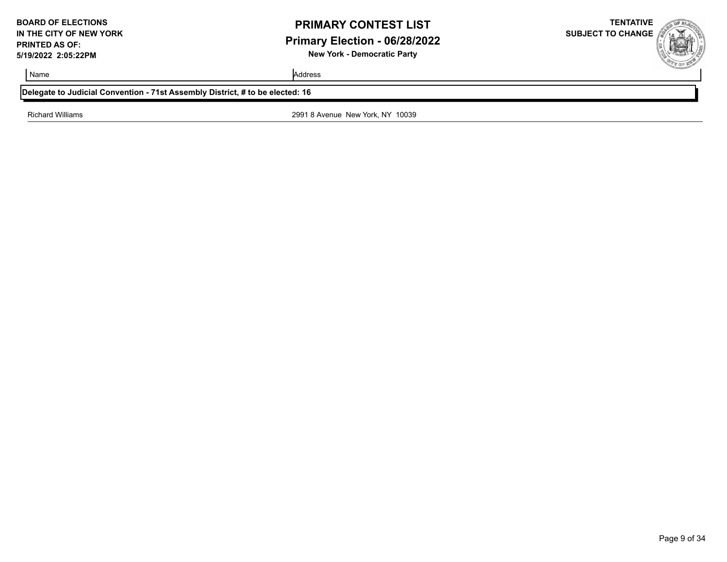## **PRIMARY CONTEST LIST Primary Election - 06/28/2022 New York - Democratic Party**

**SUBJECT TO CHANGE**

**TENTATIVE**

Name Address and Address and Address and Address and Address and Address and Address and Address and Address and Address and Address and Address and Address and Address and Address and Address and Address and Address and A

#### **Delegate to Judicial Convention - 71st Assembly District, # to be elected: 16**

Richard Williams 2991 8 Avenue New York, NY 10039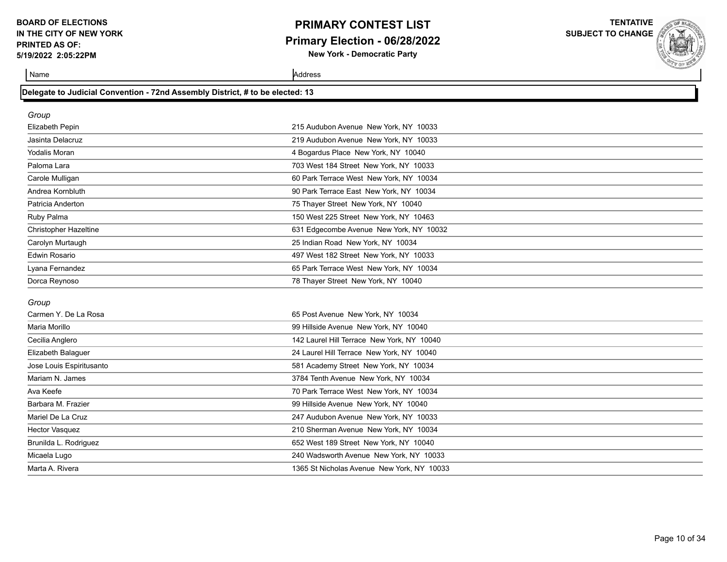### **PRIMARY CONTEST LIST Primary Election - 06/28/2022 New York - Democratic Party**

**TENTATIVE**

**SUBJECT TO CHANGE**

Name Address and Address and Address and Address and Address and Address and Address and Address and Address and Address and Address and Address and Address and Address and Address and Address and Address and Address and A

| Group                        |                                         |
|------------------------------|-----------------------------------------|
| Elizabeth Pepin              | 215 Audubon Avenue New York, NY 10033   |
| Jasinta Delacruz             | 219 Audubon Avenue New York, NY 10033   |
| Yodalis Moran                | 4 Bogardus Place New York, NY 10040     |
| Paloma Lara                  | 703 West 184 Street New York, NY 10033  |
| Carole Mulligan              | 60 Park Terrace West New York, NY 10034 |
| Andrea Kornbluth             | 90 Park Terrace East New York, NY 10034 |
| Patricia Anderton            | 75 Thayer Street New York, NY 10040     |
| Ruby Palma                   | 150 West 225 Street New York, NY 10463  |
| <b>Christopher Hazeltine</b> | 631 Edgecombe Avenue New York, NY 10032 |
| Carolyn Murtaugh             | 25 Indian Road New York, NY 10034       |
| <b>Edwin Rosario</b>         | 497 West 182 Street New York, NY 10033  |
| Lyana Fernandez              | 65 Park Terrace West New York, NY 10034 |
| Dorca Reynoso                | 78 Thayer Street New York, NY 10040     |

#### *Group*

| Carmen Y. De La Rosa     | 65 Post Avenue New York, NY 10034          |
|--------------------------|--------------------------------------------|
| Maria Morillo            | 99 Hillside Avenue New York, NY 10040      |
| Cecilia Anglero          | 142 Laurel Hill Terrace New York, NY 10040 |
| Elizabeth Balaguer       | 24 Laurel Hill Terrace New York, NY 10040  |
| Jose Louis Espiritusanto | 581 Academy Street New York, NY 10034      |
| Mariam N. James          | 3784 Tenth Avenue New York, NY 10034       |
| Ava Keefe                | 70 Park Terrace West New York, NY 10034    |
| Barbara M. Frazier       | 99 Hillside Avenue New York, NY 10040      |
| Mariel De La Cruz        | 247 Audubon Avenue New York, NY 10033      |
| <b>Hector Vasquez</b>    | 210 Sherman Avenue New York, NY 10034      |
| Brunilda L. Rodriguez    | 652 West 189 Street New York, NY 10040     |
| Micaela Lugo             | 240 Wadsworth Avenue New York, NY 10033    |
| Marta A. Rivera          | 1365 St Nicholas Avenue New York, NY 10033 |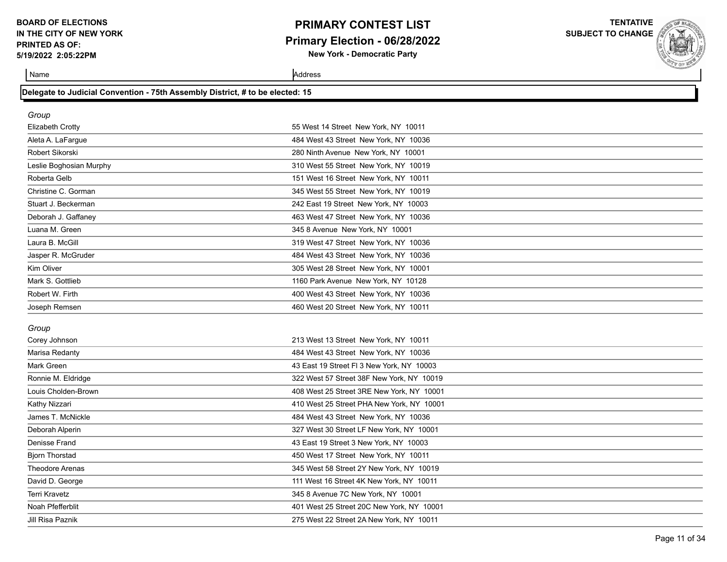### **PRIMARY CONTEST LIST Primary Election - 06/28/2022 New York - Democratic Party**

**TENTATIVE**

**SUBJECT TO CHANGE**

| Delegate to Judicial Convention - 75th Assembly District, # to be elected: 15 |  |  |  |
|-------------------------------------------------------------------------------|--|--|--|

| Group                   |                                           |
|-------------------------|-------------------------------------------|
| Elizabeth Crotty        | 55 West 14 Street New York, NY 10011      |
| Aleta A. LaFargue       | 484 West 43 Street New York, NY 10036     |
| Robert Sikorski         | 280 Ninth Avenue New York, NY 10001       |
| Leslie Boghosian Murphy | 310 West 55 Street New York, NY 10019     |
| Roberta Gelb            | 151 West 16 Street New York, NY 10011     |
| Christine C. Gorman     | 345 West 55 Street New York, NY 10019     |
| Stuart J. Beckerman     | 242 East 19 Street New York, NY 10003     |
| Deborah J. Gaffaney     | 463 West 47 Street New York, NY 10036     |
| Luana M. Green          | 345 8 Avenue New York, NY 10001           |
| Laura B. McGill         | 319 West 47 Street New York, NY 10036     |
| Jasper R. McGruder      | 484 West 43 Street New York, NY 10036     |
| Kim Oliver              | 305 West 28 Street New York, NY 10001     |
| Mark S. Gottlieb        | 1160 Park Avenue New York, NY 10128       |
| Robert W. Firth         | 400 West 43 Street New York, NY 10036     |
| Joseph Remsen           | 460 West 20 Street New York, NY 10011     |
| Group                   |                                           |
| Corey Johnson           | 213 West 13 Street New York, NY 10011     |
| Marisa Redanty          | 484 West 43 Street New York, NY 10036     |
| Mark Green              | 43 East 19 Street FI 3 New York, NY 10003 |
| Ronnie M. Eldridge      | 322 West 57 Street 38F New York, NY 10019 |
| Louis Cholden-Brown     | 408 West 25 Street 3RE New York, NY 10001 |
| Kathy Nizzari           | 410 West 25 Street PHA New York, NY 10001 |
| James T. McNickle       | 484 West 43 Street New York, NY 10036     |
| Deborah Alperin         | 327 West 30 Street LF New York, NY 10001  |
| Denisse Frand           | 43 East 19 Street 3 New York, NY 10003    |
| <b>Bjorn Thorstad</b>   | 450 West 17 Street New York, NY 10011     |
| Theodore Arenas         | 345 West 58 Street 2Y New York, NY 10019  |
| David D. George         | 111 West 16 Street 4K New York, NY 10011  |
| <b>Terri Kravetz</b>    | 345 8 Avenue 7C New York, NY 10001        |
| Noah Pfefferblit        | 401 West 25 Street 20C New York, NY 10001 |
| Jill Risa Paznik        | 275 West 22 Street 2A New York, NY 10011  |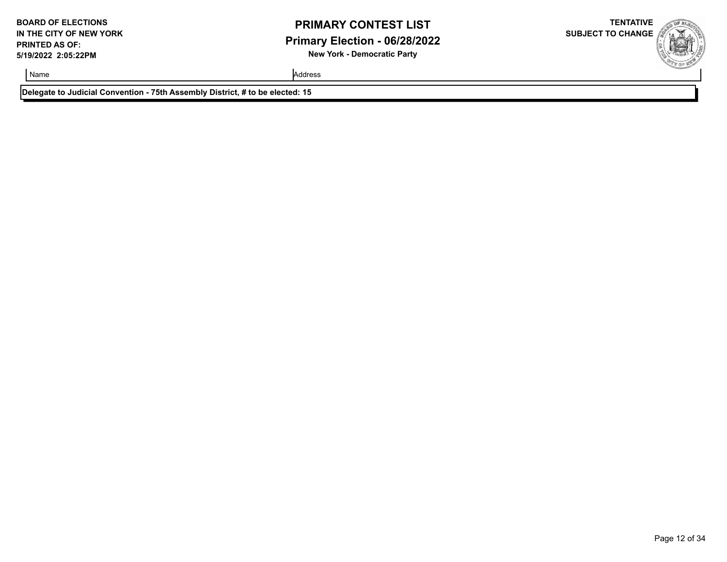### **PRIMARY CONTEST LIST Primary Election - 06/28/2022 New York - Democratic Party**

**TENTATIVE SUBJECT TO CHANGE**

Name Address and Address and Address and Address and Address and Address and Address and Address and Address and Address and Address and Address and Address and Address and Address and Address and Address and Address and A

**Delegate to Judicial Convention - 75th Assembly District, # to be elected: 15**

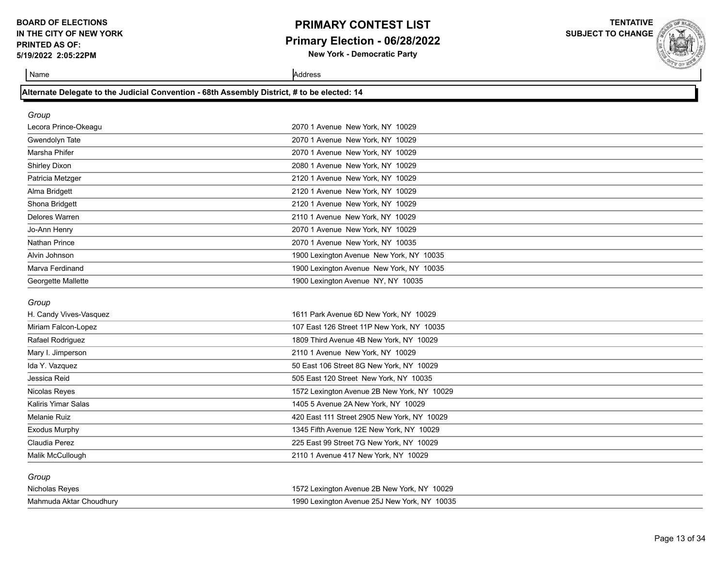### **PRIMARY CONTEST LIST Primary Election - 06/28/2022 New York - Democratic Party**

**TENTATIVE**

**SUBJECT TO CHANGE**

Name Address and Address and Address and Address and Address and Address and Address and Address and Address and Address and Address and Address and Address and Address and Address and Address and Address and Address and A

### **Alternate Delegate to the Judicial Convention - 68th Assembly District, # to be elected: 14**

| Group                |                                          |  |
|----------------------|------------------------------------------|--|
| Lecora Prince-Okeagu | 2070 1 Avenue New York, NY 10029         |  |
| Gwendolyn Tate       | 2070 1 Avenue New York, NY 10029         |  |
| Marsha Phifer        | 2070 1 Avenue New York, NY 10029         |  |
| <b>Shirley Dixon</b> | 2080 1 Avenue New York, NY 10029         |  |
| Patricia Metzger     | 2120 1 Avenue New York, NY 10029         |  |
| Alma Bridgett        | 2120 1 Avenue New York, NY 10029         |  |
| Shona Bridgett       | 2120 1 Avenue New York, NY 10029         |  |
| Delores Warren       | 2110 1 Avenue New York, NY 10029         |  |
| Jo-Ann Henry         | 2070 1 Avenue New York, NY 10029         |  |
| <b>Nathan Prince</b> | 2070 1 Avenue New York, NY 10035         |  |
| Alvin Johnson        | 1900 Lexington Avenue New York, NY 10035 |  |
| Marva Ferdinand      | 1900 Lexington Avenue New York, NY 10035 |  |
| Georgette Mallette   | 1900 Lexington Avenue NY, NY 10035       |  |

#### *Group*

| H. Candy Vives-Vasquez     | 1611 Park Avenue 6D New York, NY 10029      |  |
|----------------------------|---------------------------------------------|--|
| Miriam Falcon-Lopez        | 107 East 126 Street 11P New York, NY 10035  |  |
| Rafael Rodriguez           | 1809 Third Avenue 4B New York, NY 10029     |  |
| Mary I. Jimperson          | 2110 1 Avenue New York, NY 10029            |  |
| Ida Y. Vazquez             | 50 East 106 Street 8G New York, NY 10029    |  |
| Jessica Reid               | 505 East 120 Street New York, NY 10035      |  |
| Nicolas Reyes              | 1572 Lexington Avenue 2B New York, NY 10029 |  |
| <b>Kaliris Yimar Salas</b> | 1405 5 Avenue 2A New York, NY 10029         |  |
| Melanie Ruiz               | 420 East 111 Street 2905 New York, NY 10029 |  |
| Exodus Murphy              | 1345 Fifth Avenue 12E New York, NY 10029    |  |
| Claudia Perez              | 225 East 99 Street 7G New York, NY 10029    |  |
| Malik McCullough           | 2110 1 Avenue 417 New York, NY 10029        |  |
| Group                      |                                             |  |

| Nicholas Reyes          | 1572 Lexington Avenue 2B New York, NY 10029  |
|-------------------------|----------------------------------------------|
| Mahmuda Aktar Choudhury | 1990 Lexington Avenue 25J New York, NY 10035 |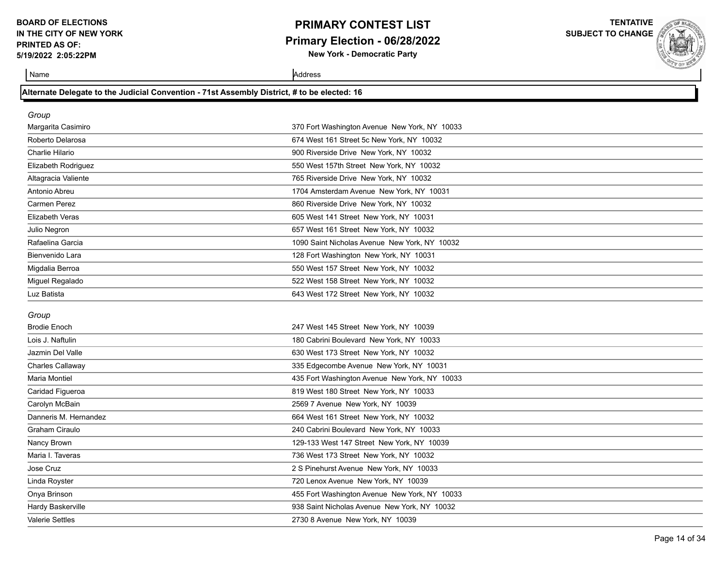### **PRIMARY CONTEST LIST Primary Election - 06/28/2022 New York - Democratic Party**

**TENTATIVE**

**SUBJECT TO CHANGE**

Name Address and Address and Address and Address and Address and Address and Address and Address and Address and Address and Address and Address and Address and Address and Address and Address and Address and Address and A

### **Alternate Delegate to the Judicial Convention - 71st Assembly District, # to be elected: 16**

| Group                        |                                               |
|------------------------------|-----------------------------------------------|
| Margarita Casimiro           | 370 Fort Washington Avenue New York, NY 10033 |
| Roberto Delarosa             | 674 West 161 Street 5c New York, NY 10032     |
| Charlie Hilario              | 900 Riverside Drive New York, NY 10032        |
| Elizabeth Rodriguez          | 550 West 157th Street New York, NY 10032      |
| Altagracia Valiente          | 765 Riverside Drive New York, NY 10032        |
| Antonio Abreu                | 1704 Amsterdam Avenue New York, NY 10031      |
| Carmen Perez                 | 860 Riverside Drive New York, NY 10032        |
| <b>Elizabeth Veras</b>       | 605 West 141 Street New York, NY 10031        |
| Julio Negron                 | 657 West 161 Street New York, NY 10032        |
| Rafaelina Garcia             | 1090 Saint Nicholas Avenue New York, NY 10032 |
| Bienvenido Lara              | 128 Fort Washington New York, NY 10031        |
| Migdalia Berroa              | 550 West 157 Street New York, NY 10032        |
| Miguel Regalado              | 522 West 158 Street New York, NY 10032        |
| Luz Batista                  | 643 West 172 Street New York, NY 10032        |
|                              |                                               |
|                              |                                               |
| Group<br><b>Brodie Enoch</b> | 247 West 145 Street New York, NY 10039        |
| Lois J. Naftulin             | 180 Cabrini Boulevard New York, NY 10033      |
| Jazmin Del Valle             | 630 West 173 Street New York, NY 10032        |
| Charles Callaway             | 335 Edgecombe Avenue New York, NY 10031       |
| <b>Maria Montiel</b>         | 435 Fort Washington Avenue New York, NY 10033 |
| Caridad Figueroa             | 819 West 180 Street New York, NY 10033        |
| Carolyn McBain               | 2569 7 Avenue New York, NY 10039              |
| Danneris M. Hernandez        | 664 West 161 Street New York, NY 10032        |
| Graham Ciraulo               | 240 Cabrini Boulevard New York, NY 10033      |
| Nancy Brown                  | 129-133 West 147 Street New York, NY 10039    |
| Maria I. Taveras             | 736 West 173 Street New York, NY 10032        |
| Jose Cruz                    | 2 S Pinehurst Avenue New York, NY 10033       |
| Linda Royster                | 720 Lenox Avenue New York, NY 10039           |
| Onya Brinson                 | 455 Fort Washington Avenue New York, NY 10033 |
| Hardy Baskerville            | 938 Saint Nicholas Avenue New York, NY 10032  |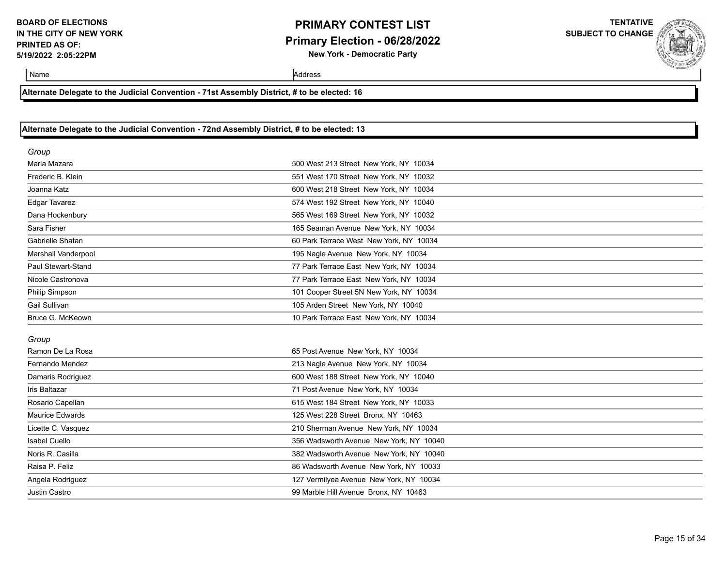### **PRIMARY CONTEST LIST Primary Election - 06/28/2022 New York - Democratic Party**

**TENTATIVE SUBJECT TO CHANGE**

Name Address and Address and Address and Address and Address and Address and Address and Address and Address and Address and Address and Address and Address and Address and Address and Address and Address and Address and A

**Alternate Delegate to the Judicial Convention - 71st Assembly District, # to be elected: 16**

#### **Alternate Delegate to the Judicial Convention - 72nd Assembly District, # to be elected: 13**

| Group                  |                                         |
|------------------------|-----------------------------------------|
| Maria Mazara           | 500 West 213 Street New York, NY 10034  |
| Frederic B. Klein      | 551 West 170 Street New York, NY 10032  |
| Joanna Katz            | 600 West 218 Street New York, NY 10034  |
| <b>Edgar Tavarez</b>   | 574 West 192 Street New York, NY 10040  |
| Dana Hockenbury        | 565 West 169 Street New York, NY 10032  |
| Sara Fisher            | 165 Seaman Avenue New York, NY 10034    |
| Gabrielle Shatan       | 60 Park Terrace West New York, NY 10034 |
| Marshall Vanderpool    | 195 Nagle Avenue New York, NY 10034     |
| Paul Stewart-Stand     | 77 Park Terrace East New York, NY 10034 |
| Nicole Castronova      | 77 Park Terrace East New York. NY 10034 |
| Philip Simpson         | 101 Cooper Street 5N New York, NY 10034 |
| Gail Sullivan          | 105 Arden Street New York, NY 10040     |
| Bruce G. McKeown       | 10 Park Terrace East New York, NY 10034 |
| Group                  |                                         |
| Ramon De La Rosa       | 65 Post Avenue New York, NY 10034       |
| Fernando Mendez        | 213 Nagle Avenue New York, NY 10034     |
| Damaris Rodriguez      | 600 West 188 Street New York, NY 10040  |
| Iris Baltazar          | 71 Post Avenue New York, NY 10034       |
| Rosario Capellan       | 615 West 184 Street New York, NY 10033  |
| <b>Maurice Edwards</b> | 125 West 228 Street Bronx, NY 10463     |
| Licette C. Vasquez     | 210 Sherman Avenue New York, NY 10034   |
| Isabel Cuello          | 356 Wadsworth Avenue New York, NY 10040 |
| Noris R. Casilla       | 382 Wadsworth Avenue New York, NY 10040 |
| Raisa P. Feliz         | 86 Wadsworth Avenue New York, NY 10033  |
| Angela Rodriguez       | 127 Vermilyea Avenue New York, NY 10034 |
| Justin Castro          | 99 Marble Hill Avenue Bronx, NY 10463   |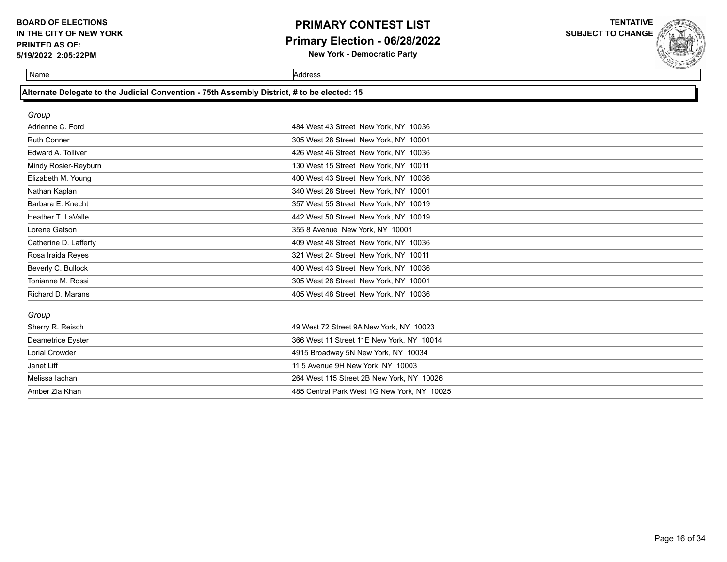## **PRIMARY CONTEST LIST Primary Election - 06/28/2022**

**New York - Democratic Party**

**TENTATIVE SUBJECT TO CHANGE**



Name Address and Address and Address and Address and Address and Address and Address and Address and Address and Address and Address and Address and Address and Address and Address and Address and Address and Address and A

### **Alternate Delegate to the Judicial Convention - 75th Assembly District, # to be elected: 15**

| Group                 |                                             |  |
|-----------------------|---------------------------------------------|--|
| Adrienne C. Ford      | 484 West 43 Street New York, NY 10036       |  |
| <b>Ruth Conner</b>    | 305 West 28 Street New York, NY 10001       |  |
| Edward A. Tolliver    | 426 West 46 Street New York, NY 10036       |  |
| Mindy Rosier-Reyburn  | 130 West 15 Street New York, NY 10011       |  |
| Elizabeth M. Young    | 400 West 43 Street New York, NY 10036       |  |
| Nathan Kaplan         | 340 West 28 Street New York, NY 10001       |  |
| Barbara E. Knecht     | 357 West 55 Street New York, NY 10019       |  |
| Heather T. LaValle    | 442 West 50 Street New York, NY 10019       |  |
| Lorene Gatson         | 355 8 Avenue New York, NY 10001             |  |
| Catherine D. Lafferty | 409 West 48 Street New York, NY 10036       |  |
| Rosa Iraida Reyes     | 321 West 24 Street New York, NY 10011       |  |
| Beverly C. Bullock    | 400 West 43 Street New York, NY 10036       |  |
| Tonianne M. Rossi     | 305 West 28 Street New York, NY 10001       |  |
| Richard D. Marans     | 405 West 48 Street New York, NY 10036       |  |
| Group                 |                                             |  |
| Sherry R. Reisch      | 49 West 72 Street 9A New York, NY 10023     |  |
| Deametrice Eyster     | 366 West 11 Street 11E New York, NY 10014   |  |
| <b>Lorial Crowder</b> | 4915 Broadway 5N New York, NY 10034         |  |
| Janet Liff            | 11 5 Avenue 9H New York, NY 10003           |  |
| Melissa lachan        | 264 West 115 Street 2B New York, NY 10026   |  |
| Amber Zia Khan        | 485 Central Park West 1G New York, NY 10025 |  |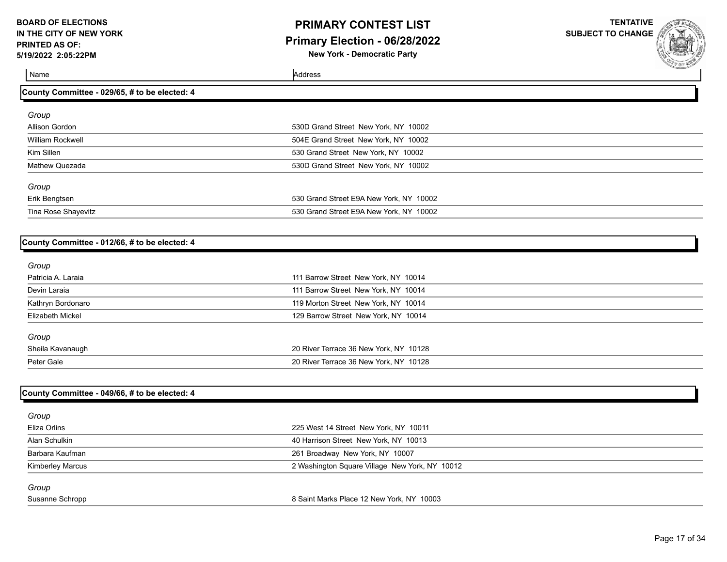### **PRIMARY CONTEST LIST Primary Election - 06/28/2022 New York - Democratic Party**

**TENTATIVE**

**SUBJECT TO CHANGE**

Name Address

| County Committee - 029/65, # to be elected: 4 |                                         |  |
|-----------------------------------------------|-----------------------------------------|--|
| Group                                         |                                         |  |
| Allison Gordon                                | 530D Grand Street New York, NY 10002    |  |
| William Rockwell                              | 504E Grand Street New York, NY 10002    |  |
| Kim Sillen                                    | 530 Grand Street New York, NY 10002     |  |
| Mathew Quezada                                | 530D Grand Street New York, NY 10002    |  |
| Group                                         |                                         |  |
| Erik Bengtsen                                 | 530 Grand Street E9A New York, NY 10002 |  |
| Tina Rose Shayevitz                           | 530 Grand Street E9A New York, NY 10002 |  |

#### **County Committee - 012/66, # to be elected: 4**

| Group              |                                        |  |
|--------------------|----------------------------------------|--|
| Patricia A. Laraia | 111 Barrow Street New York, NY 10014   |  |
| Devin Laraia       | 111 Barrow Street New York, NY 10014   |  |
| Kathryn Bordonaro  | 119 Morton Street New York, NY 10014   |  |
| Elizabeth Mickel   | 129 Barrow Street New York, NY 10014   |  |
| Group              |                                        |  |
| Sheila Kavanaugh   | 20 River Terrace 36 New York, NY 10128 |  |
| Peter Gale         | 20 River Terrace 36 New York, NY 10128 |  |
|                    |                                        |  |

#### **County Committee - 049/66, # to be elected: 4**

| Group                   |                                                |  |
|-------------------------|------------------------------------------------|--|
| Eliza Orlins            | 225 West 14 Street New York, NY 10011          |  |
| Alan Schulkin           | 40 Harrison Street New York, NY 10013          |  |
| Barbara Kaufman         | 261 Broadway New York, NY 10007                |  |
| <b>Kimberley Marcus</b> | 2 Washington Square Village New York, NY 10012 |  |
| Group                   |                                                |  |
| Susanne Schropp         | 8 Saint Marks Place 12 New York, NY 10003      |  |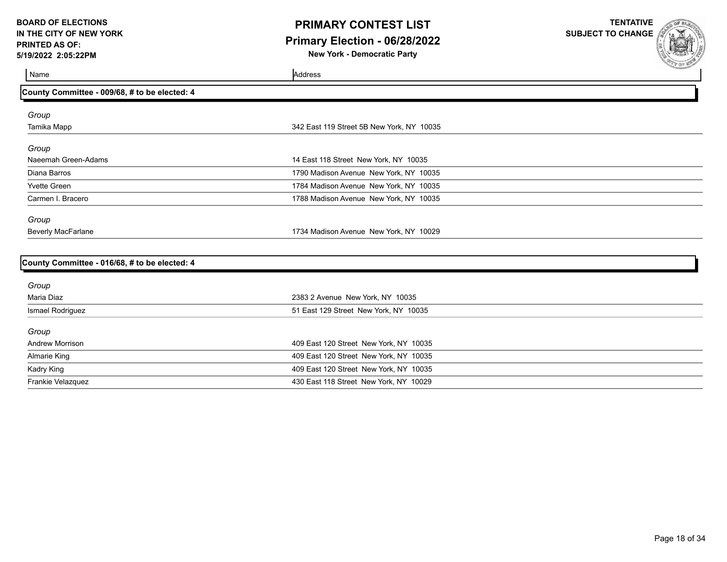### **PRIMARY CONTEST LIST Primary Election - 06/28/2022 New York - Democratic Party**

**TENTATIVE**

**SUBJECT TO CHANGE**

| Name                                          | Address                                   | <b>COLLEGION AND REAL PROPERTY</b> |
|-----------------------------------------------|-------------------------------------------|------------------------------------|
| County Committee - 009/68, # to be elected: 4 |                                           |                                    |
| Group                                         |                                           |                                    |
| Tamika Mapp                                   | 342 East 119 Street 5B New York, NY 10035 |                                    |
| Group                                         |                                           |                                    |
| Naeemah Green-Adams                           | 14 East 118 Street New York, NY 10035     |                                    |
| Diana Barros                                  | 1790 Madison Avenue New York, NY 10035    |                                    |
| <b>Yvette Green</b>                           | 1784 Madison Avenue New York, NY 10035    |                                    |
| Carmen I. Bracero                             | 1788 Madison Avenue New York, NY 10035    |                                    |
| Group                                         |                                           |                                    |
| <b>Beverly MacFarlane</b>                     | 1734 Madison Avenue New York, NY 10029    |                                    |
|                                               |                                           |                                    |
| County Committee - 016/68, # to be elected: 4 |                                           |                                    |
| Group                                         |                                           |                                    |
| Maria Diaz                                    | 2383 2 Avenue New York, NY 10035          |                                    |
| Ismael Rodriguez                              | 51 East 129 Street New York, NY 10035     |                                    |
| Group                                         |                                           |                                    |
| <b>Andrew Morrison</b>                        | 409 East 120 Street New York, NY 10035    |                                    |
| <b>Almarie King</b>                           | 409 East 120 Street New York, NY 10035    |                                    |
| Kadry King                                    | 409 East 120 Street New York, NY 10035    |                                    |
| Frankie Velazquez                             | 430 East 118 Street New York, NY 10029    |                                    |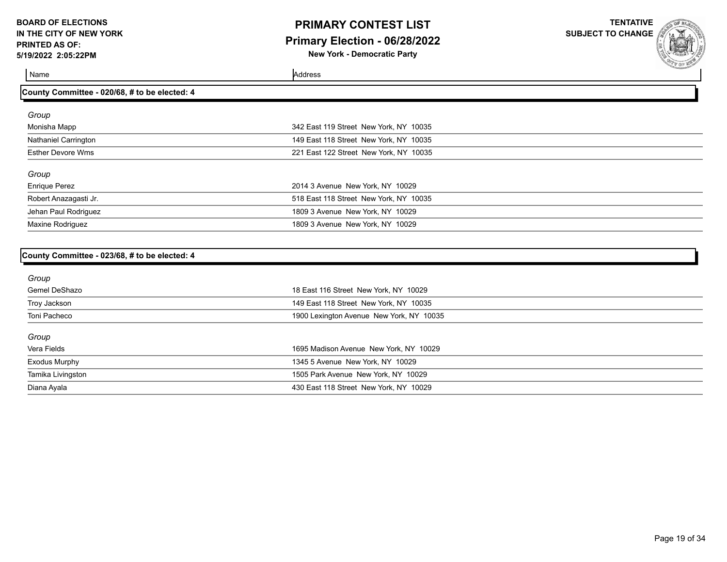### **PRIMARY CONTEST LIST Primary Election - 06/28/2022 New York - Democratic Party**

**TENTATIVE**

**SUBJECT TO CHANGE**

Name Address and Address and Address and Address and Address and Address and Address and Address and Address and Address and Address and Address and Address and Address and Address and Address and Address and Address and A

| County Committee - 020/68, # to be elected: 4 |                                        |  |
|-----------------------------------------------|----------------------------------------|--|
| Group                                         |                                        |  |
| Monisha Mapp                                  | 342 East 119 Street New York, NY 10035 |  |
| <b>Nathaniel Carrington</b>                   | 149 East 118 Street New York, NY 10035 |  |
| <b>Esther Devore Wms</b>                      | 221 East 122 Street New York, NY 10035 |  |
| Group                                         |                                        |  |
| <b>Enrique Perez</b>                          | 2014 3 Avenue New York, NY 10029       |  |
| Robert Anazagasti Jr.                         | 518 East 118 Street New York, NY 10035 |  |
| Jehan Paul Rodriguez                          | 1809 3 Avenue New York, NY 10029       |  |
| Maxine Rodriguez                              | 1809 3 Avenue New York, NY 10029       |  |

#### **County Committee - 023/68, # to be elected: 4**

| Group             |                                          |
|-------------------|------------------------------------------|
| Gemel DeShazo     | 18 East 116 Street New York, NY 10029    |
| Troy Jackson      | 149 East 118 Street New York, NY 10035   |
| Toni Pacheco      | 1900 Lexington Avenue New York, NY 10035 |
| Group             |                                          |
| Vera Fields       | 1695 Madison Avenue New York, NY 10029   |
| Exodus Murphy     | 1345 5 Avenue New York, NY 10029         |
| Tamika Livingston | 1505 Park Avenue New York, NY 10029      |
| Diana Ayala       | 430 East 118 Street New York, NY 10029   |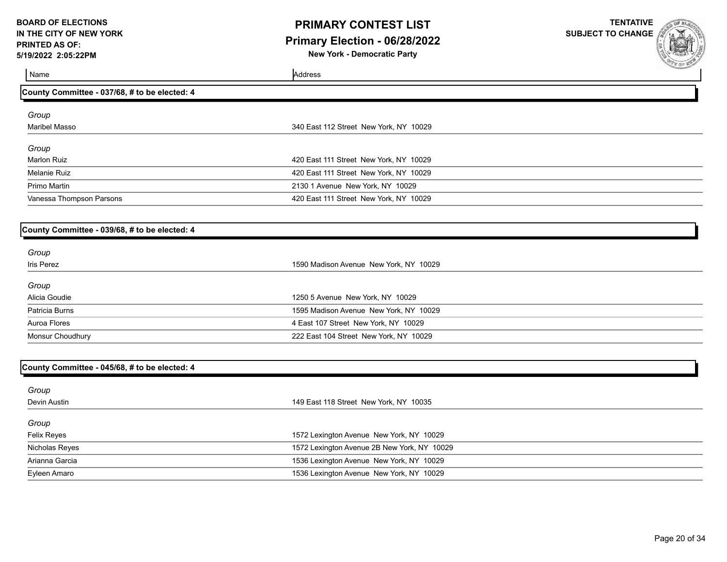## **PRIMARY CONTEST LIST Primary Election - 06/28/2022**

**New York - Democratic Party**

| Name                                          | Address                                     | <b>COMMANDATION</b> |
|-----------------------------------------------|---------------------------------------------|---------------------|
| County Committee - 037/68, # to be elected: 4 |                                             |                     |
| Group                                         |                                             |                     |
| <b>Maribel Masso</b>                          | 340 East 112 Street New York, NY 10029      |                     |
|                                               |                                             |                     |
| Group                                         |                                             |                     |
| <b>Marlon Ruiz</b>                            | 420 East 111 Street New York, NY 10029      |                     |
| <b>Melanie Ruiz</b>                           | 420 East 111 Street New York, NY 10029      |                     |
| Primo Martin                                  | 2130 1 Avenue New York, NY 10029            |                     |
| Vanessa Thompson Parsons                      | 420 East 111 Street New York, NY 10029      |                     |
|                                               |                                             |                     |
| County Committee - 039/68, # to be elected: 4 |                                             |                     |
|                                               |                                             |                     |
| Group                                         |                                             |                     |
| Iris Perez                                    | 1590 Madison Avenue New York, NY 10029      |                     |
| Group                                         |                                             |                     |
| Alicia Goudie                                 | 1250 5 Avenue New York, NY 10029            |                     |
| Patricia Burns                                | 1595 Madison Avenue New York, NY 10029      |                     |
| Auroa Flores                                  | 4 East 107 Street New York, NY 10029        |                     |
| Monsur Choudhury                              | 222 East 104 Street New York, NY 10029      |                     |
|                                               |                                             |                     |
| County Committee - 045/68, # to be elected: 4 |                                             |                     |
|                                               |                                             |                     |
| Group<br>Devin Austin                         | 149 East 118 Street New York, NY 10035      |                     |
|                                               |                                             |                     |
| Group                                         |                                             |                     |
| Felix Reyes                                   | 1572 Lexington Avenue New York, NY 10029    |                     |
| Nicholas Reyes                                | 1572 Lexington Avenue 2B New York, NY 10029 |                     |
| Arianna Garcia                                | 1536 Lexington Avenue New York, NY 10029    |                     |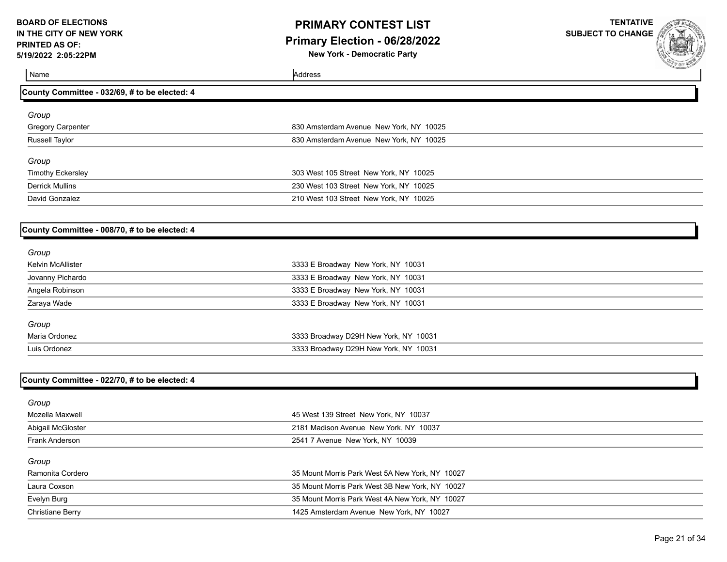## **PRIMARY CONTEST LIST Primary Election - 06/28/2022**

**New York - Democratic Party**

**TENTATIVE SUBJECT TO CHANGE**



Name Address **County Committee - 032/69, # to be elected: 4** *Group* Gregory Carpenter 830 Amsterdam Avenue New York, NY 10025 Russell Taylor 830 Amsterdam Avenue New York, NY 10025 *Group* Timothy Eckersley 303 West 105 Street New York, NY 10025 Derrick Mullins 230 West 103 Street New York, NY 10025 David Gonzalez 210 West 103 Street New York, NY 10025

#### **County Committee - 008/70, # to be elected: 4**

| 3333 E Broadway New York, NY 10031    |
|---------------------------------------|
| 3333 E Broadway New York, NY 10031    |
| 3333 E Broadway New York, NY 10031    |
| 3333 E Broadway New York, NY 10031    |
|                                       |
| 3333 Broadway D29H New York, NY 10031 |
| 3333 Broadway D29H New York, NY 10031 |
|                                       |

#### **County Committee - 022/70, # to be elected: 4**

| Group                   |                                                 |
|-------------------------|-------------------------------------------------|
| Mozella Maxwell         | 45 West 139 Street New York, NY 10037           |
| Abigail McGloster       | 2181 Madison Avenue New York, NY 10037          |
| Frank Anderson          | 2541 7 Avenue New York, NY 10039                |
| Group                   |                                                 |
| Ramonita Cordero        | 35 Mount Morris Park West 5A New York, NY 10027 |
| Laura Coxson            | 35 Mount Morris Park West 3B New York, NY 10027 |
| Evelyn Burg             | 35 Mount Morris Park West 4A New York, NY 10027 |
| <b>Christiane Berry</b> | 1425 Amsterdam Avenue New York, NY 10027        |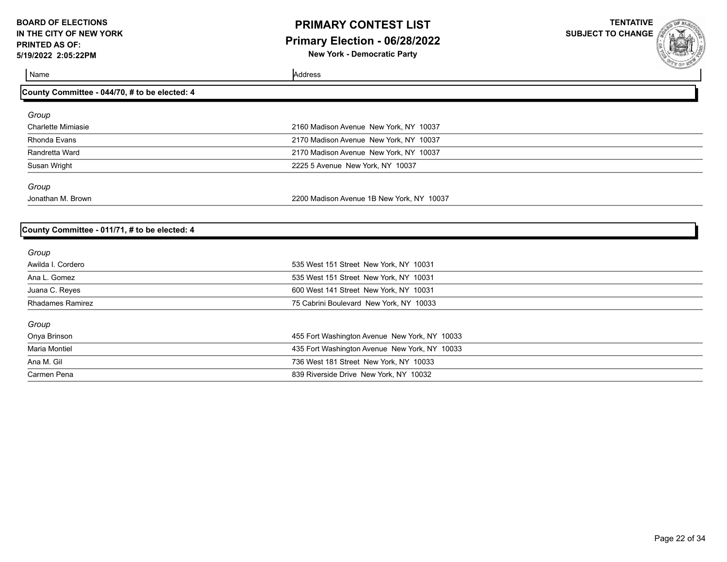### **PRIMARY CONTEST LIST Primary Election - 06/28/2022 New York - Democratic Party**

**TENTATIVE SUBJECT TO CHANGE**

| County Committee - 044/70, # to be elected: 4 |                                           |  |
|-----------------------------------------------|-------------------------------------------|--|
| Group                                         |                                           |  |
| <b>Charlette Mimiasie</b>                     | 2160 Madison Avenue New York, NY 10037    |  |
| Rhonda Evans                                  | 2170 Madison Avenue New York, NY 10037    |  |
| Randretta Ward                                | 2170 Madison Avenue New York, NY 10037    |  |
| Susan Wright                                  | 2225 5 Avenue New York, NY 10037          |  |
| Group                                         |                                           |  |
| Jonathan M. Brown                             | 2200 Madison Avenue 1B New York, NY 10037 |  |
|                                               |                                           |  |
| County Committee - 011/71, # to be elected: 4 |                                           |  |
| Group                                         |                                           |  |
| Awilda L Cordero                              | 535 West 151 Street New York NY 10031     |  |

| Awilda I. Cordero       | 535 West 151 Street New York, NY 10031        |
|-------------------------|-----------------------------------------------|
| Ana L. Gomez            | 535 West 151 Street New York, NY 10031        |
| Juana C. Reyes          | 600 West 141 Street New York, NY 10031        |
| <b>Rhadames Ramirez</b> | 75 Cabrini Boulevard New York, NY 10033       |
| Group                   |                                               |
| Onya Brinson            | 455 Fort Washington Avenue New York, NY 10033 |
| Maria Montiel           | 435 Fort Washington Avenue New York, NY 10033 |
| Ana M. Gil              | 736 West 181 Street New York, NY 10033        |
| Carmen Pena             | 839 Riverside Drive New York, NY 10032        |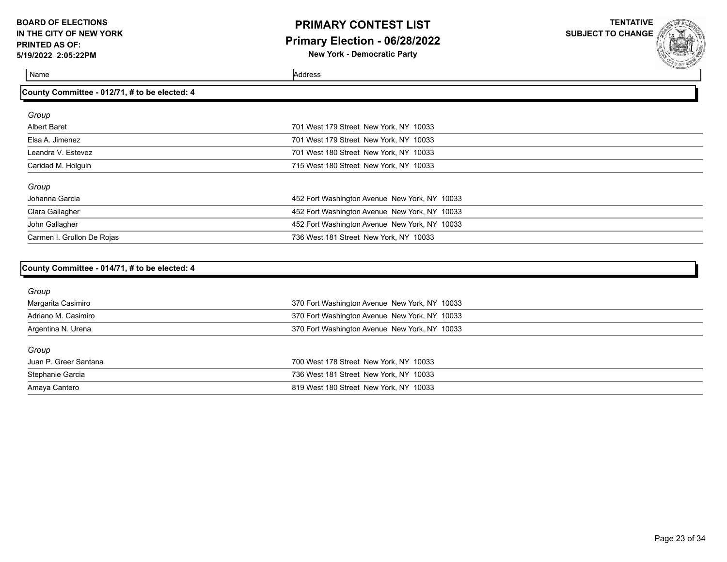### **PRIMARY CONTEST LIST Primary Election - 06/28/2022 New York - Democratic Party**

**TENTATIVE**

**SUBJECT TO CHANGE**

| County Committee - 012/71, # to be elected: 4 |                                               |
|-----------------------------------------------|-----------------------------------------------|
| Group                                         |                                               |
| <b>Albert Baret</b>                           | 701 West 179 Street New York, NY 10033        |
| Elsa A. Jimenez                               | 701 West 179 Street New York, NY 10033        |
| Leandra V. Estevez                            | 701 West 180 Street New York, NY 10033        |
| Caridad M. Holguin                            | 715 West 180 Street New York, NY 10033        |
| Group                                         |                                               |
| Johanna Garcia                                | 452 Fort Washington Avenue New York, NY 10033 |
| Clara Gallagher                               | 452 Fort Washington Avenue New York, NY 10033 |
| John Gallagher                                | 452 Fort Washington Avenue New York, NY 10033 |
| Carmen I. Grullon De Rojas                    | 736 West 181 Street New York, NY 10033        |
|                                               |                                               |
| County Committee - 014/71, # to be elected: 4 |                                               |
| Group                                         |                                               |
| Margarita Casimiro                            | 370 Fort Washington Avenue New York, NY 10033 |
| Adriano M. Casimiro                           | 370 Fort Washington Avenue New York, NY 10033 |
| Argentina N. Urena                            | 370 Fort Washington Avenue New York, NY 10033 |

| Group                 |                                        |
|-----------------------|----------------------------------------|
| Juan P. Greer Santana | 700 West 178 Street New York, NY 10033 |
| Stephanie Garcia      | 736 West 181 Street New York, NY 10033 |
| Amaya Cantero         | 819 West 180 Street New York, NY 10033 |
|                       |                                        |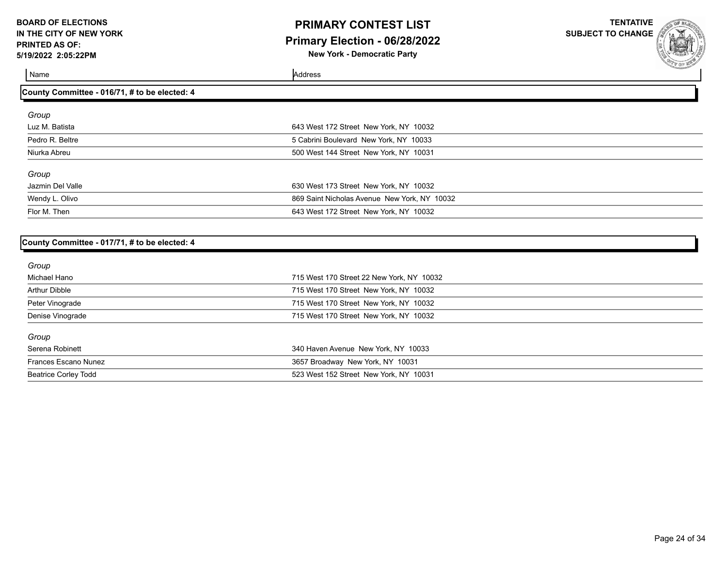### **PRIMARY CONTEST LIST Primary Election - 06/28/2022 New York - Democratic Party**

**TENTATIVE**

**SUBJECT TO CHANGE**

Name Address and Address and Address and Address and Address and Address and Address and Address and Address and Address and Address and Address and Address and Address and Address and Address and Address and Address and A

| County Committee - 016/71, # to be elected: 4 |                                              |  |
|-----------------------------------------------|----------------------------------------------|--|
| Group                                         |                                              |  |
| Luz M. Batista                                | 643 West 172 Street New York, NY 10032       |  |
| Pedro R. Beltre                               | 5 Cabrini Boulevard New York, NY 10033       |  |
| Niurka Abreu                                  | 500 West 144 Street New York, NY 10031       |  |
| Group                                         |                                              |  |
| Jazmin Del Valle                              | 630 West 173 Street New York, NY 10032       |  |
| Wendy L. Olivo                                | 869 Saint Nicholas Avenue New York, NY 10032 |  |
| Flor M. Then                                  | 643 West 172 Street New York, NY 10032       |  |

#### **County Committee - 017/71, # to be elected: 4**

| Group                       |                                           |  |
|-----------------------------|-------------------------------------------|--|
| Michael Hano                | 715 West 170 Street 22 New York, NY 10032 |  |
| Arthur Dibble               | 715 West 170 Street New York, NY 10032    |  |
| Peter Vinograde             | 715 West 170 Street New York, NY 10032    |  |
| Denise Vinograde            | 715 West 170 Street New York, NY 10032    |  |
| Group                       |                                           |  |
| Serena Robinett             | 340 Haven Avenue New York, NY 10033       |  |
| Frances Escano Nunez        | 3657 Broadway New York, NY 10031          |  |
| <b>Beatrice Corley Todd</b> | 523 West 152 Street New York, NY 10031    |  |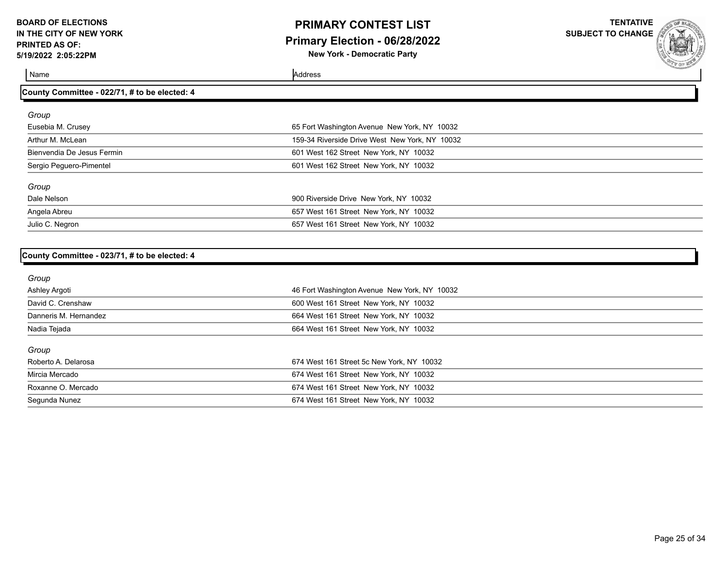## **PRIMARY CONTEST LIST Primary Election - 06/28/2022 New York - Democratic Party**

**TENTATIVE**

**SUBJECT TO CHANGE**

Name Address and Address and Address and Address and Address and Address and Address and Address and Address and Address and Address and Address and Address and Address and Address and Address and Address and Address and A

Julio C. Negron 657 West 161 Street New York, NY 10032

| Group                      |                                                |  |
|----------------------------|------------------------------------------------|--|
| Eusebia M. Crusey          | 65 Fort Washington Avenue New York, NY 10032   |  |
| Arthur M. McLean           | 159-34 Riverside Drive West New York, NY 10032 |  |
| Bienvendia De Jesus Fermin | 601 West 162 Street New York, NY 10032         |  |
| Sergio Peguero-Pimentel    | 601 West 162 Street New York, NY 10032         |  |
| Group                      |                                                |  |
| Dale Nelson                | 900 Riverside Drive New York, NY 10032         |  |
| Angela Abreu               | 657 West 161 Street New York, NY 10032         |  |

| County Committee - 023/71, # to be elected: 4 |  |  |  |
|-----------------------------------------------|--|--|--|
|                                               |  |  |  |

**County Committee - 022/71, # to be elected: 4**

| Group                 |                                              |
|-----------------------|----------------------------------------------|
| Ashley Argoti         | 46 Fort Washington Avenue New York, NY 10032 |
| David C. Crenshaw     | 600 West 161 Street New York, NY 10032       |
| Danneris M. Hernandez | 664 West 161 Street New York, NY 10032       |
| Nadia Tejada          | 664 West 161 Street New York, NY 10032       |
| Group                 |                                              |
| Roberto A. Delarosa   | 674 West 161 Street 5c New York, NY 10032    |
| Mircia Mercado        | 674 West 161 Street New York, NY 10032       |
| Roxanne O. Mercado    | 674 West 161 Street New York, NY 10032       |
| Segunda Nunez         | 674 West 161 Street New York, NY 10032       |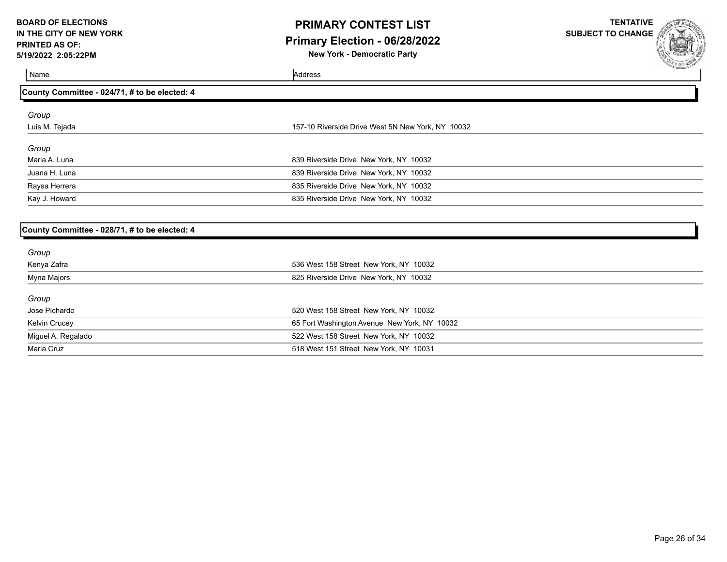## **PRIMARY CONTEST LIST Primary Election - 06/28/2022**

**New York - Democratic Party**

**TENTATIVE SUBJECT TO CHANGE**



Name Address and Address and Address and Address and Address and Address and Address and Address and Address and Address and Address and Address and Address and Address and Address and Address and Address and Address and A

| County Committee - 024/71, # to be elected: 4     |  |
|---------------------------------------------------|--|
|                                                   |  |
| 157-10 Riverside Drive West 5N New York, NY 10032 |  |
|                                                   |  |
| 839 Riverside Drive New York, NY 10032            |  |
| 839 Riverside Drive New York, NY 10032            |  |
| 835 Riverside Drive New York, NY 10032            |  |
| 835 Riverside Drive New York, NY 10032            |  |
|                                                   |  |

#### **County Committee - 028/71, # to be elected: 4**

| Group              |                                              |
|--------------------|----------------------------------------------|
| Kenya Zafra        | 536 West 158 Street New York, NY 10032       |
| Myna Majors        | 825 Riverside Drive New York, NY 10032       |
| Group              |                                              |
| Jose Pichardo      | 520 West 158 Street New York, NY 10032       |
| Kelvin Crucey      | 65 Fort Washington Avenue New York, NY 10032 |
| Miguel A. Regalado | 522 West 158 Street New York, NY 10032       |
| Maria Cruz         | 518 West 151 Street New York, NY 10031       |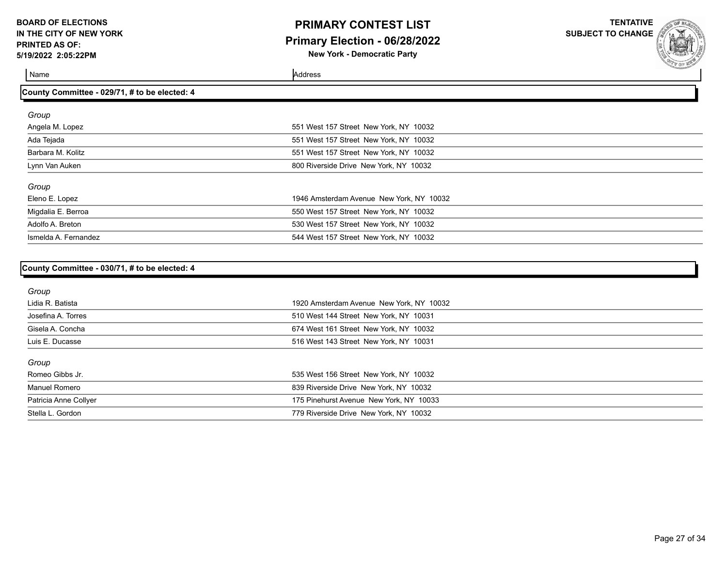### **PRIMARY CONTEST LIST Primary Election - 06/28/2022 New York - Democratic Party**

**TENTATIVE SUBJECT TO CHANGE**

| County Committee - 029/71, # to be elected: 4 |                                          |  |
|-----------------------------------------------|------------------------------------------|--|
| Group                                         |                                          |  |
| Angela M. Lopez                               | 551 West 157 Street New York, NY 10032   |  |
| Ada Tejada                                    | 551 West 157 Street New York, NY 10032   |  |
| Barbara M. Kolitz                             | 551 West 157 Street New York, NY 10032   |  |
| Lynn Van Auken                                | 800 Riverside Drive New York, NY 10032   |  |
| Group                                         |                                          |  |
| Eleno E. Lopez                                | 1946 Amsterdam Avenue New York, NY 10032 |  |
| Migdalia E. Berroa                            | 550 West 157 Street New York, NY 10032   |  |
| Adolfo A. Breton                              | 530 West 157 Street New York, NY 10032   |  |
| Ismelda A. Fernandez                          | 544 West 157 Street New York, NY 10032   |  |

| Group                 |                                          |
|-----------------------|------------------------------------------|
| Lidia R. Batista      | 1920 Amsterdam Avenue New York, NY 10032 |
| Josefina A. Torres    | 510 West 144 Street New York, NY 10031   |
| Gisela A. Concha      | 674 West 161 Street New York, NY 10032   |
| Luis E. Ducasse       | 516 West 143 Street New York, NY 10031   |
| Group                 |                                          |
| Romeo Gibbs Jr.       | 535 West 156 Street New York, NY 10032   |
| <b>Manuel Romero</b>  | 839 Riverside Drive New York, NY 10032   |
| Patricia Anne Collyer | 175 Pinehurst Avenue New York, NY 10033  |
| Stella L. Gordon      | 779 Riverside Drive New York, NY 10032   |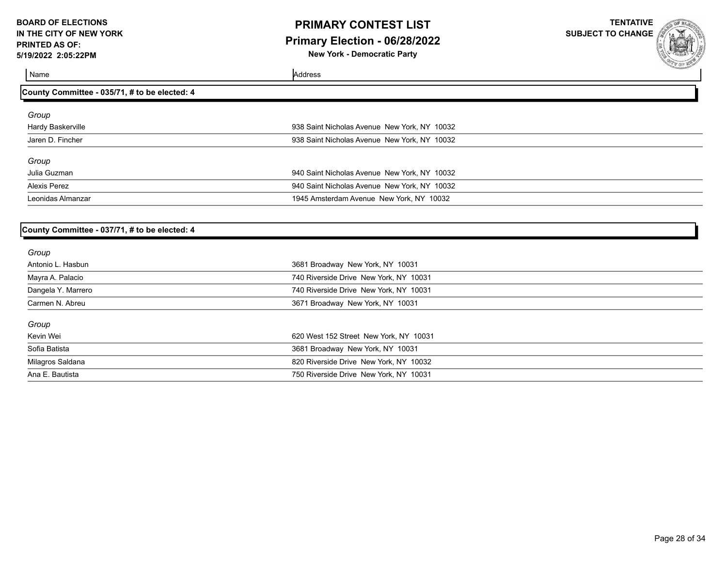### **PRIMARY CONTEST LIST Primary Election - 06/28/2022 New York - Democratic Party**

**TENTATIVE**

**SUBJECT TO CHANGE**

Name Address

| County Committee - 035/71, # to be elected: 4 |                                              |  |
|-----------------------------------------------|----------------------------------------------|--|
| Group                                         |                                              |  |
| Hardy Baskerville                             | 938 Saint Nicholas Avenue New York, NY 10032 |  |
| Jaren D. Fincher                              | 938 Saint Nicholas Avenue New York, NY 10032 |  |
| Group                                         |                                              |  |
| Julia Guzman                                  | 940 Saint Nicholas Avenue New York, NY 10032 |  |
| Alexis Perez                                  | 940 Saint Nicholas Avenue New York, NY 10032 |  |
| Leonidas Almanzar                             | 1945 Amsterdam Avenue New York, NY 10032     |  |

#### **County Committee - 037/71, # to be elected: 4**

| Group              |                                        |  |
|--------------------|----------------------------------------|--|
| Antonio L. Hasbun  | 3681 Broadway New York, NY 10031       |  |
| Mayra A. Palacio   | 740 Riverside Drive New York, NY 10031 |  |
| Dangela Y. Marrero | 740 Riverside Drive New York, NY 10031 |  |
| Carmen N. Abreu    | 3671 Broadway New York, NY 10031       |  |
| Group              |                                        |  |
| Kevin Wei          | 620 West 152 Street New York, NY 10031 |  |
| Sofia Batista      | 3681 Broadway New York, NY 10031       |  |
| Milagros Saldana   | 820 Riverside Drive New York, NY 10032 |  |
| Ana E. Bautista    | 750 Riverside Drive New York, NY 10031 |  |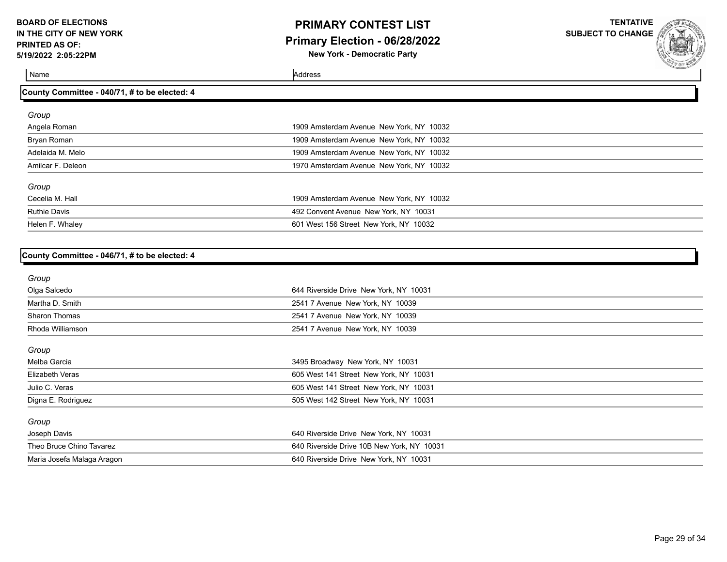### **PRIMARY CONTEST LIST Primary Election - 06/28/2022 New York - Democratic Party**

**TENTATIVE**

**SUBJECT TO CHANGE**

| County Committee - 040/71, # to be elected: 4 |                                          |  |
|-----------------------------------------------|------------------------------------------|--|
| Group                                         |                                          |  |
| Angela Roman                                  | 1909 Amsterdam Avenue New York, NY 10032 |  |
| Bryan Roman                                   | 1909 Amsterdam Avenue New York, NY 10032 |  |
| Adelaida M. Melo                              | 1909 Amsterdam Avenue New York, NY 10032 |  |
| Amilcar F. Deleon                             | 1970 Amsterdam Avenue New York, NY 10032 |  |
| Group                                         |                                          |  |
| Cecelia M. Hall                               | 1909 Amsterdam Avenue New York, NY 10032 |  |
| <b>Ruthie Davis</b>                           | 492 Convent Avenue New York, NY 10031    |  |
| Helen F. Whaley                               | 601 West 156 Street New York, NY 10032   |  |
|                                               |                                          |  |

| County Committee - 046/71, # to be elected: 4 |  |
|-----------------------------------------------|--|
|                                               |  |

| Group                      |                                            |  |
|----------------------------|--------------------------------------------|--|
| Olga Salcedo               | 644 Riverside Drive New York, NY 10031     |  |
| Martha D. Smith            | 2541 7 Avenue New York, NY 10039           |  |
| <b>Sharon Thomas</b>       | 2541 7 Avenue New York, NY 10039           |  |
| Rhoda Williamson           | 2541 7 Avenue New York, NY 10039           |  |
| Group                      |                                            |  |
| Melba Garcia               | 3495 Broadway New York, NY 10031           |  |
| Elizabeth Veras            | 605 West 141 Street New York, NY 10031     |  |
| Julio C. Veras             | 605 West 141 Street New York, NY 10031     |  |
| Digna E. Rodriguez         | 505 West 142 Street New York, NY 10031     |  |
| Group                      |                                            |  |
| Joseph Davis               | 640 Riverside Drive New York, NY 10031     |  |
| Theo Bruce Chino Tavarez   | 640 Riverside Drive 10B New York, NY 10031 |  |
| Maria Josefa Malaga Aragon | 640 Riverside Drive New York, NY 10031     |  |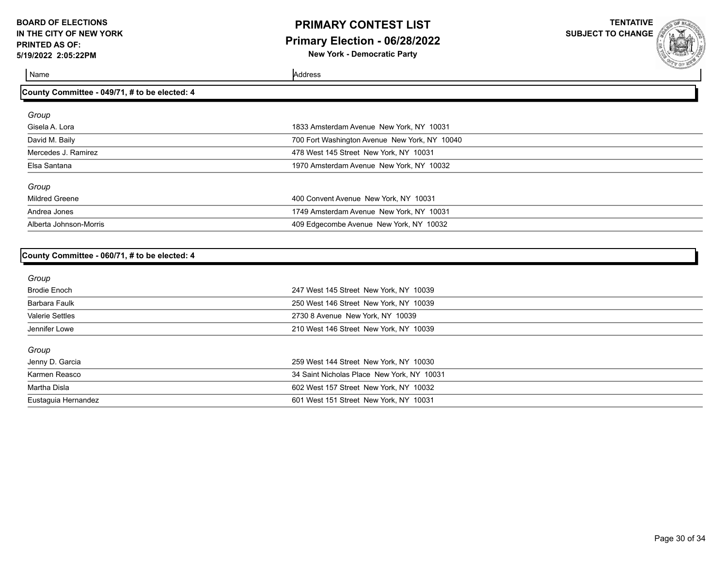**County Committee - 049/71, # to be elected: 4**

### **PRIMARY CONTEST LIST Primary Election - 06/28/2022 New York - Democratic Party**

**TENTATIVE**

**SUBJECT TO CHANGE**

| Group                  |                                               |  |
|------------------------|-----------------------------------------------|--|
| Gisela A. Lora         | 1833 Amsterdam Avenue New York, NY 10031      |  |
| David M. Baily         | 700 Fort Washington Avenue New York, NY 10040 |  |
| Mercedes J. Ramirez    | 478 West 145 Street New York, NY 10031        |  |
| Elsa Santana           | 1970 Amsterdam Avenue New York, NY 10032      |  |
| Group                  |                                               |  |
| <b>Mildred Greene</b>  | 400 Convent Avenue New York, NY 10031         |  |
| Andrea Jones           | 1749 Amsterdam Avenue New York, NY 10031      |  |
| Alberta Johnson-Morris | 409 Edgecombe Avenue New York, NY 10032       |  |
|                        |                                               |  |

| County Committee - 060/71, # to be elected: 4 |
|-----------------------------------------------|
|                                               |

| Group                  |                                            |
|------------------------|--------------------------------------------|
| <b>Brodie Enoch</b>    | 247 West 145 Street New York, NY 10039     |
| Barbara Faulk          | 250 West 146 Street New York, NY 10039     |
| <b>Valerie Settles</b> | 2730 8 Avenue New York, NY 10039           |
| Jennifer Lowe          | 210 West 146 Street New York, NY 10039     |
| Group                  |                                            |
| Jenny D. Garcia        | 259 West 144 Street New York, NY 10030     |
| Karmen Reasco          | 34 Saint Nicholas Place New York, NY 10031 |
| Martha Disla           | 602 West 157 Street New York, NY 10032     |
| Eustaguia Hernandez    | 601 West 151 Street New York, NY 10031     |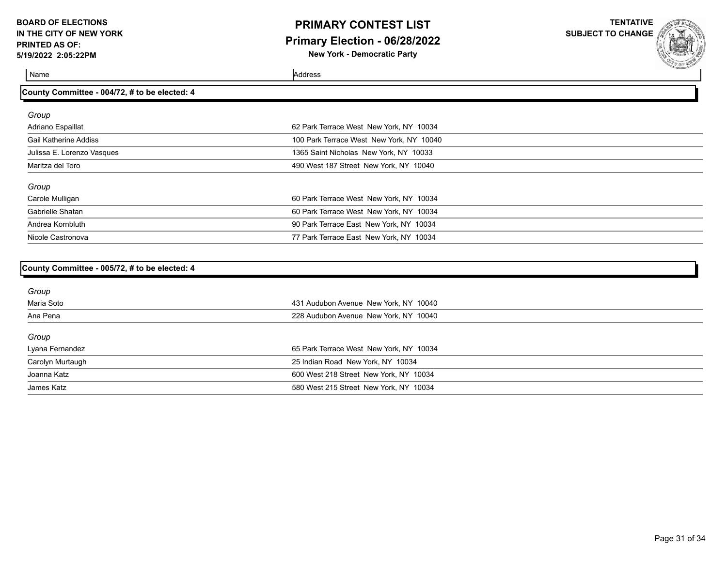### **PRIMARY CONTEST LIST Primary Election - 06/28/2022 New York - Democratic Party**

**TENTATIVE**

**SUBJECT TO CHANGE**

| County Committee - 004/72, # to be elected: 4 |                                          |  |
|-----------------------------------------------|------------------------------------------|--|
|                                               |                                          |  |
| Group                                         |                                          |  |
| Adriano Espaillat                             | 62 Park Terrace West New York, NY 10034  |  |
| <b>Gail Katherine Addiss</b>                  | 100 Park Terrace West New York, NY 10040 |  |
| Julissa E. Lorenzo Vasques                    | 1365 Saint Nicholas New York, NY 10033   |  |
| Maritza del Toro                              | 490 West 187 Street New York, NY 10040   |  |
| Group                                         |                                          |  |
| Carole Mulligan                               | 60 Park Terrace West New York, NY 10034  |  |
| Gabrielle Shatan                              | 60 Park Terrace West New York, NY 10034  |  |
| Andrea Kornbluth                              | 90 Park Terrace East New York, NY 10034  |  |
| Nicole Castronova                             | 77 Park Terrace East New York, NY 10034  |  |
|                                               |                                          |  |
| County Committee - 005/72, # to be elected: 4 |                                          |  |
|                                               |                                          |  |
| Group                                         |                                          |  |

| Maria Soto       | 431 Audubon Avenue New York, NY 10040   |
|------------------|-----------------------------------------|
| Ana Pena         | 228 Audubon Avenue New York, NY 10040   |
| Group            |                                         |
| Lyana Fernandez  | 65 Park Terrace West New York, NY 10034 |
| Carolyn Murtaugh | 25 Indian Road New York, NY 10034       |
| Joanna Katz      | 600 West 218 Street New York, NY 10034  |
| James Katz       | 580 West 215 Street New York, NY 10034  |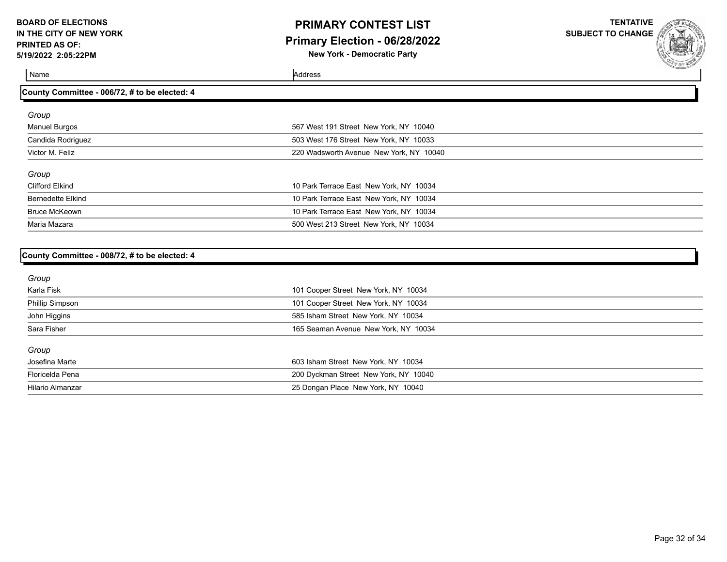### **PRIMARY CONTEST LIST Primary Election - 06/28/2022 New York - Democratic Party**

**TENTATIVE**

**SUBJECT TO CHANGE**

| County Committee - 006/72, # to be elected: 4 |                                         |  |
|-----------------------------------------------|-----------------------------------------|--|
| Group                                         |                                         |  |
| <b>Manuel Burgos</b>                          | 567 West 191 Street New York, NY 10040  |  |
| Candida Rodriguez                             | 503 West 176 Street New York, NY 10033  |  |
| Victor M. Feliz                               | 220 Wadsworth Avenue New York, NY 10040 |  |
| Group                                         |                                         |  |
| Clifford Elkind                               | 10 Park Terrace East New York, NY 10034 |  |
| <b>Bernedette Elkind</b>                      | 10 Park Terrace East New York, NY 10034 |  |
| <b>Bruce McKeown</b>                          | 10 Park Terrace East New York, NY 10034 |  |
| Maria Mazara                                  | 500 West 213 Street New York, NY 10034  |  |
|                                               |                                         |  |

| County Committee - 008/72, # to be elected: 4 |  |  |
|-----------------------------------------------|--|--|
|                                               |  |  |

| Group            |                                       |
|------------------|---------------------------------------|
| Karla Fisk       | 101 Cooper Street New York, NY 10034  |
| Phillip Simpson  | 101 Cooper Street New York, NY 10034  |
| John Higgins     | 585 Isham Street New York, NY 10034   |
| Sara Fisher      | 165 Seaman Avenue New York, NY 10034  |
| Group            |                                       |
| Josefina Marte   | 603 Isham Street New York, NY 10034   |
| Floricelda Pena  | 200 Dyckman Street New York, NY 10040 |
| Hilario Almanzar | 25 Dongan Place New York, NY 10040    |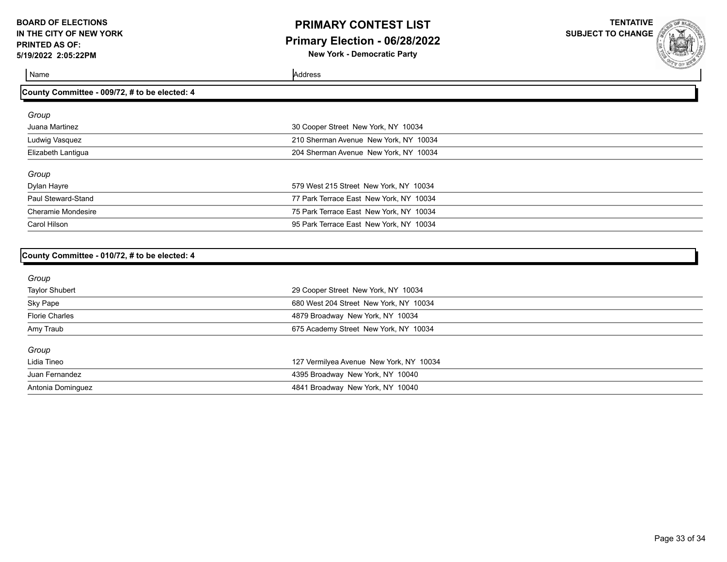### **PRIMARY CONTEST LIST Primary Election - 06/28/2022 New York - Democratic Party**

**TENTATIVE SUBJECT TO CHANGE**

| County Committee - 009/72, # to be elected: 4 |                                         |  |
|-----------------------------------------------|-----------------------------------------|--|
| Group                                         |                                         |  |
| Juana Martinez                                | 30 Cooper Street New York, NY 10034     |  |
| Ludwig Vasquez                                | 210 Sherman Avenue New York, NY 10034   |  |
| Elizabeth Lantiqua                            | 204 Sherman Avenue New York, NY 10034   |  |
| Group                                         |                                         |  |
| Dylan Hayre                                   | 579 West 215 Street New York, NY 10034  |  |
| Paul Steward-Stand                            | 77 Park Terrace East New York, NY 10034 |  |
| <b>Cheramie Mondesire</b>                     | 75 Park Terrace East New York, NY 10034 |  |
| Carol Hilson                                  | 95 Park Terrace East New York, NY 10034 |  |

| County Committee - 010/72, # to be elected: 4 |
|-----------------------------------------------|
|                                               |

| Group                 |                                         |
|-----------------------|-----------------------------------------|
| <b>Taylor Shubert</b> | 29 Cooper Street New York, NY 10034     |
| Sky Pape              | 680 West 204 Street New York, NY 10034  |
| <b>Florie Charles</b> | 4879 Broadway New York, NY 10034        |
| Amy Traub             | 675 Academy Street New York, NY 10034   |
| Group                 |                                         |
| Lidia Tineo           | 127 Vermilyea Avenue New York, NY 10034 |
| Juan Fernandez        | 4395 Broadway New York, NY 10040        |
| Antonia Dominguez     | 4841 Broadway New York, NY 10040        |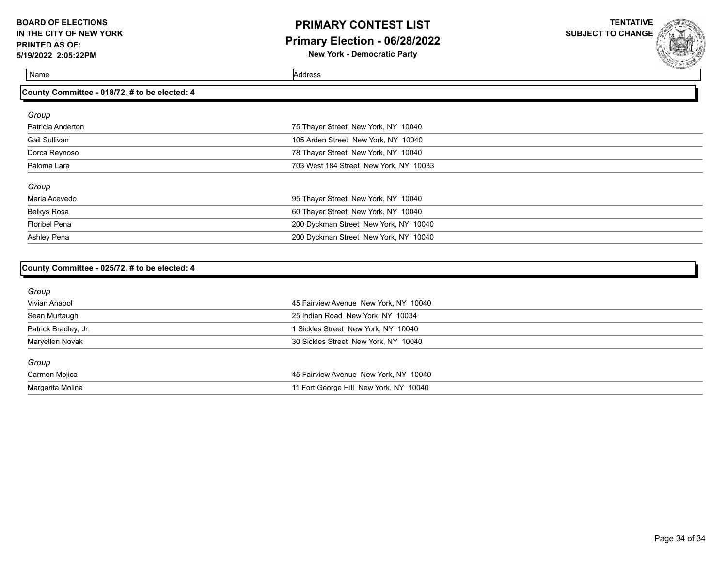### **PRIMARY CONTEST LIST Primary Election - 06/28/2022 New York - Democratic Party**

**TENTATIVE**

**SUBJECT TO CHANGE**

| County Committee - 018/72, # to be elected: 4 |                                        |  |
|-----------------------------------------------|----------------------------------------|--|
| Group                                         |                                        |  |
| Patricia Anderton                             | 75 Thayer Street New York, NY 10040    |  |
| Gail Sullivan                                 | 105 Arden Street New York, NY 10040    |  |
| Dorca Reynoso                                 | 78 Thayer Street New York, NY 10040    |  |
| Paloma Lara                                   | 703 West 184 Street New York, NY 10033 |  |
| Group                                         |                                        |  |
| Maria Acevedo                                 | 95 Thayer Street New York, NY 10040    |  |
| <b>Belkys Rosa</b>                            | 60 Thayer Street New York, NY 10040    |  |
| <b>Floribel Pena</b>                          | 200 Dyckman Street New York, NY 10040  |  |
| Ashley Pena                                   | 200 Dyckman Street New York, NY 10040  |  |

| County Committee - 025/72, # to be elected: 4 |                                        |  |
|-----------------------------------------------|----------------------------------------|--|
| Group                                         |                                        |  |
| Vivian Anapol                                 | 45 Fairview Avenue New York, NY 10040  |  |
| Sean Murtaugh                                 | 25 Indian Road New York, NY 10034      |  |
| Patrick Bradley, Jr.                          | 1 Sickles Street New York, NY 10040    |  |
| Maryellen Novak                               | 30 Sickles Street New York, NY 10040   |  |
| Group                                         |                                        |  |
| Carmen Mojica                                 | 45 Fairview Avenue New York, NY 10040  |  |
| Margarita Molina                              | 11 Fort George Hill New York, NY 10040 |  |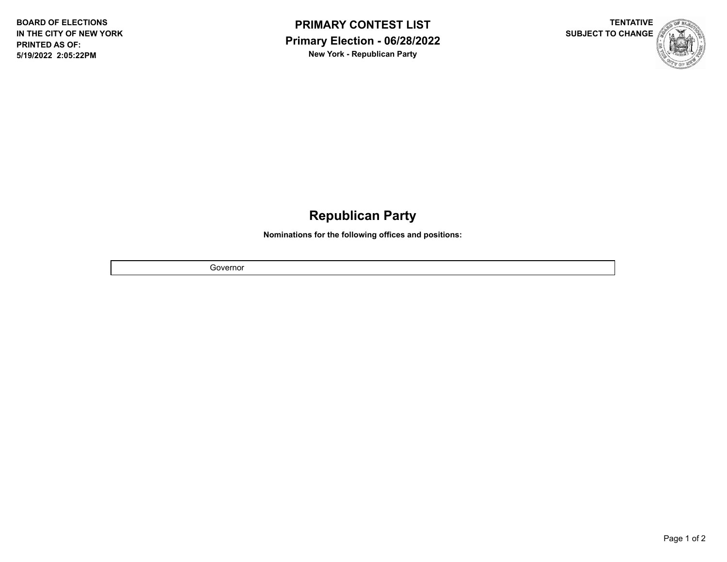



## **Republican Party**

**Nominations for the following offices and positions:**

Governor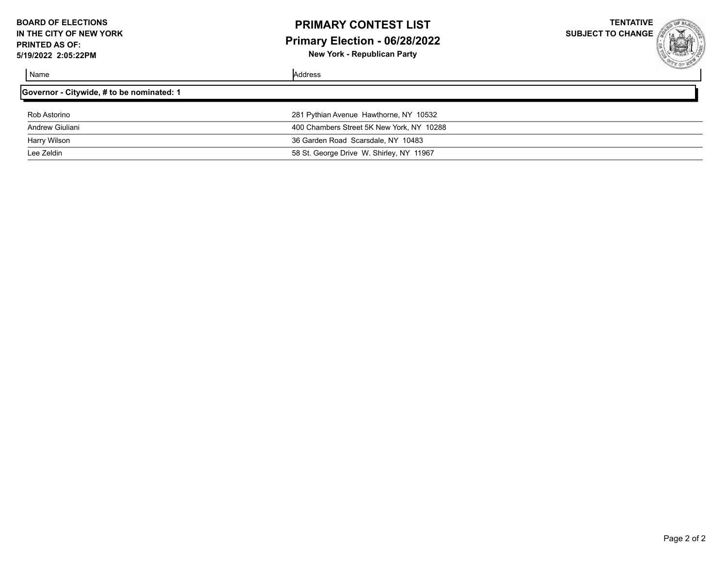## **PRIMARY CONTEST LIST Primary Election - 06/28/2022**

**New York - Republican Party**

**TENTATIVE SUBJECT TO CHANGE**

| Governor - Citywide, # to be nominated: 1 |                                           |  |
|-------------------------------------------|-------------------------------------------|--|
| Rob Astorino                              | 281 Pythian Avenue Hawthorne, NY 10532    |  |
| Andrew Giuliani                           | 400 Chambers Street 5K New York, NY 10288 |  |
| Harry Wilson                              | 36 Garden Road Scarsdale, NY 10483        |  |
| Lee Zeldin                                | 58 St. George Drive W. Shirley, NY 11967  |  |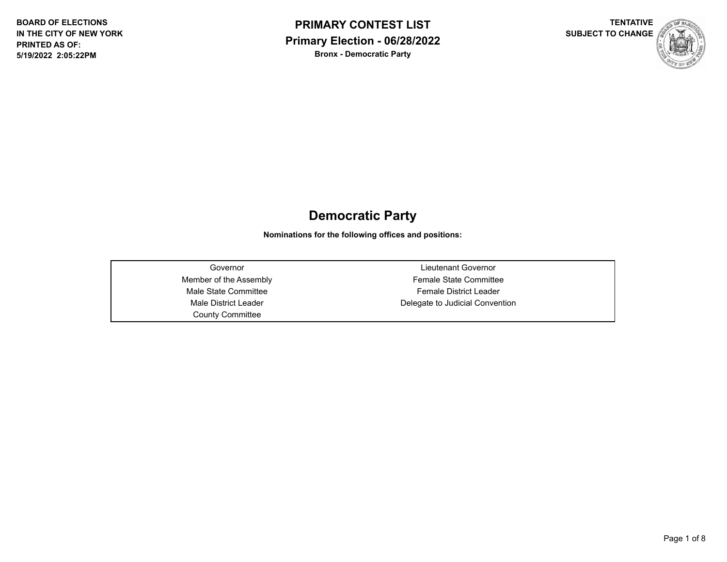



## **Democratic Party**

**Nominations for the following offices and positions:**

County Committee

Governor Lieutenant Governor Member of the Assembly **Female State Committee** Male State Committee **Female District Leader** Male District Leader **Delegate to Judicial Convention**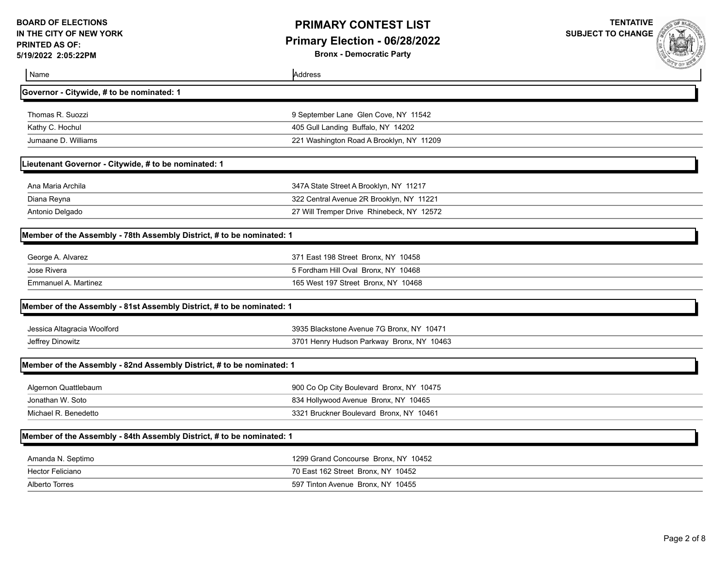**Bronx - Democratic Party**

| Name                                                                  | Address                                   | <b>CONTRACTOR</b> |
|-----------------------------------------------------------------------|-------------------------------------------|-------------------|
| Governor - Citywide, # to be nominated: 1                             |                                           |                   |
| Thomas R. Suozzi                                                      | 9 September Lane Glen Cove, NY 11542      |                   |
| Kathy C. Hochul                                                       | 405 Gull Landing Buffalo, NY 14202        |                   |
| Jumaane D. Williams                                                   | 221 Washington Road A Brooklyn, NY 11209  |                   |
| Lieutenant Governor - Citywide, # to be nominated: 1                  |                                           |                   |
| Ana Maria Archila                                                     | 347A State Street A Brooklyn, NY 11217    |                   |
| Diana Reyna                                                           | 322 Central Avenue 2R Brooklyn, NY 11221  |                   |
| Antonio Delgado                                                       | 27 Will Tremper Drive Rhinebeck, NY 12572 |                   |
| Member of the Assembly - 78th Assembly District, # to be nominated: 1 |                                           |                   |
| George A. Alvarez                                                     | 371 East 198 Street Bronx, NY 10458       |                   |
| Jose Rivera                                                           | 5 Fordham Hill Oval Bronx, NY 10468       |                   |
| Emmanuel A. Martinez                                                  | 165 West 197 Street Bronx, NY 10468       |                   |
| Member of the Assembly - 81st Assembly District, # to be nominated: 1 |                                           |                   |
| Jessica Altagracia Woolford                                           | 3935 Blackstone Avenue 7G Bronx, NY 10471 |                   |
| Jeffrey Dinowitz                                                      | 3701 Henry Hudson Parkway Bronx, NY 10463 |                   |
| Member of the Assembly - 82nd Assembly District, # to be nominated: 1 |                                           |                   |
| Algernon Quattlebaum                                                  | 900 Co Op City Boulevard Bronx, NY 10475  |                   |
| Jonathan W. Soto                                                      | 834 Hollywood Avenue Bronx, NY 10465      |                   |
| Michael R. Benedetto                                                  | 3321 Bruckner Boulevard Bronx, NY 10461   |                   |
| Member of the Assembly - 84th Assembly District, # to be nominated: 1 |                                           |                   |
| Amanda N. Septimo                                                     | 1299 Grand Concourse Bronx, NY 10452      |                   |
| Hector Feliciano                                                      | 70 East 162 Street Bronx, NY 10452        |                   |
| <b>Alberto Torres</b>                                                 | 597 Tinton Avenue Bronx, NY 10455         |                   |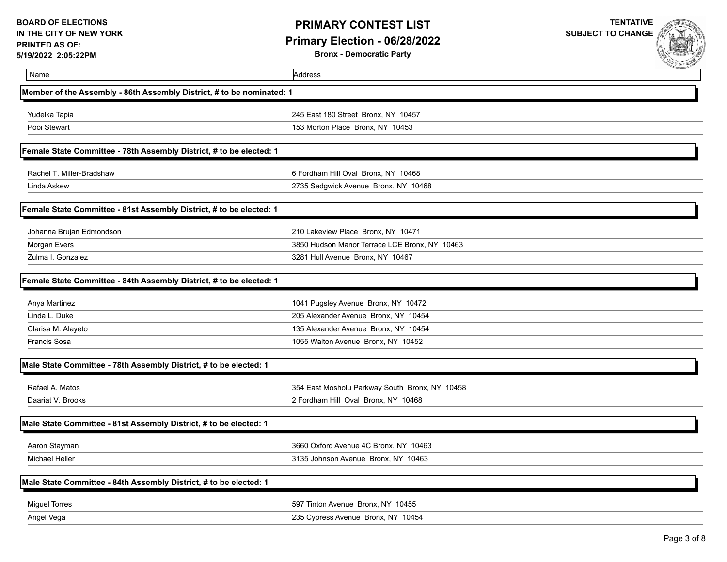**Bronx - Democratic Party**



| Name                                                                  | Address                                        | A DIR BUS PALLADO |
|-----------------------------------------------------------------------|------------------------------------------------|-------------------|
| Member of the Assembly - 86th Assembly District, # to be nominated: 1 |                                                |                   |
| Yudelka Tapia                                                         | 245 East 180 Street Bronx, NY 10457            |                   |
| Pooi Stewart                                                          | 153 Morton Place Bronx, NY 10453               |                   |
| Female State Committee - 78th Assembly District, # to be elected: 1   |                                                |                   |
| Rachel T. Miller-Bradshaw                                             | 6 Fordham Hill Oval Bronx, NY 10468            |                   |
| Linda Askew                                                           | 2735 Sedgwick Avenue Bronx, NY 10468           |                   |
| Female State Committee - 81st Assembly District, # to be elected: 1   |                                                |                   |
| Johanna Brujan Edmondson                                              | 210 Lakeview Place Bronx, NY 10471             |                   |
| Morgan Evers                                                          | 3850 Hudson Manor Terrace LCE Bronx, NY 10463  |                   |
| Zulma I. Gonzalez                                                     | 3281 Hull Avenue Bronx, NY 10467               |                   |
| Female State Committee - 84th Assembly District, # to be elected: 1   |                                                |                   |
| Anya Martinez                                                         | 1041 Pugsley Avenue Bronx, NY 10472            |                   |
| Linda L. Duke                                                         | 205 Alexander Avenue Bronx, NY 10454           |                   |
| Clarisa M. Alayeto                                                    | 135 Alexander Avenue Bronx, NY 10454           |                   |
| <b>Francis Sosa</b>                                                   | 1055 Walton Avenue Bronx, NY 10452             |                   |
| Male State Committee - 78th Assembly District, # to be elected: 1     |                                                |                   |
| Rafael A. Matos                                                       | 354 East Mosholu Parkway South Bronx, NY 10458 |                   |
| Daariat V. Brooks                                                     | 2 Fordham Hill Oval Bronx, NY 10468            |                   |
| Male State Committee - 81st Assembly District, # to be elected: 1     |                                                |                   |
| Aaron Stayman                                                         | 3660 Oxford Avenue 4C Bronx, NY 10463          |                   |
| <b>Michael Heller</b>                                                 | 3135 Johnson Avenue Bronx, NY 10463            |                   |
| Male State Committee - 84th Assembly District, # to be elected: 1     |                                                |                   |
| <b>Miguel Torres</b>                                                  | 597 Tinton Avenue Bronx, NY 10455              |                   |
| Angel Vega                                                            | 235 Cypress Avenue Bronx, NY 10454             |                   |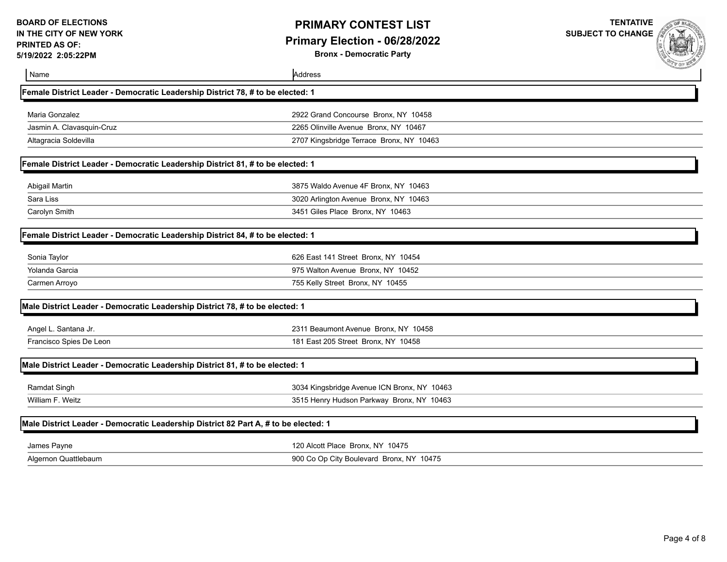**Bronx - Democratic Party**



| Name                                                                                | Address                                     |  |
|-------------------------------------------------------------------------------------|---------------------------------------------|--|
| Female District Leader - Democratic Leadership District 78, # to be elected: 1      |                                             |  |
| Maria Gonzalez                                                                      | 2922 Grand Concourse Bronx, NY 10458        |  |
| Jasmin A. Clavasquin-Cruz                                                           | 2265 Olinville Avenue Bronx, NY 10467       |  |
| Altagracia Soldevilla                                                               | 2707 Kingsbridge Terrace Bronx, NY 10463    |  |
| Female District Leader - Democratic Leadership District 81, # to be elected: 1      |                                             |  |
| Abigail Martin                                                                      | 3875 Waldo Avenue 4F Bronx, NY 10463        |  |
| Sara Liss                                                                           | 3020 Arlington Avenue Bronx, NY 10463       |  |
| Carolyn Smith                                                                       | 3451 Giles Place Bronx, NY 10463            |  |
| Female District Leader - Democratic Leadership District 84, # to be elected: 1      |                                             |  |
| Sonia Taylor                                                                        | 626 East 141 Street Bronx, NY 10454         |  |
| Yolanda Garcia                                                                      | 975 Walton Avenue Bronx, NY 10452           |  |
| Carmen Arroyo                                                                       | 755 Kelly Street Bronx, NY 10455            |  |
| Male District Leader - Democratic Leadership District 78, # to be elected: 1        |                                             |  |
| Angel L. Santana Jr.                                                                | 2311 Beaumont Avenue Bronx, NY 10458        |  |
| Francisco Spies De Leon                                                             | 181 East 205 Street Bronx, NY 10458         |  |
| Male District Leader - Democratic Leadership District 81, # to be elected: 1        |                                             |  |
| Ramdat Singh                                                                        | 3034 Kingsbridge Avenue ICN Bronx, NY 10463 |  |
| William F. Weitz                                                                    | 3515 Henry Hudson Parkway Bronx, NY 10463   |  |
| Male District Leader - Democratic Leadership District 82 Part A, # to be elected: 1 |                                             |  |
| James Payne                                                                         | 120 Alcott Place Bronx, NY 10475            |  |
| Algernon Quattlebaum                                                                | 900 Co Op City Boulevard Bronx, NY 10475    |  |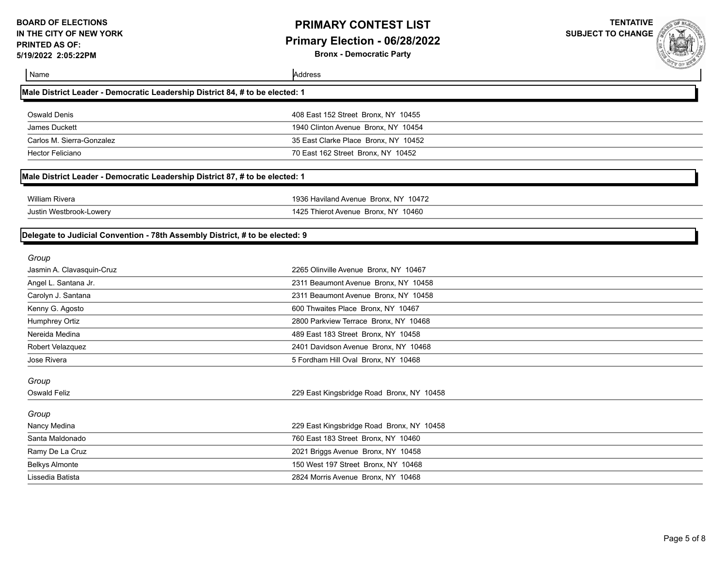## **PRIMARY CONTEST LIST Primary Election - 06/28/2022**

**Bronx - Democratic Party**



| Name                                                                         | Address                                   |  |
|------------------------------------------------------------------------------|-------------------------------------------|--|
| Male District Leader - Democratic Leadership District 84, # to be elected: 1 |                                           |  |
| <b>Oswald Denis</b>                                                          | 408 East 152 Street Bronx, NY 10455       |  |
| <b>James Duckett</b>                                                         | 1940 Clinton Avenue Bronx, NY 10454       |  |
| Carlos M. Sierra-Gonzalez                                                    | 35 East Clarke Place Bronx, NY 10452      |  |
| <b>Hector Feliciano</b>                                                      | 70 East 162 Street Bronx, NY 10452        |  |
| Male District Leader - Democratic Leadership District 87, # to be elected: 1 |                                           |  |
| <b>William Rivera</b>                                                        | 1936 Haviland Avenue Bronx, NY 10472      |  |
| Justin Westbrook-Lowery                                                      | 1425 Thierot Avenue Bronx, NY 10460       |  |
| Delegate to Judicial Convention - 78th Assembly District, # to be elected: 9 |                                           |  |
| Group                                                                        |                                           |  |
| Jasmin A. Clavasquin-Cruz                                                    | 2265 Olinville Avenue Bronx, NY 10467     |  |
| Angel L. Santana Jr.                                                         | 2311 Beaumont Avenue Bronx, NY 10458      |  |
| Carolyn J. Santana                                                           | 2311 Beaumont Avenue Bronx, NY 10458      |  |
| Kenny G. Agosto                                                              | 600 Thwaites Place Bronx, NY 10467        |  |
| Humphrey Ortiz                                                               | 2800 Parkview Terrace Bronx, NY 10468     |  |
| Nereida Medina                                                               | 489 East 183 Street Bronx, NY 10458       |  |
| Robert Velazquez                                                             | 2401 Davidson Avenue Bronx, NY 10468      |  |
| Jose Rivera                                                                  | 5 Fordham Hill Oval Bronx, NY 10468       |  |
| Group                                                                        |                                           |  |
| <b>Oswald Feliz</b>                                                          | 229 East Kingsbridge Road Bronx, NY 10458 |  |
| Group                                                                        |                                           |  |
| Nancy Medina                                                                 | 229 East Kingsbridge Road Bronx, NY 10458 |  |
| Santa Maldonado                                                              | 760 East 183 Street Bronx, NY 10460       |  |
| Ramy De La Cruz                                                              | 2021 Briggs Avenue Bronx, NY 10458        |  |
| <b>Belkys Almonte</b>                                                        | 150 West 197 Street Bronx, NY 10468       |  |
| Lissedia Batista                                                             | 2824 Morris Avenue Bronx, NY 10468        |  |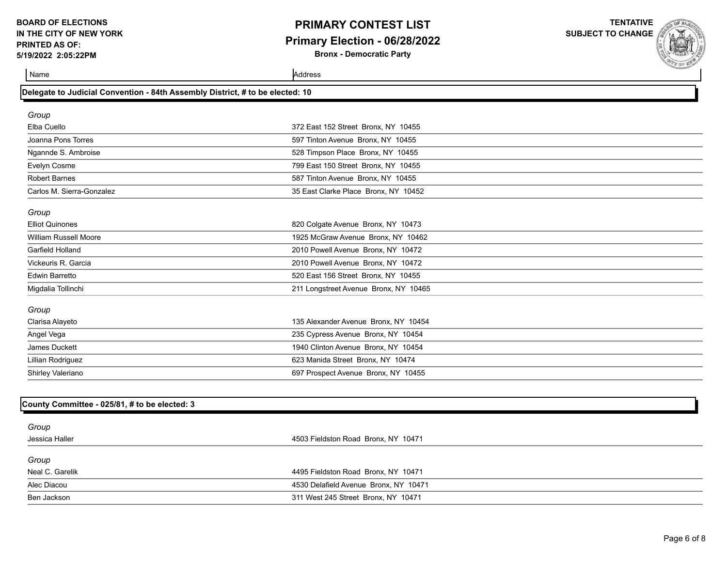## **PRIMARY CONTEST LIST Primary Election - 06/28/2022**

**Bronx - Democratic Party**

**TENTATIVE SUBJECT TO CHANGE**

**Name** Address **Address** 

| Group                        |                                       |  |
|------------------------------|---------------------------------------|--|
| Elba Cuello                  | 372 East 152 Street Bronx, NY 10455   |  |
| Joanna Pons Torres           | 597 Tinton Avenue Bronx, NY 10455     |  |
| Ngannde S. Ambroise          | 528 Timpson Place Bronx, NY 10455     |  |
| Evelyn Cosme                 | 799 East 150 Street Bronx, NY 10455   |  |
| <b>Robert Barnes</b>         | 587 Tinton Avenue Bronx, NY 10455     |  |
| Carlos M. Sierra-Gonzalez    | 35 East Clarke Place Bronx, NY 10452  |  |
| Group                        |                                       |  |
| <b>Elliot Quinones</b>       | 820 Colgate Avenue Bronx, NY 10473    |  |
| <b>William Russell Moore</b> | 1925 McGraw Avenue Bronx, NY 10462    |  |
| Garfield Holland             | 2010 Powell Avenue Bronx, NY 10472    |  |
| Vickeuris R. Garcia          | 2010 Powell Avenue Bronx, NY 10472    |  |
| <b>Edwin Barretto</b>        | 520 East 156 Street Bronx, NY 10455   |  |
| Migdalia Tollinchi           | 211 Longstreet Avenue Bronx, NY 10465 |  |
| Group                        |                                       |  |
| Clarisa Alayeto              | 135 Alexander Avenue Bronx, NY 10454  |  |
| Angel Vega                   | 235 Cypress Avenue Bronx, NY 10454    |  |
| James Duckett                | 1940 Clinton Avenue Bronx, NY 10454   |  |
| Lillian Rodriguez            | 623 Manida Street Bronx, NY 10474     |  |
| Shirley Valeriano            | 697 Prospect Avenue Bronx, NY 10455   |  |

| 4503 Fieldston Road Bronx, NY 10471   |
|---------------------------------------|
|                                       |
| 4495 Fieldston Road Bronx, NY 10471   |
| 4530 Delafield Avenue Bronx, NY 10471 |
| 311 West 245 Street Bronx, NY 10471   |
|                                       |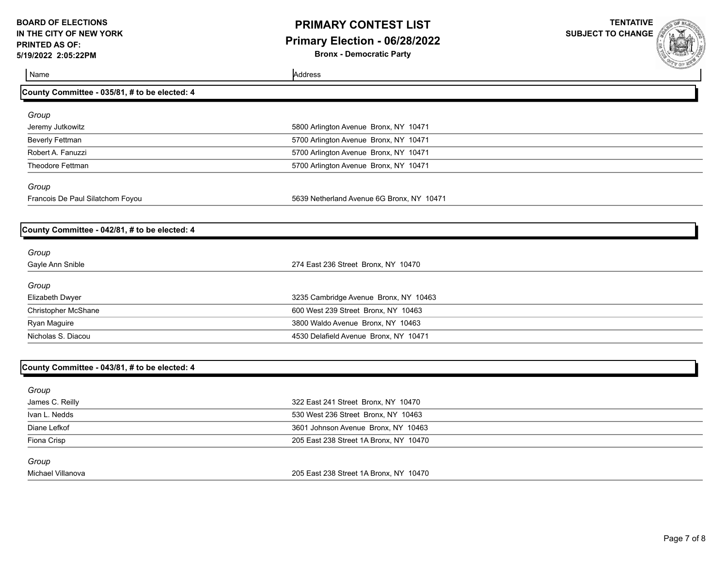## **PRIMARY CONTEST LIST Primary Election - 06/28/2022**

**Bronx - Democratic Party**

| Name                                          | Address                                   | <b>COLE ME PARTIES</b> |
|-----------------------------------------------|-------------------------------------------|------------------------|
| County Committee - 035/81, # to be elected: 4 |                                           |                        |
| Group                                         |                                           |                        |
| Jeremy Jutkowitz                              | 5800 Arlington Avenue Bronx, NY 10471     |                        |
| <b>Beverly Fettman</b>                        | 5700 Arlington Avenue Bronx, NY 10471     |                        |
| Robert A. Fanuzzi                             | 5700 Arlington Avenue Bronx, NY 10471     |                        |
| Theodore Fettman                              | 5700 Arlington Avenue Bronx, NY 10471     |                        |
| Group                                         |                                           |                        |
| Francois De Paul Silatchom Foyou              | 5639 Netherland Avenue 6G Bronx, NY 10471 |                        |
| County Committee - 042/81, # to be elected: 4 |                                           |                        |
|                                               |                                           |                        |
| Group<br>Gayle Ann Snible                     | 274 East 236 Street Bronx, NY 10470       |                        |
|                                               |                                           |                        |
| Group                                         |                                           |                        |
| Elizabeth Dwyer                               | 3235 Cambridge Avenue Bronx, NY 10463     |                        |
| <b>Christopher McShane</b>                    | 600 West 239 Street Bronx, NY 10463       |                        |
| Ryan Maguire                                  | 3800 Waldo Avenue Bronx, NY 10463         |                        |
| Nicholas S. Diacou                            | 4530 Delafield Avenue Bronx, NY 10471     |                        |
| County Committee - 043/81, # to be elected: 4 |                                           |                        |
|                                               |                                           |                        |
| Group                                         |                                           |                        |
| James C. Reilly                               | 322 East 241 Street Bronx, NY 10470       |                        |
| Ivan L. Nedds                                 | 530 West 236 Street Bronx, NY 10463       |                        |
| Diane Lefkof                                  | 3601 Johnson Avenue Bronx, NY 10463       |                        |
| Fiona Crisp                                   | 205 East 238 Street 1A Bronx, NY 10470    |                        |
| Group                                         |                                           |                        |
| Michael Villanova                             | 205 East 238 Street 1A Bronx, NY 10470    |                        |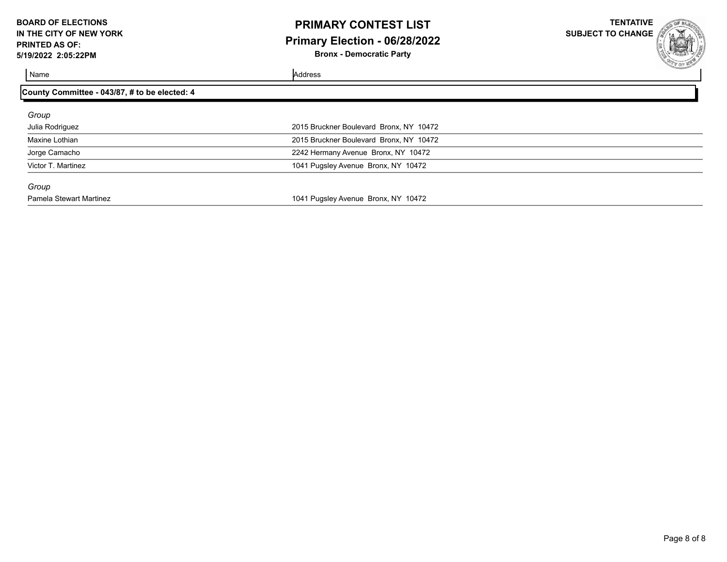## **PRIMARY CONTEST LIST Primary Election - 06/28/2022**

**Bronx - Democratic Party**

**TENTATIVE SUBJECT TO CHANGE**

Name Address and Address and Address and Address and Address and Address and Address and Address and Address and Address and Address and Address and Address and Address and Address and Address and Address and Address and A

#### **County Committee - 043/87, # to be elected: 4**

| Group              |                                         |
|--------------------|-----------------------------------------|
| Julia Rodriguez    | 2015 Bruckner Boulevard Bronx, NY 10472 |
| Maxine Lothian     | 2015 Bruckner Boulevard Bronx, NY 10472 |
| Jorge Camacho      | 2242 Hermany Avenue Bronx, NY 10472     |
| Victor T. Martinez | 1041 Pugsley Avenue Bronx, NY 10472     |
| Group              |                                         |

Pamela Stewart Martinez **1041** Pugsley Avenue Bronx, NY 10472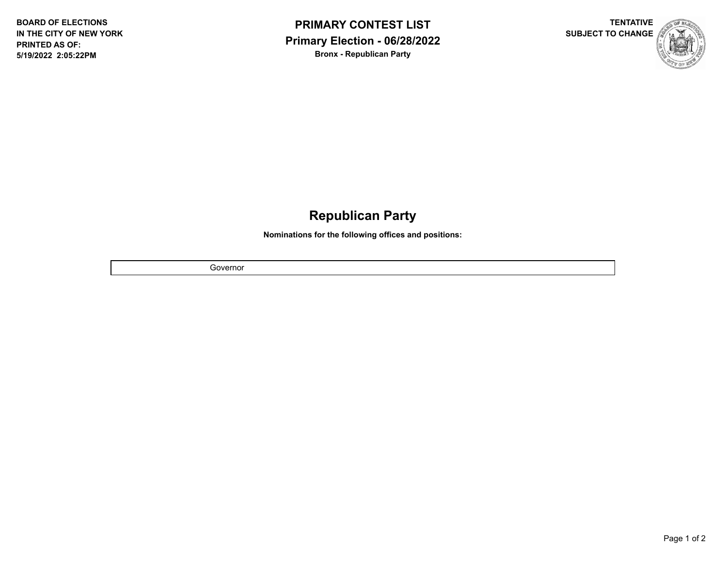



# **Republican Party**

**Nominations for the following offices and positions:**

Governor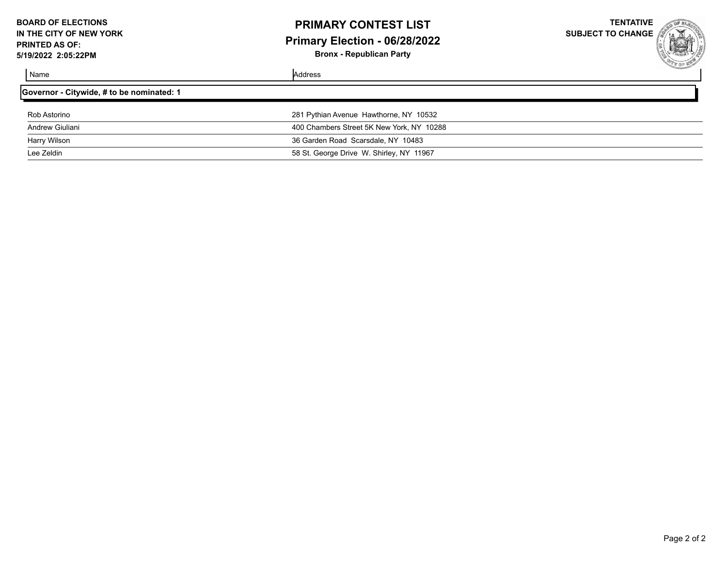## **PRIMARY CONTEST LIST Primary Election - 06/28/2022**

**Bronx - Republican Party**

**TENTATIVE SUBJECT TO CHANGE**

| Governor - Citywide, # to be nominated: 1 |                                           |
|-------------------------------------------|-------------------------------------------|
| Rob Astorino                              | 281 Pythian Avenue Hawthorne, NY 10532    |
| Andrew Giuliani                           | 400 Chambers Street 5K New York, NY 10288 |
| Harry Wilson                              | 36 Garden Road Scarsdale, NY 10483        |
| Lee Zeldin                                | 58 St. George Drive W. Shirley, NY 11967  |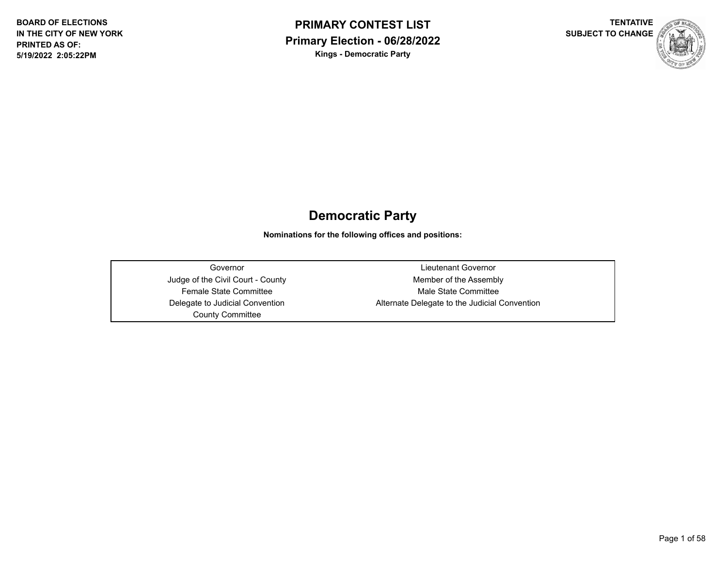



## **Democratic Party**

**Nominations for the following offices and positions:**

County Committee

Governor Lieutenant Governor Judge of the Civil Court - County **Member of the Assembly** Female State Committee Male State Committee Delegate to Judicial Convention **Alternate Delegate to the Judicial Convention**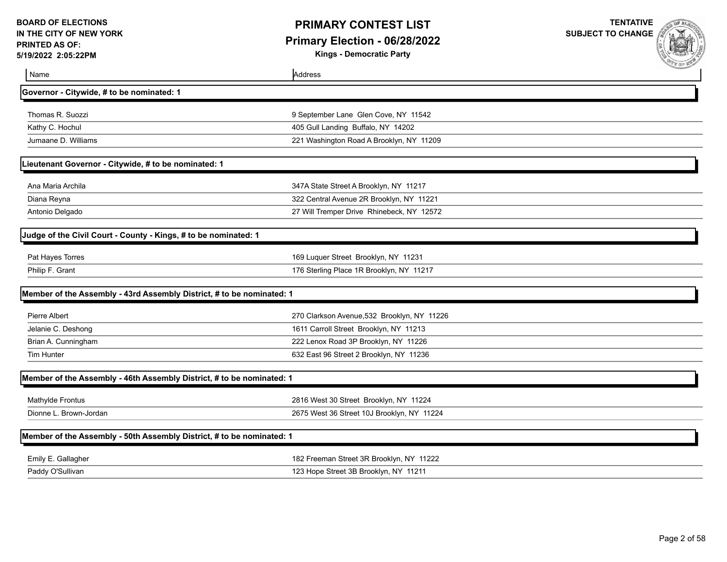**Kings - Democratic Party**

| Name                                                                  | Address                                     |
|-----------------------------------------------------------------------|---------------------------------------------|
| Governor - Citywide, # to be nominated: 1                             |                                             |
| Thomas R. Suozzi                                                      | 9 September Lane Glen Cove, NY 11542        |
| Kathy C. Hochul                                                       | 405 Gull Landing Buffalo, NY 14202          |
| Jumaane D. Williams                                                   | 221 Washington Road A Brooklyn, NY 11209    |
| Lieutenant Governor - Citywide, # to be nominated: 1                  |                                             |
| Ana Maria Archila                                                     | 347A State Street A Brooklyn, NY 11217      |
| Diana Reyna                                                           | 322 Central Avenue 2R Brooklyn, NY 11221    |
| Antonio Delgado                                                       | 27 Will Tremper Drive Rhinebeck, NY 12572   |
| Judge of the Civil Court - County - Kings, # to be nominated: 1       |                                             |
| Pat Hayes Torres                                                      | 169 Luquer Street Brooklyn, NY 11231        |
| Philip F. Grant                                                       | 176 Sterling Place 1R Brooklyn, NY 11217    |
| Member of the Assembly - 43rd Assembly District, # to be nominated: 1 |                                             |
| Pierre Albert                                                         | 270 Clarkson Avenue, 532 Brooklyn, NY 11226 |
| Jelanie C. Deshong                                                    | 1611 Carroll Street Brooklyn, NY 11213      |
| Brian A. Cunningham                                                   | 222 Lenox Road 3P Brooklyn, NY 11226        |
| Tim Hunter                                                            | 632 East 96 Street 2 Brooklyn, NY 11236     |
| Member of the Assembly - 46th Assembly District, # to be nominated: 1 |                                             |
| Mathylde Frontus                                                      | 2816 West 30 Street Brooklyn, NY 11224      |
| Dionne L. Brown-Jordan                                                | 2675 West 36 Street 10J Brooklyn, NY 11224  |
| Member of the Assembly - 50th Assembly District, # to be nominated: 1 |                                             |
| Emily E. Gallagher                                                    | 182 Freeman Street 3R Brooklyn, NY 11222    |
| Paddy O'Sullivan                                                      | 123 Hope Street 3B Brooklyn, NY 11211       |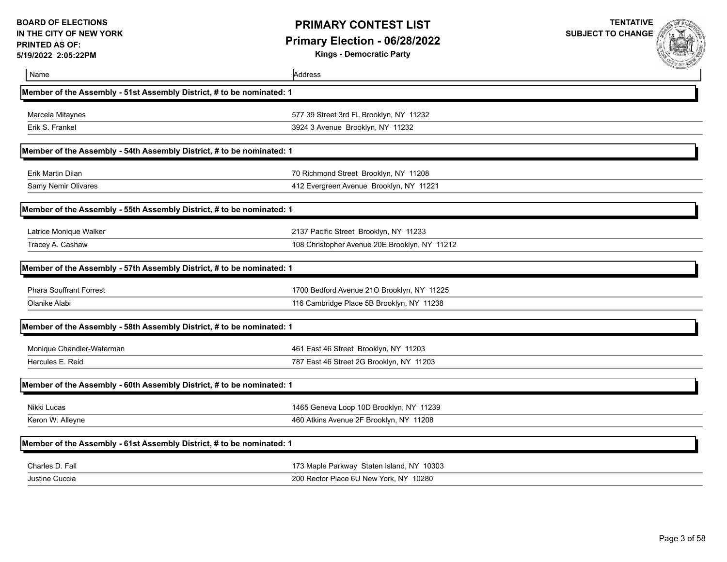**Kings - Democratic Party**

| Name                                                                  | Address                                       | <b>CONTRACTOR</b> |
|-----------------------------------------------------------------------|-----------------------------------------------|-------------------|
| Member of the Assembly - 51st Assembly District, # to be nominated: 1 |                                               |                   |
| Marcela Mitaynes                                                      | 577 39 Street 3rd FL Brooklyn, NY 11232       |                   |
| Erik S. Frankel                                                       | 3924 3 Avenue Brooklyn, NY 11232              |                   |
| Member of the Assembly - 54th Assembly District, # to be nominated: 1 |                                               |                   |
| <b>Erik Martin Dilan</b>                                              | 70 Richmond Street Brooklyn, NY 11208         |                   |
| Samy Nemir Olivares                                                   | 412 Evergreen Avenue Brooklyn, NY 11221       |                   |
| Member of the Assembly - 55th Assembly District, # to be nominated: 1 |                                               |                   |
| Latrice Monique Walker                                                | 2137 Pacific Street Brooklyn, NY 11233        |                   |
| Tracey A. Cashaw                                                      | 108 Christopher Avenue 20E Brooklyn, NY 11212 |                   |
| Member of the Assembly - 57th Assembly District, # to be nominated: 1 |                                               |                   |
| <b>Phara Souffrant Forrest</b>                                        | 1700 Bedford Avenue 21O Brooklyn, NY 11225    |                   |
| Olanike Alabi                                                         | 116 Cambridge Place 5B Brooklyn, NY 11238     |                   |
| Member of the Assembly - 58th Assembly District, # to be nominated: 1 |                                               |                   |
| Monique Chandler-Waterman                                             | 461 East 46 Street Brooklyn, NY 11203         |                   |
| Hercules E. Reid                                                      | 787 East 46 Street 2G Brooklyn, NY 11203      |                   |
| Member of the Assembly - 60th Assembly District, # to be nominated: 1 |                                               |                   |
| Nikki Lucas                                                           | 1465 Geneva Loop 10D Brooklyn, NY 11239       |                   |
| Keron W. Alleyne                                                      | 460 Atkins Avenue 2F Brooklyn, NY 11208       |                   |
| Member of the Assembly - 61st Assembly District, # to be nominated: 1 |                                               |                   |
| Charles D. Fall                                                       | 173 Maple Parkway Staten Island, NY 10303     |                   |
| Justine Cuccia                                                        | 200 Rector Place 6U New York, NY 10280        |                   |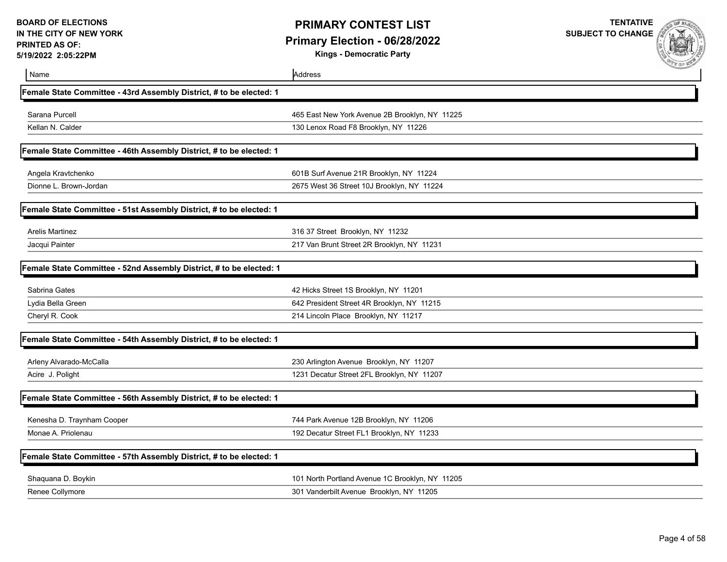**Kings - Democratic Party**

| Name                                                                | Address                                         | <b>ALL OF ME</b> |
|---------------------------------------------------------------------|-------------------------------------------------|------------------|
| Female State Committee - 43rd Assembly District, # to be elected: 1 |                                                 |                  |
| Sarana Purcell                                                      | 465 East New York Avenue 2B Brooklyn, NY 11225  |                  |
| Kellan N. Calder                                                    | 130 Lenox Road F8 Brooklyn, NY 11226            |                  |
| Female State Committee - 46th Assembly District, # to be elected: 1 |                                                 |                  |
| Angela Kravtchenko                                                  | 601B Surf Avenue 21R Brooklyn, NY 11224         |                  |
| Dionne L. Brown-Jordan                                              | 2675 West 36 Street 10J Brooklyn, NY 11224      |                  |
| Female State Committee - 51st Assembly District, # to be elected: 1 |                                                 |                  |
| Arelis Martinez                                                     | 316 37 Street Brooklyn, NY 11232                |                  |
| Jacqui Painter                                                      | 217 Van Brunt Street 2R Brooklyn, NY 11231      |                  |
| Female State Committee - 52nd Assembly District, # to be elected: 1 |                                                 |                  |
| Sabrina Gates                                                       | 42 Hicks Street 1S Brooklyn, NY 11201           |                  |
| Lydia Bella Green                                                   | 642 President Street 4R Brooklyn, NY 11215      |                  |
| Cheryl R. Cook                                                      | 214 Lincoln Place Brooklyn, NY 11217            |                  |
| Female State Committee - 54th Assembly District, # to be elected: 1 |                                                 |                  |
| Arleny Alvarado-McCalla                                             | 230 Arlington Avenue Brooklyn, NY 11207         |                  |
| Acire J. Polight                                                    | 1231 Decatur Street 2FL Brooklyn, NY 11207      |                  |
| Female State Committee - 56th Assembly District, # to be elected: 1 |                                                 |                  |
| Kenesha D. Traynham Cooper                                          | 744 Park Avenue 12B Brooklyn, NY 11206          |                  |
| Monae A. Priolenau                                                  | 192 Decatur Street FL1 Brooklyn, NY 11233       |                  |
| Female State Committee - 57th Assembly District, # to be elected: 1 |                                                 |                  |
| Shaquana D. Boykin                                                  | 101 North Portland Avenue 1C Brooklyn, NY 11205 |                  |
| Renee Collymore                                                     | 301 Vanderbilt Avenue Brooklyn, NY 11205        |                  |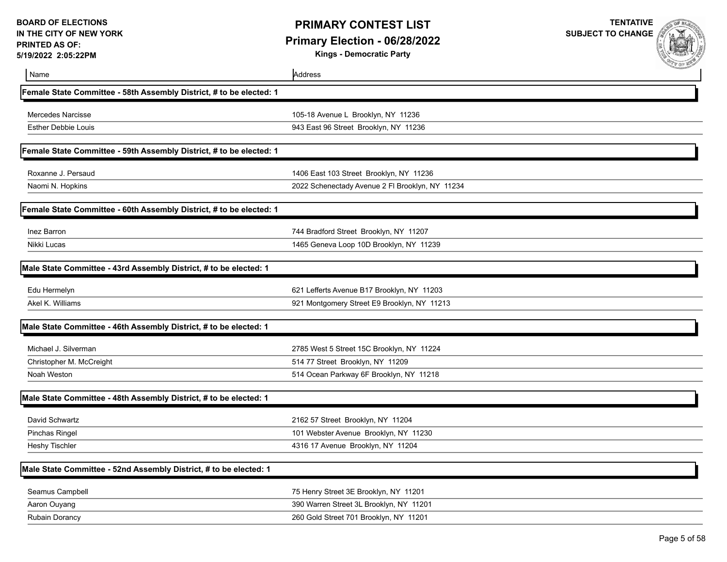**Kings - Democratic Party**



| Name                                                                | Address                                         | <b>CAPP OF ME</b> |
|---------------------------------------------------------------------|-------------------------------------------------|-------------------|
| Female State Committee - 58th Assembly District, # to be elected: 1 |                                                 |                   |
| <b>Mercedes Narcisse</b>                                            | 105-18 Avenue L Brooklyn, NY 11236              |                   |
| <b>Esther Debbie Louis</b>                                          | 943 East 96 Street Brooklyn, NY 11236           |                   |
| Female State Committee - 59th Assembly District, # to be elected: 1 |                                                 |                   |
| Roxanne J. Persaud                                                  | 1406 East 103 Street Brooklyn, NY 11236         |                   |
| Naomi N. Hopkins                                                    | 2022 Schenectady Avenue 2 FI Brooklyn, NY 11234 |                   |
| Female State Committee - 60th Assembly District, # to be elected: 1 |                                                 |                   |
| Inez Barron                                                         | 744 Bradford Street Brooklyn, NY 11207          |                   |
| Nikki Lucas                                                         | 1465 Geneva Loop 10D Brooklyn, NY 11239         |                   |
| Male State Committee - 43rd Assembly District, # to be elected: 1   |                                                 |                   |
| Edu Hermelyn                                                        | 621 Lefferts Avenue B17 Brooklyn, NY 11203      |                   |
| Akel K. Williams                                                    | 921 Montgomery Street E9 Brooklyn, NY 11213     |                   |
| Male State Committee - 46th Assembly District, # to be elected: 1   |                                                 |                   |
| Michael J. Silverman                                                | 2785 West 5 Street 15C Brooklyn, NY 11224       |                   |
| Christopher M. McCreight                                            | 514 77 Street Brooklyn, NY 11209                |                   |
| Noah Weston                                                         | 514 Ocean Parkway 6F Brooklyn, NY 11218         |                   |
| Male State Committee - 48th Assembly District, # to be elected: 1   |                                                 |                   |
| David Schwartz                                                      | 2162 57 Street Brooklyn, NY 11204               |                   |
| Pinchas Ringel                                                      | 101 Webster Avenue Brooklyn, NY 11230           |                   |
| <b>Heshy Tischler</b>                                               | 4316 17 Avenue Brooklyn, NY 11204               |                   |
| Male State Committee - 52nd Assembly District, # to be elected: 1   |                                                 |                   |
| Seamus Campbell                                                     | 75 Henry Street 3E Brooklyn, NY 11201           |                   |
| Aaron Ouyang                                                        | 390 Warren Street 3L Brooklyn, NY 11201         |                   |
| <b>Rubain Dorancy</b>                                               | 260 Gold Street 701 Brooklyn, NY 11201          |                   |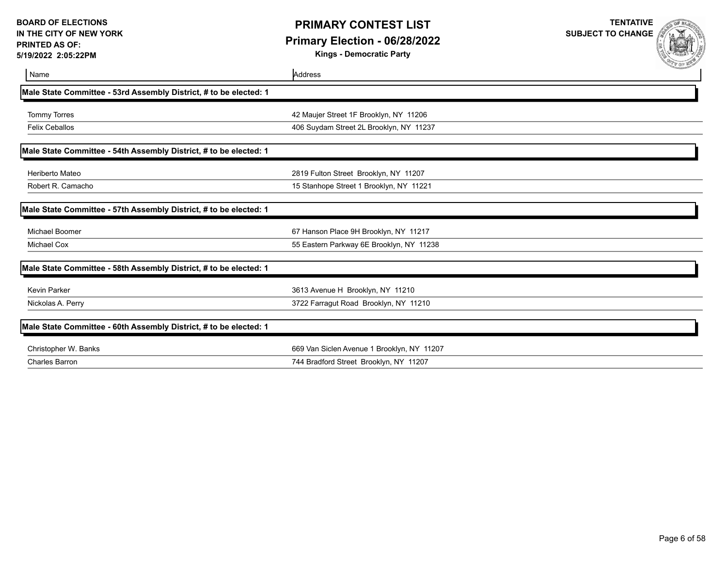## **PRIMARY CONTEST LIST Primary Election - 06/28/2022**

**Kings - Democratic Party**

| Name                                                              | Address                                    | <b>SERVICE AND AND ARRANGEMENT</b> |
|-------------------------------------------------------------------|--------------------------------------------|------------------------------------|
| Male State Committee - 53rd Assembly District, # to be elected: 1 |                                            |                                    |
| <b>Tommy Torres</b>                                               | 42 Maujer Street 1F Brooklyn, NY 11206     |                                    |
| <b>Felix Ceballos</b>                                             | 406 Suydam Street 2L Brooklyn, NY 11237    |                                    |
| Male State Committee - 54th Assembly District, # to be elected: 1 |                                            |                                    |
| Heriberto Mateo                                                   | 2819 Fulton Street Brooklyn, NY 11207      |                                    |
| Robert R. Camacho                                                 | 15 Stanhope Street 1 Brooklyn, NY 11221    |                                    |
| Male State Committee - 57th Assembly District, # to be elected: 1 |                                            |                                    |
| Michael Boomer                                                    | 67 Hanson Place 9H Brooklyn, NY 11217      |                                    |
| Michael Cox                                                       | 55 Eastern Parkway 6E Brooklyn, NY 11238   |                                    |
| Male State Committee - 58th Assembly District, # to be elected: 1 |                                            |                                    |
| <b>Kevin Parker</b>                                               | 3613 Avenue H Brooklyn, NY 11210           |                                    |
| Nickolas A. Perry                                                 | 3722 Farragut Road Brooklyn, NY 11210      |                                    |
| Male State Committee - 60th Assembly District, # to be elected: 1 |                                            |                                    |
| Christopher W. Banks                                              | 669 Van Siclen Avenue 1 Brooklyn, NY 11207 |                                    |
| <b>Charles Barron</b>                                             | 744 Bradford Street Brooklyn, NY 11207     |                                    |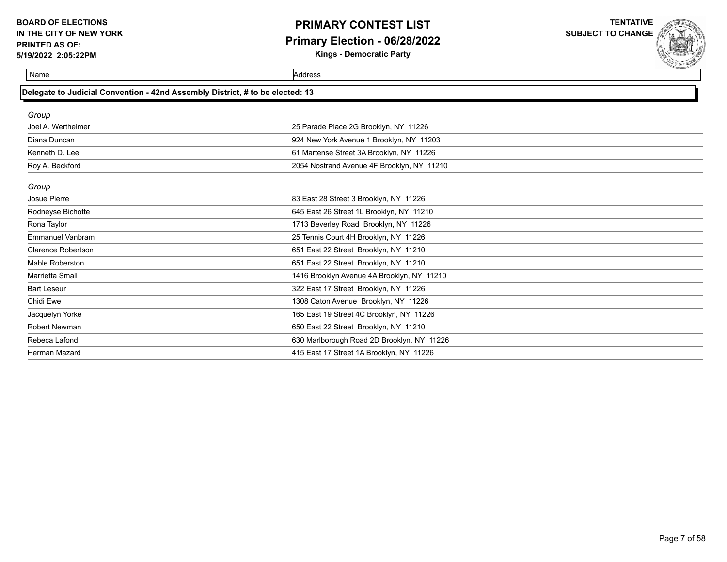# **PRIMARY CONTEST LIST Primary Election - 06/28/2022**

**Kings - Democratic Party**

**TENTATIVE SUBJECT TO CHANGE**



| Delegate to Judicial Convention - 42nd Assembly District, # to be elected: 13 |                                            |  |
|-------------------------------------------------------------------------------|--------------------------------------------|--|
| Group                                                                         |                                            |  |
| Joel A. Wertheimer                                                            | 25 Parade Place 2G Brooklyn, NY 11226      |  |
| Diana Duncan                                                                  | 924 New York Avenue 1 Brooklyn, NY 11203   |  |
| Kenneth D. Lee                                                                | 61 Martense Street 3A Brooklyn, NY 11226   |  |
| Roy A. Beckford                                                               | 2054 Nostrand Avenue 4F Brooklyn, NY 11210 |  |
| Group                                                                         |                                            |  |
| Josue Pierre                                                                  | 83 East 28 Street 3 Brooklyn, NY 11226     |  |
| Rodneyse Bichotte                                                             | 645 East 26 Street 1L Brooklyn, NY 11210   |  |
| Rona Taylor                                                                   | 1713 Beverley Road Brooklyn, NY 11226      |  |
| <b>Emmanuel Vanbram</b>                                                       | 25 Tennis Court 4H Brooklyn, NY 11226      |  |
| <b>Clarence Robertson</b>                                                     | 651 East 22 Street Brooklyn, NY 11210      |  |
| <b>Mable Roberston</b>                                                        | 651 East 22 Street Brooklyn, NY 11210      |  |
| Marrietta Small                                                               | 1416 Brooklyn Avenue 4A Brooklyn, NY 11210 |  |
| <b>Bart Leseur</b>                                                            | 322 East 17 Street Brooklyn, NY 11226      |  |
| Chidi Ewe                                                                     | 1308 Caton Avenue Brooklyn, NY 11226       |  |
| Jacquelyn Yorke                                                               | 165 East 19 Street 4C Brooklyn, NY 11226   |  |
| <b>Robert Newman</b>                                                          | 650 East 22 Street Brooklyn, NY 11210      |  |
| Rebeca Lafond                                                                 | 630 Marlborough Road 2D Brooklyn, NY 11226 |  |
| Herman Mazard                                                                 | 415 East 17 Street 1A Brooklyn, NY 11226   |  |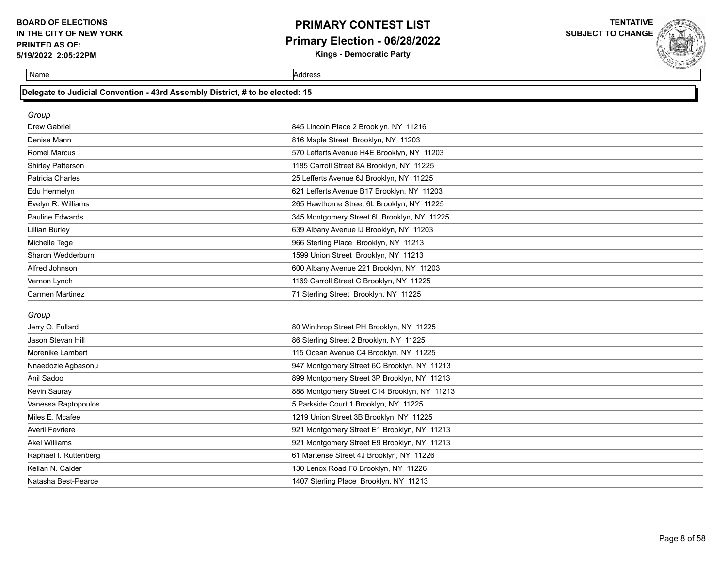# **PRIMARY CONTEST LIST Primary Election - 06/28/2022**

**Kings - Democratic Party**

**TENTATIVE SUBJECT TO CHANGE**

Name Address and Address and Address and Address and Address and Address and Address and Address and Address and Address and Address and Address and Address and Address and Address and Address and Address and Address and A

Kevin Sauray 888 Montgomery Street C14 Brooklyn, NY 11213

Vanessa Raptopoulos 5 Parkside Court 1 Brooklyn, NY 11225 Miles E. Mcafee 1219 Union Street 3B Brooklyn, NY 11225 Averil Fevriere 921 Montgomery Street E1 Brooklyn, NY 11213 Akel Williams 921 Montgomery Street E9 Brooklyn, NY 11213 Raphael I. Ruttenberg **61 Martense Street 4J Brooklyn, NY** 11226 Kellan N. Calder 11226 Control 130 Lenox Road F8 Brooklyn, NY 11226 Natasha Best-Pearce 1407 Sterling Place Brooklyn, NY 11213

|  | Delegate to Judicial Convention - 43rd Assembly District, # to be elected: 15 |  |  |  |
|--|-------------------------------------------------------------------------------|--|--|--|
|  |                                                                               |  |  |  |

| Group                   |                                             |  |
|-------------------------|---------------------------------------------|--|
| Drew Gabriel            | 845 Lincoln Place 2 Brooklyn, NY 11216      |  |
| Denise Mann             | 816 Maple Street Brooklyn, NY 11203         |  |
| <b>Romel Marcus</b>     | 570 Lefferts Avenue H4E Brooklyn, NY 11203  |  |
| Shirley Patterson       | 1185 Carroll Street 8A Brooklyn, NY 11225   |  |
| <b>Patricia Charles</b> | 25 Lefferts Avenue 6J Brooklyn, NY 11225    |  |
| Edu Hermelyn            | 621 Lefferts Avenue B17 Brooklyn, NY 11203  |  |
| Evelyn R. Williams      | 265 Hawthorne Street 6L Brooklyn, NY 11225  |  |
| <b>Pauline Edwards</b>  | 345 Montgomery Street 6L Brooklyn, NY 11225 |  |
| <b>Lillian Burley</b>   | 639 Albany Avenue IJ Brooklyn, NY 11203     |  |
| Michelle Tege           | 966 Sterling Place Brooklyn, NY 11213       |  |
| Sharon Wedderburn       | 1599 Union Street Brooklyn, NY 11213        |  |
| Alfred Johnson          | 600 Albany Avenue 221 Brooklyn, NY 11203    |  |
| Vernon Lynch            | 1169 Carroll Street C Brooklyn, NY 11225    |  |
| <b>Carmen Martinez</b>  | 71 Sterling Street Brooklyn, NY 11225       |  |
| Group                   |                                             |  |
| Jerry O. Fullard        | 80 Winthrop Street PH Brooklyn, NY 11225    |  |
| Jason Stevan Hill       | 86 Sterling Street 2 Brooklyn, NY 11225     |  |
| Morenike Lambert        | 115 Ocean Avenue C4 Brooklyn, NY 11225      |  |
| Nnaedozie Agbasonu      | 947 Montgomery Street 6C Brooklyn, NY 11213 |  |
| Anil Sadoo              | 899 Montgomery Street 3P Brooklyn, NY 11213 |  |

Page 8 of 58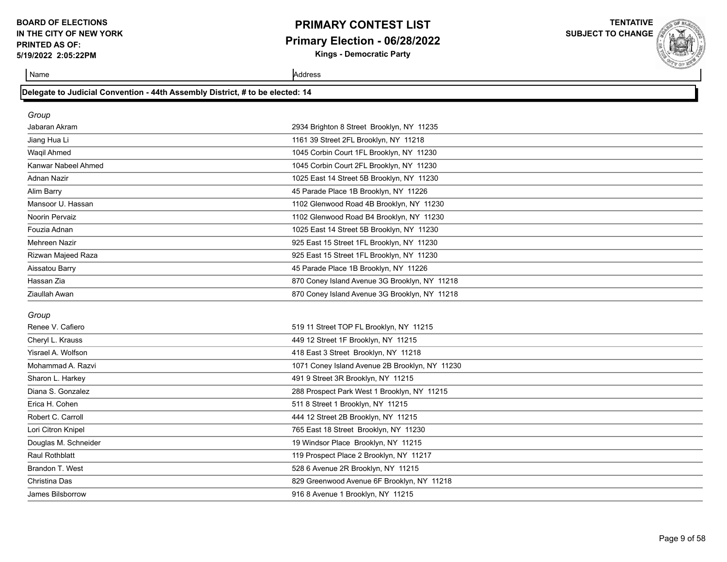## **PRIMARY CONTEST LIST Primary Election - 06/28/2022 Kings - Democratic Party**

**TENTATIVE SUBJECT TO CHANGE**

Name Address

Christina Das 829 Greenwood Avenue 6F Brooklyn, NY 11218

James Bilsborrow 916 8 Avenue 1 Brooklyn, NY 11215

| Delegate to Judicial Convention - 44th Assembly District, # to be elected: 14 |  |
|-------------------------------------------------------------------------------|--|
|                                                                               |  |

| Group                 |                                                |
|-----------------------|------------------------------------------------|
| Jabaran Akram         | 2934 Brighton 8 Street Brooklyn, NY 11235      |
| Jiang Hua Li          | 1161 39 Street 2FL Brooklyn, NY 11218          |
| <b>Wagil Ahmed</b>    | 1045 Corbin Court 1FL Brooklyn, NY 11230       |
| Kanwar Nabeel Ahmed   | 1045 Corbin Court 2FL Brooklyn, NY 11230       |
| <b>Adnan Nazir</b>    | 1025 East 14 Street 5B Brooklyn, NY 11230      |
| Alim Barry            | 45 Parade Place 1B Brooklyn, NY 11226          |
| Mansoor U. Hassan     | 1102 Glenwood Road 4B Brooklyn, NY 11230       |
| Noorin Pervaiz        | 1102 Glenwood Road B4 Brooklyn, NY 11230       |
| Fouzia Adnan          | 1025 East 14 Street 5B Brooklyn, NY 11230      |
| Mehreen Nazir         | 925 East 15 Street 1FL Brooklyn, NY 11230      |
| Rizwan Majeed Raza    | 925 East 15 Street 1FL Brooklyn, NY 11230      |
| Aissatou Barry        | 45 Parade Place 1B Brooklyn, NY 11226          |
| Hassan Zia            | 870 Coney Island Avenue 3G Brooklyn, NY 11218  |
| Ziaullah Awan         | 870 Coney Island Avenue 3G Brooklyn, NY 11218  |
| Group                 |                                                |
| Renee V. Cafiero      | 519 11 Street TOP FL Brooklyn, NY 11215        |
| Cheryl L. Krauss      | 449 12 Street 1F Brooklyn, NY 11215            |
| Yisrael A. Wolfson    | 418 East 3 Street Brooklyn, NY 11218           |
| Mohammad A. Razvi     | 1071 Coney Island Avenue 2B Brooklyn, NY 11230 |
| Sharon L. Harkey      | 491 9 Street 3R Brooklyn, NY 11215             |
| Diana S. Gonzalez     | 288 Prospect Park West 1 Brooklyn, NY 11215    |
| Erica H. Cohen        | 511 8 Street 1 Brooklyn, NY 11215              |
| Robert C. Carroll     | 444 12 Street 2B Brooklyn, NY 11215            |
| Lori Citron Knipel    | 765 East 18 Street Brooklyn, NY 11230          |
| Douglas M. Schneider  | 19 Windsor Place Brooklyn, NY 11215            |
| <b>Raul Rothblatt</b> | 119 Prospect Place 2 Brooklyn, NY 11217        |
| Brandon T. West       | 528 6 Avenue 2R Brooklyn, NY 11215             |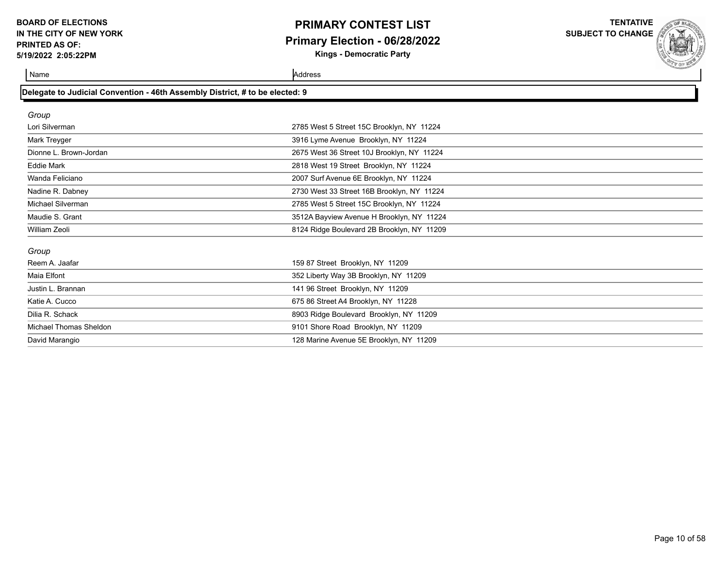# **PRIMARY CONTEST LIST Primary Election - 06/28/2022**

**Kings - Democratic Party**

**TENTATIVE SUBJECT TO CHANGE**

and the control of

**Name** Address **Address** 

| Delegate to Judicial Convention - 46th Assembly District, # to be elected: 9 |                                            |  |
|------------------------------------------------------------------------------|--------------------------------------------|--|
| Group                                                                        |                                            |  |
| Lori Silverman                                                               | 2785 West 5 Street 15C Brooklyn, NY 11224  |  |
| Mark Treyger                                                                 | 3916 Lyme Avenue Brooklyn, NY 11224        |  |
| Dionne L. Brown-Jordan                                                       | 2675 West 36 Street 10J Brooklyn, NY 11224 |  |
| <b>Eddie Mark</b>                                                            | 2818 West 19 Street Brooklyn, NY 11224     |  |
| Wanda Feliciano                                                              | 2007 Surf Avenue 6E Brooklyn, NY 11224     |  |
| Nadine R. Dabney                                                             | 2730 West 33 Street 16B Brooklyn, NY 11224 |  |
| Michael Silverman                                                            | 2785 West 5 Street 15C Brooklyn, NY 11224  |  |
| Maudie S. Grant                                                              | 3512A Bayview Avenue H Brooklyn, NY 11224  |  |
| William Zeoli                                                                | 8124 Ridge Boulevard 2B Brooklyn, NY 11209 |  |
| Group                                                                        |                                            |  |
| Reem A. Jaafar                                                               | 159 87 Street Brooklyn, NY 11209           |  |
| Maia Elfont                                                                  | 352 Liberty Way 3B Brooklyn, NY 11209      |  |
| Justin L. Brannan                                                            | 141 96 Street Brooklyn, NY 11209           |  |
| Katie A. Cucco                                                               | 675 86 Street A4 Brooklyn, NY 11228        |  |
| Dilia R. Schack                                                              | 8903 Ridge Boulevard Brooklyn, NY 11209    |  |
| Michael Thomas Sheldon                                                       | 9101 Shore Road Brooklyn, NY 11209         |  |
| David Marangio                                                               | 128 Marine Avenue 5E Brooklyn, NY 11209    |  |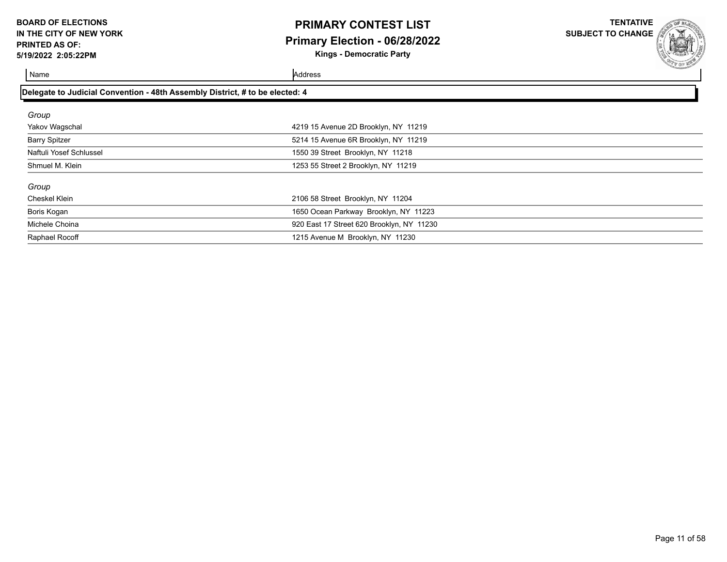# **PRIMARY CONTEST LIST Primary Election - 06/28/2022**

**Kings - Democratic Party**

**TENTATIVE SUBJECT TO CHANGE**



| Delegate to Judicial Convention - 48th Assembly District, # to be elected: 4 |                                           |  |
|------------------------------------------------------------------------------|-------------------------------------------|--|
| Group                                                                        |                                           |  |
| Yakov Wagschal                                                               | 4219 15 Avenue 2D Brooklyn, NY 11219      |  |
| <b>Barry Spitzer</b>                                                         | 5214 15 Avenue 6R Brooklyn, NY 11219      |  |
| Naftuli Yosef Schlussel                                                      | 1550 39 Street Brooklyn, NY 11218         |  |
| Shmuel M. Klein                                                              | 1253 55 Street 2 Brooklyn, NY 11219       |  |
| Group                                                                        |                                           |  |
| Cheskel Klein                                                                | 2106 58 Street Brooklyn, NY 11204         |  |
| Boris Kogan                                                                  | 1650 Ocean Parkway Brooklyn, NY 11223     |  |
| Michele Choina                                                               | 920 East 17 Street 620 Brooklyn, NY 11230 |  |
| Raphael Rocoff                                                               | 1215 Avenue M Brooklyn, NY 11230          |  |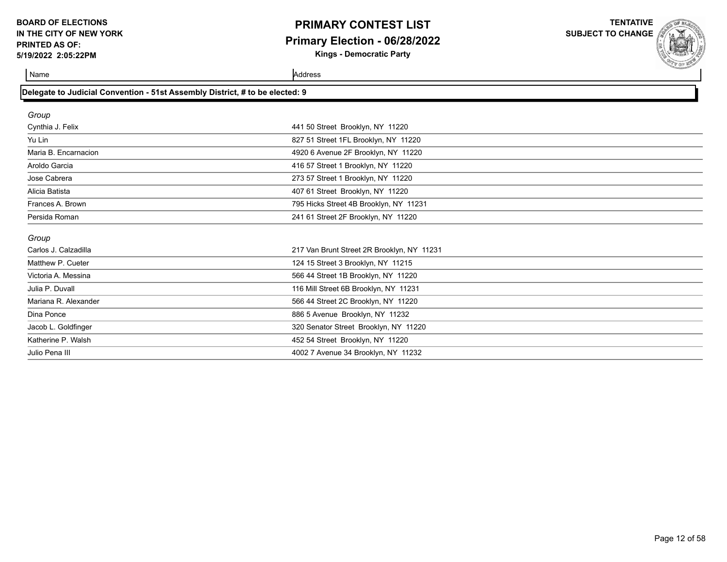## **PRIMARY CONTEST LIST Primary Election - 06/28/2022 Kings - Democratic Party**

**TENTATIVE**

**SUBJECT TO CHANGE**

Name Address and Address and Address and Address and Address and Address and Address and Address and Address and Address and Address and Address and Address and Address and Address and Address and Address and Address and A

Julio Pena III 4002 7 Avenue 34 Brooklyn, NY 11232

### **Delegate to Judicial Convention - 51st Assembly District, # to be elected: 9**

| Group                |                                            |
|----------------------|--------------------------------------------|
| Cynthia J. Felix     | 441 50 Street Brooklyn, NY 11220           |
| Yu Lin               | 827 51 Street 1FL Brooklyn, NY 11220       |
| Maria B. Encarnacion | 4920 6 Avenue 2F Brooklyn, NY 11220        |
| Aroldo Garcia        | 416 57 Street 1 Brooklyn, NY 11220         |
| Jose Cabrera         | 273 57 Street 1 Brooklyn, NY 11220         |
| Alicia Batista       | 407 61 Street Brooklyn, NY 11220           |
| Frances A. Brown     | 795 Hicks Street 4B Brooklyn, NY 11231     |
| Persida Roman        | 241 61 Street 2F Brooklyn, NY 11220        |
| Group                |                                            |
| Carlos J. Calzadilla | 217 Van Brunt Street 2R Brooklyn, NY 11231 |
| Matthew P. Cueter    | 124 15 Street 3 Brooklyn, NY 11215         |
| Victoria A. Messina  | 566 44 Street 1B Brooklyn, NY 11220        |
| Julia P. Duvall      | 116 Mill Street 6B Brooklyn, NY 11231      |
| Mariana R. Alexander | 566 44 Street 2C Brooklyn, NY 11220        |
| Dina Ponce           | 886 5 Avenue Brooklyn, NY 11232            |
| Jacob L. Goldfinger  | 320 Senator Street Brooklyn, NY 11220      |
| Katherine P. Walsh   | 452 54 Street Brooklyn, NY 11220           |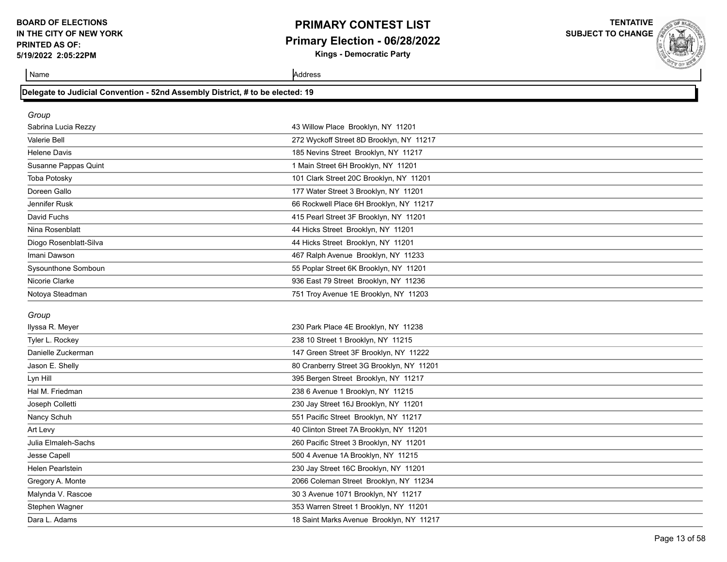## **PRIMARY CONTEST LIST Primary Election - 06/28/2022**

**Kings - Democratic Party**

**TENTATIVE SUBJECT TO CHANGE**

| Name                                                                          | Address                                   |
|-------------------------------------------------------------------------------|-------------------------------------------|
| Delegate to Judicial Convention - 52nd Assembly District, # to be elected: 19 |                                           |
| Group                                                                         |                                           |
| Sabrina Lucia Rezzy                                                           | 43 Willow Place Brooklyn, NY 11201        |
| Valerie Bell                                                                  | 272 Wyckoff Street 8D Brooklyn, NY 11217  |
| Helene Davis                                                                  | 185 Nevins Street Brooklyn, NY 11217      |
| Susanne Pappas Quint                                                          | 1 Main Street 6H Brooklyn, NY 11201       |
| <b>Toba Potosky</b>                                                           | 101 Clark Street 20C Brooklyn, NY 11201   |
| Doreen Gallo                                                                  | 177 Water Street 3 Brooklyn, NY 11201     |
| Jennifer Rusk                                                                 | 66 Rockwell Place 6H Brooklyn, NY 11217   |
| David Fuchs                                                                   | 415 Pearl Street 3F Brooklyn, NY 11201    |
| Nina Rosenblatt                                                               | 44 Hicks Street Brooklyn, NY 11201        |
| Diogo Rosenblatt-Silva                                                        | 44 Hicks Street Brooklyn, NY 11201        |
| Imani Dawson                                                                  | 467 Ralph Avenue Brooklyn, NY 11233       |
| Sysounthone Somboun                                                           | 55 Poplar Street 6K Brooklyn, NY 11201    |
| Nicorie Clarke                                                                | 936 East 79 Street Brooklyn, NY 11236     |
| Notoya Steadman                                                               | 751 Troy Avenue 1E Brooklyn, NY 11203     |
|                                                                               |                                           |
| Group                                                                         |                                           |
| Ilyssa R. Meyer                                                               | 230 Park Place 4E Brooklyn, NY 11238      |
| Tyler L. Rockey                                                               | 238 10 Street 1 Brooklyn, NY 11215        |
| Danielle Zuckerman                                                            | 147 Green Street 3F Brooklyn, NY 11222    |
| Jason E. Shelly                                                               | 80 Cranberry Street 3G Brooklyn, NY 11201 |
| Lyn Hill                                                                      | 395 Bergen Street Brooklyn, NY 11217      |
| Hal M. Friedman                                                               | 238 6 Avenue 1 Brooklyn, NY 11215         |
| Joseph Colletti                                                               | 230 Jay Street 16J Brooklyn, NY 11201     |
| Nancy Schuh                                                                   | 551 Pacific Street Brooklyn, NY 11217     |
| Art Levy                                                                      | 40 Clinton Street 7A Brooklyn, NY 11201   |
| Julia Elmaleh-Sachs                                                           | 260 Pacific Street 3 Brooklyn, NY 11201   |
| Jesse Capell                                                                  | 500 4 Avenue 1A Brooklyn, NY 11215        |
| <b>Helen Pearlstein</b>                                                       | 230 Jay Street 16C Brooklyn, NY 11201     |
| Gregory A. Monte                                                              | 2066 Coleman Street Brooklyn, NY 11234    |
| Malynda V. Rascoe                                                             | 30 3 Avenue 1071 Brooklyn, NY 11217       |
| Stephen Wagner                                                                | 353 Warren Street 1 Brooklyn, NY 11201    |
| Dara L. Adams                                                                 | 18 Saint Marks Avenue Brooklyn, NY 11217  |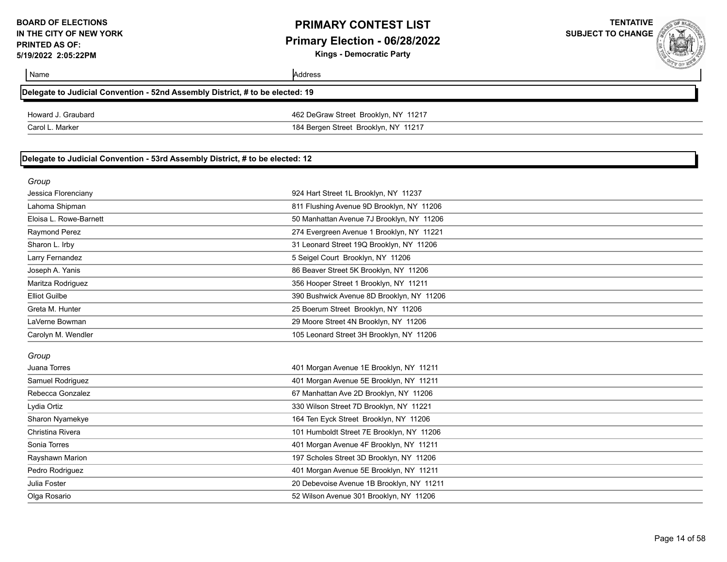## **PRIMARY CONTEST LIST Primary Election - 06/28/2022**

**Kings - Democratic Party**



|                                                                               |                                           | <b>CON BUSH</b> |
|-------------------------------------------------------------------------------|-------------------------------------------|-----------------|
| Name                                                                          | Address                                   |                 |
| Delegate to Judicial Convention - 52nd Assembly District, # to be elected: 19 |                                           |                 |
| Howard J. Graubard                                                            | 462 DeGraw Street Brooklyn, NY 11217      |                 |
| Carol L. Marker                                                               | 184 Bergen Street Brooklyn, NY 11217      |                 |
|                                                                               |                                           |                 |
| Delegate to Judicial Convention - 53rd Assembly District, # to be elected: 12 |                                           |                 |
| Group                                                                         |                                           |                 |
| Jessica Florenciany                                                           | 924 Hart Street 1L Brooklyn, NY 11237     |                 |
| Lahoma Shipman                                                                | 811 Flushing Avenue 9D Brooklyn, NY 11206 |                 |
| Eloisa L. Rowe-Barnett                                                        | 50 Manhattan Avenue 7J Brooklyn, NY 11206 |                 |
| Raymond Perez                                                                 | 274 Evergreen Avenue 1 Brooklyn, NY 11221 |                 |
| Sharon L. Irby                                                                | 31 Leonard Street 19Q Brooklyn, NY 11206  |                 |
| Larry Fernandez                                                               | 5 Seigel Court Brooklyn, NY 11206         |                 |
| Joseph A. Yanis                                                               | 86 Beaver Street 5K Brooklyn, NY 11206    |                 |
| Maritza Rodriguez                                                             | 356 Hooper Street 1 Brooklyn, NY 11211    |                 |
| <b>Elliot Guilbe</b>                                                          | 390 Bushwick Avenue 8D Brooklyn, NY 11206 |                 |
| Greta M. Hunter                                                               | 25 Boerum Street Brooklyn, NY 11206       |                 |
| LaVerne Bowman                                                                | 29 Moore Street 4N Brooklyn, NY 11206     |                 |
| Carolyn M. Wendler                                                            | 105 Leonard Street 3H Brooklyn, NY 11206  |                 |
|                                                                               |                                           |                 |
| Group<br>Juana Torres                                                         | 401 Morgan Avenue 1E Brooklyn, NY 11211   |                 |
| Samuel Rodriguez                                                              | 401 Morgan Avenue 5E Brooklyn, NY 11211   |                 |
| Rebecca Gonzalez                                                              | 67 Manhattan Ave 2D Brooklyn, NY 11206    |                 |
| Lydia Ortiz                                                                   | 330 Wilson Street 7D Brooklyn, NY 11221   |                 |
| Sharon Nyamekye                                                               | 164 Ten Eyck Street Brooklyn, NY 11206    |                 |
| Christina Rivera                                                              | 101 Humboldt Street 7E Brooklyn, NY 11206 |                 |
| Sonia Torres                                                                  | 401 Morgan Avenue 4F Brooklyn, NY 11211   |                 |
| Rayshawn Marion                                                               | 197 Scholes Street 3D Brooklyn, NY 11206  |                 |
| Pedro Rodriguez                                                               | 401 Morgan Avenue 5E Brooklyn, NY 11211   |                 |
| Julia Foster                                                                  | 20 Debevoise Avenue 1B Brooklyn, NY 11211 |                 |
| Olga Rosario                                                                  | 52 Wilson Avenue 301 Brooklyn, NY 11206   |                 |
|                                                                               |                                           |                 |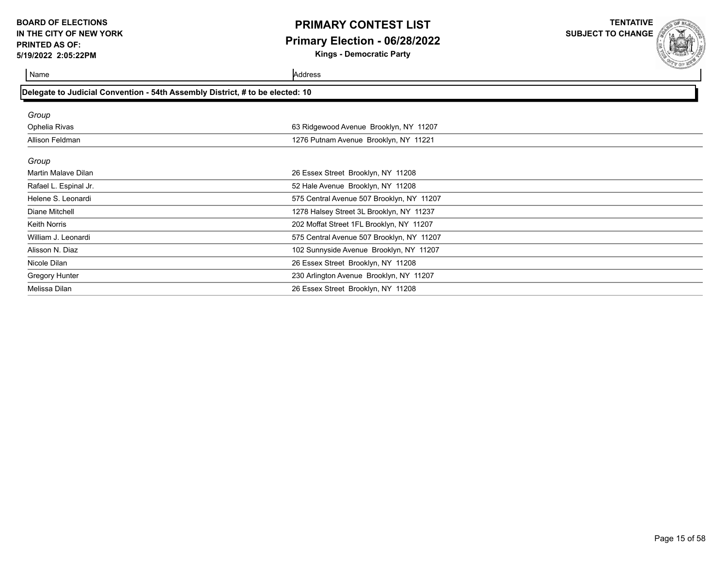## **PRIMARY CONTEST LIST Primary Election - 06/28/2022**

**Kings - Democratic Party**

**TENTATIVE SUBJECT TO CHANGE**

Name Address

| Delegate to Judicial Convention - 54th Assembly District, # to be elected: 10 |                                           |
|-------------------------------------------------------------------------------|-------------------------------------------|
|                                                                               |                                           |
| Group                                                                         |                                           |
| Ophelia Rivas                                                                 | 63 Ridgewood Avenue Brooklyn, NY 11207    |
| Allison Feldman                                                               | 1276 Putnam Avenue Brooklyn, NY 11221     |
|                                                                               |                                           |
| Group                                                                         |                                           |
| Martin Malave Dilan                                                           | 26 Essex Street Brooklyn, NY 11208        |
| Rafael L. Espinal Jr.                                                         | 52 Hale Avenue Brooklyn, NY 11208         |
| Helene S. Leonardi                                                            | 575 Central Avenue 507 Brooklyn, NY 11207 |
| Diane Mitchell                                                                | 1278 Halsey Street 3L Brooklyn, NY 11237  |
| <b>Keith Norris</b>                                                           | 202 Moffat Street 1FL Brooklyn, NY 11207  |
| William J. Leonardi                                                           | 575 Central Avenue 507 Brooklyn, NY 11207 |
| Alisson N. Diaz                                                               | 102 Sunnyside Avenue Brooklyn, NY 11207   |
| Nicole Dilan                                                                  | 26 Essex Street Brooklyn, NY 11208        |
| Gregory Hunter                                                                | 230 Arlington Avenue Brooklyn, NY 11207   |
| Melissa Dilan                                                                 | 26 Essex Street Brooklyn, NY 11208        |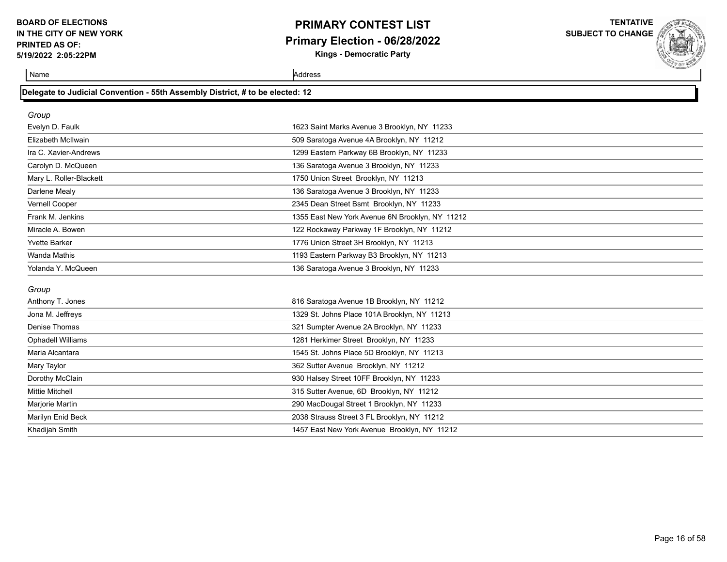## **PRIMARY CONTEST LIST Primary Election - 06/28/2022 Kings - Democratic Party**

**TENTATIVE**

**SUBJECT TO CHANGE**

| Delegate to Judicial Convention - 55th Assembly District, # to be elected: 12 |  |
|-------------------------------------------------------------------------------|--|
|-------------------------------------------------------------------------------|--|

| Group                    |                                                 |
|--------------------------|-------------------------------------------------|
| Evelyn D. Faulk          | 1623 Saint Marks Avenue 3 Brooklyn, NY 11233    |
| Elizabeth McIlwain       | 509 Saratoga Avenue 4A Brooklyn, NY 11212       |
| Ira C. Xavier-Andrews    | 1299 Eastern Parkway 6B Brooklyn, NY 11233      |
| Carolyn D. McQueen       | 136 Saratoga Avenue 3 Brooklyn, NY 11233        |
| Mary L. Roller-Blackett  | 1750 Union Street Brooklyn, NY 11213            |
| Darlene Mealy            | 136 Saratoga Avenue 3 Brooklyn, NY 11233        |
| Vernell Cooper           | 2345 Dean Street Bsmt Brooklyn, NY 11233        |
| Frank M. Jenkins         | 1355 East New York Avenue 6N Brooklyn, NY 11212 |
| Miracle A. Bowen         | 122 Rockaway Parkway 1F Brooklyn, NY 11212      |
| <b>Yvette Barker</b>     | 1776 Union Street 3H Brooklyn, NY 11213         |
| <b>Wanda Mathis</b>      | 1193 Eastern Parkway B3 Brooklyn, NY 11213      |
| Yolanda Y. McQueen       | 136 Saratoga Avenue 3 Brooklyn, NY 11233        |
| Group                    |                                                 |
|                          |                                                 |
|                          |                                                 |
| Anthony T. Jones         | 816 Saratoga Avenue 1B Brooklyn, NY 11212       |
| Jona M. Jeffreys         | 1329 St. Johns Place 101A Brooklyn, NY 11213    |
| <b>Denise Thomas</b>     | 321 Sumpter Avenue 2A Brooklyn, NY 11233        |
| <b>Ophadell Williams</b> | 1281 Herkimer Street Brooklyn, NY 11233         |
| Maria Alcantara          | 1545 St. Johns Place 5D Brooklyn, NY 11213      |
| Mary Taylor              | 362 Sutter Avenue Brooklyn, NY 11212            |
| Dorothy McClain          | 930 Halsey Street 10FF Brooklyn, NY 11233       |
| <b>Mittie Mitchell</b>   | 315 Sutter Avenue, 6D Brooklyn, NY 11212        |
| Marjorie Martin          | 290 MacDougal Street 1 Brooklyn, NY 11233       |
| Marilyn Enid Beck        | 2038 Strauss Street 3 FL Brooklyn, NY 11212     |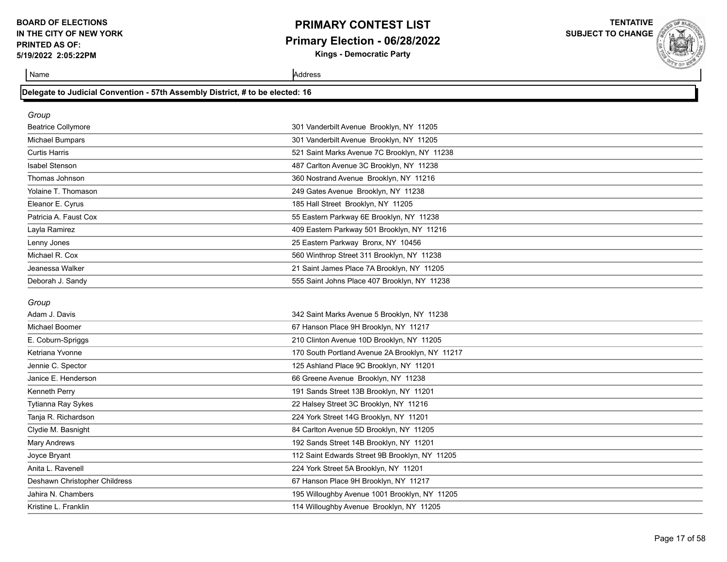## **PRIMARY CONTEST LIST Primary Election - 06/28/2022 Kings - Democratic Party**

**TENTATIVE**

**SUBJECT TO CHANGE**

Name Address and Address and Address and Address and Address and Address and Address and Address and Address and Address and Address and Address and Address and Address and Address and Address and Address and Address and A

### **Delegate to Judicial Convention - 57th Assembly District, # to be elected: 16**

| Group                     |                                              |
|---------------------------|----------------------------------------------|
| <b>Beatrice Collymore</b> | 301 Vanderbilt Avenue Brooklyn, NY 11205     |
| Michael Bumpars           | 301 Vanderbilt Avenue Brooklyn, NY 11205     |
| <b>Curtis Harris</b>      | 521 Saint Marks Avenue 7C Brooklyn, NY 11238 |
| <b>Isabel Stenson</b>     | 487 Carlton Avenue 3C Brooklyn, NY 11238     |
| Thomas Johnson            | 360 Nostrand Avenue Brooklyn, NY 11216       |
| Yolaine T. Thomason       | 249 Gates Avenue Brooklyn, NY 11238          |
| Eleanor E. Cyrus          | 185 Hall Street Brooklyn, NY 11205           |
| Patricia A. Faust Cox     | 55 Eastern Parkway 6E Brooklyn, NY 11238     |
| Layla Ramirez             | 409 Eastern Parkway 501 Brooklyn, NY 11216   |
| Lenny Jones               | 25 Eastern Parkway Bronx, NY 10456           |
| Michael R. Cox            | 560 Winthrop Street 311 Brooklyn, NY 11238   |
| Jeanessa Walker           | 21 Saint James Place 7A Brooklyn, NY 11205   |
| Deborah J. Sandy          | 555 Saint Johns Place 407 Brooklyn, NY 11238 |

#### *Group*

| Adam J. Davis                 | 342 Saint Marks Avenue 5 Brooklyn, NY 11238     |
|-------------------------------|-------------------------------------------------|
| Michael Boomer                | 67 Hanson Place 9H Brooklyn, NY 11217           |
| E. Coburn-Spriggs             | 210 Clinton Avenue 10D Brooklyn, NY 11205       |
| Ketriana Yvonne               | 170 South Portland Avenue 2A Brooklyn, NY 11217 |
| Jennie C. Spector             | 125 Ashland Place 9C Brooklyn, NY 11201         |
| Janice E. Henderson           | 66 Greene Avenue Brooklyn, NY 11238             |
| Kenneth Perry                 | 191 Sands Street 13B Brooklyn, NY 11201         |
| Tytianna Ray Sykes            | 22 Halsey Street 3C Brooklyn, NY 11216          |
| Tanja R. Richardson           | 224 York Street 14G Brooklyn, NY 11201          |
| Clydie M. Basnight            | 84 Carlton Avenue 5D Brooklyn, NY 11205         |
| Mary Andrews                  | 192 Sands Street 14B Brooklyn, NY 11201         |
| Joyce Bryant                  | 112 Saint Edwards Street 9B Brooklyn, NY 11205  |
| Anita L. Ravenell             | 224 York Street 5A Brooklyn, NY 11201           |
| Deshawn Christopher Childress | 67 Hanson Place 9H Brooklyn, NY 11217           |
| Jahira N. Chambers            | 195 Willoughby Avenue 1001 Brooklyn, NY 11205   |
| Kristine L. Franklin          | 114 Willoughby Avenue Brooklyn, NY 11205        |
|                               |                                                 |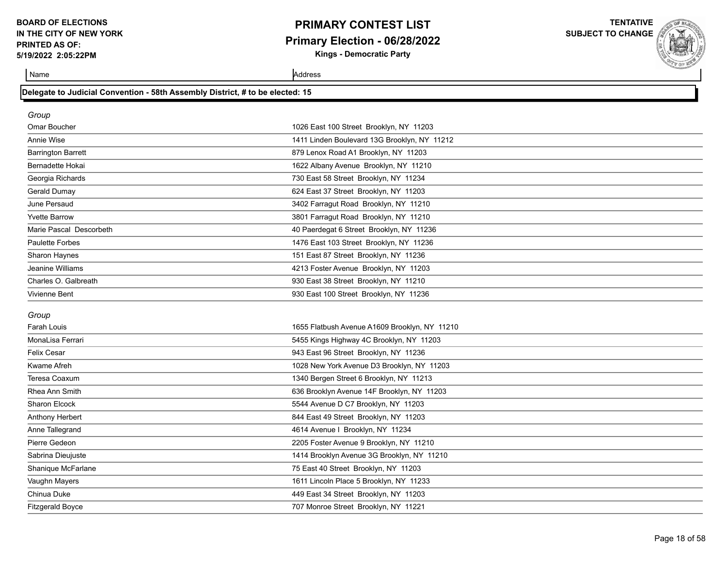### **PRIMARY CONTEST LIST Primary Election - 06/28/2022 Kings - Democratic Party**

**TENTATIVE**

**SUBJECT TO CHANGE**

Name Address and Address and Address and Address and Address and Address and Address and Address and Address and Address and Address and Address and Address and Address and Address and Address and Address and Address and A

|  | Delegate to Judicial Convention - 58th Assembly District, # to be elected: 15 |  |  |
|--|-------------------------------------------------------------------------------|--|--|
|  |                                                                               |  |  |
|  |                                                                               |  |  |

Anthony Herbert **844 East 49 Street Brooklyn, NY** 11203 Anne Tallegrand 4614 Avenue I Brooklyn, NY 11234 Pierre Gedeon 2205 Foster Avenue 9 Brooklyn, NY 11210 Sabrina Dieujuste 1414 Brooklyn Avenue 3G Brooklyn, NY 11210 Shanique McFarlane 75 East 40 Street Brooklyn, NY 11203 Vaughn Mayers 1611 Lincoln Place 5 Brooklyn, NY 11233 Chinua Duke 449 East 34 Street Brooklyn, NY 11203 Fitzgerald Boyce 707 Monroe Street Brooklyn, NY 11221

| Group                     |                                               |  |  |
|---------------------------|-----------------------------------------------|--|--|
| Omar Boucher              | 1026 East 100 Street Brooklyn, NY 11203       |  |  |
| Annie Wise                | 1411 Linden Boulevard 13G Brooklyn, NY 11212  |  |  |
| <b>Barrington Barrett</b> | 879 Lenox Road A1 Brooklyn, NY 11203          |  |  |
| Bernadette Hokai          | 1622 Albany Avenue Brooklyn, NY 11210         |  |  |
| Georgia Richards          | 730 East 58 Street Brooklyn, NY 11234         |  |  |
| Gerald Dumay              | 624 East 37 Street Brooklyn, NY 11203         |  |  |
| June Persaud              | 3402 Farragut Road Brooklyn, NY 11210         |  |  |
| <b>Yvette Barrow</b>      | 3801 Farragut Road Brooklyn, NY 11210         |  |  |
| Marie Pascal Descorbeth   | 40 Paerdegat 6 Street Brooklyn, NY 11236      |  |  |
| Paulette Forbes           | 1476 East 103 Street Brooklyn, NY 11236       |  |  |
| Sharon Haynes             | 151 East 87 Street Brooklyn, NY 11236         |  |  |
| Jeanine Williams          | 4213 Foster Avenue Brooklyn, NY 11203         |  |  |
| Charles O. Galbreath      | 930 East 38 Street Brooklyn, NY 11210         |  |  |
| Vivienne Bent             | 930 East 100 Street Brooklyn, NY 11236        |  |  |
| Group                     |                                               |  |  |
| Farah Louis               | 1655 Flatbush Avenue A1609 Brooklyn, NY 11210 |  |  |
| MonaLisa Ferrari          | 5455 Kings Highway 4C Brooklyn, NY 11203      |  |  |
| Felix Cesar               | 943 East 96 Street Brooklyn, NY 11236         |  |  |
| Kwame Afreh               | 1028 New York Avenue D3 Brooklyn, NY 11203    |  |  |
| Teresa Coaxum             | 1340 Bergen Street 6 Brooklyn, NY 11213       |  |  |
| Rhea Ann Smith            | 636 Brooklyn Avenue 14F Brooklyn, NY 11203    |  |  |
| <b>Sharon Elcock</b>      | 5544 Avenue D C7 Brooklyn, NY 11203           |  |  |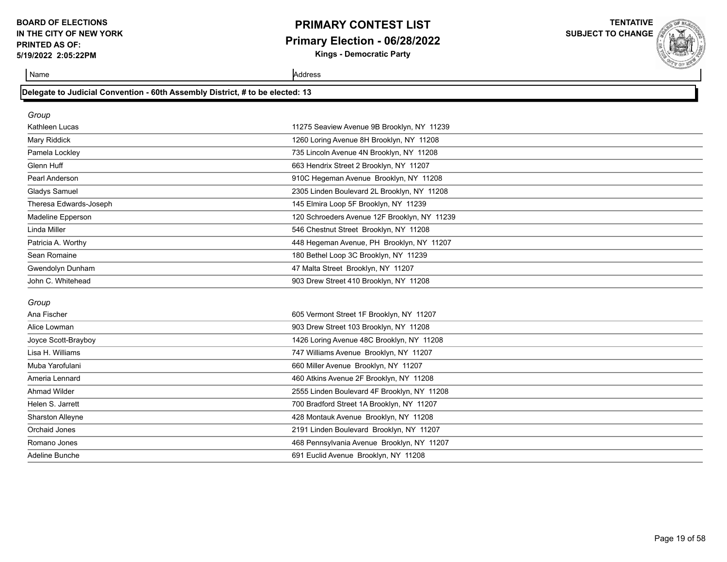# **PRIMARY CONTEST LIST Primary Election - 06/28/2022**

**Kings - Democratic Party**

**TENTATIVE SUBJECT TO CHANGE**

Name Address and Address and Address and Address and Address and Address and Address and Address and Address and Address and Address and Address and Address and Address and Address and Address and Address and Address and A

| Group                  |                                              |  |
|------------------------|----------------------------------------------|--|
| Kathleen Lucas         | 11275 Seaview Avenue 9B Brooklyn, NY 11239   |  |
| Mary Riddick           | 1260 Loring Avenue 8H Brooklyn, NY 11208     |  |
| Pamela Lockley         | 735 Lincoln Avenue 4N Brooklyn, NY 11208     |  |
| Glenn Huff             | 663 Hendrix Street 2 Brooklyn, NY 11207      |  |
| Pearl Anderson         | 910C Hegeman Avenue Brooklyn, NY 11208       |  |
| Gladys Samuel          | 2305 Linden Boulevard 2L Brooklyn, NY 11208  |  |
| Theresa Edwards-Joseph | 145 Elmira Loop 5F Brooklyn, NY 11239        |  |
| Madeline Epperson      | 120 Schroeders Avenue 12F Brooklyn, NY 11239 |  |
| Linda Miller           | 546 Chestnut Street Brooklyn, NY 11208       |  |
| Patricia A. Worthy     | 448 Hegeman Avenue, PH Brooklyn, NY 11207    |  |
| Sean Romaine           | 180 Bethel Loop 3C Brooklyn, NY 11239        |  |
| Gwendolyn Dunham       | 47 Malta Street Brooklyn, NY 11207           |  |
| John C. Whitehead      | 903 Drew Street 410 Brooklyn, NY 11208       |  |
|                        |                                              |  |

#### *Group*

| Ana Fischer             | 605 Vermont Street 1F Brooklyn, NY 11207    |  |  |
|-------------------------|---------------------------------------------|--|--|
| Alice Lowman            | 903 Drew Street 103 Brooklyn, NY 11208      |  |  |
| Joyce Scott-Brayboy     | 1426 Loring Avenue 48C Brooklyn, NY 11208   |  |  |
| Lisa H. Williams        | 747 Williams Avenue Brooklyn, NY 11207      |  |  |
| Muba Yarofulani         | 660 Miller Avenue Brooklyn, NY 11207        |  |  |
| Ameria Lennard          | 460 Atkins Avenue 2F Brooklyn, NY 11208     |  |  |
| Ahmad Wilder            | 2555 Linden Boulevard 4F Brooklyn, NY 11208 |  |  |
| Helen S. Jarrett        | 700 Bradford Street 1A Brooklyn, NY 11207   |  |  |
| <b>Sharston Alleyne</b> | 428 Montauk Avenue Brooklyn, NY 11208       |  |  |
| Orchaid Jones           | 2191 Linden Boulevard Brooklyn, NY 11207    |  |  |
| Romano Jones            | 468 Pennsylvania Avenue Brooklyn, NY 11207  |  |  |
| Adeline Bunche          | 691 Euclid Avenue Brooklyn, NY 11208        |  |  |
|                         |                                             |  |  |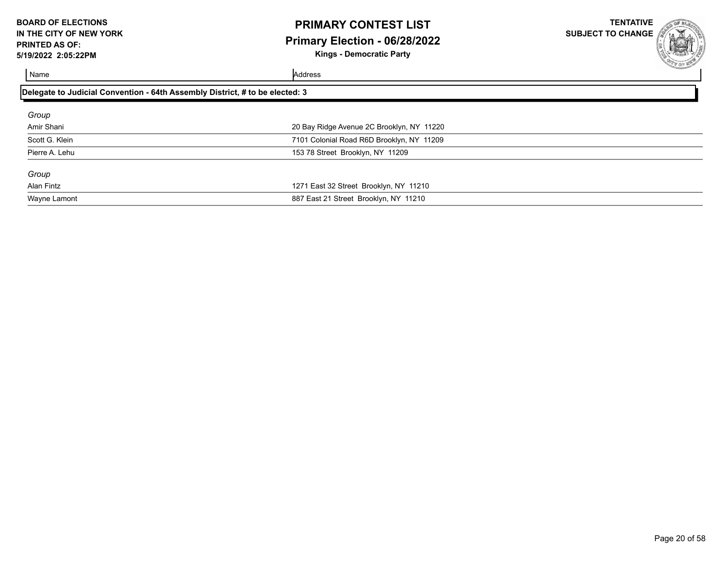# **PRIMARY CONTEST LIST Primary Election - 06/28/2022**

**TENTATIVE SUBJECT TO CHANGE**

**Kings - Democratic Party**

| г |  |
|---|--|

| Delegate to Judicial Convention - 64th Assembly District, # to be elected: 3 |  |  |
|------------------------------------------------------------------------------|--|--|
|                                                                              |  |  |
| 20 Bay Ridge Avenue 2C Brooklyn, NY 11220                                    |  |  |
| 7101 Colonial Road R6D Brooklyn, NY 11209                                    |  |  |
| 153 78 Street Brooklyn, NY 11209                                             |  |  |
|                                                                              |  |  |
| 1271 East 32 Street Brooklyn, NY 11210                                       |  |  |
| 887 East 21 Street Brooklyn, NY 11210                                        |  |  |
|                                                                              |  |  |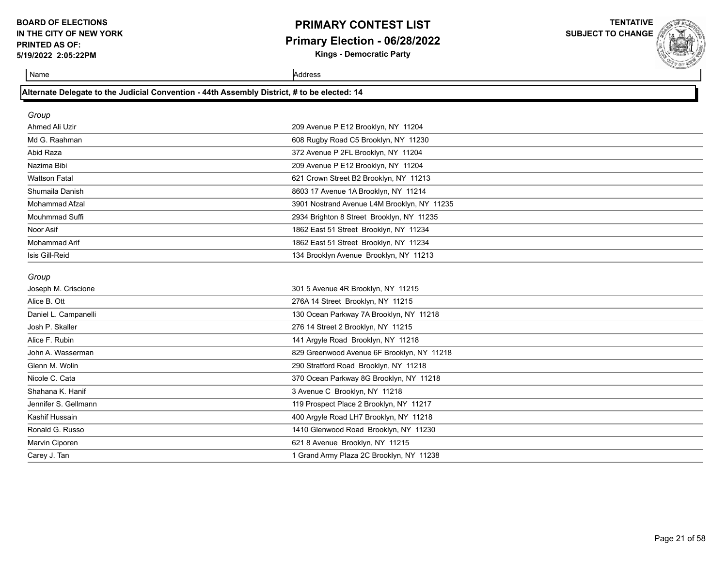## **PRIMARY CONTEST LIST Primary Election - 06/28/2022 Kings - Democratic Party**

**TENTATIVE SUBJECT TO CHANGE**

| Alternate Delegate to the Judicial Convention - 44th Assembly District, # to be elected: 14 |  |
|---------------------------------------------------------------------------------------------|--|
|                                                                                             |  |

| Group                |                                             |
|----------------------|---------------------------------------------|
| Ahmed Ali Uzir       | 209 Avenue P E12 Brooklyn, NY 11204         |
| Md G. Raahman        | 608 Rugby Road C5 Brooklyn, NY 11230        |
| Abid Raza            | 372 Avenue P 2FL Brooklyn, NY 11204         |
| Nazima Bibi          | 209 Avenue P E12 Brooklyn, NY 11204         |
| <b>Wattson Fatal</b> | 621 Crown Street B2 Brooklyn, NY 11213      |
| Shumaila Danish      | 8603 17 Avenue 1A Brooklyn, NY 11214        |
| Mohammad Afzal       | 3901 Nostrand Avenue L4M Brooklyn, NY 11235 |
| Mouhmmad Suffi       | 2934 Brighton 8 Street Brooklyn, NY 11235   |
| Noor Asif            | 1862 East 51 Street Brooklyn, NY 11234      |
| Mohammad Arif        | 1862 East 51 Street Brooklyn, NY 11234      |
| Isis Gill-Reid       | 134 Brooklyn Avenue Brooklyn, NY 11213      |
| Group                |                                             |
| Joseph M. Criscione  | 301 5 Avenue 4R Brooklyn, NY 11215          |
| Alice B. Ott         | 276A 14 Street Brooklyn, NY 11215           |
| Daniel L. Campanelli | 130 Ocean Parkway 7A Brooklyn, NY 11218     |
| Josh P. Skaller      | 276 14 Street 2 Brooklyn, NY 11215          |
| Alice F. Rubin       | 141 Argyle Road Brooklyn, NY 11218          |
| John A. Wasserman    | 829 Greenwood Avenue 6F Brooklyn, NY 11218  |
| Glenn M. Wolin       | 290 Stratford Road Brooklyn, NY 11218       |
| Nicole C. Cata       | 370 Ocean Parkway 8G Brooklyn, NY 11218     |
| Shahana K. Hanif     | 3 Avenue C Brooklyn, NY 11218               |
| Jennifer S. Gellmann | 119 Prospect Place 2 Brooklyn, NY 11217     |
| Kashif Hussain       | 400 Argyle Road LH7 Brooklyn, NY 11218      |
| Ronald G. Russo      |                                             |
|                      | 1410 Glenwood Road Brooklyn, NY 11230       |
| Marvin Ciporen       | 621 8 Avenue Brooklyn, NY 11215             |
| Carey J. Tan         | 1 Grand Army Plaza 2C Brooklyn, NY 11238    |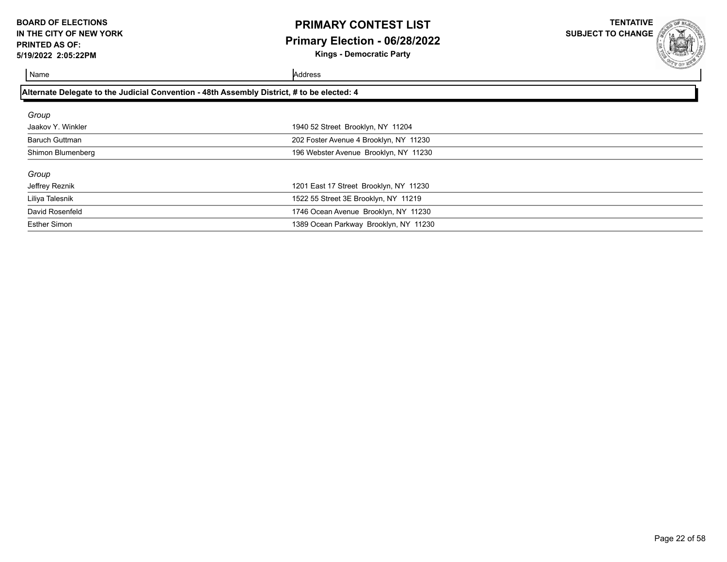# **PRIMARY CONTEST LIST Primary Election - 06/28/2022**

**Kings - Democratic Party**

**TENTATIVE SUBJECT TO CHANGE**

| Alternate Delegate to the Judicial Convention - 48th Assembly District, # to be elected: 4 |                                        |  |
|--------------------------------------------------------------------------------------------|----------------------------------------|--|
| Group                                                                                      |                                        |  |
| Jaakov Y. Winkler                                                                          | 1940 52 Street Brooklyn, NY 11204      |  |
| Baruch Guttman                                                                             | 202 Foster Avenue 4 Brooklyn, NY 11230 |  |
| Shimon Blumenberg                                                                          | 196 Webster Avenue Brooklyn, NY 11230  |  |
| Group                                                                                      |                                        |  |
| Jeffrey Reznik                                                                             | 1201 East 17 Street Brooklyn, NY 11230 |  |
| Liliya Talesnik                                                                            | 1522 55 Street 3E Brooklyn, NY 11219   |  |
| David Rosenfeld                                                                            | 1746 Ocean Avenue Brooklyn, NY 11230   |  |
| <b>Esther Simon</b>                                                                        | 1389 Ocean Parkway Brooklyn, NY 11230  |  |
|                                                                                            |                                        |  |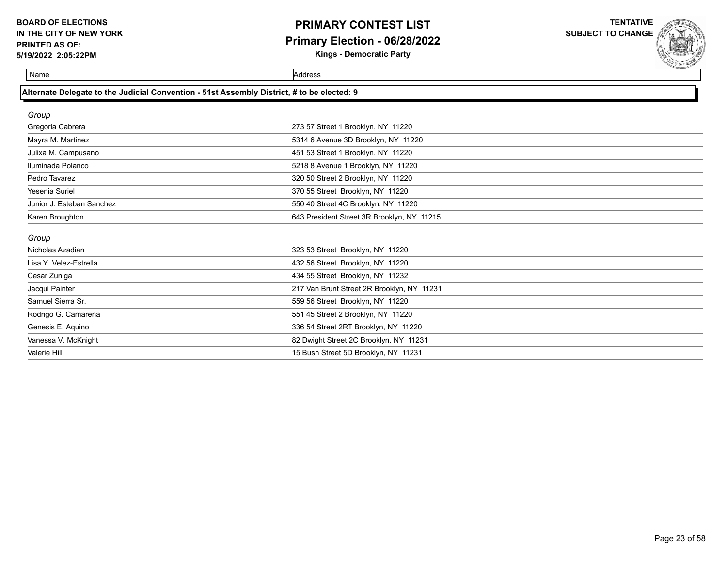## **PRIMARY CONTEST LIST Primary Election - 06/28/2022**

**Kings - Democratic Party**

**TENTATIVE SUBJECT TO CHANGE**



Name Address and Address and Address and Address and Address and Address and Address and Address and Address and Address and Address and Address and Address and Address and Address and Address and Address and Address and A

| Alternate Delegate to the Judicial Convention - 51st Assembly District, # to be elected: 9 |
|--------------------------------------------------------------------------------------------|
|--------------------------------------------------------------------------------------------|

Valerie Hill 15 Bush Street 5D Brooklyn, NY 11231

| Group                     |                                            |  |
|---------------------------|--------------------------------------------|--|
| Gregoria Cabrera          | 273 57 Street 1 Brooklyn, NY 11220         |  |
| Mayra M. Martinez         | 5314 6 Avenue 3D Brooklyn, NY 11220        |  |
| Julixa M. Campusano       | 451 53 Street 1 Brooklyn, NY 11220         |  |
| Iluminada Polanco         | 5218 8 Avenue 1 Brooklyn, NY 11220         |  |
| Pedro Tavarez             | 320 50 Street 2 Brooklyn, NY 11220         |  |
| Yesenia Suriel            | 370 55 Street Brooklyn, NY 11220           |  |
| Junior J. Esteban Sanchez | 550 40 Street 4C Brooklyn, NY 11220        |  |
| Karen Broughton           | 643 President Street 3R Brooklyn, NY 11215 |  |
| Group                     |                                            |  |
| Nicholas Azadian          | 323 53 Street Brooklyn, NY 11220           |  |
| Lisa Y. Velez-Estrella    | 432 56 Street Brooklyn, NY 11220           |  |
| Cesar Zuniga              | 434 55 Street Brooklyn, NY 11232           |  |
| Jacqui Painter            | 217 Van Brunt Street 2R Brooklyn, NY 11231 |  |
| Samuel Sierra Sr.         | 559 56 Street Brooklyn, NY 11220           |  |
| Rodrigo G. Camarena       | 551 45 Street 2 Brooklyn, NY 11220         |  |
| Genesis E. Aquino         | 336 54 Street 2RT Brooklyn, NY 11220       |  |
| Vanessa V. McKnight       | 82 Dwight Street 2C Brooklyn, NY 11231     |  |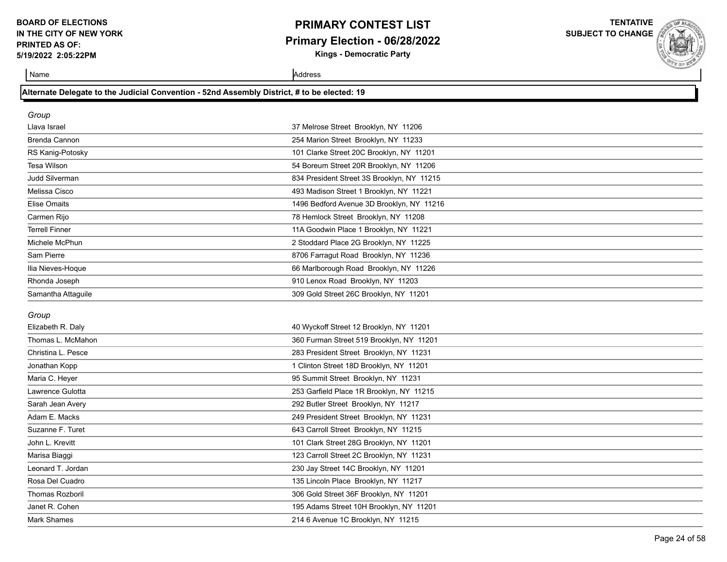# **PRIMARY CONTEST LIST Primary Election - 06/28/2022**

**Kings - Democratic Party**

**TENTATIVE SUBJECT TO CHANGE**



Name Address and Address and Address and Address and Address and Address and Address and Address and Address and Address and Address and Address and Address and Address and Address and Address and Address and Address and A

### **Alternate Delegate to the Judicial Convention - 52nd Assembly District, # to be elected: 19**

| Group                 |                                            |
|-----------------------|--------------------------------------------|
| Llava Israel          | 37 Melrose Street Brooklyn, NY 11206       |
| Brenda Cannon         | 254 Marion Street Brooklyn, NY 11233       |
| RS Kanig-Potosky      | 101 Clarke Street 20C Brooklyn, NY 11201   |
| Tesa Wilson           | 54 Boreum Street 20R Brooklyn, NY 11206    |
| Judd Silverman        | 834 President Street 3S Brooklyn, NY 11215 |
| Melissa Cisco         | 493 Madison Street 1 Brooklyn, NY 11221    |
| Elise Omaits          | 1496 Bedford Avenue 3D Brooklyn, NY 11216  |
| Carmen Rijo           | 78 Hemlock Street Brooklyn, NY 11208       |
| <b>Terrell Finner</b> | 11A Goodwin Place 1 Brooklyn, NY 11221     |
| Michele McPhun        | 2 Stoddard Place 2G Brooklyn, NY 11225     |
| Sam Pierre            | 8706 Farragut Road Brooklyn, NY 11236      |
| Ilia Nieves-Hoque     | 66 Marlborough Road Brooklyn, NY 11226     |
| Rhonda Joseph         | 910 Lenox Road Brooklyn, NY 11203          |
| Samantha Attaguile    | 309 Gold Street 26C Brooklyn, NY 11201     |
| Group                 |                                            |

| Elizabeth R. Daly  | 40 Wyckoff Street 12 Brooklyn, NY 11201  |  |
|--------------------|------------------------------------------|--|
| Thomas L. McMahon  | 360 Furman Street 519 Brooklyn, NY 11201 |  |
| Christina L. Pesce | 283 President Street Brooklyn, NY 11231  |  |
| Jonathan Kopp      | 1 Clinton Street 18D Brooklyn, NY 11201  |  |
| Maria C. Heyer     | 95 Summit Street Brooklyn, NY 11231      |  |
| Lawrence Gulotta   | 253 Garfield Place 1R Brooklyn, NY 11215 |  |
| Sarah Jean Avery   | 292 Butler Street Brooklyn, NY 11217     |  |
| Adam E. Macks      | 249 President Street Brooklyn, NY 11231  |  |
| Suzanne F. Turet   | 643 Carroll Street Brooklyn, NY 11215    |  |
| John L. Krevitt    | 101 Clark Street 28G Brooklyn, NY 11201  |  |
| Marisa Biaggi      | 123 Carroll Street 2C Brooklyn, NY 11231 |  |
| Leonard T. Jordan  | 230 Jay Street 14C Brooklyn, NY 11201    |  |
| Rosa Del Cuadro    | 135 Lincoln Place Brooklyn, NY 11217     |  |
| Thomas Rozboril    | 306 Gold Street 36F Brooklyn, NY 11201   |  |
| Janet R. Cohen     | 195 Adams Street 10H Brooklyn, NY 11201  |  |
| Mark Shames        | 214 6 Avenue 1C Brooklyn, NY 11215       |  |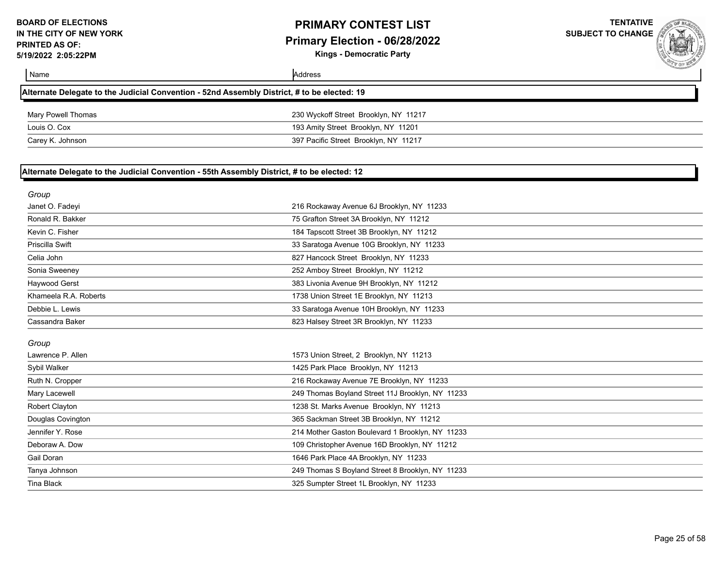**Kings - Democratic Party**

| Name                                                                                        | Address                                          | <b>COMMANDAM</b> |
|---------------------------------------------------------------------------------------------|--------------------------------------------------|------------------|
| Alternate Delegate to the Judicial Convention - 52nd Assembly District, # to be elected: 19 |                                                  |                  |
| Mary Powell Thomas                                                                          | 230 Wyckoff Street Brooklyn, NY 11217            |                  |
| Louis O. Cox                                                                                | 193 Amity Street Brooklyn, NY 11201              |                  |
| Carey K. Johnson                                                                            | 397 Pacific Street Brooklyn, NY 11217            |                  |
| Alternate Delegate to the Judicial Convention - 55th Assembly District, # to be elected: 12 |                                                  |                  |
| Group                                                                                       |                                                  |                  |
| Janet O. Fadeyi                                                                             | 216 Rockaway Avenue 6J Brooklyn, NY 11233        |                  |
| Ronald R. Bakker                                                                            | 75 Grafton Street 3A Brooklyn, NY 11212          |                  |
| Kevin C. Fisher                                                                             | 184 Tapscott Street 3B Brooklyn, NY 11212        |                  |
| Priscilla Swift                                                                             | 33 Saratoga Avenue 10G Brooklyn, NY 11233        |                  |
| Celia John                                                                                  | 827 Hancock Street Brooklyn, NY 11233            |                  |
| Sonia Sweeney                                                                               | 252 Amboy Street Brooklyn, NY 11212              |                  |
| Haywood Gerst                                                                               | 383 Livonia Avenue 9H Brooklyn, NY 11212         |                  |
| Khameela R.A. Roberts                                                                       | 1738 Union Street 1E Brooklyn, NY 11213          |                  |
| Debbie L. Lewis                                                                             | 33 Saratoga Avenue 10H Brooklyn, NY 11233        |                  |
| Cassandra Baker                                                                             | 823 Halsey Street 3R Brooklyn, NY 11233          |                  |
| Group                                                                                       |                                                  |                  |
| Lawrence P. Allen                                                                           | 1573 Union Street, 2 Brooklyn, NY 11213          |                  |
| Sybil Walker                                                                                | 1425 Park Place Brooklyn, NY 11213               |                  |
| Ruth N. Cropper                                                                             | 216 Rockaway Avenue 7E Brooklyn, NY 11233        |                  |
| Mary Lacewell                                                                               | 249 Thomas Boyland Street 11J Brooklyn, NY 11233 |                  |
| Robert Clayton                                                                              | 1238 St. Marks Avenue Brooklyn, NY 11213         |                  |
| Douglas Covington                                                                           | 365 Sackman Street 3B Brooklyn, NY 11212         |                  |
| Jennifer Y. Rose                                                                            | 214 Mother Gaston Boulevard 1 Brooklyn, NY 11233 |                  |
| Deboraw A. Dow                                                                              | 109 Christopher Avenue 16D Brooklyn, NY 11212    |                  |
| Gail Doran                                                                                  | 1646 Park Place 4A Brooklyn, NY 11233            |                  |
| Tanya Johnson                                                                               | 249 Thomas S Boyland Street 8 Brooklyn, NY 11233 |                  |
| <b>Tina Black</b>                                                                           | 325 Sumpter Street 1L Brooklyn, NY 11233         |                  |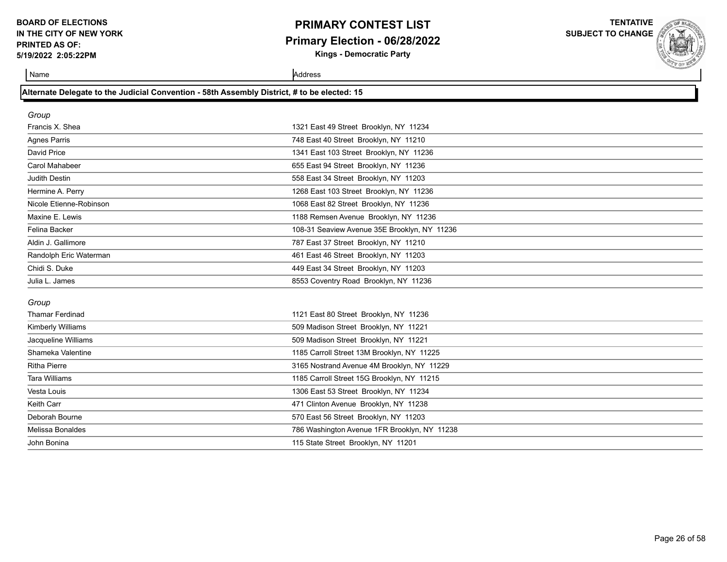# **PRIMARY CONTEST LIST Primary Election - 06/28/2022**

**Kings - Democratic Party**

**TENTATIVE SUBJECT TO CHANGE**



Name Address and Address and Address and Address and Address and Address and Address and Address and Address and Address and Address and Address and Address and Address and Address and Address and Address and Address and A

### **Alternate Delegate to the Judicial Convention - 58th Assembly District, # to be elected: 15**

| Group                   |                                              |  |
|-------------------------|----------------------------------------------|--|
| Francis X. Shea         | 1321 East 49 Street Brooklyn, NY 11234       |  |
| Agnes Parris            | 748 East 40 Street Brooklyn, NY 11210        |  |
| David Price             | 1341 East 103 Street Brooklyn, NY 11236      |  |
| Carol Mahabeer          | 655 East 94 Street Brooklyn, NY 11236        |  |
| Judith Destin           | 558 East 34 Street Brooklyn, NY 11203        |  |
| Hermine A. Perry        | 1268 East 103 Street Brooklyn, NY 11236      |  |
| Nicole Etienne-Robinson | 1068 East 82 Street Brooklyn, NY 11236       |  |
| Maxine E. Lewis         | 1188 Remsen Avenue Brooklyn, NY 11236        |  |
| Felina Backer           | 108-31 Seaview Avenue 35E Brooklyn, NY 11236 |  |
| Aldin J. Gallimore      | 787 East 37 Street Brooklyn, NY 11210        |  |
| Randolph Eric Waterman  | 461 East 46 Street Brooklyn, NY 11203        |  |
| Chidi S. Duke           | 449 East 34 Street Brooklyn, NY 11203        |  |
| Julia L. James          | 8553 Coventry Road Brooklyn, NY 11236        |  |
| Group                   |                                              |  |
| <b>Thamar Ferdinad</b>  | 1121 East 80 Street Brooklyn, NY 11236       |  |

| <b>Kimberly Williams</b> | 509 Madison Street Brooklyn, NY 11221        |
|--------------------------|----------------------------------------------|
| Jacqueline Williams      | 509 Madison Street Brooklyn, NY 11221        |
| Shameka Valentine        | 1185 Carroll Street 13M Brooklyn, NY 11225   |
| <b>Ritha Pierre</b>      | 3165 Nostrand Avenue 4M Brooklyn, NY 11229   |
| <b>Tara Williams</b>     | 1185 Carroll Street 15G Brooklyn, NY 11215   |
| Vesta Louis              | 1306 East 53 Street Brooklyn, NY 11234       |
| Keith Carr               | 471 Clinton Avenue Brooklyn, NY 11238        |
| Deborah Bourne           | 570 East 56 Street Brooklyn, NY 11203        |
| Melissa Bonaldes         | 786 Washington Avenue 1FR Brooklyn, NY 11238 |
| John Bonina              | 115 State Street Brooklyn, NY 11201          |
|                          |                                              |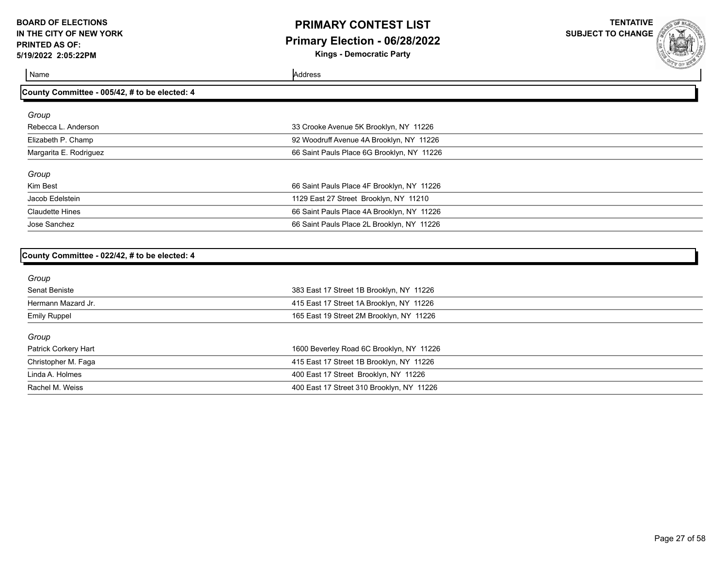# **PRIMARY CONTEST LIST Primary Election - 06/28/2022**

**Kings - Democratic Party**

**TENTATIVE SUBJECT TO CHANGE**

Name Address and Address and Address and Address and Address and Address and Address and Address and Address and Address and Address and Address and Address and Address and Address and Address and Address and Address and A

### **County Committee - 005/42, # to be elected: 4**

| Group                  |                                            |
|------------------------|--------------------------------------------|
| Rebecca L. Anderson    | 33 Crooke Avenue 5K Brooklyn, NY 11226     |
| Elizabeth P. Champ     | 92 Woodruff Avenue 4A Brooklyn, NY 11226   |
| Margarita E. Rodriguez | 66 Saint Pauls Place 6G Brooklyn, NY 11226 |
| Group                  |                                            |
| Kim Best               | 66 Saint Pauls Place 4F Brooklyn, NY 11226 |
| Jacob Edelstein        | 1129 East 27 Street Brooklyn, NY 11210     |
| <b>Claudette Hines</b> | 66 Saint Pauls Place 4A Brooklyn, NY 11226 |
| Jose Sanchez           | 66 Saint Pauls Place 2L Brooklyn, NY 11226 |

#### **County Committee - 022/42, # to be elected: 4**

| Group                |                                           |  |
|----------------------|-------------------------------------------|--|
| Senat Beniste        | 383 East 17 Street 1B Brooklyn, NY 11226  |  |
| Hermann Mazard Jr.   | 415 East 17 Street 1A Brooklyn, NY 11226  |  |
| <b>Emily Ruppel</b>  | 165 East 19 Street 2M Brooklyn, NY 11226  |  |
| Group                |                                           |  |
| Patrick Corkery Hart | 1600 Beverley Road 6C Brooklyn, NY 11226  |  |
| Christopher M. Faga  | 415 East 17 Street 1B Brooklyn, NY 11226  |  |
| Linda A. Holmes      | 400 East 17 Street Brooklyn, NY 11226     |  |
| Rachel M. Weiss      | 400 East 17 Street 310 Brooklyn, NY 11226 |  |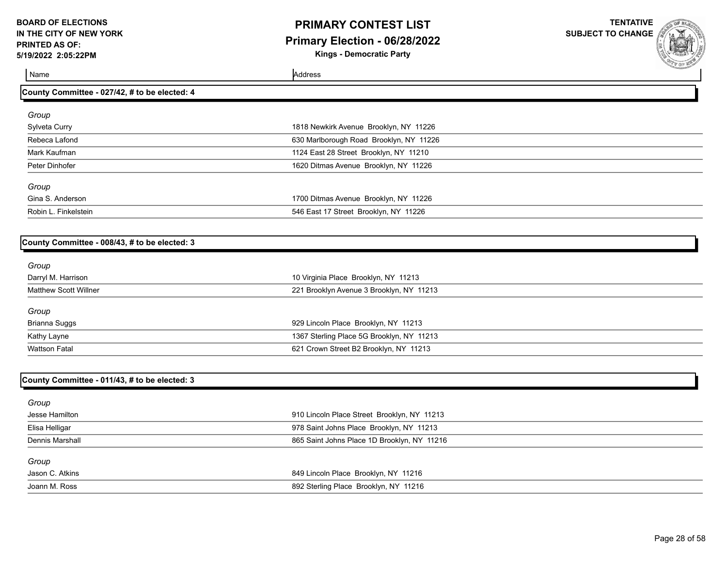# **PRIMARY CONTEST LIST Primary Election - 06/28/2022**

**Kings - Democratic Party**

**TENTATIVE SUBJECT TO CHANGE**

Name Address and Address and Address and Address and Address and Address and Address and Address and Address and Address and Address and Address and Address and Address and Address and Address and Address and Address and A

### **County Committee - 027/42, # to be elected: 4**

| Group                |                                         |  |
|----------------------|-----------------------------------------|--|
| Sylveta Curry        | 1818 Newkirk Avenue Brooklyn, NY 11226  |  |
| Rebeca Lafond        | 630 Marlborough Road Brooklyn, NY 11226 |  |
| Mark Kaufman         | 1124 East 28 Street Brooklyn, NY 11210  |  |
| Peter Dinhofer       | 1620 Ditmas Avenue Brooklyn, NY 11226   |  |
| Group                |                                         |  |
| Gina S. Anderson     | 1700 Ditmas Avenue Brooklyn, NY 11226   |  |
| Robin L. Finkelstein | 546 East 17 Street Brooklyn, NY 11226   |  |

### **County Committee - 008/43, # to be elected: 3**

| Group                        |                                           |  |
|------------------------------|-------------------------------------------|--|
| Darryl M. Harrison           | 10 Virginia Place Brooklyn, NY 11213      |  |
| <b>Matthew Scott Willner</b> | 221 Brooklyn Avenue 3 Brooklyn, NY 11213  |  |
| Group                        |                                           |  |
| <b>Brianna Suggs</b>         | 929 Lincoln Place Brooklyn, NY 11213      |  |
| Kathy Layne                  | 1367 Sterling Place 5G Brooklyn, NY 11213 |  |
| <b>Wattson Fatal</b>         | 621 Crown Street B2 Brooklyn, NY 11213    |  |
|                              |                                           |  |

### **County Committee - 011/43, # to be elected: 3**

| Group                  |                                             |
|------------------------|---------------------------------------------|
| Jesse Hamilton         | 910 Lincoln Place Street Brooklyn, NY 11213 |
| Elisa Helligar         | 978 Saint Johns Place Brooklyn, NY 11213    |
| <b>Dennis Marshall</b> | 865 Saint Johns Place 1D Brooklyn, NY 11216 |
| Group                  |                                             |
| Jason C. Atkins        | 849 Lincoln Place Brooklyn, NY 11216        |
| Joann M. Ross          | 892 Sterling Place Brooklyn, NY 11216       |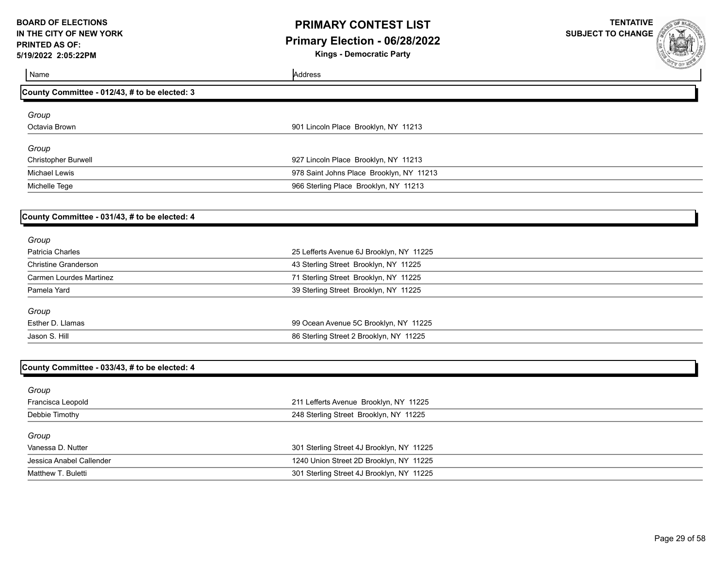### **PRIMARY CONTEST LIST Primary Election - 06/28/2022**

**Kings - Democratic Party**

| 1 <i>011</i> 021 100.101                      |                                           | <b>SAP YOF WE</b> |
|-----------------------------------------------|-------------------------------------------|-------------------|
| Name                                          | Address                                   |                   |
| County Committee - 012/43, # to be elected: 3 |                                           |                   |
| Group                                         |                                           |                   |
| Octavia Brown                                 | 901 Lincoln Place Brooklyn, NY 11213      |                   |
|                                               |                                           |                   |
| Group                                         |                                           |                   |
| Christopher Burwell                           | 927 Lincoln Place Brooklyn, NY 11213      |                   |
| <b>Michael Lewis</b>                          | 978 Saint Johns Place Brooklyn, NY 11213  |                   |
| Michelle Tege                                 | 966 Sterling Place Brooklyn, NY 11213     |                   |
| County Committee - 031/43, # to be elected: 4 |                                           |                   |
| Group                                         |                                           |                   |
| Patricia Charles                              | 25 Lefferts Avenue 6J Brooklyn, NY 11225  |                   |
| <b>Christine Granderson</b>                   | 43 Sterling Street Brooklyn, NY 11225     |                   |
| <b>Carmen Lourdes Martinez</b>                | 71 Sterling Street Brooklyn, NY 11225     |                   |
| Pamela Yard                                   | 39 Sterling Street Brooklyn, NY 11225     |                   |
| Group                                         |                                           |                   |
| Esther D. Llamas                              | 99 Ocean Avenue 5C Brooklyn, NY 11225     |                   |
| Jason S. Hill                                 | 86 Sterling Street 2 Brooklyn, NY 11225   |                   |
|                                               |                                           |                   |
| County Committee - 033/43, # to be elected: 4 |                                           |                   |
| Group                                         |                                           |                   |
| Francisca Leopold                             | 211 Lefferts Avenue Brooklyn, NY 11225    |                   |
| Debbie Timothy                                | 248 Sterling Street Brooklyn, NY 11225    |                   |
| Group                                         |                                           |                   |
| Vanessa D. Nutter                             | 301 Sterling Street 4J Brooklyn, NY 11225 |                   |
| Jessica Anabel Callender                      | 1240 Union Street 2D Brooklyn, NY 11225   |                   |
| Matthew T. Buletti                            | 301 Sterling Street 4J Brooklyn, NY 11225 |                   |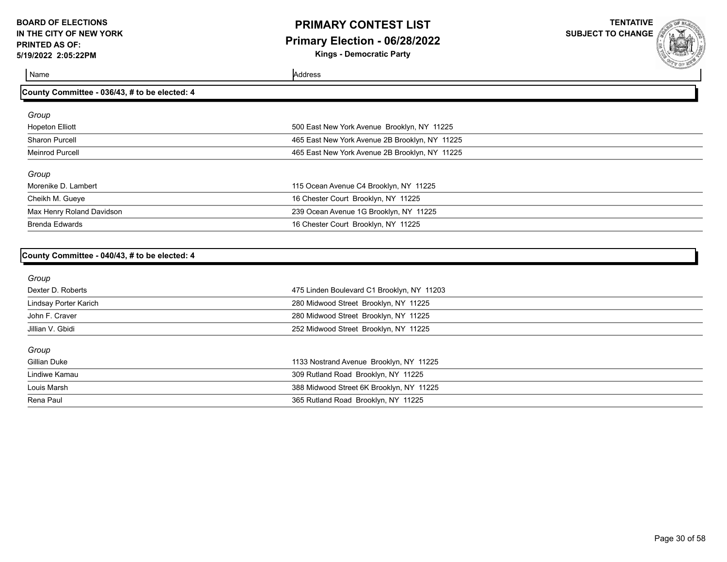## **PRIMARY CONTEST LIST Primary Election - 06/28/2022**

**Kings - Democratic Party**

**TENTATIVE SUBJECT TO CHANGE**

Name Address and Address and Address and Address and Address and Address and Address and Address and Address and Address and Address and Address and Address and Address and Address and Address and Address and Address and A

### **County Committee - 036/43, # to be elected: 4**

| Group                     |                                                |
|---------------------------|------------------------------------------------|
| <b>Hopeton Elliott</b>    | 500 East New York Avenue Brooklyn, NY 11225    |
| Sharon Purcell            | 465 East New York Avenue 2B Brooklyn, NY 11225 |
| Meinrod Purcell           | 465 East New York Avenue 2B Brooklyn, NY 11225 |
| Group                     |                                                |
| Morenike D. Lambert       | 115 Ocean Avenue C4 Brooklyn, NY 11225         |
| Cheikh M. Gueye           | 16 Chester Court Brooklyn, NY 11225            |
| Max Henry Roland Davidson | 239 Ocean Avenue 1G Brooklyn, NY 11225         |
| <b>Brenda Edwards</b>     | 16 Chester Court Brooklyn, NY 11225            |

#### **County Committee - 040/43, # to be elected: 4**

| Group                 |                                            |
|-----------------------|--------------------------------------------|
| Dexter D. Roberts     | 475 Linden Boulevard C1 Brooklyn, NY 11203 |
| Lindsay Porter Karich | 280 Midwood Street Brooklyn, NY 11225      |
| John F. Craver        | 280 Midwood Street Brooklyn, NY 11225      |
| Jillian V. Gbidi      | 252 Midwood Street Brooklyn, NY 11225      |
| Group                 |                                            |
| Gillian Duke          | 1133 Nostrand Avenue Brooklyn, NY 11225    |
| Lindiwe Kamau         | 309 Rutland Road Brooklyn, NY 11225        |
| Louis Marsh           | 388 Midwood Street 6K Brooklyn, NY 11225   |
| Rena Paul             | 365 Rutland Road Brooklyn, NY 11225        |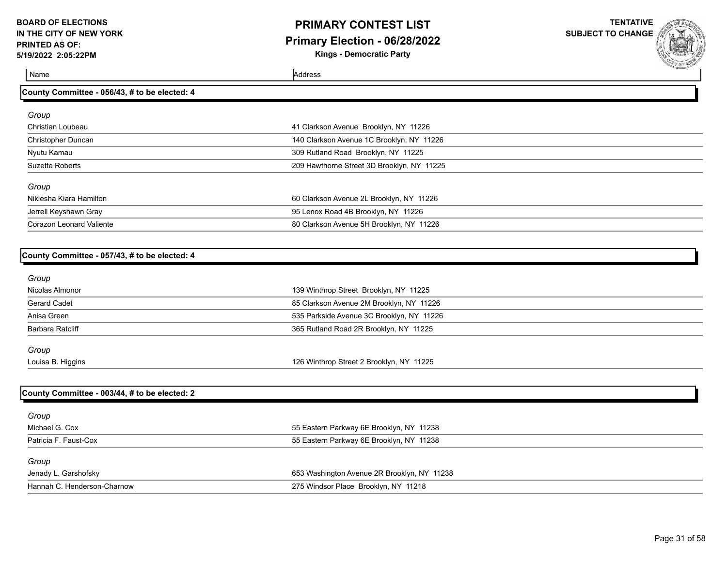# **PRIMARY CONTEST LIST Primary Election - 06/28/2022**

**Kings - Democratic Party**

**TENTATIVE SUBJECT TO CHANGE**

Name Address and Address and Address and Address and Address and Address and Address and Address and Address and Address and Address and Address and Address and Address and Address and Address and Address and Address and A

| County Committee - 056/43, # to be elected: 4 |                                            |  |
|-----------------------------------------------|--------------------------------------------|--|
| Group                                         |                                            |  |
| Christian Loubeau                             | 41 Clarkson Avenue Brooklyn, NY 11226      |  |
| <b>Christopher Duncan</b>                     | 140 Clarkson Avenue 1C Brooklyn, NY 11226  |  |
| Nyutu Kamau                                   | 309 Rutland Road Brooklyn, NY 11225        |  |
| <b>Suzette Roberts</b>                        | 209 Hawthorne Street 3D Brooklyn, NY 11225 |  |
| Group                                         |                                            |  |
| Nikiesha Kiara Hamilton                       | 60 Clarkson Avenue 2L Brooklyn, NY 11226   |  |
| Jerrell Keyshawn Gray                         | 95 Lenox Road 4B Brooklyn, NY 11226        |  |
| <b>Corazon Leonard Valiente</b>               | 80 Clarkson Avenue 5H Brooklyn, NY 11226   |  |
| County Committee - 057/43, # to be elected: 4 |                                            |  |
| Group                                         |                                            |  |
| Nicolas Almonor                               | 139 Winthrop Street Brooklyn, NY 11225     |  |
| <b>Gerard Cadet</b>                           | 85 Clarkson Avenue 2M Brooklyn, NY 11226   |  |
| Anisa Green                                   | 535 Parkside Avenue 3C Brooklyn, NY 11226  |  |
| <b>Barbara Ratcliff</b>                       | 365 Rutland Road 2R Brooklyn, NY 11225     |  |
| Group                                         |                                            |  |
| Louisa B. Higgins                             | 126 Winthrop Street 2 Brooklyn, NY 11225   |  |

### **County Committee - 003/44, # to be elected: 2**

| Group                       |                                             |
|-----------------------------|---------------------------------------------|
| Michael G. Cox              | 55 Eastern Parkway 6E Brooklyn, NY 11238    |
| Patricia F. Faust-Cox       | 55 Eastern Parkway 6E Brooklyn, NY 11238    |
| Group                       |                                             |
| Jenady L. Garshofsky        | 653 Washington Avenue 2R Brooklyn, NY 11238 |
| Hannah C. Henderson-Charnow | 275 Windsor Place Brooklyn, NY 11218        |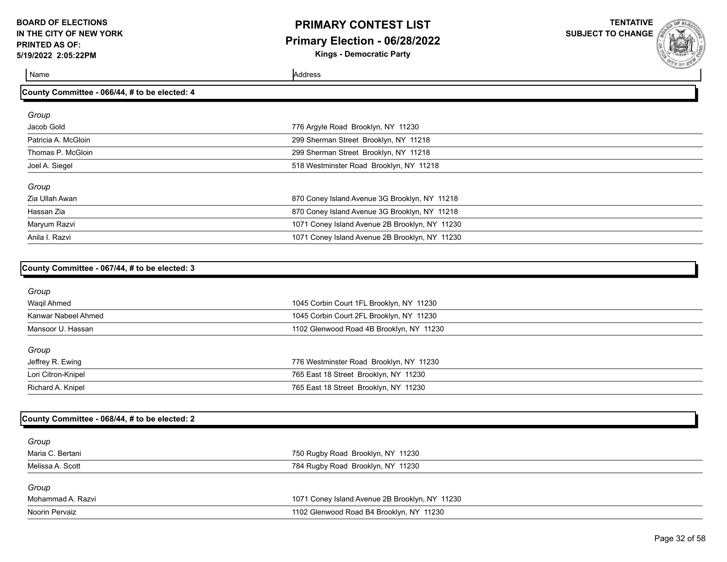### **PRIMARY CONTEST LIST Primary Election - 06/28/2022 Kings - Democratic Party**

**TENTATIVE**

**SUBJECT TO CHANGE**

Name Address and Address and Address and Address and Address and Address and Address and Address and Address and Address and Address and Address and Address and Address and Address and Address and Address and Address and A

| County Committee - 066/44, # to be elected: 4  |  |  |
|------------------------------------------------|--|--|
|                                                |  |  |
| 776 Argyle Road Brooklyn, NY 11230             |  |  |
| 299 Sherman Street Brooklyn, NY 11218          |  |  |
| 299 Sherman Street Brooklyn, NY 11218          |  |  |
| 518 Westminster Road Brooklyn, NY 11218        |  |  |
|                                                |  |  |
| 870 Coney Island Avenue 3G Brooklyn, NY 11218  |  |  |
| 870 Coney Island Avenue 3G Brooklyn, NY 11218  |  |  |
| 1071 Coney Island Avenue 2B Brooklyn, NY 11230 |  |  |
| 1071 Coney Island Avenue 2B Brooklyn, NY 11230 |  |  |
|                                                |  |  |

| County Committee - 067/44, # to be elected: 3 |                                          |  |
|-----------------------------------------------|------------------------------------------|--|
| Group                                         |                                          |  |
| Waqil Ahmed                                   | 1045 Corbin Court 1FL Brooklyn, NY 11230 |  |
| Kanwar Nabeel Ahmed                           | 1045 Corbin Court 2FL Brooklyn, NY 11230 |  |
| Mansoor U. Hassan                             | 1102 Glenwood Road 4B Brooklyn, NY 11230 |  |
| Group                                         |                                          |  |
| Jeffrey R. Ewing                              | 776 Westminster Road Brooklyn, NY 11230  |  |
| Lori Citron-Knipel                            | 765 East 18 Street Brooklyn, NY 11230    |  |
| Richard A. Knipel                             | 765 East 18 Street Brooklyn, NY 11230    |  |
|                                               |                                          |  |

### **County Committee - 068/44, # to be elected: 2**

| Group             |                                                |
|-------------------|------------------------------------------------|
| Maria C. Bertani  | 750 Rugby Road Brooklyn, NY 11230              |
| Melissa A. Scott  | 784 Rugby Road Brooklyn, NY 11230              |
| Group             |                                                |
| Mohammad A. Razvi | 1071 Coney Island Avenue 2B Brooklyn, NY 11230 |
| Noorin Pervaiz    | 1102 Glenwood Road B4 Brooklyn, NY 11230       |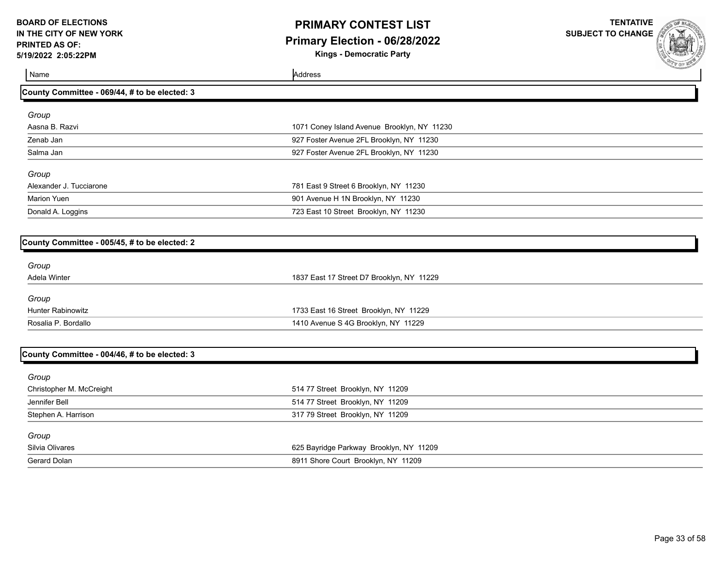# **PRIMARY CONTEST LIST Primary Election - 06/28/2022**

**Kings - Democratic Party**

**TENTATIVE SUBJECT TO CHANGE**

| Name                                          | Address                                     |  |
|-----------------------------------------------|---------------------------------------------|--|
| County Committee - 069/44, # to be elected: 3 |                                             |  |
| Group                                         |                                             |  |
| Aasna B. Razvi                                | 1071 Coney Island Avenue Brooklyn, NY 11230 |  |
| Zenab Jan                                     | 927 Foster Avenue 2FL Brooklyn, NY 11230    |  |
| Salma Jan                                     | 927 Foster Avenue 2FL Brooklyn, NY 11230    |  |
| Group                                         |                                             |  |
| Alexander J. Tucciarone                       | 781 East 9 Street 6 Brooklyn, NY 11230      |  |
| <b>Marion Yuen</b>                            | 901 Avenue H 1N Brooklyn, NY 11230          |  |
| Donald A. Loggins                             | 723 East 10 Street Brooklyn, NY 11230       |  |
|                                               |                                             |  |
| County Committee - 005/45, # to be elected: 2 |                                             |  |
| Group                                         |                                             |  |
| Adela Winter                                  | 1837 East 17 Street D7 Brooklyn, NY 11229   |  |
| Group                                         |                                             |  |
| <b>Hunter Rabinowitz</b>                      | 1733 East 16 Street Brooklyn, NY 11229      |  |
| Rosalia P. Bordallo                           | 1410 Avenue S 4G Brooklyn, NY 11229         |  |
|                                               |                                             |  |
| County Committee - 004/46, # to be elected: 3 |                                             |  |

| $\frac{1}{2}$            |                                         |  |
|--------------------------|-----------------------------------------|--|
| Group                    |                                         |  |
| Christopher M. McCreight | 514 77 Street Brooklyn, NY 11209        |  |
| Jennifer Bell            | 514 77 Street Brooklyn, NY 11209        |  |
| Stephen A. Harrison      | 317 79 Street Brooklyn, NY 11209        |  |
| Group                    |                                         |  |
| Silvia Olivares          | 625 Bayridge Parkway Brooklyn, NY 11209 |  |
| Gerard Dolan             | 8911 Shore Court Brooklyn, NY 11209     |  |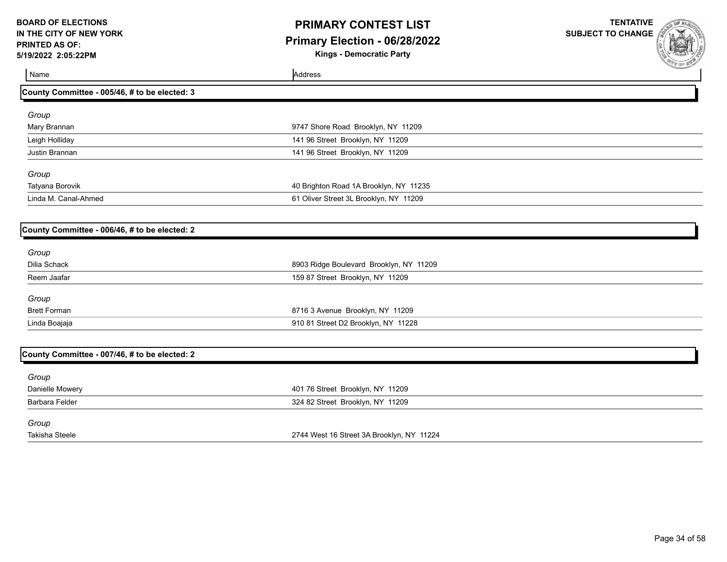# **PRIMARY CONTEST LIST Primary Election - 06/28/2022**

**Kings - Democratic Party**

**TENTATIVE SUBJECT TO CHANGE**



Name Address and Address and Address and Address and Address and Address and Address and Address and Address and Address and Address and Address and Address and Address and Address and Address and Address and Address and A

| Group                |                                        |  |
|----------------------|----------------------------------------|--|
| Mary Brannan         | 9747 Shore Road Brooklyn, NY 11209     |  |
| Leigh Holliday       | 141 96 Street Brooklyn, NY 11209       |  |
| Justin Brannan       | 141 96 Street Brooklyn, NY 11209       |  |
| Group                |                                        |  |
| Tatyana Borovik      | 40 Brighton Road 1A Brooklyn, NY 11235 |  |
| Linda M. Canal-Ahmed | 61 Oliver Street 3L Brooklyn, NY 11209 |  |
|                      |                                        |  |

#### **County Committee - 006/46, # to be elected: 2**

**County Committee - 005/46, # to be elected: 3**

| Group               |                                         |  |
|---------------------|-----------------------------------------|--|
| Dilia Schack        | 8903 Ridge Boulevard Brooklyn, NY 11209 |  |
| Reem Jaafar         | 159 87 Street Brooklyn, NY 11209        |  |
| Group               |                                         |  |
| <b>Brett Forman</b> | 8716 3 Avenue Brooklyn, NY 11209        |  |
| Linda Boajaja       | 910 81 Street D2 Brooklyn, NY 11228     |  |

### **County Committee - 007/46, # to be elected: 2**

| Group           |                                           |
|-----------------|-------------------------------------------|
| Danielle Mowery | 401 76 Street Brooklyn, NY 11209          |
| Barbara Felder  | 324 82 Street Brooklyn, NY 11209          |
| Group           |                                           |
| Takisha Steele  | 2744 West 16 Street 3A Brooklyn, NY 11224 |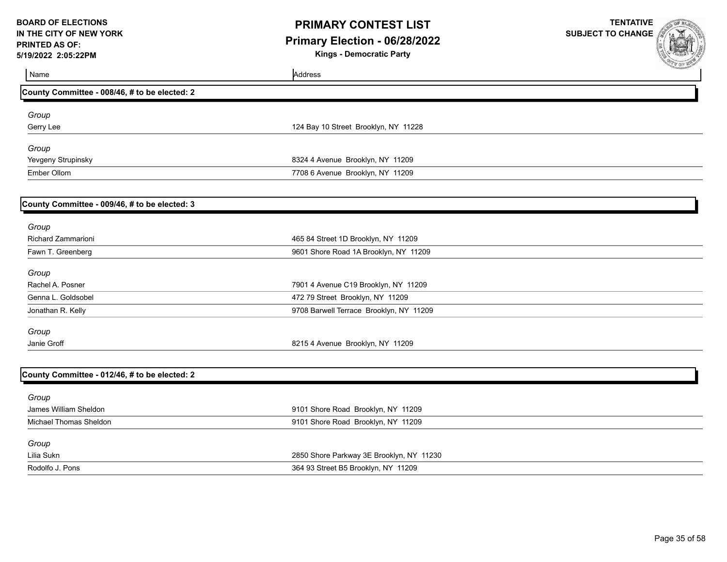### **PRIMARY CONTEST LIST Primary Election - 06/28/2022**

**Kings - Democratic Party**



| <b><i>COMMENTARY</i></b><br>Address      |
|------------------------------------------|
|                                          |
|                                          |
| 124 Bay 10 Street Brooklyn, NY 11228     |
|                                          |
| 8324 4 Avenue Brooklyn, NY 11209         |
| 7708 6 Avenue Brooklyn, NY 11209         |
|                                          |
|                                          |
| 465 84 Street 1D Brooklyn, NY 11209      |
| 9601 Shore Road 1A Brooklyn, NY 11209    |
|                                          |
| 7901 4 Avenue C19 Brooklyn, NY 11209     |
| 472 79 Street Brooklyn, NY 11209         |
| 9708 Barwell Terrace Brooklyn, NY 11209  |
|                                          |
| 8215 4 Avenue Brooklyn, NY 11209         |
|                                          |
|                                          |
| 9101 Shore Road Brooklyn, NY 11209       |
| 9101 Shore Road Brooklyn, NY 11209       |
|                                          |
| 2850 Shore Parkway 3E Brooklyn, NY 11230 |
| 364 93 Street B5 Brooklyn, NY 11209      |
|                                          |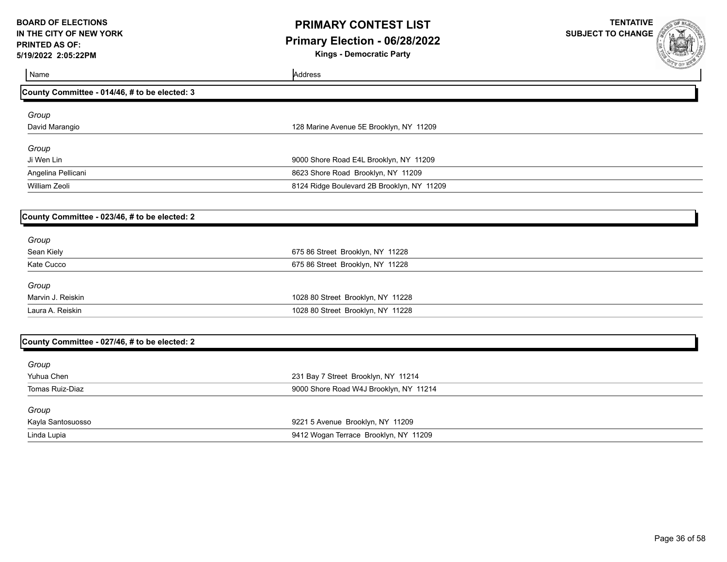# **PRIMARY CONTEST LIST Primary Election - 06/28/2022**

**Kings - Democratic Party**

| Name                                          | <b>COLE BOOK OF THE OWNER</b><br>Address   |
|-----------------------------------------------|--------------------------------------------|
| County Committee - 014/46, # to be elected: 3 |                                            |
| Group                                         |                                            |
| David Marangio                                | 128 Marine Avenue 5E Brooklyn, NY 11209    |
| Group                                         |                                            |
| Ji Wen Lin                                    | 9000 Shore Road E4L Brooklyn, NY 11209     |
| Angelina Pellicani                            | 8623 Shore Road Brooklyn, NY 11209         |
| William Zeoli                                 | 8124 Ridge Boulevard 2B Brooklyn, NY 11209 |
|                                               |                                            |
| County Committee - 023/46, # to be elected: 2 |                                            |
| Group                                         |                                            |
| Sean Kiely                                    | 675 86 Street Brooklyn, NY 11228           |
| Kate Cucco                                    | 675 86 Street Brooklyn, NY 11228           |
| Group                                         |                                            |
| Marvin J. Reiskin                             | 1028 80 Street Brooklyn, NY 11228          |
| Laura A. Reiskin                              | 1028 80 Street Brooklyn, NY 11228          |
|                                               |                                            |
| County Committee - 027/46, # to be elected: 2 |                                            |
| Group                                         |                                            |
| Yuhua Chen                                    | 231 Bay 7 Street Brooklyn, NY 11214        |
| Tomas Ruiz-Diaz                               | 9000 Shore Road W4J Brooklyn, NY 11214     |
| Group                                         |                                            |
| Kayla Santosuosso                             | 9221 5 Avenue Brooklyn, NY 11209           |
| Linda Lupia                                   | 9412 Wogan Terrace Brooklyn, NY 11209      |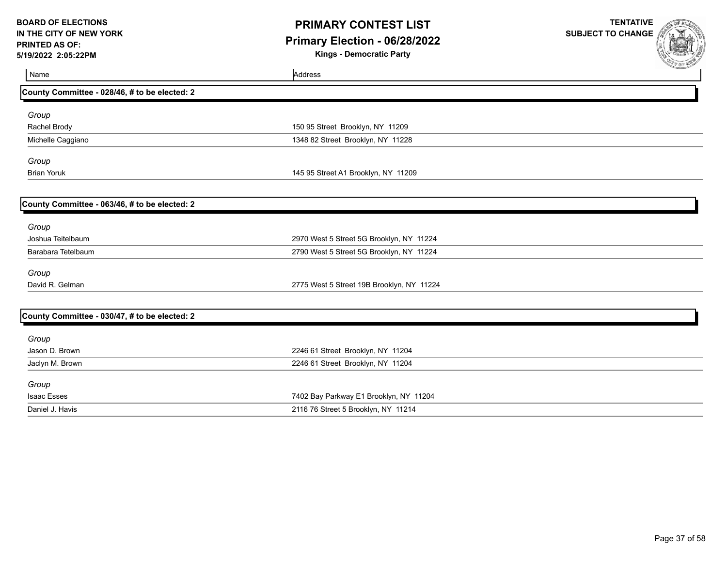## **PRIMARY CONTEST LIST Primary Election - 06/28/2022**

**Kings - Democratic Party**

| Name                                          | Address                                   | <b>A MA OF MARIN</b> |
|-----------------------------------------------|-------------------------------------------|----------------------|
| County Committee - 028/46, # to be elected: 2 |                                           |                      |
| Group                                         |                                           |                      |
| Rachel Brody                                  | 150 95 Street Brooklyn, NY 11209          |                      |
| Michelle Caggiano                             | 1348 82 Street Brooklyn, NY 11228         |                      |
| Group                                         |                                           |                      |
| <b>Brian Yoruk</b>                            | 145 95 Street A1 Brooklyn, NY 11209       |                      |
|                                               |                                           |                      |
| County Committee - 063/46, # to be elected: 2 |                                           |                      |
| Group                                         |                                           |                      |
| Joshua Teitelbaum                             | 2970 West 5 Street 5G Brooklyn, NY 11224  |                      |
| Barabara Tetelbaum                            | 2790 West 5 Street 5G Brooklyn, NY 11224  |                      |
| Group                                         |                                           |                      |
| David R. Gelman                               | 2775 West 5 Street 19B Brooklyn, NY 11224 |                      |
|                                               |                                           |                      |
| County Committee - 030/47, # to be elected: 2 |                                           |                      |
| Group                                         |                                           |                      |
| Jason D. Brown                                | 2246 61 Street Brooklyn, NY 11204         |                      |
| Jaclyn M. Brown                               | 2246 61 Street Brooklyn, NY 11204         |                      |
| Group                                         |                                           |                      |
| <b>Isaac Esses</b>                            | 7402 Bay Parkway E1 Brooklyn, NY 11204    |                      |
| Daniel J. Havis                               | 2116 76 Street 5 Brooklyn, NY 11214       |                      |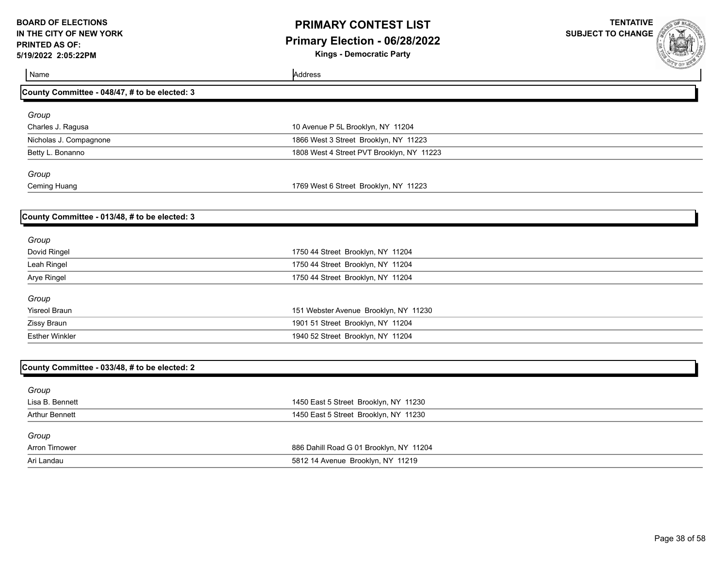# **PRIMARY CONTEST LIST Primary Election - 06/28/2022**

**Kings - Democratic Party**

**TENTATIVE SUBJECT TO CHANGE**



Name Address Address Address Address Address Address Address Address Address Address Address Address Address A **County Committee - 048/47, # to be elected: 3** *Group* Charles J. Ragusa 10 Avenue P 5L Brooklyn, NY 11204 Nicholas J. Compagnone 1866 West 3 Street Brooklyn, NY 11223 Betty L. Bonanno 1808 West 4 Street PVT Brooklyn, NY 11223 *Group* Ceming Huang 1769 West 6 Street Brooklyn, NY 11223 **County Committee - 013/48, # to be elected: 3** *Group* Dovid Ringel 1750 44 Street Brooklyn, NY 11204 Leah Ringel 1750 44 Street Brooklyn, NY 11204 Arye Ringel 1750 44 Street Brooklyn, NY 11204 *Group* Yisreol Braun 151 Webster Avenue Brooklyn, NY 11230 Zissy Braun 1901 51 Street Brooklyn, NY 11204 Esther Winkler 1940 52 Street Brooklyn, NY 11204 **County Committee - 033/48, # to be elected: 2** *Group* Lisa B. Bennett 1450 East 5 Street Brooklyn, NY 11230 Arthur Bennett **1450** East 5 Street Brooklyn, NY 11230 *Group* Arron Tirnower 886 Dahill Road G 01 Brooklyn, NY 11204 Ari Landau 5812 14 Avenue Brooklyn, NY 11219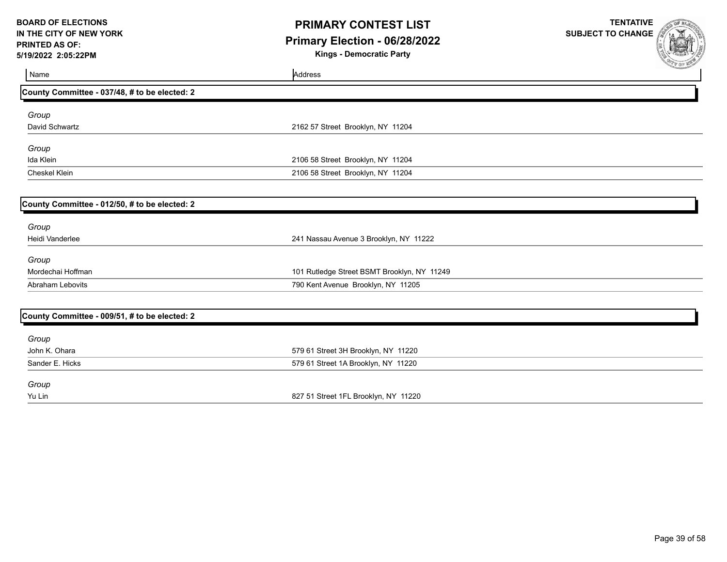### **PRIMARY CONTEST LIST Primary Election - 06/28/2022**

**Kings - Democratic Party**

| Name                                          | Address                                     | <b>COLE MARTIN</b> |
|-----------------------------------------------|---------------------------------------------|--------------------|
| County Committee - 037/48, # to be elected: 2 |                                             |                    |
| Group                                         |                                             |                    |
| David Schwartz                                | 2162 57 Street Brooklyn, NY 11204           |                    |
| Group                                         |                                             |                    |
| Ida Klein                                     | 2106 58 Street Brooklyn, NY 11204           |                    |
| Cheskel Klein                                 | 2106 58 Street Brooklyn, NY 11204           |                    |
|                                               |                                             |                    |
| County Committee - 012/50, # to be elected: 2 |                                             |                    |
| Group                                         |                                             |                    |
| Heidi Vanderlee                               | 241 Nassau Avenue 3 Brooklyn, NY 11222      |                    |
| Group                                         |                                             |                    |
| Mordechai Hoffman                             | 101 Rutledge Street BSMT Brooklyn, NY 11249 |                    |
| <b>Abraham Lebovits</b>                       | 790 Kent Avenue Brooklyn, NY 11205          |                    |
|                                               |                                             |                    |
| County Committee - 009/51, # to be elected: 2 |                                             |                    |
| Group                                         |                                             |                    |
| John K. Ohara                                 | 579 61 Street 3H Brooklyn, NY 11220         |                    |
| Sander E. Hicks                               | 579 61 Street 1A Brooklyn, NY 11220         |                    |
| Group                                         |                                             |                    |
| Yu Lin                                        | 827 51 Street 1FL Brooklyn, NY 11220        |                    |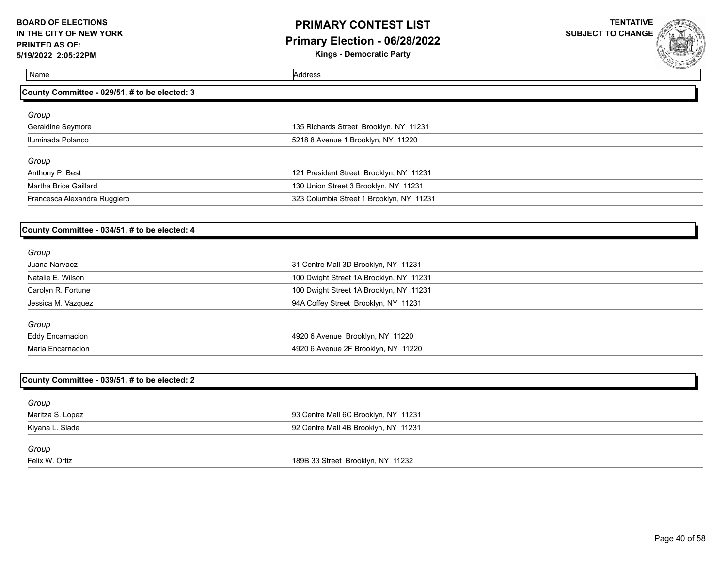# **PRIMARY CONTEST LIST Primary Election - 06/28/2022**

**Kings - Democratic Party**

**TENTATIVE SUBJECT TO CHANGE**



Name Address and Address and Address and Address and Address and Address and Address and Address and Address and Address and Address and Address and Address and Address and Address and Address and Address and Address and A

| County Committee - 029/51, # to be elected: 3 |                                          |  |
|-----------------------------------------------|------------------------------------------|--|
| Group                                         |                                          |  |
| Geraldine Seymore                             | 135 Richards Street Brooklyn, NY 11231   |  |
| Iluminada Polanco                             | 5218 8 Avenue 1 Brooklyn, NY 11220       |  |
| Group                                         |                                          |  |
| Anthony P. Best                               | 121 President Street Brooklyn, NY 11231  |  |
| Martha Brice Gaillard                         | 130 Union Street 3 Brooklyn, NY 11231    |  |
| Francesca Alexandra Ruggiero                  | 323 Columbia Street 1 Brooklyn, NY 11231 |  |

#### **County Committee - 034/51, # to be elected: 4**

| 31 Centre Mall 3D Brooklyn, NY 11231    |
|-----------------------------------------|
| 100 Dwight Street 1A Brooklyn, NY 11231 |
| 100 Dwight Street 1A Brooklyn, NY 11231 |
| 94A Coffey Street Brooklyn, NY 11231    |
|                                         |
| 4920 6 Avenue Brooklyn, NY 11220        |
| 4920 6 Avenue 2F Brooklyn, NY 11220     |
|                                         |

| County Committee - 039/51, # to be elected: 2 |                                      |  |
|-----------------------------------------------|--------------------------------------|--|
| Group                                         |                                      |  |
| Maritza S. Lopez                              | 93 Centre Mall 6C Brooklyn, NY 11231 |  |
| Kiyana L. Slade                               | 92 Centre Mall 4B Brooklyn, NY 11231 |  |
| Group                                         |                                      |  |
| Felix W. Ortiz                                | 189B 33 Street Brooklyn, NY 11232    |  |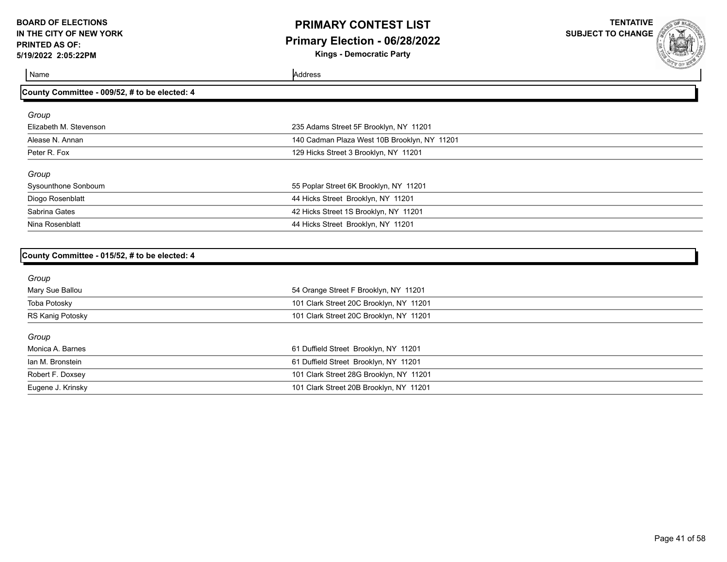## **PRIMARY CONTEST LIST Primary Election - 06/28/2022**

**Kings - Democratic Party**

**TENTATIVE SUBJECT TO CHANGE**

Name Address and Address and Address and Address and Address and Address and Address and Address and Address and Address and Address and Address and Address and Address and Address and Address and Address and Address and A

| County Committee - 009/52, # to be elected: 4 |                                              |  |
|-----------------------------------------------|----------------------------------------------|--|
| Group                                         |                                              |  |
| Elizabeth M. Stevenson                        | 235 Adams Street 5F Brooklyn, NY 11201       |  |
| Alease N. Annan                               | 140 Cadman Plaza West 10B Brooklyn, NY 11201 |  |
| Peter R. Fox                                  | 129 Hicks Street 3 Brooklyn, NY 11201        |  |
| Group                                         |                                              |  |
| Sysounthone Sonboum                           | 55 Poplar Street 6K Brooklyn, NY 11201       |  |
| Diogo Rosenblatt                              | 44 Hicks Street Brooklyn, NY 11201           |  |
| Sabrina Gates                                 | 42 Hicks Street 1S Brooklyn, NY 11201        |  |
| Nina Rosenblatt                               | 44 Hicks Street Brooklyn, NY 11201           |  |
|                                               |                                              |  |

| County Committee - 015/52, # to be elected: 4 |  |  |  |
|-----------------------------------------------|--|--|--|
|                                               |  |  |  |

| 54 Orange Street F Brooklyn, NY 11201   |
|-----------------------------------------|
| 101 Clark Street 20C Brooklyn, NY 11201 |
| 101 Clark Street 20C Brooklyn, NY 11201 |
|                                         |
| 61 Duffield Street Brooklyn, NY 11201   |
| 61 Duffield Street Brooklyn, NY 11201   |
| 101 Clark Street 28G Brooklyn, NY 11201 |
| 101 Clark Street 20B Brooklyn, NY 11201 |
|                                         |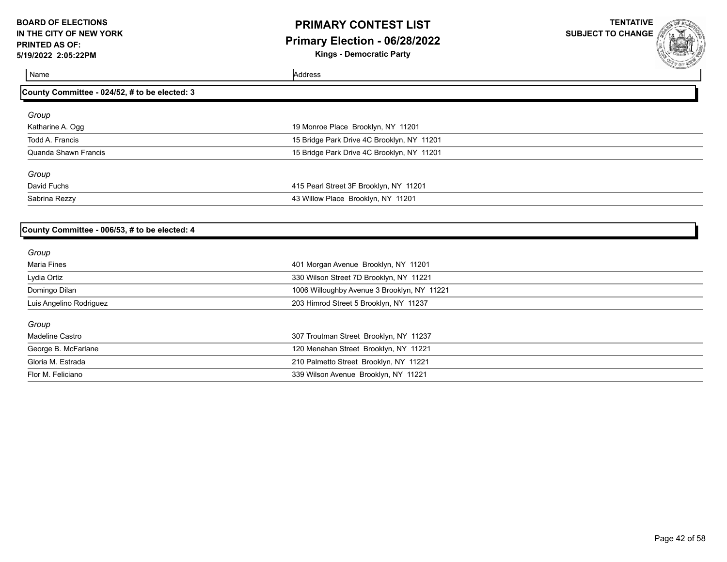# **PRIMARY CONTEST LIST Primary Election - 06/28/2022**

**Kings - Democratic Party**

**TENTATIVE SUBJECT TO CHANGE**



Name Address and Address and Address and Address and Address and Address and Address and Address and Address and Address and Address and Address and Address and Address and Address and Address and Address and Address and A

**County Committee - 024/52, # to be elected: 3**

| Group                |                                            |  |
|----------------------|--------------------------------------------|--|
| Katharine A. Ogg     | 19 Monroe Place Brooklyn, NY 11201         |  |
| Todd A. Francis      | 15 Bridge Park Drive 4C Brooklyn, NY 11201 |  |
| Quanda Shawn Francis | 15 Bridge Park Drive 4C Brooklyn, NY 11201 |  |
| Group                |                                            |  |
| David Fuchs          | 415 Pearl Street 3F Brooklyn, NY 11201     |  |
| Sabrina Rezzy        | 43 Willow Place Brooklyn, NY 11201         |  |

#### **County Committee - 006/53, # to be elected: 4**

| Group                   |                                             |
|-------------------------|---------------------------------------------|
| Maria Fines             | 401 Morgan Avenue Brooklyn, NY 11201        |
| Lydia Ortiz             | 330 Wilson Street 7D Brooklyn, NY 11221     |
| Domingo Dilan           | 1006 Willoughby Avenue 3 Brooklyn, NY 11221 |
| Luis Angelino Rodriguez | 203 Himrod Street 5 Brooklyn, NY 11237      |
| Group                   |                                             |
| Madeline Castro         | 307 Troutman Street Brooklyn, NY 11237      |
| George B. McFarlane     | 120 Menahan Street Brooklyn, NY 11221       |
| Gloria M. Estrada       | 210 Palmetto Street Brooklyn, NY 11221      |
| Flor M. Feliciano       | 339 Wilson Avenue Brooklyn, NY 11221        |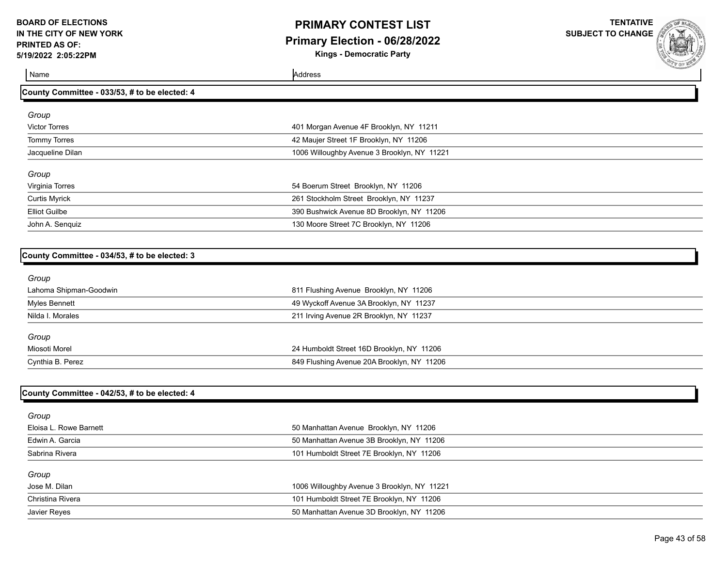## **PRIMARY CONTEST LIST Primary Election - 06/28/2022**

**Kings - Democratic Party**

**TENTATIVE SUBJECT TO CHANGE**



**County Committee - 033/53, # to be elected: 4**

Name Address and Address and Address and Address and Address and Address and Address and Address and Address and Address and Address and Address and Address and Address and Address and Address and Address and Address and A

| Group                |                                             |  |
|----------------------|---------------------------------------------|--|
| <b>Victor Torres</b> | 401 Morgan Avenue 4F Brooklyn, NY 11211     |  |
| <b>Tommy Torres</b>  | 42 Maujer Street 1F Brooklyn, NY 11206      |  |
| Jacqueline Dilan     | 1006 Willoughby Avenue 3 Brooklyn, NY 11221 |  |
| Group                |                                             |  |
| Virginia Torres      | 54 Boerum Street Brooklyn, NY 11206         |  |
| <b>Curtis Myrick</b> | 261 Stockholm Street Brooklyn, NY 11237     |  |
| <b>Elliot Guilbe</b> | 390 Bushwick Avenue 8D Brooklyn, NY 11206   |  |
| John A. Senquiz      | 130 Moore Street 7C Brooklyn, NY 11206      |  |
|                      |                                             |  |

#### **County Committee - 034/53, # to be elected: 3**

| Group                  |                                            |  |
|------------------------|--------------------------------------------|--|
| Lahoma Shipman-Goodwin | 811 Flushing Avenue Brooklyn, NY 11206     |  |
| Myles Bennett          | 49 Wyckoff Avenue 3A Brooklyn, NY 11237    |  |
| Nilda I. Morales       | 211 Irving Avenue 2R Brooklyn, NY 11237    |  |
| Group                  |                                            |  |
| Miosoti Morel          | 24 Humboldt Street 16D Brooklyn, NY 11206  |  |
| Cynthia B. Perez       | 849 Flushing Avenue 20A Brooklyn, NY 11206 |  |

### **County Committee - 042/53, # to be elected: 4**

| Group                  |                                             |
|------------------------|---------------------------------------------|
| Eloisa L. Rowe Barnett | 50 Manhattan Avenue Brooklyn, NY 11206      |
| Edwin A. Garcia        | 50 Manhattan Avenue 3B Brooklyn, NY 11206   |
| Sabrina Rivera         | 101 Humboldt Street 7E Brooklyn, NY 11206   |
| Group                  |                                             |
| Jose M. Dilan          | 1006 Willoughby Avenue 3 Brooklyn, NY 11221 |
| Christina Rivera       | 101 Humboldt Street 7E Brooklyn, NY 11206   |
| Javier Reyes           | 50 Manhattan Avenue 3D Brooklyn, NY 11206   |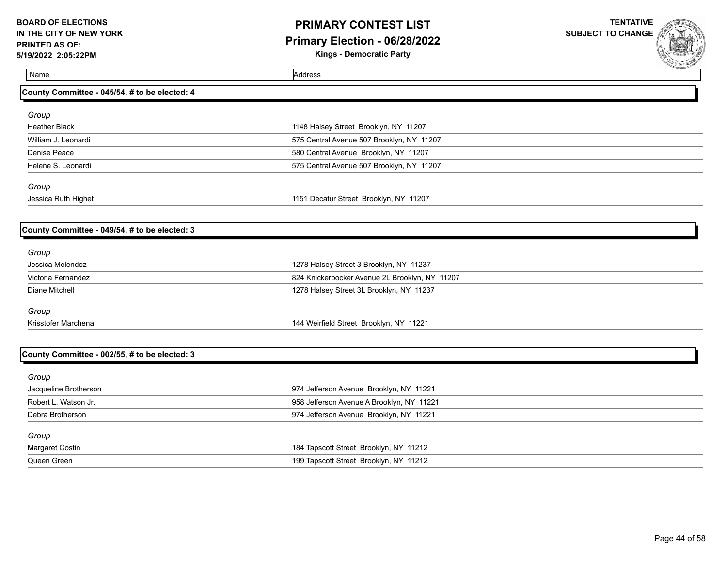# **PRIMARY CONTEST LIST Primary Election - 06/28/2022**

**Kings - Democratic Party**

**TENTATIVE SUBJECT TO CHANGE**



Name Address and Address and Address and Address and Address and Address and Address and Address and Address and Address and Address and Address and Address and Address and Address and Address and Address and Address and A

| County Committee - 045/54, # to be elected: 4 |                                                |  |
|-----------------------------------------------|------------------------------------------------|--|
| Group                                         |                                                |  |
| <b>Heather Black</b>                          | 1148 Halsey Street Brooklyn, NY 11207          |  |
| William J. Leonardi                           | 575 Central Avenue 507 Brooklyn, NY 11207      |  |
| Denise Peace                                  | 580 Central Avenue Brooklyn, NY 11207          |  |
| Helene S. Leonardi                            | 575 Central Avenue 507 Brooklyn, NY 11207      |  |
| Group                                         |                                                |  |
| Jessica Ruth Highet                           | 1151 Decatur Street Brooklyn, NY 11207         |  |
|                                               |                                                |  |
| County Committee - 049/54, # to be elected: 3 |                                                |  |
| Group                                         |                                                |  |
| Jessica Melendez                              | 1278 Halsey Street 3 Brooklyn, NY 11237        |  |
| Victoria Fernandez                            | 824 Knickerbocker Avenue 2L Brooklyn, NY 11207 |  |
| <b>Diane Mitchell</b>                         | 1278 Halsey Street 3L Brooklyn, NY 11237       |  |
| Group                                         |                                                |  |
| Krisstofer Marchena                           | 144 Weirfield Street Brooklyn, NY 11221        |  |
|                                               |                                                |  |
| County Committee - 002/55, # to be elected: 3 |                                                |  |
| Group                                         |                                                |  |
| Jacqueline Brotherson                         | 974 Jefferson Avenue Brooklyn, NY 11221        |  |
| Robert L. Watson Jr.                          | 958 Jefferson Avenue A Brooklyn, NY 11221      |  |
| Debra Brotherson                              | 974 Jefferson Avenue Brooklyn, NY 11221        |  |
| Group                                         |                                                |  |
| Margaret Costin                               | 184 Tapscott Street Brooklyn, NY 11212         |  |
| Queen Green                                   | 199 Tapscott Street Brooklyn, NY 11212         |  |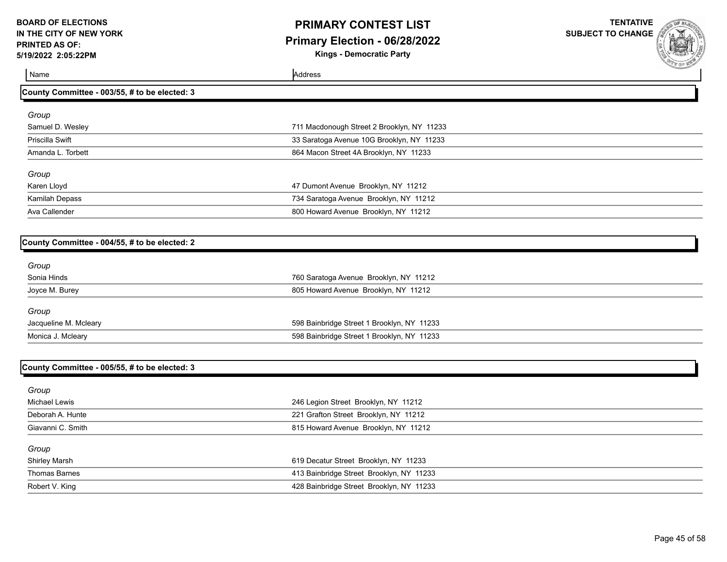# **PRIMARY CONTEST LIST Primary Election - 06/28/2022**

**Kings - Democratic Party**

**TENTATIVE SUBJECT TO CHANGE**

Name Address and Address and Address and Address and Address and Address and Address and Address and Address and Address and Address and Address and Address and Address and Address and Address and Address and Address and A

#### **County Committee - 003/55, # to be elected: 3**

| Group             |                                            |  |
|-------------------|--------------------------------------------|--|
| Samuel D. Wesley  | 711 Macdonough Street 2 Brooklyn, NY 11233 |  |
| Priscilla Swift   | 33 Saratoga Avenue 10G Brooklyn, NY 11233  |  |
| Amanda L. Torbett | 864 Macon Street 4A Brooklyn, NY 11233     |  |
|                   |                                            |  |
| Group             |                                            |  |
| Karen Lloyd       | 47 Dumont Avenue Brooklyn, NY 11212        |  |
| Kamilah Depass    | 734 Saratoga Avenue Brooklyn, NY 11212     |  |
| Ava Callender     | 800 Howard Avenue Brooklyn, NY 11212       |  |
|                   |                                            |  |

### **County Committee - 004/55, # to be elected: 2**

| Group                 |                                            |
|-----------------------|--------------------------------------------|
| Sonia Hinds           | 760 Saratoga Avenue Brooklyn, NY 11212     |
| Joyce M. Burey        | 805 Howard Avenue Brooklyn, NY 11212       |
| Group                 |                                            |
| Jacqueline M. Mcleary | 598 Bainbridge Street 1 Brooklyn, NY 11233 |
| Monica J. Mcleary     | 598 Bainbridge Street 1 Brooklyn, NY 11233 |

### **County Committee - 005/55, # to be elected: 3**

| Group                |                                          |  |
|----------------------|------------------------------------------|--|
| Michael Lewis        | 246 Legion Street Brooklyn, NY 11212     |  |
| Deborah A. Hunte     | 221 Grafton Street Brooklyn, NY 11212    |  |
| Giavanni C. Smith    | 815 Howard Avenue Brooklyn, NY 11212     |  |
| Group                |                                          |  |
| <b>Shirley Marsh</b> | 619 Decatur Street Brooklyn, NY 11233    |  |
| Thomas Barnes        | 413 Bainbridge Street Brooklyn, NY 11233 |  |
| Robert V. King       | 428 Bainbridge Street Brooklyn, NY 11233 |  |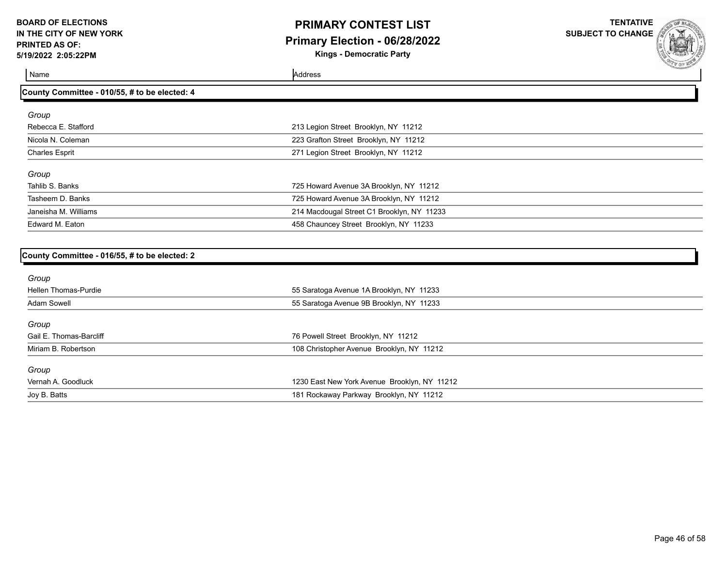# **PRIMARY CONTEST LIST Primary Election - 06/28/2022**

**Kings - Democratic Party**

**TENTATIVE SUBJECT TO CHANGE**

Name Address and Address and Address and Address and Address and Address and Address and Address and Address and Address and Address and Address and Address and Address and Address and Address and Address and Address and A

| County Committee - 010/55, # to be elected: 4 |                                            |  |
|-----------------------------------------------|--------------------------------------------|--|
| Group                                         |                                            |  |
| Rebecca E. Stafford                           | 213 Legion Street Brooklyn, NY 11212       |  |
| Nicola N. Coleman                             | 223 Grafton Street Brooklyn, NY 11212      |  |
| <b>Charles Esprit</b>                         | 271 Legion Street Brooklyn, NY 11212       |  |
| Group                                         |                                            |  |
| Tahlib S. Banks                               | 725 Howard Avenue 3A Brooklyn, NY 11212    |  |
| Tasheem D. Banks                              | 725 Howard Avenue 3A Brooklyn, NY 11212    |  |
| Janeisha M. Williams                          | 214 Macdougal Street C1 Brooklyn, NY 11233 |  |
| Edward M. Eaton                               | 458 Chauncey Street Brooklyn, NY 11233     |  |

#### **County Committee - 016/55, # to be elected: 2**

| Group                   |                                              |
|-------------------------|----------------------------------------------|
| Hellen Thomas-Purdie    | 55 Saratoga Avenue 1A Brooklyn, NY 11233     |
| <b>Adam Sowell</b>      | 55 Saratoga Avenue 9B Brooklyn, NY 11233     |
| Group                   |                                              |
| Gail E. Thomas-Barcliff | 76 Powell Street Brooklyn, NY 11212          |
| Miriam B. Robertson     | 108 Christopher Avenue Brooklyn, NY 11212    |
| Group                   |                                              |
| Vernah A. Goodluck      | 1230 East New York Avenue Brooklyn, NY 11212 |
| Joy B. Batts            | 181 Rockaway Parkway Brooklyn, NY 11212      |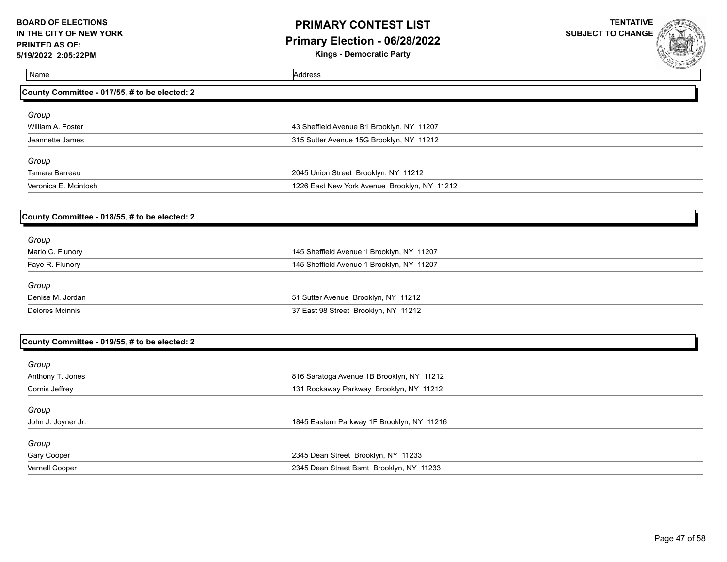# **PRIMARY CONTEST LIST Primary Election - 06/28/2022**

**Kings - Democratic Party**

| Name                                          | Address                                      | <b>SALE OF WELL</b> |
|-----------------------------------------------|----------------------------------------------|---------------------|
| County Committee - 017/55, # to be elected: 2 |                                              |                     |
| Group                                         |                                              |                     |
| William A. Foster                             | 43 Sheffield Avenue B1 Brooklyn, NY 11207    |                     |
| Jeannette James                               | 315 Sutter Avenue 15G Brooklyn, NY 11212     |                     |
| Group                                         |                                              |                     |
| Tamara Barreau                                | 2045 Union Street Brooklyn, NY 11212         |                     |
| Veronica E. Mcintosh                          | 1226 East New York Avenue Brooklyn, NY 11212 |                     |
| County Committee - 018/55, # to be elected: 2 |                                              |                     |
| Group                                         |                                              |                     |
| Mario C. Flunory                              | 145 Sheffield Avenue 1 Brooklyn, NY 11207    |                     |
| Faye R. Flunory                               | 145 Sheffield Avenue 1 Brooklyn, NY 11207    |                     |
| Group                                         |                                              |                     |
| Denise M. Jordan                              | 51 Sutter Avenue Brooklyn, NY 11212          |                     |
| <b>Delores Mcinnis</b>                        | 37 East 98 Street Brooklyn, NY 11212         |                     |
| County Committee - 019/55, # to be elected: 2 |                                              |                     |
|                                               |                                              |                     |
| Group                                         |                                              |                     |
| Anthony T. Jones                              | 816 Saratoga Avenue 1B Brooklyn, NY 11212    |                     |
| Cornis Jeffrey                                | 131 Rockaway Parkway Brooklyn, NY 11212      |                     |
| Group                                         |                                              |                     |
| John J. Joyner Jr.                            | 1845 Eastern Parkway 1F Brooklyn, NY 11216   |                     |
| Group                                         |                                              |                     |
| Gary Cooper                                   | 2345 Dean Street Brooklyn, NY 11233          |                     |
| Vernell Cooper                                | 2345 Dean Street Bsmt Brooklyn, NY 11233     |                     |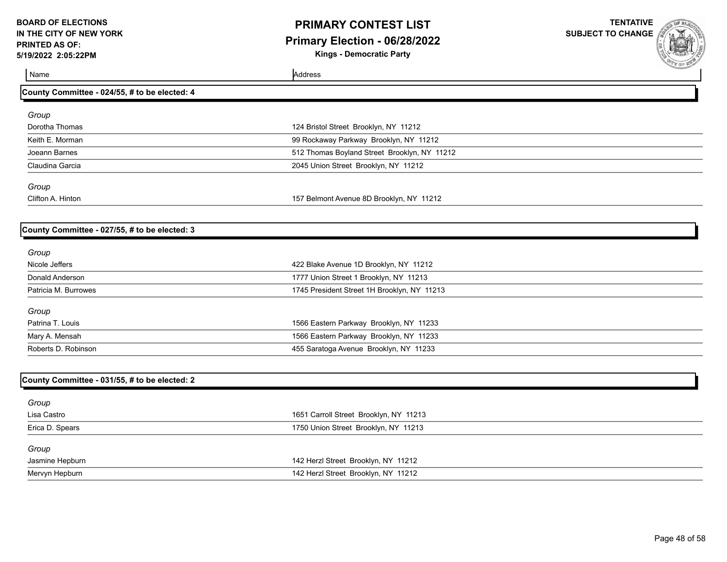# **PRIMARY CONTEST LIST Primary Election - 06/28/2022**

**Kings - Democratic Party**

**TENTATIVE SUBJECT TO CHANGE**

Name Address and Address and Address and Address and Address and Address and Address and Address and Address and Address and Address and Address and Address and Address and Address and Address and Address and Address and A

#### **County Committee - 024/55, # to be elected: 4**

| Group             |                                              |  |
|-------------------|----------------------------------------------|--|
| Dorotha Thomas    | 124 Bristol Street Brooklyn, NY 11212        |  |
| Keith E. Morman   | 99 Rockaway Parkway Brooklyn, NY 11212       |  |
| Joeann Barnes     | 512 Thomas Boyland Street Brooklyn, NY 11212 |  |
| Claudina Garcia   | 2045 Union Street Brooklyn, NY 11212         |  |
| Group             |                                              |  |
| Clifton A. Hinton | 157 Belmont Avenue 8D Brooklyn, NY 11212     |  |

#### **County Committee - 027/55, # to be elected: 3**

| Group                |                                             |
|----------------------|---------------------------------------------|
| Nicole Jeffers       | 422 Blake Avenue 1D Brooklyn, NY 11212      |
| Donald Anderson      | 1777 Union Street 1 Brooklyn, NY 11213      |
| Patricia M. Burrowes | 1745 President Street 1H Brooklyn, NY 11213 |
| Group                |                                             |
| Patrina T. Louis     | 1566 Eastern Parkway Brooklyn, NY 11233     |
| Mary A. Mensah       | 1566 Eastern Parkway Brooklyn, NY 11233     |
| Roberts D. Robinson  | 455 Saratoga Avenue Brooklyn, NY 11233      |

| County Committee - 031/55, # to be elected: 2 |                                        |
|-----------------------------------------------|----------------------------------------|
| Group                                         |                                        |
| Lisa Castro                                   | 1651 Carroll Street Brooklyn, NY 11213 |
| Erica D. Spears                               | 1750 Union Street Brooklyn, NY 11213   |
| Group                                         |                                        |
| Jasmine Hepburn                               | 142 Herzl Street Brooklyn, NY 11212    |
| Mervyn Hepburn                                | 142 Herzl Street Brooklyn, NY 11212    |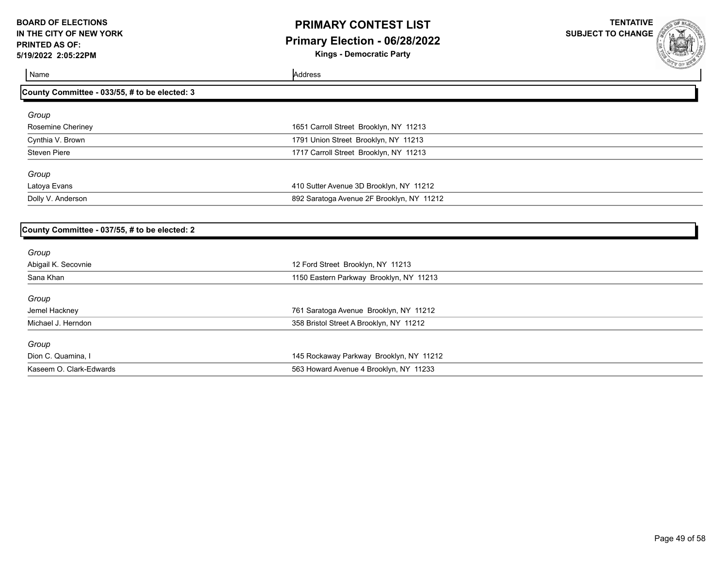# **PRIMARY CONTEST LIST Primary Election - 06/28/2022**

**Kings - Democratic Party**

**TENTATIVE SUBJECT TO CHANGE**



**County Committee - 033/55, # to be elected: 3** *Group* Rosemine Cheriney **1651 Carroll Street Brooklyn, NY 11213** Cynthia V. Brown 1791 Union Street Brooklyn, NY 11213 Steven Piere 1717 Carroll Street Brooklyn, NY 11213 *Group* Latoya Evans 410 Sutter Avenue 3D Brooklyn, NY 11212 Dolly V. Anderson 892 Saratoga Avenue 2F Brooklyn, NY 11212

### **County Committee - 037/55, # to be elected: 2**

Name Address and Address and Address and Address and Address and Address and Address and Address and Address and Address and Address and Address and Address and Address and Address and Address and Address and Address and A

| Group                   |                                         |  |
|-------------------------|-----------------------------------------|--|
| Abigail K. Secovnie     | 12 Ford Street Brooklyn, NY 11213       |  |
| Sana Khan               | 1150 Eastern Parkway Brooklyn, NY 11213 |  |
| Group                   |                                         |  |
| Jemel Hackney           | 761 Saratoga Avenue Brooklyn, NY 11212  |  |
| Michael J. Herndon      | 358 Bristol Street A Brooklyn, NY 11212 |  |
| Group                   |                                         |  |
| Dion C. Quamina, I      | 145 Rockaway Parkway Brooklyn, NY 11212 |  |
| Kaseem O. Clark-Edwards | 563 Howard Avenue 4 Brooklyn, NY 11233  |  |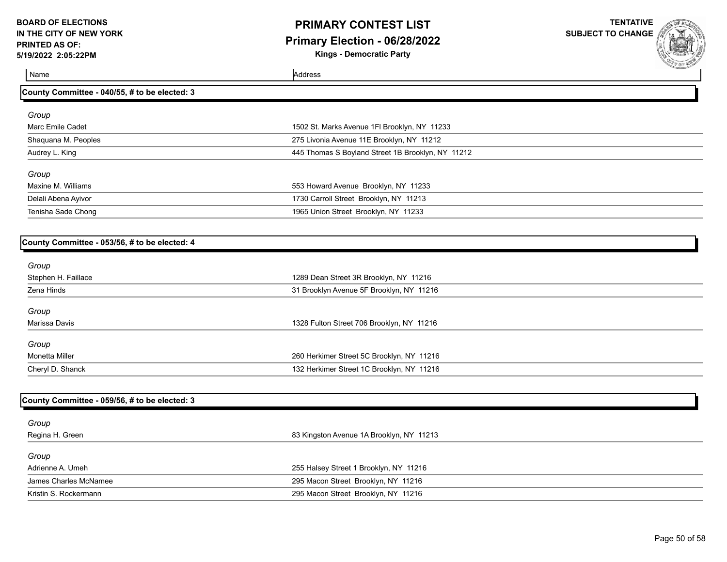# **PRIMARY CONTEST LIST Primary Election - 06/28/2022**

**Kings - Democratic Party**

**TENTATIVE SUBJECT TO CHANGE**

**County Committee - 040/55, # to be elected: 3**

Name Address and Address and Address and Address and Address and Address and Address and Address and Address and Address and Address and Address and Address and Address and Address and Address and Address and Address and A

| Group               |                                                   |  |
|---------------------|---------------------------------------------------|--|
| Marc Emile Cadet    | 1502 St. Marks Avenue 1FI Brooklyn, NY 11233      |  |
| Shaquana M. Peoples | 275 Livonia Avenue 11E Brooklyn, NY 11212         |  |
| Audrey L. King      | 445 Thomas S Boyland Street 1B Brooklyn, NY 11212 |  |
| Group               |                                                   |  |
| Maxine M. Williams  | 553 Howard Avenue Brooklyn, NY 11233              |  |
| Delali Abena Ayivor | 1730 Carroll Street Brooklyn, NY 11213            |  |
| Tenisha Sade Chong  | 1965 Union Street Brooklyn, NY 11233              |  |

### **County Committee - 053/56, # to be elected: 4**

| Group               |                                           |  |
|---------------------|-------------------------------------------|--|
| Stephen H. Faillace | 1289 Dean Street 3R Brooklyn, NY 11216    |  |
| Zena Hinds          | 31 Brooklyn Avenue 5F Brooklyn, NY 11216  |  |
| Group               |                                           |  |
| Marissa Davis       | 1328 Fulton Street 706 Brooklyn, NY 11216 |  |
| Group               |                                           |  |
| Monetta Miller      | 260 Herkimer Street 5C Brooklyn, NY 11216 |  |
| Cheryl D. Shanck    | 132 Herkimer Street 1C Brooklyn, NY 11216 |  |

| County Committee - 059/56, # to be elected: 3 |                                          |  |
|-----------------------------------------------|------------------------------------------|--|
| Group                                         |                                          |  |
| Regina H. Green                               | 83 Kingston Avenue 1A Brooklyn, NY 11213 |  |
| Group                                         |                                          |  |
| Adrienne A. Umeh                              | 255 Halsey Street 1 Brooklyn, NY 11216   |  |
| James Charles McNamee                         | 295 Macon Street Brooklyn, NY 11216      |  |
| Kristin S. Rockermann                         | 295 Macon Street Brooklyn, NY 11216      |  |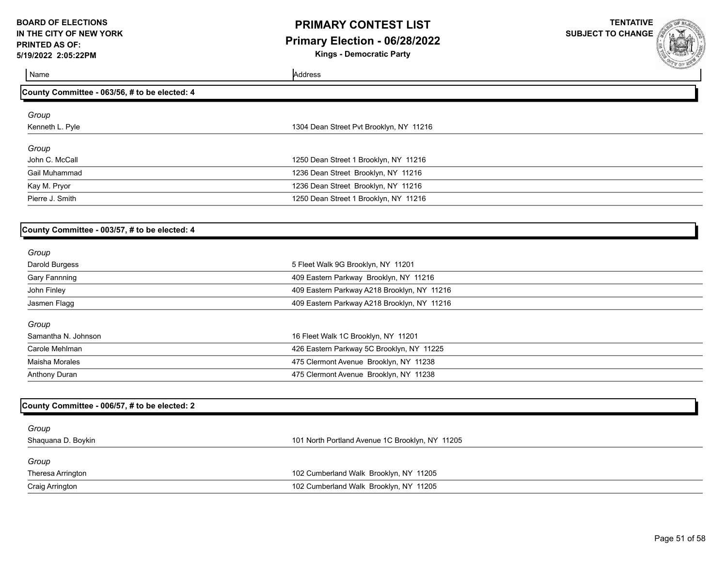### **PRIMARY CONTEST LIST Primary Election - 06/28/2022**

**Kings - Democratic Party**

**TENTATIVE SUBJECT TO CHANGE**



**County Committee - 063/56, # to be elected: 4** *Group* Kenneth L. Pyle 1304 Dean Street Pvt Brooklyn, NY 11216 *Group* John C. McCall 1250 Dean Street 1 Brooklyn, NY 11216 Gail Muhammad 1236 Dean Street Brooklyn, NY 11216 Kay M. Pryor **Matter Controllers and Street Brooklyn, NY 11216** Case Number 2008 2014 2016 2021 2022 2023 2024 20 Pierre J. Smith 1250 Dean Street 1 Brooklyn, NY 11216

### **County Committee - 003/57, # to be elected: 4**

Name Address and Address and Address and Address and Address and Address and Address and Address and Address and Address and Address and Address and Address and Address and Address and Address and Address and Address and A

| Group                |                                             |
|----------------------|---------------------------------------------|
| Darold Burgess       | 5 Fleet Walk 9G Brooklyn, NY 11201          |
| <b>Gary Fannning</b> | 409 Eastern Parkway Brooklyn, NY 11216      |
| John Finley          | 409 Eastern Parkway A218 Brooklyn, NY 11216 |
| Jasmen Flagg         | 409 Eastern Parkway A218 Brooklyn, NY 11216 |
| Group                |                                             |
| Samantha N. Johnson  | 16 Fleet Walk 1C Brooklyn, NY 11201         |
| Carole Mehlman       | 426 Eastern Parkway 5C Brooklyn, NY 11225   |
| Maisha Morales       | 475 Clermont Avenue Brooklyn, NY 11238      |
| Anthony Duran        | 475 Clermont Avenue Brooklyn, NY 11238      |

| County Committee - 006/57, # to be elected: 2 |                                                 |
|-----------------------------------------------|-------------------------------------------------|
| Group                                         |                                                 |
| Shaquana D. Boykin                            | 101 North Portland Avenue 1C Brooklyn, NY 11205 |
| Group                                         |                                                 |
| Theresa Arrington                             | 102 Cumberland Walk Brooklyn, NY 11205          |
| Craig Arrington                               | 102 Cumberland Walk Brooklyn, NY 11205          |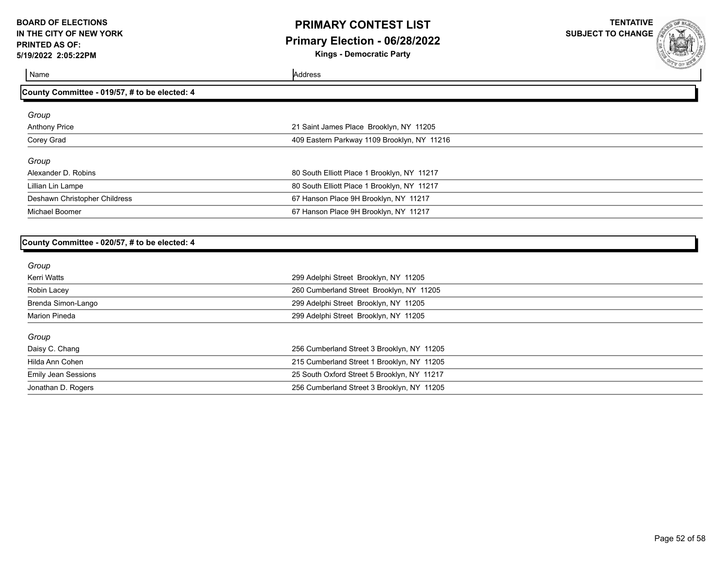### **PRIMARY CONTEST LIST Primary Election - 06/28/2022**

**Kings - Democratic Party**

**TENTATIVE SUBJECT TO CHANGE**



Name Address and Address and Address and Address and Address and Address and Address and Address and Address and Address and Address and Address and Address and Address and Address and Address and Address and Address and A

### **County Committee - 019/57, # to be elected: 4**

| Group                         |                                             |
|-------------------------------|---------------------------------------------|
|                               |                                             |
| <b>Anthony Price</b>          | 21 Saint James Place Brooklyn, NY 11205     |
| Corey Grad                    | 409 Eastern Parkway 1109 Brooklyn, NY 11216 |
| Group                         |                                             |
| Alexander D. Robins           | 80 South Elliott Place 1 Brooklyn, NY 11217 |
| Lillian Lin Lampe             | 80 South Elliott Place 1 Brooklyn, NY 11217 |
| Deshawn Christopher Childress | 67 Hanson Place 9H Brooklyn, NY 11217       |
| Michael Boomer                | 67 Hanson Place 9H Brooklyn, NY 11217       |

### **County Committee - 020/57, # to be elected: 4**

| Group                |                                             |  |
|----------------------|---------------------------------------------|--|
| Kerri Watts          | 299 Adelphi Street Brooklyn, NY 11205       |  |
| Robin Lacey          | 260 Cumberland Street Brooklyn, NY 11205    |  |
| Brenda Simon-Lango   | 299 Adelphi Street Brooklyn, NY 11205       |  |
| <b>Marion Pineda</b> | 299 Adelphi Street Brooklyn, NY 11205       |  |
| Group                |                                             |  |
| Daisy C. Chang       | 256 Cumberland Street 3 Brooklyn, NY 11205  |  |
| Hilda Ann Cohen      | 215 Cumberland Street 1 Brooklyn, NY 11205  |  |
| Emily Jean Sessions  | 25 South Oxford Street 5 Brooklyn, NY 11217 |  |
| Jonathan D. Rogers   | 256 Cumberland Street 3 Brooklyn, NY 11205  |  |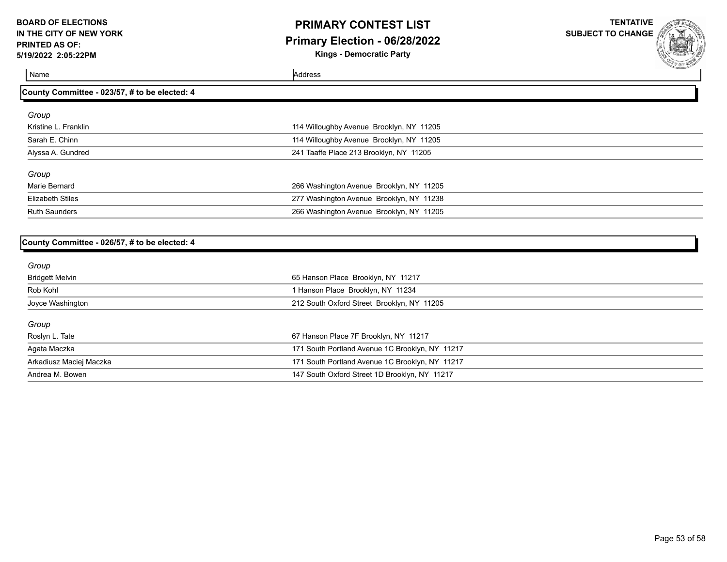# **PRIMARY CONTEST LIST Primary Election - 06/28/2022**

**Kings - Democratic Party**

**TENTATIVE SUBJECT TO CHANGE**

Name Address and Address and Address and Address and Address and Address and Address and Address and Address and Address and Address and Address and Address and Address and Address and Address and Address and Address and A

#### **County Committee - 023/57, # to be elected: 4**

| Group                   |                                          |
|-------------------------|------------------------------------------|
| Kristine L. Franklin    | 114 Willoughby Avenue Brooklyn, NY 11205 |
| Sarah E. Chinn          | 114 Willoughby Avenue Brooklyn, NY 11205 |
| Alyssa A. Gundred       | 241 Taaffe Place 213 Brooklyn, NY 11205  |
| Group                   |                                          |
| Marie Bernard           | 266 Washington Avenue Brooklyn, NY 11205 |
| <b>Elizabeth Stiles</b> | 277 Washington Avenue Brooklyn, NY 11238 |
| <b>Ruth Saunders</b>    | 266 Washington Avenue Brooklyn, NY 11205 |

### **County Committee - 026/57, # to be elected: 4**

| Group                   |                                                 |  |
|-------------------------|-------------------------------------------------|--|
| Bridgett Melvin         | 65 Hanson Place Brooklyn, NY 11217              |  |
| Rob Kohl                | 1 Hanson Place Brooklyn, NY 11234               |  |
| Joyce Washington        | 212 South Oxford Street Brooklyn, NY 11205      |  |
| Group                   |                                                 |  |
| Roslyn L. Tate          | 67 Hanson Place 7F Brooklyn, NY 11217           |  |
| Agata Maczka            | 171 South Portland Avenue 1C Brooklyn, NY 11217 |  |
| Arkadiusz Maciej Maczka | 171 South Portland Avenue 1C Brooklyn, NY 11217 |  |
| Andrea M. Bowen         | 147 South Oxford Street 1D Brooklyn, NY 11217   |  |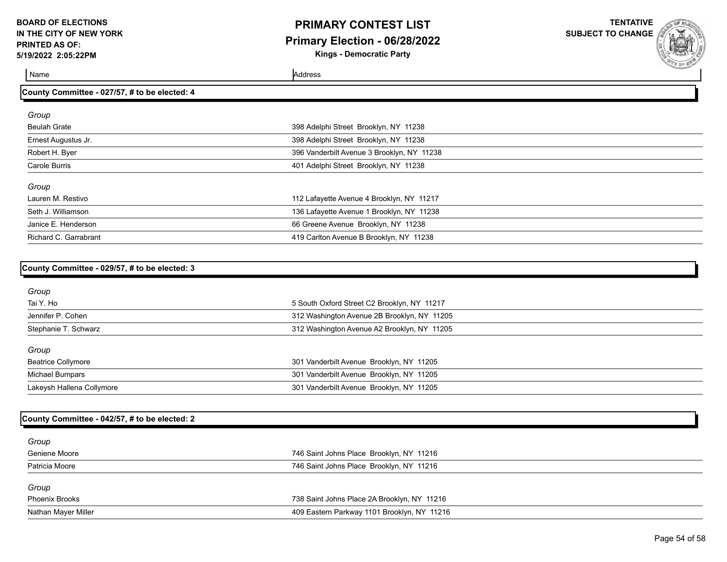# **PRIMARY CONTEST LIST Primary Election - 06/28/2022**

**Kings - Democratic Party**

**TENTATIVE SUBJECT TO CHANGE**

Name Address and Address and Address and Address and Address and Address and Address and Address and Address and Address and Address and Address and Address and Address and Address and Address and Address and Address and A

**County Committee - 027/57, # to be elected: 4**

| Group                 |                                            |
|-----------------------|--------------------------------------------|
| <b>Beulah Grate</b>   | 398 Adelphi Street Brooklyn, NY 11238      |
| Ernest Augustus Jr.   | 398 Adelphi Street Brooklyn, NY 11238      |
| Robert H. Byer        | 396 Vanderbilt Avenue 3 Brooklyn, NY 11238 |
| Carole Burris         | 401 Adelphi Street Brooklyn, NY 11238      |
| Group                 |                                            |
| Lauren M. Restivo     | 112 Lafayette Avenue 4 Brooklyn, NY 11217  |
| Seth J. Williamson    | 136 Lafayette Avenue 1 Brooklyn, NY 11238  |
| Janice E. Henderson   | 66 Greene Avenue Brooklyn, NY 11238        |
| Richard C. Garrabrant | 419 Carlton Avenue B Brooklyn, NY 11238    |

| County Committee - 029/57, # to be elected: 3 |                                             |  |
|-----------------------------------------------|---------------------------------------------|--|
| Group                                         |                                             |  |
| Tai Y. Ho                                     | 5 South Oxford Street C2 Brooklyn, NY 11217 |  |
| Jennifer P. Cohen                             | 312 Washington Avenue 2B Brooklyn, NY 11205 |  |
| Stephanie T. Schwarz                          | 312 Washington Avenue A2 Brooklyn, NY 11205 |  |
| Group                                         |                                             |  |
| <b>Beatrice Collymore</b>                     | 301 Vanderbilt Avenue Brooklyn, NY 11205    |  |
| <b>Michael Bumpars</b>                        | 301 Vanderbilt Avenue Brooklyn, NY 11205    |  |
| Lakeysh Hallena Collymore                     | 301 Vanderbilt Avenue Brooklyn, NY 11205    |  |
|                                               |                                             |  |

### **County Committee - 042/57, # to be elected: 2**

| Group                 |                                             |
|-----------------------|---------------------------------------------|
| Geniene Moore         | 746 Saint Johns Place Brooklyn, NY 11216    |
| Patricia Moore        | 746 Saint Johns Place Brooklyn, NY 11216    |
| Group                 |                                             |
| <b>Phoenix Brooks</b> | 738 Saint Johns Place 2A Brooklyn, NY 11216 |
| Nathan Mayer Miller   | 409 Eastern Parkway 1101 Brooklyn, NY 11216 |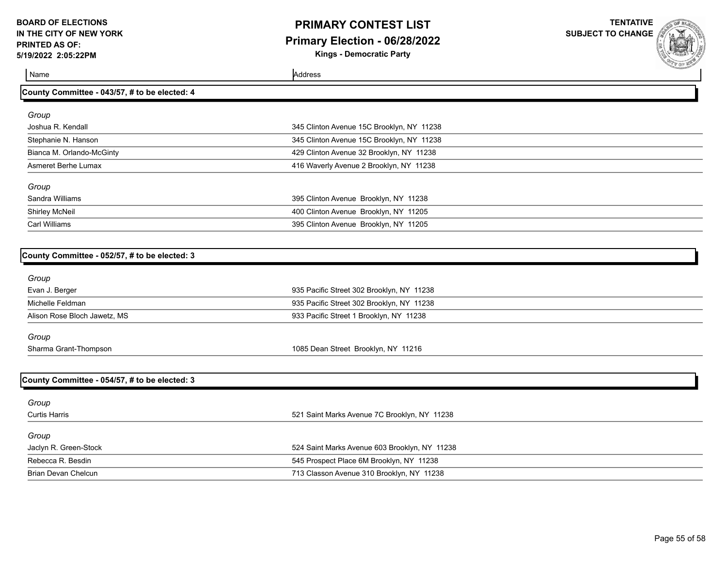### **PRIMARY CONTEST LIST Primary Election - 06/28/2022 Kings - Democratic Party**

**TENTATIVE**

**SUBJECT TO CHANGE**

Name Address and Address and Address and Address and Address and Address and Address and Address and Address and Address and Address and Address and Address and Address and Address and Address and Address and Address and A

| County Committee - 043/57, # to be elected: 4 |  |
|-----------------------------------------------|--|
|-----------------------------------------------|--|

| Group                     |                                           |
|---------------------------|-------------------------------------------|
| Joshua R. Kendall         | 345 Clinton Avenue 15C Brooklyn, NY 11238 |
| Stephanie N. Hanson       | 345 Clinton Avenue 15C Brooklyn, NY 11238 |
| Bianca M. Orlando-McGinty | 429 Clinton Avenue 32 Brooklyn, NY 11238  |
| Asmeret Berhe Lumax       | 416 Waverly Avenue 2 Brooklyn, NY 11238   |
| Group                     |                                           |
| Sandra Williams           | 395 Clinton Avenue Brooklyn, NY 11238     |
| Shirley McNeil            | 400 Clinton Avenue Brooklyn, NY 11205     |
| Carl Williams             | 395 Clinton Avenue Brooklyn, NY 11205     |

| County Committee - 052/57, # to be elected: 3 |                                               |  |
|-----------------------------------------------|-----------------------------------------------|--|
| Group                                         |                                               |  |
| Evan J. Berger                                | 935 Pacific Street 302 Brooklyn, NY 11238     |  |
| Michelle Feldman                              | 935 Pacific Street 302 Brooklyn, NY 11238     |  |
| Alison Rose Bloch Jawetz, MS                  | 933 Pacific Street 1 Brooklyn, NY 11238       |  |
| Group                                         |                                               |  |
| Sharma Grant-Thompson                         | 1085 Dean Street Brooklyn, NY 11216           |  |
| County Committee - 054/57, # to be elected: 3 |                                               |  |
| Group                                         |                                               |  |
| <b>Curtis Harris</b>                          | 521 Saint Marks Avenue 7C Brooklyn, NY 11238  |  |
| Group                                         |                                               |  |
| Jaclyn R. Green-Stock                         | 524 Saint Marks Avenue 603 Brooklyn, NY 11238 |  |
| Rebecca R. Besdin                             | 545 Prospect Place 6M Brooklyn, NY 11238      |  |
| Brian Devan Chelcun                           | 713 Classon Avenue 310 Brooklyn, NY 11238     |  |
|                                               |                                               |  |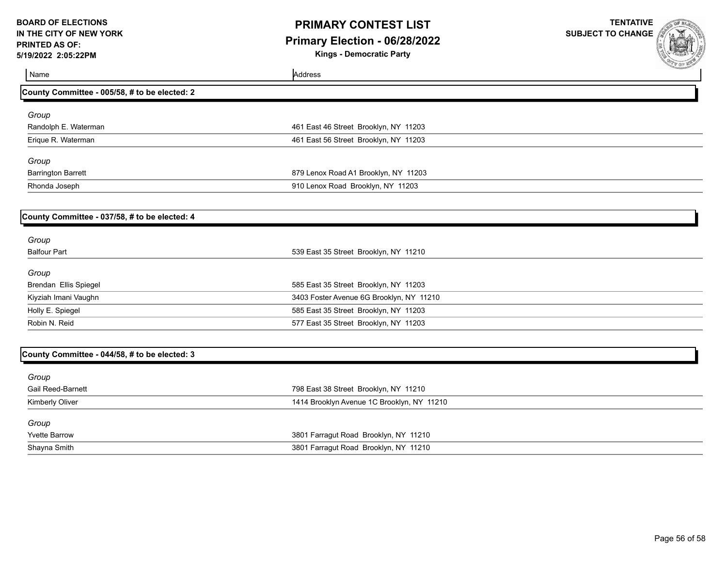# **PRIMARY CONTEST LIST Primary Election - 06/28/2022**

**Kings - Democratic Party**

| Name                                          | Address                                    | <b>CALL OF ME</b> |
|-----------------------------------------------|--------------------------------------------|-------------------|
| County Committee - 005/58, # to be elected: 2 |                                            |                   |
| Group                                         |                                            |                   |
| Randolph E. Waterman                          | 461 East 46 Street Brooklyn, NY 11203      |                   |
| Erique R. Waterman                            | 461 East 56 Street Brooklyn, NY 11203      |                   |
| Group                                         |                                            |                   |
| <b>Barrington Barrett</b>                     | 879 Lenox Road A1 Brooklyn, NY 11203       |                   |
| Rhonda Joseph                                 | 910 Lenox Road Brooklyn, NY 11203          |                   |
| County Committee - 037/58, # to be elected: 4 |                                            |                   |
| Group                                         |                                            |                   |
| <b>Balfour Part</b>                           | 539 East 35 Street Brooklyn, NY 11210      |                   |
| Group                                         |                                            |                   |
| Brendan Ellis Spiegel                         | 585 East 35 Street Brooklyn, NY 11203      |                   |
| Kiyziah Imani Vaughn                          | 3403 Foster Avenue 6G Brooklyn, NY 11210   |                   |
| Holly E. Spiegel                              | 585 East 35 Street Brooklyn, NY 11203      |                   |
| Robin N. Reid                                 | 577 East 35 Street Brooklyn, NY 11203      |                   |
| County Committee - 044/58, # to be elected: 3 |                                            |                   |
| Group                                         |                                            |                   |
| <b>Gail Reed-Barnett</b>                      | 798 East 38 Street Brooklyn, NY 11210      |                   |
| Kimberly Oliver                               | 1414 Brooklyn Avenue 1C Brooklyn, NY 11210 |                   |
| Group                                         |                                            |                   |
| <b>Yvette Barrow</b>                          | 3801 Farragut Road Brooklyn, NY 11210      |                   |
| Shayna Smith                                  | 3801 Farragut Road Brooklyn, NY 11210      |                   |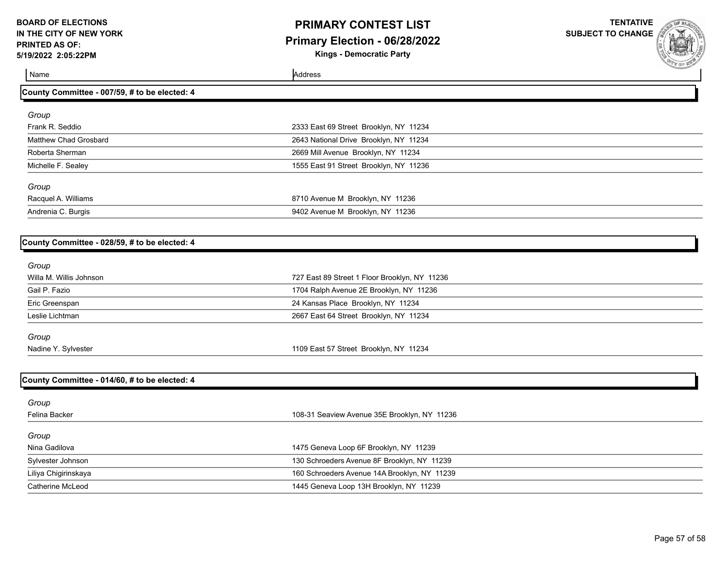# **PRIMARY CONTEST LIST Primary Election - 06/28/2022**

**Kings - Democratic Party**

**TENTATIVE SUBJECT TO CHANGE**

Name Address and Address and Address and Address and Address and Address and Address and Address and Address and Address and Address and Address and Address and Address and Address and Address and Address and Address and A

| County Committee - 007/59, # to be elected: 4 |                                               |  |
|-----------------------------------------------|-----------------------------------------------|--|
|                                               |                                               |  |
| Group                                         |                                               |  |
| Frank R. Seddio                               | 2333 East 69 Street Brooklyn, NY 11234        |  |
| Matthew Chad Grosbard                         | 2643 National Drive Brooklyn, NY 11234        |  |
| Roberta Sherman                               | 2669 Mill Avenue Brooklyn, NY 11234           |  |
| Michelle F. Sealey                            | 1555 East 91 Street Brooklyn, NY 11236        |  |
| Group                                         |                                               |  |
| Racquel A. Williams                           | 8710 Avenue M Brooklyn, NY 11236              |  |
| Andrenia C. Burgis                            | 9402 Avenue M Brooklyn, NY 11236              |  |
|                                               |                                               |  |
| County Committee - 028/59, # to be elected: 4 |                                               |  |
| Group                                         |                                               |  |
| Willa M. Willis Johnson                       | 727 East 89 Street 1 Floor Brooklyn, NY 11236 |  |
| Gail P. Fazio                                 | 1704 Ralph Avenue 2E Brooklyn, NY 11236       |  |
| Eric Greenspan                                | 24 Kansas Place Brooklyn, NY 11234            |  |
| Leslie Lichtman                               | 2667 East 64 Street Brooklyn, NY 11234        |  |
| Group                                         |                                               |  |
| Nadine Y. Sylvester                           | 1109 East 57 Street Brooklyn, NY 11234        |  |
|                                               |                                               |  |
| County Committee - 014/60, # to be elected: 4 |                                               |  |
| Group                                         |                                               |  |
| Felina Backer                                 | 108-31 Seaview Avenue 35E Brooklyn, NY 11236  |  |
| Group                                         |                                               |  |
| Nina Gadilova                                 | 1475 Geneva Loop 6F Brooklyn, NY 11239        |  |
| Sylvester Johnson                             | 130 Schroeders Avenue 8F Brooklyn, NY 11239   |  |

Catherine McLeod 1445 Geneva Loop 13H Brooklyn, NY 11239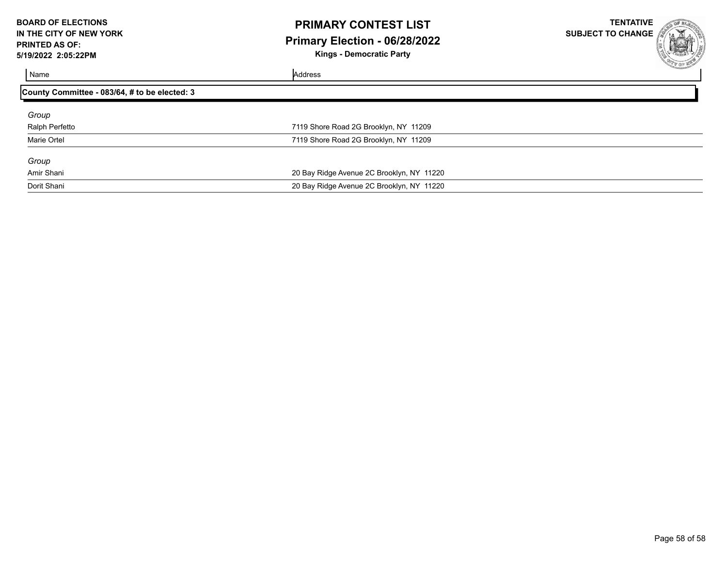### **PRIMARY CONTEST LIST Primary Election - 06/28/2022 Kings - Democratic Party**

|    |   | <b>BOOF ELECT</b>         |                                     |
|----|---|---------------------------|-------------------------------------|
| ô, |   |                           |                                     |
|    |   |                           |                                     |
|    |   |                           | <b>Contact of Contact of Second</b> |
|    | C |                           |                                     |
|    |   | <b><i>Fry OF WEST</i></b> |                                     |
|    |   |                           |                                     |

| Name                                          | Address                                   |  |
|-----------------------------------------------|-------------------------------------------|--|
| County Committee - 083/64, # to be elected: 3 |                                           |  |
| Group                                         |                                           |  |
| Ralph Perfetto                                | 7119 Shore Road 2G Brooklyn, NY 11209     |  |
| Marie Ortel                                   | 7119 Shore Road 2G Brooklyn, NY 11209     |  |
| Group                                         |                                           |  |
| Amir Shani                                    | 20 Bay Ridge Avenue 2C Brooklyn, NY 11220 |  |
| Dorit Shani                                   | 20 Bay Ridge Avenue 2C Brooklyn, NY 11220 |  |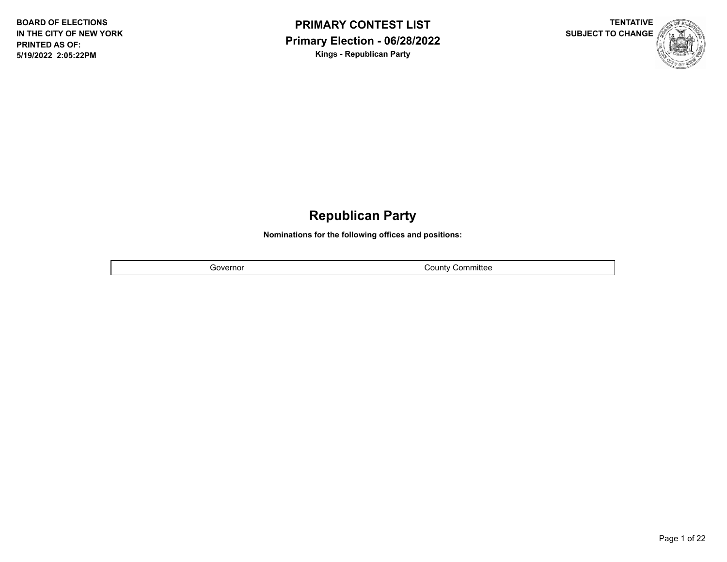



# **Republican Party**

**Nominations for the following offices and positions:**

Governor **County County Countillation** 

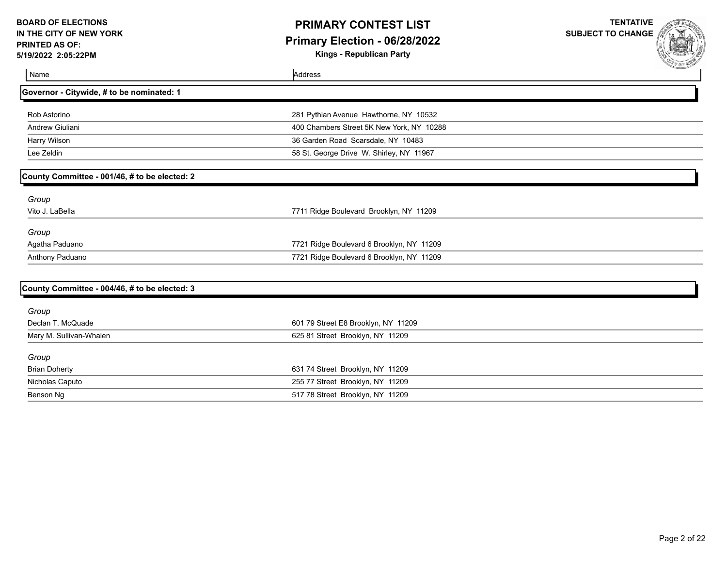# **PRIMARY CONTEST LIST Primary Election - 06/28/2022**

**Kings - Republican Party**

| Name                                          | Address                                   | <b>Containmental Contains Contains Contains Contains Contains Contains Contains Contains Contains Contains Contains Contains Contains Contains Contains Contains Contains Contains Contains Contains Contains Contains Contains </b> |
|-----------------------------------------------|-------------------------------------------|--------------------------------------------------------------------------------------------------------------------------------------------------------------------------------------------------------------------------------------|
| Governor - Citywide, # to be nominated: 1     |                                           |                                                                                                                                                                                                                                      |
| Rob Astorino                                  | 281 Pythian Avenue Hawthorne, NY 10532    |                                                                                                                                                                                                                                      |
| Andrew Giuliani                               | 400 Chambers Street 5K New York, NY 10288 |                                                                                                                                                                                                                                      |
| Harry Wilson                                  | 36 Garden Road Scarsdale, NY 10483        |                                                                                                                                                                                                                                      |
| Lee Zeldin                                    | 58 St. George Drive W. Shirley, NY 11967  |                                                                                                                                                                                                                                      |
| County Committee - 001/46, # to be elected: 2 |                                           |                                                                                                                                                                                                                                      |
| Group                                         |                                           |                                                                                                                                                                                                                                      |
| Vito J. LaBella                               | 7711 Ridge Boulevard Brooklyn, NY 11209   |                                                                                                                                                                                                                                      |
| Group                                         |                                           |                                                                                                                                                                                                                                      |
| Agatha Paduano                                | 7721 Ridge Boulevard 6 Brooklyn, NY 11209 |                                                                                                                                                                                                                                      |
| Anthony Paduano                               | 7721 Ridge Boulevard 6 Brooklyn, NY 11209 |                                                                                                                                                                                                                                      |
| County Committee - 004/46, # to be elected: 3 |                                           |                                                                                                                                                                                                                                      |
| Group                                         |                                           |                                                                                                                                                                                                                                      |
| Declan T. McQuade                             | 601 79 Street E8 Brooklyn, NY 11209       |                                                                                                                                                                                                                                      |
| Mary M. Sullivan-Whalen                       | 625 81 Street Brooklyn, NY 11209          |                                                                                                                                                                                                                                      |
| Group                                         |                                           |                                                                                                                                                                                                                                      |
| <b>Brian Doherty</b>                          | 631 74 Street Brooklyn, NY 11209          |                                                                                                                                                                                                                                      |
| Nicholas Caputo                               | 255 77 Street Brooklyn, NY 11209          |                                                                                                                                                                                                                                      |
| Benson Ng                                     | 517 78 Street Brooklyn, NY 11209          |                                                                                                                                                                                                                                      |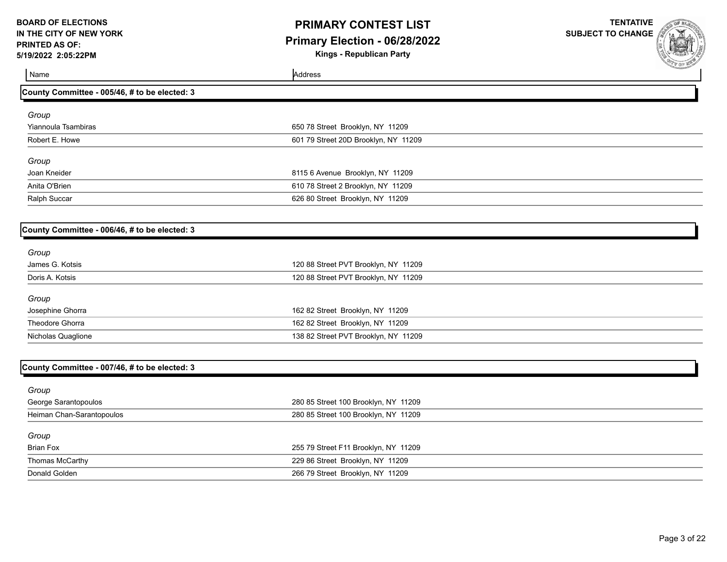## **PRIMARY CONTEST LIST Primary Election - 06/28/2022**

**Kings - Republican Party**

| Name                                          | Address                              | <b>COLE BURNING</b> |
|-----------------------------------------------|--------------------------------------|---------------------|
| County Committee - 005/46, # to be elected: 3 |                                      |                     |
| Group                                         |                                      |                     |
| Yiannoula Tsambiras                           | 650 78 Street Brooklyn, NY 11209     |                     |
| Robert E. Howe                                | 601 79 Street 20D Brooklyn, NY 11209 |                     |
| Group                                         |                                      |                     |
| Joan Kneider                                  | 8115 6 Avenue Brooklyn, NY 11209     |                     |
| Anita O'Brien                                 | 610 78 Street 2 Brooklyn, NY 11209   |                     |
| Ralph Succar                                  | 626 80 Street Brooklyn, NY 11209     |                     |
|                                               |                                      |                     |
| County Committee - 006/46, # to be elected: 3 |                                      |                     |
| Group                                         |                                      |                     |
| James G. Kotsis                               | 120 88 Street PVT Brooklyn, NY 11209 |                     |
| Doris A. Kotsis                               | 120 88 Street PVT Brooklyn, NY 11209 |                     |
| Group                                         |                                      |                     |
| Josephine Ghorra                              | 162 82 Street Brooklyn, NY 11209     |                     |
| Theodore Ghorra                               | 162 82 Street Brooklyn, NY 11209     |                     |
| Nicholas Quaglione                            | 138 82 Street PVT Brooklyn, NY 11209 |                     |
|                                               |                                      |                     |
| County Committee - 007/46, # to be elected: 3 |                                      |                     |

| 280 85 Street 100 Brooklyn, NY 11209 |
|--------------------------------------|
| 280 85 Street 100 Brooklyn, NY 11209 |
|                                      |
| 255 79 Street F11 Brooklyn, NY 11209 |
| 229 86 Street Brooklyn, NY 11209     |
| 266 79 Street Brooklyn, NY 11209     |
|                                      |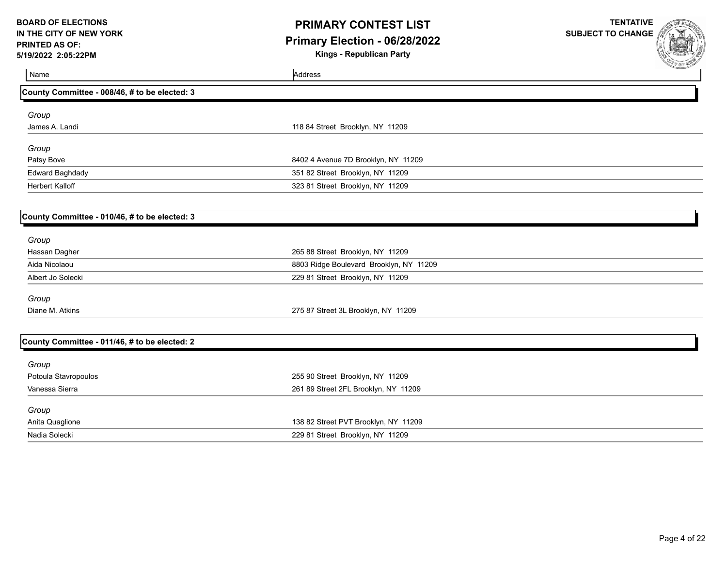## **PRIMARY CONTEST LIST Primary Election - 06/28/2022**

**Kings - Republican Party**

| Name                                          | Address                                 | <b>SALE OF BUREAU</b> |
|-----------------------------------------------|-----------------------------------------|-----------------------|
| County Committee - 008/46, # to be elected: 3 |                                         |                       |
| Group                                         |                                         |                       |
| James A. Landi                                | 118 84 Street Brooklyn, NY 11209        |                       |
| Group                                         |                                         |                       |
| Patsy Bove                                    | 8402 4 Avenue 7D Brooklyn, NY 11209     |                       |
| <b>Edward Baghdady</b>                        | 351 82 Street Brooklyn, NY 11209        |                       |
| Herbert Kalloff                               | 323 81 Street Brooklyn, NY 11209        |                       |
|                                               |                                         |                       |
| County Committee - 010/46, # to be elected: 3 |                                         |                       |
| Group                                         |                                         |                       |
| Hassan Dagher                                 | 265 88 Street Brooklyn, NY 11209        |                       |
| Aida Nicolaou                                 | 8803 Ridge Boulevard Brooklyn, NY 11209 |                       |
| Albert Jo Solecki                             | 229 81 Street Brooklyn, NY 11209        |                       |
| Group                                         |                                         |                       |
| Diane M. Atkins                               | 275 87 Street 3L Brooklyn, NY 11209     |                       |
|                                               |                                         |                       |
| County Committee - 011/46, # to be elected: 2 |                                         |                       |
| Group                                         |                                         |                       |
| Potoula Stavropoulos                          | 255 90 Street Brooklyn, NY 11209        |                       |
| Vanessa Sierra                                | 261 89 Street 2FL Brooklyn, NY 11209    |                       |
| Group                                         |                                         |                       |
| Anita Quaglione                               | 138 82 Street PVT Brooklyn, NY 11209    |                       |
| Nadia Solecki                                 | 229 81 Street Brooklyn, NY 11209        |                       |
|                                               |                                         |                       |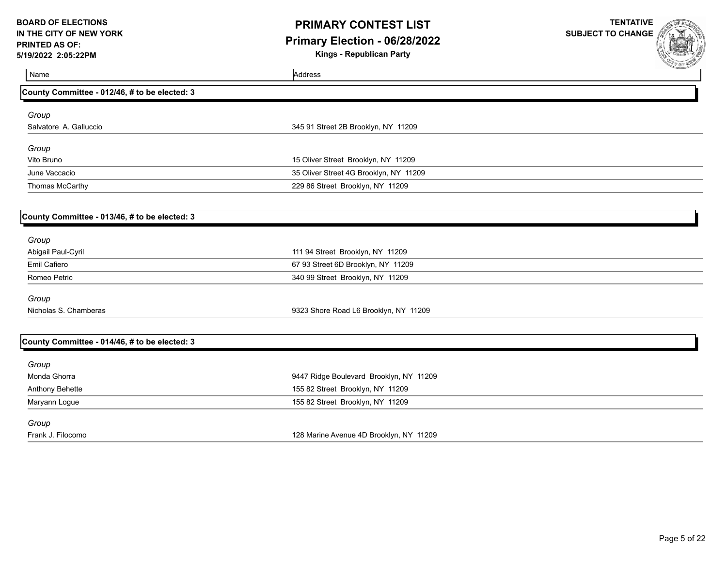## **PRIMARY CONTEST LIST Primary Election - 06/28/2022**

**Kings - Republican Party**

| Name                                          | Address                                 | <b>COLE MARTIN</b> |
|-----------------------------------------------|-----------------------------------------|--------------------|
| County Committee - 012/46, # to be elected: 3 |                                         |                    |
| Group                                         |                                         |                    |
| Salvatore A. Galluccio                        | 345 91 Street 2B Brooklyn, NY 11209     |                    |
| Group                                         |                                         |                    |
| Vito Bruno                                    | 15 Oliver Street Brooklyn, NY 11209     |                    |
| June Vaccacio                                 | 35 Oliver Street 4G Brooklyn, NY 11209  |                    |
| Thomas McCarthy                               | 229 86 Street Brooklyn, NY 11209        |                    |
|                                               |                                         |                    |
| County Committee - 013/46, # to be elected: 3 |                                         |                    |
| Group                                         |                                         |                    |
| Abigail Paul-Cyril                            | 111 94 Street Brooklyn, NY 11209        |                    |
| Emil Cafiero                                  | 67 93 Street 6D Brooklyn, NY 11209      |                    |
| Romeo Petric                                  | 340 99 Street Brooklyn, NY 11209        |                    |
| Group                                         |                                         |                    |
| Nicholas S. Chamberas                         | 9323 Shore Road L6 Brooklyn, NY 11209   |                    |
|                                               |                                         |                    |
| County Committee - 014/46, # to be elected: 3 |                                         |                    |
| Group                                         |                                         |                    |
| Monda Ghorra                                  | 9447 Ridge Boulevard Brooklyn, NY 11209 |                    |
| Anthony Behette                               | 155 82 Street Brooklyn, NY 11209        |                    |
| Maryann Logue                                 | 155 82 Street Brooklyn, NY 11209        |                    |
| Group                                         |                                         |                    |
| Frank J. Filocomo                             | 128 Marine Avenue 4D Brooklyn, NY 11209 |                    |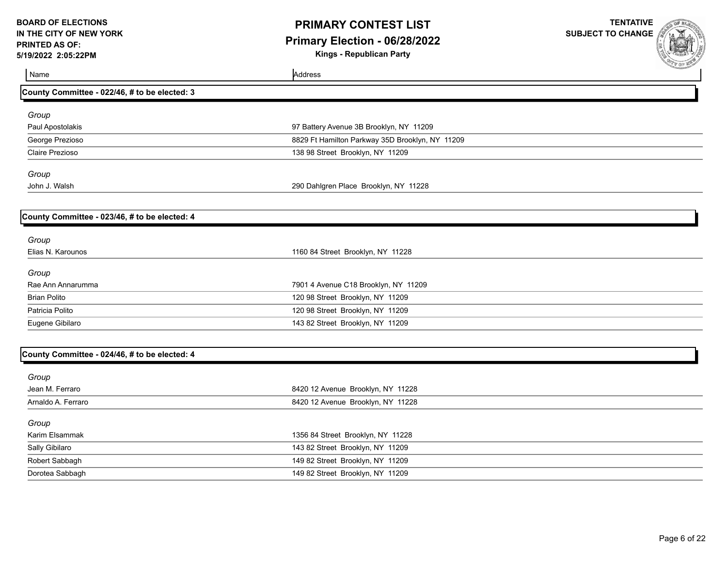# **PRIMARY CONTEST LIST Primary Election - 06/28/2022**

**Kings - Republican Party**

| Name                                          | Address                                         | <b>COLE ME</b> |
|-----------------------------------------------|-------------------------------------------------|----------------|
| County Committee - 022/46, # to be elected: 3 |                                                 |                |
| Group                                         |                                                 |                |
| Paul Apostolakis                              | 97 Battery Avenue 3B Brooklyn, NY 11209         |                |
| George Prezioso                               | 8829 Ft Hamilton Parkway 35D Brooklyn, NY 11209 |                |
| Claire Prezioso                               | 138 98 Street Brooklyn, NY 11209                |                |
| Group                                         |                                                 |                |
| John J. Walsh                                 | 290 Dahlgren Place Brooklyn, NY 11228           |                |
| County Committee - 023/46, # to be elected: 4 |                                                 |                |
|                                               |                                                 |                |
| Group<br>Elias N. Karounos                    | 1160 84 Street Brooklyn, NY 11228               |                |
| Group                                         |                                                 |                |
| Rae Ann Annarumma                             | 7901 4 Avenue C18 Brooklyn, NY 11209            |                |
| <b>Brian Polito</b>                           | 120 98 Street Brooklyn, NY 11209                |                |
| Patricia Polito                               | 120 98 Street Brooklyn, NY 11209                |                |
| Eugene Gibilaro                               | 143 82 Street Brooklyn, NY 11209                |                |
| County Committee - 024/46, # to be elected: 4 |                                                 |                |
| Group                                         |                                                 |                |
| Jean M. Ferraro                               | 8420 12 Avenue Brooklyn, NY 11228               |                |
| Arnaldo A. Ferraro                            | 8420 12 Avenue Brooklyn, NY 11228               |                |
| Group                                         |                                                 |                |
| Karim Elsammak                                | 1356 84 Street Brooklyn, NY 11228               |                |
| Sally Gibilaro                                | 143 82 Street Brooklyn, NY 11209                |                |
| Robert Sabbagh                                | 149 82 Street Brooklyn, NY 11209                |                |
| Dorotea Sabbagh                               | 149 82 Street Brooklyn, NY 11209                |                |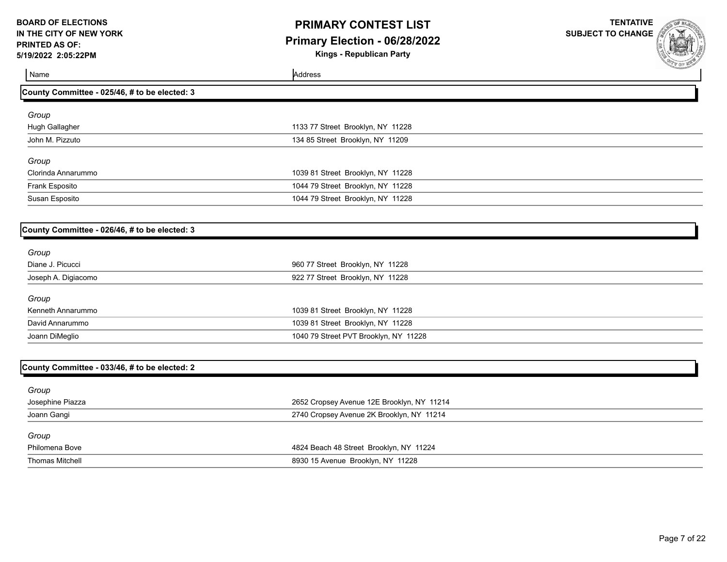# **PRIMARY CONTEST LIST Primary Election - 06/28/2022**

**Kings - Republican Party**

**TENTATIVE SUBJECT TO CHANGE**



Name Address **County Committee - 025/46, # to be elected: 3** *Group* Hugh Gallagher 1133 77 Street Brooklyn, NY 11228 John M. Pizzuto 134 85 Street Brooklyn, NY 11209 *Group* Clorinda Annarummo 1039 81 Street Brooklyn, NY 11228 Frank Esposito 1044 79 Street Brooklyn, NY 11228 Susan Esposito 1044 79 Street Brooklyn, NY 11228 **County Committee - 026/46, # to be elected: 3** *Group* Diane J. Picucci 960 77 Street Brooklyn, NY 11228 Joseph A. Digiacomo 922 77 Street Brooklyn, NY 11228 *Group* Kenneth Annarummo 1039 81 Street Brooklyn, NY 11228 David Annarummo 1039 81 Street Brooklyn, NY 11228

| County Committee - 033/46, # to be elected: 2 |                                            |
|-----------------------------------------------|--------------------------------------------|
| Group                                         |                                            |
| Josephine Piazza                              | 2652 Cropsey Avenue 12E Brooklyn, NY 11214 |
| Joann Gangi                                   | 2740 Cropsey Avenue 2K Brooklyn, NY 11214  |
| Group                                         |                                            |
| Philomena Bove                                | 4824 Beach 48 Street Brooklyn, NY 11224    |
| <b>Thomas Mitchell</b>                        | 8930 15 Avenue Brooklyn, NY 11228          |

Joann DiMeglio 1040 79 Street PVT Brooklyn, NY 11228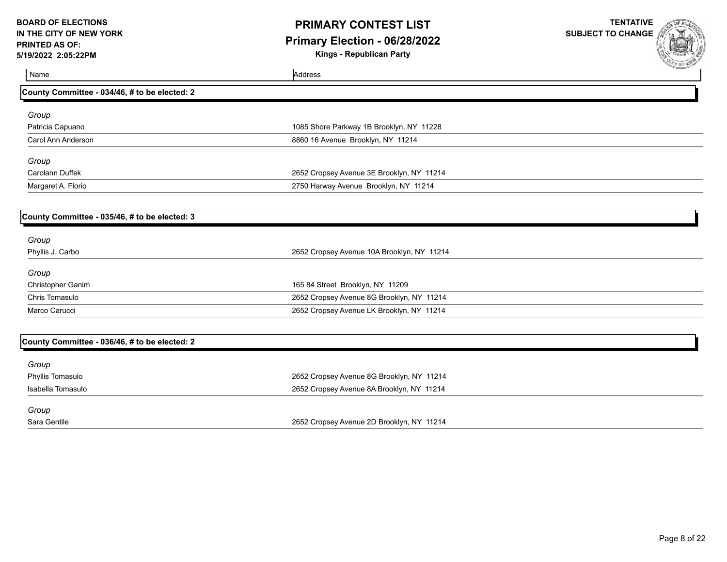# **PRIMARY CONTEST LIST Primary Election - 06/28/2022**

**Kings - Republican Party**

| Name                                          | Address                                    | <b>AND OF WARD</b> |
|-----------------------------------------------|--------------------------------------------|--------------------|
| County Committee - 034/46, # to be elected: 2 |                                            |                    |
| Group                                         |                                            |                    |
| Patricia Capuano                              | 1085 Shore Parkway 1B Brooklyn, NY 11228   |                    |
| Carol Ann Anderson                            | 8860 16 Avenue Brooklyn, NY 11214          |                    |
| Group                                         |                                            |                    |
| <b>Carolann Duffek</b>                        | 2652 Cropsey Avenue 3E Brooklyn, NY 11214  |                    |
| Margaret A. Florio                            | 2750 Harway Avenue Brooklyn, NY 11214      |                    |
| County Committee - 035/46, # to be elected: 3 |                                            |                    |
| Group                                         |                                            |                    |
| Phyllis J. Carbo                              | 2652 Cropsey Avenue 10A Brooklyn, NY 11214 |                    |
| Group                                         |                                            |                    |
| Christopher Ganim                             | 165 84 Street Brooklyn, NY 11209           |                    |
| Chris Tomasulo                                | 2652 Cropsey Avenue 8G Brooklyn, NY 11214  |                    |
| Marco Carucci                                 | 2652 Cropsey Avenue LK Brooklyn, NY 11214  |                    |
| County Committee - 036/46, # to be elected: 2 |                                            |                    |
| Group                                         |                                            |                    |
| Phyllis Tomasulo                              | 2652 Cropsey Avenue 8G Brooklyn, NY 11214  |                    |
| Isabella Tomasulo                             | 2652 Cropsey Avenue 8A Brooklyn, NY 11214  |                    |
| Group                                         |                                            |                    |
| Sara Gentile                                  | 2652 Cropsey Avenue 2D Brooklyn, NY 11214  |                    |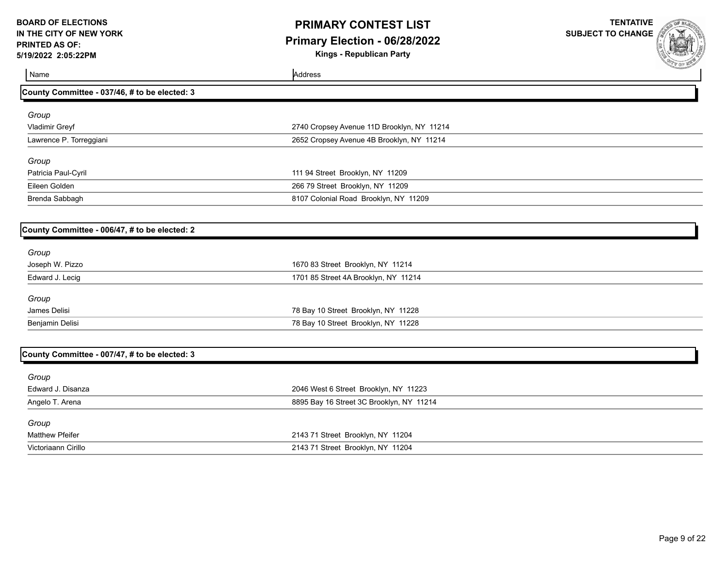## **PRIMARY CONTEST LIST Primary Election - 06/28/2022**

**Kings - Republican Party**

| Name                                          | Address                                    |  |
|-----------------------------------------------|--------------------------------------------|--|
| County Committee - 037/46, # to be elected: 3 |                                            |  |
| Group                                         |                                            |  |
| Vladimir Greyf                                | 2740 Cropsey Avenue 11D Brooklyn, NY 11214 |  |
| Lawrence P. Torreggiani                       | 2652 Cropsey Avenue 4B Brooklyn, NY 11214  |  |
| Group                                         |                                            |  |
| Patricia Paul-Cyril                           | 111 94 Street Brooklyn, NY 11209           |  |
| Eileen Golden                                 | 266 79 Street Brooklyn, NY 11209           |  |
| Brenda Sabbagh                                | 8107 Colonial Road Brooklyn, NY 11209      |  |
| County Committee - 006/47, # to be elected: 2 |                                            |  |
|                                               |                                            |  |
| Group<br>Joseph W. Pizzo                      | 1670 83 Street Brooklyn, NY 11214          |  |
| Edward J. Lecig                               | 1701 85 Street 4A Brooklyn, NY 11214       |  |
|                                               |                                            |  |
| Group                                         |                                            |  |
| James Delisi                                  | 78 Bay 10 Street Brooklyn, NY 11228        |  |
| Benjamin Delisi                               | 78 Bay 10 Street Brooklyn, NY 11228        |  |
|                                               |                                            |  |
| County Committee - 007/47, # to be elected: 3 |                                            |  |
| Group                                         |                                            |  |
| Edward J. Disanza                             | 2046 West 6 Street Brooklyn, NY 11223      |  |
| Angelo T. Arena                               | 8895 Bay 16 Street 3C Brooklyn, NY 11214   |  |
| Group                                         |                                            |  |
| <b>Matthew Pfeifer</b>                        | 2143 71 Street Brooklyn, NY 11204          |  |
| Victoriaann Cirillo                           | 2143 71 Street Brooklyn, NY 11204          |  |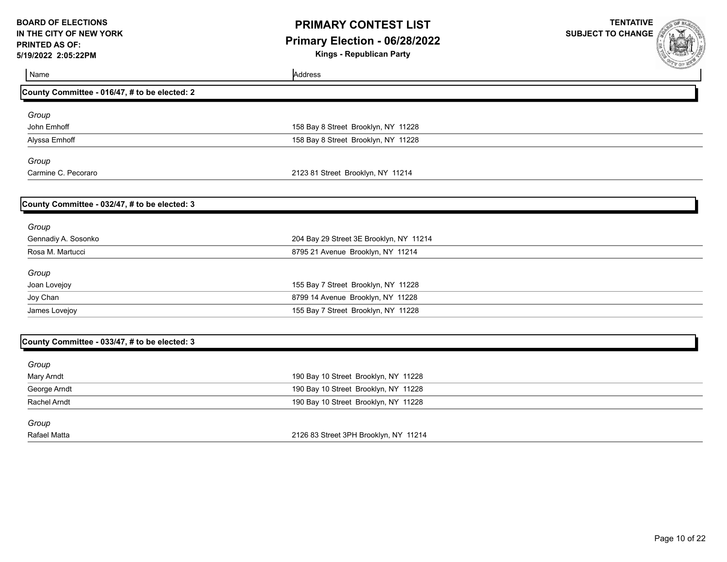## **PRIMARY CONTEST LIST Primary Election - 06/28/2022**

**Kings - Republican Party**

| Name                                          | Address                                 | <b>SUP DE NEW</b> |
|-----------------------------------------------|-----------------------------------------|-------------------|
| County Committee - 016/47, # to be elected: 2 |                                         |                   |
| Group                                         |                                         |                   |
| John Emhoff                                   | 158 Bay 8 Street Brooklyn, NY 11228     |                   |
| Alyssa Emhoff                                 | 158 Bay 8 Street Brooklyn, NY 11228     |                   |
| Group                                         |                                         |                   |
| Carmine C. Pecoraro                           | 2123 81 Street Brooklyn, NY 11214       |                   |
| County Committee - 032/47, # to be elected: 3 |                                         |                   |
| Group                                         |                                         |                   |
| Gennadiy A. Sosonko                           | 204 Bay 29 Street 3E Brooklyn, NY 11214 |                   |
| Rosa M. Martucci                              | 8795 21 Avenue Brooklyn, NY 11214       |                   |
| Group                                         |                                         |                   |
| Joan Lovejoy                                  | 155 Bay 7 Street Brooklyn, NY 11228     |                   |
| Joy Chan                                      | 8799 14 Avenue Brooklyn, NY 11228       |                   |
| James Lovejoy                                 | 155 Bay 7 Street Brooklyn, NY 11228     |                   |
| County Committee - 033/47, # to be elected: 3 |                                         |                   |
| Group                                         |                                         |                   |
| Mary Arndt                                    | 190 Bay 10 Street Brooklyn, NY 11228    |                   |
| George Arndt                                  | 190 Bay 10 Street Brooklyn, NY 11228    |                   |
| <b>Rachel Arndt</b>                           | 190 Bay 10 Street Brooklyn, NY 11228    |                   |
| Group                                         |                                         |                   |
| <b>Rafael Matta</b>                           | 2126 83 Street 3PH Brooklyn, NY 11214   |                   |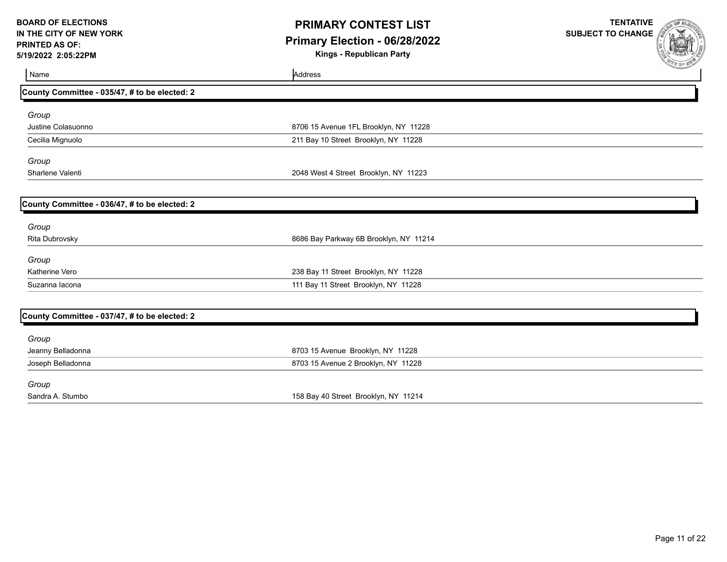## **PRIMARY CONTEST LIST Primary Election - 06/28/2022**

**Kings - Republican Party**

| Name                                          | Address                                | <b>SEAR OF BURNING</b> |
|-----------------------------------------------|----------------------------------------|------------------------|
| County Committee - 035/47, # to be elected: 2 |                                        |                        |
| Group                                         |                                        |                        |
| Justine Colasuonno                            | 8706 15 Avenue 1FL Brooklyn, NY 11228  |                        |
| Cecilia Mignuolo                              | 211 Bay 10 Street Brooklyn, NY 11228   |                        |
| Group                                         |                                        |                        |
| Sharlene Valenti                              | 2048 West 4 Street Brooklyn, NY 11223  |                        |
| County Committee - 036/47, # to be elected: 2 |                                        |                        |
| Group                                         |                                        |                        |
| Rita Dubrovsky                                | 8686 Bay Parkway 6B Brooklyn, NY 11214 |                        |
| Group                                         |                                        |                        |
| <b>Katherine Vero</b>                         | 238 Bay 11 Street Brooklyn, NY 11228   |                        |
| Suzanna lacona                                | 111 Bay 11 Street Brooklyn, NY 11228   |                        |
| County Committee - 037/47, # to be elected: 2 |                                        |                        |
| Group                                         |                                        |                        |
| Jeanny Belladonna                             | 8703 15 Avenue Brooklyn, NY 11228      |                        |
| Joseph Belladonna                             | 8703 15 Avenue 2 Brooklyn, NY 11228    |                        |
| Group                                         |                                        |                        |
| Sandra A. Stumbo                              | 158 Bay 40 Street Brooklyn, NY 11214   |                        |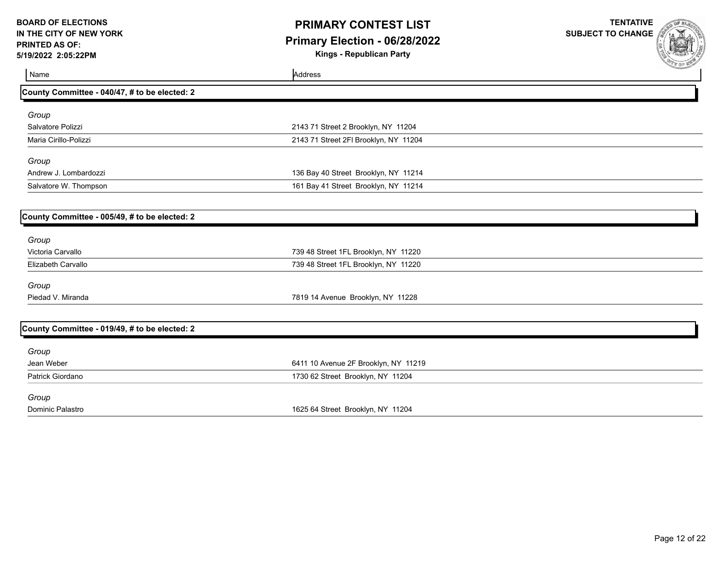## **PRIMARY CONTEST LIST Primary Election - 06/28/2022**

**Kings - Republican Party**

| Name                                          | Address                               | <b>CAP OF ME</b> |
|-----------------------------------------------|---------------------------------------|------------------|
| County Committee - 040/47, # to be elected: 2 |                                       |                  |
|                                               |                                       |                  |
| Group                                         |                                       |                  |
| Salvatore Polizzi                             | 2143 71 Street 2 Brooklyn, NY 11204   |                  |
| Maria Cirillo-Polizzi                         | 2143 71 Street 2FI Brooklyn, NY 11204 |                  |
| Group                                         |                                       |                  |
| Andrew J. Lombardozzi                         | 136 Bay 40 Street Brooklyn, NY 11214  |                  |
| Salvatore W. Thompson                         | 161 Bay 41 Street Brooklyn, NY 11214  |                  |
|                                               |                                       |                  |
| County Committee - 005/49, # to be elected: 2 |                                       |                  |
| Group                                         |                                       |                  |
| Victoria Carvallo                             | 739 48 Street 1FL Brooklyn, NY 11220  |                  |
| <b>Elizabeth Carvallo</b>                     | 739 48 Street 1FL Brooklyn, NY 11220  |                  |
| Group                                         |                                       |                  |
| Piedad V. Miranda                             | 7819 14 Avenue Brooklyn, NY 11228     |                  |
| County Committee - 019/49, # to be elected: 2 |                                       |                  |
|                                               |                                       |                  |
| Group                                         |                                       |                  |
| Jean Weber                                    | 6411 10 Avenue 2F Brooklyn, NY 11219  |                  |
| Patrick Giordano                              | 1730 62 Street Brooklyn, NY 11204     |                  |
| Group                                         |                                       |                  |
| Dominic Palastro                              | 1625 64 Street Brooklyn, NY 11204     |                  |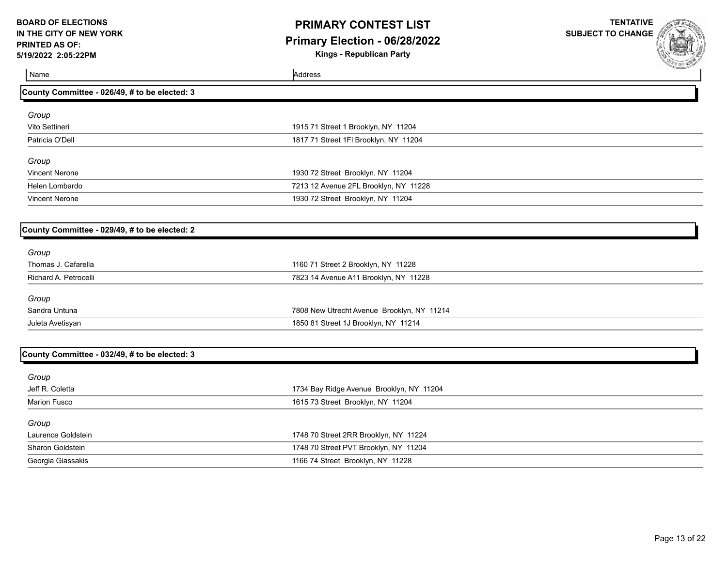## **PRIMARY CONTEST LIST Primary Election - 06/28/2022**

**Kings - Republican Party**

| Name                                          | Address                                    | <b>CONTRACTORY</b> |
|-----------------------------------------------|--------------------------------------------|--------------------|
| County Committee - 026/49, # to be elected: 3 |                                            |                    |
| Group                                         |                                            |                    |
| Vito Settineri                                | 1915 71 Street 1 Brooklyn, NY 11204        |                    |
| Patricia O'Dell                               | 1817 71 Street 1FI Brooklyn, NY 11204      |                    |
| Group                                         |                                            |                    |
| <b>Vincent Nerone</b>                         | 1930 72 Street Brooklyn, NY 11204          |                    |
| Helen Lombardo                                | 7213 12 Avenue 2FL Brooklyn, NY 11228      |                    |
| <b>Vincent Nerone</b>                         | 1930 72 Street Brooklyn, NY 11204          |                    |
|                                               |                                            |                    |
| County Committee - 029/49, # to be elected: 2 |                                            |                    |
| Group                                         |                                            |                    |
| Thomas J. Cafarella                           | 1160 71 Street 2 Brooklyn, NY 11228        |                    |
| Richard A. Petrocelli                         | 7823 14 Avenue A11 Brooklyn, NY 11228      |                    |
| Group                                         |                                            |                    |
| Sandra Untuna                                 | 7808 New Utrecht Avenue Brooklyn, NY 11214 |                    |
| Juleta Avetisyan                              | 1850 81 Street 1J Brooklyn, NY 11214       |                    |
|                                               |                                            |                    |
| County Committee - 032/49, # to be elected: 3 |                                            |                    |
| Group                                         |                                            |                    |
| Jeff R. Coletta                               | 1734 Bay Ridge Avenue Brooklyn, NY 11204   |                    |
| <b>Marion Fusco</b>                           | 1615 73 Street Brooklyn, NY 11204          |                    |
| Group                                         |                                            |                    |
| Laurence Goldstein                            | 1748 70 Street 2RR Brooklyn, NY 11224      |                    |
| Sharon Goldstein                              | 1748 70 Street PVT Brooklyn, NY 11204      |                    |
| Georgia Giassakis                             | 1166 74 Street Brooklyn, NY 11228          |                    |
|                                               |                                            |                    |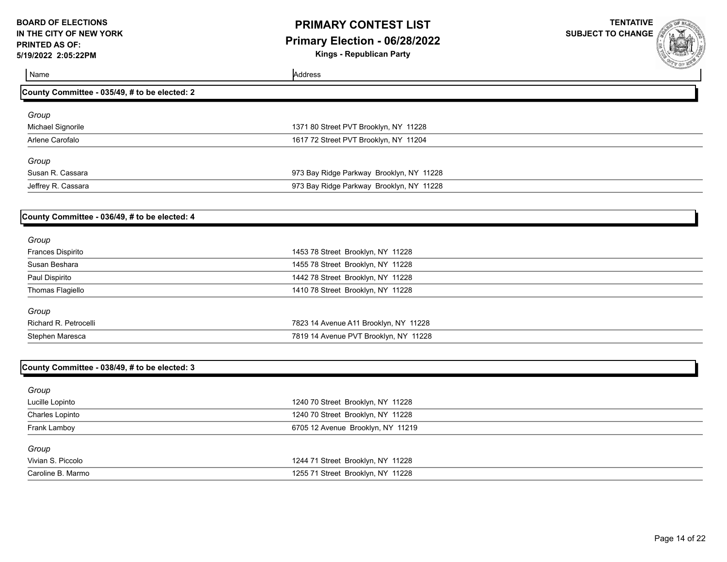# **PRIMARY CONTEST LIST Primary Election - 06/28/2022**

**Kings - Republican Party**



| Name                                          | Address                                  | <b>SUL OF WE</b> |
|-----------------------------------------------|------------------------------------------|------------------|
| County Committee - 035/49, # to be elected: 2 |                                          |                  |
| Group                                         |                                          |                  |
| Michael Signorile                             | 1371 80 Street PVT Brooklyn, NY 11228    |                  |
| Arlene Carofalo                               | 1617 72 Street PVT Brooklyn, NY 11204    |                  |
| Group                                         |                                          |                  |
| Susan R. Cassara                              | 973 Bay Ridge Parkway Brooklyn, NY 11228 |                  |
| Jeffrey R. Cassara                            | 973 Bay Ridge Parkway Brooklyn, NY 11228 |                  |
| County Committee - 036/49, # to be elected: 4 |                                          |                  |
| Group                                         |                                          |                  |
| Frances Dispirito                             | 1453 78 Street Brooklyn, NY 11228        |                  |
| Susan Beshara                                 | 1455 78 Street Brooklyn, NY 11228        |                  |
| Paul Dispirito                                | 1442 78 Street Brooklyn, NY 11228        |                  |
| Thomas Flagiello                              | 1410 78 Street Brooklyn, NY 11228        |                  |
| Group                                         |                                          |                  |
| Richard R. Petrocelli                         | 7823 14 Avenue A11 Brooklyn, NY 11228    |                  |
| Stephen Maresca                               | 7819 14 Avenue PVT Brooklyn, NY 11228    |                  |
| County Committee - 038/49, # to be elected: 3 |                                          |                  |
| Group                                         |                                          |                  |
| Lucille Lopinto                               | 1240 70 Street Brooklyn, NY 11228        |                  |
| Charles Lopinto                               | 1240 70 Street Brooklyn, NY 11228        |                  |
| Frank Lamboy                                  | 6705 12 Avenue Brooklyn, NY 11219        |                  |
| Group                                         |                                          |                  |
| Vivian S. Piccolo                             | 1244 71 Street Brooklyn, NY 11228        |                  |
| Caroline B. Marmo                             | 1255 71 Street Brooklyn, NY 11228        |                  |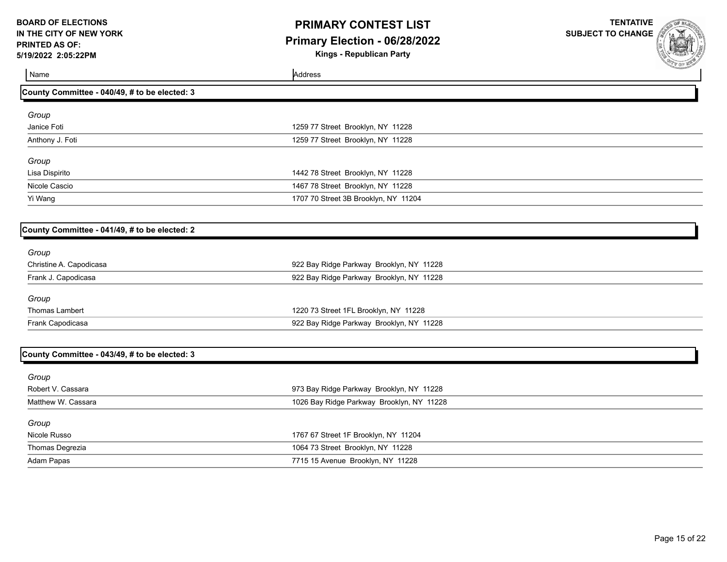# **PRIMARY CONTEST LIST Primary Election - 06/28/2022**

**Kings - Republican Party**

**TENTATIVE SUBJECT TO CHANGE**

| Name                                          | Address                                   | <b><i>COMMENTARY</i></b> |
|-----------------------------------------------|-------------------------------------------|--------------------------|
| County Committee - 040/49, # to be elected: 3 |                                           |                          |
| Group                                         |                                           |                          |
| Janice Foti                                   | 1259 77 Street Brooklyn, NY 11228         |                          |
| Anthony J. Foti                               | 1259 77 Street Brooklyn, NY 11228         |                          |
| Group                                         |                                           |                          |
| Lisa Dispirito                                | 1442 78 Street Brooklyn, NY 11228         |                          |
| Nicole Cascio                                 | 1467 78 Street Brooklyn, NY 11228         |                          |
| Yi Wang                                       | 1707 70 Street 3B Brooklyn, NY 11204      |                          |
|                                               |                                           |                          |
| County Committee - 041/49, # to be elected: 2 |                                           |                          |
| Group                                         |                                           |                          |
| Christine A. Capodicasa                       | 922 Bay Ridge Parkway Brooklyn, NY 11228  |                          |
| Frank J. Capodicasa                           | 922 Bay Ridge Parkway Brooklyn, NY 11228  |                          |
| Group                                         |                                           |                          |
| <b>Thomas Lambert</b>                         | 1220 73 Street 1FL Brooklyn, NY 11228     |                          |
| Frank Capodicasa                              | 922 Bay Ridge Parkway Brooklyn, NY 11228  |                          |
|                                               |                                           |                          |
| County Committee - 043/49, # to be elected: 3 |                                           |                          |
| Group                                         |                                           |                          |
| Robert V. Cassara                             | 973 Bay Ridge Parkway Brooklyn, NY 11228  |                          |
| Matthew W. Cassara                            | 1026 Bay Ridge Parkway Brooklyn, NY 11228 |                          |
|                                               |                                           |                          |
| Group<br>Nicole Russo                         | 1767 67 Street 1F Brooklyn, NY 11204      |                          |
| Thomas Degrezia                               | 1064 73 Street Brooklyn, NY 11228         |                          |
|                                               |                                           |                          |

Adam Papas 7715 15 Avenue Brooklyn, NY 11228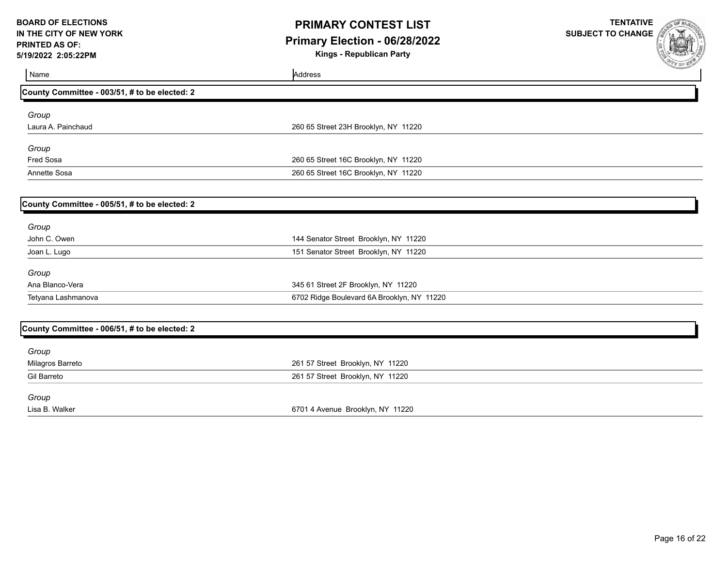## **PRIMARY CONTEST LIST Primary Election - 06/28/2022**

**Kings - Republican Party**

| Name                                          | Address                                    | <b>AND YOUR MILES</b> |
|-----------------------------------------------|--------------------------------------------|-----------------------|
|                                               |                                            |                       |
| County Committee - 003/51, # to be elected: 2 |                                            |                       |
| Group                                         |                                            |                       |
| Laura A. Painchaud                            | 260 65 Street 23H Brooklyn, NY 11220       |                       |
| Group                                         |                                            |                       |
| Fred Sosa                                     | 260 65 Street 16C Brooklyn, NY 11220       |                       |
| Annette Sosa                                  | 260 65 Street 16C Brooklyn, NY 11220       |                       |
|                                               |                                            |                       |
| County Committee - 005/51, # to be elected: 2 |                                            |                       |
| Group                                         |                                            |                       |
| John C. Owen                                  | 144 Senator Street Brooklyn, NY 11220      |                       |
| Joan L. Lugo                                  | 151 Senator Street Brooklyn, NY 11220      |                       |
| Group                                         |                                            |                       |
| Ana Blanco-Vera                               | 345 61 Street 2F Brooklyn, NY 11220        |                       |
| Tetyana Lashmanova                            | 6702 Ridge Boulevard 6A Brooklyn, NY 11220 |                       |
|                                               |                                            |                       |
| County Committee - 006/51, # to be elected: 2 |                                            |                       |
| Group                                         |                                            |                       |
| Milagros Barreto                              | 261 57 Street Brooklyn, NY 11220           |                       |
| <b>Gil Barreto</b>                            | 261 57 Street Brooklyn, NY 11220           |                       |
| Group                                         |                                            |                       |
| Lisa B. Walker                                | 6701 4 Avenue Brooklyn, NY 11220           |                       |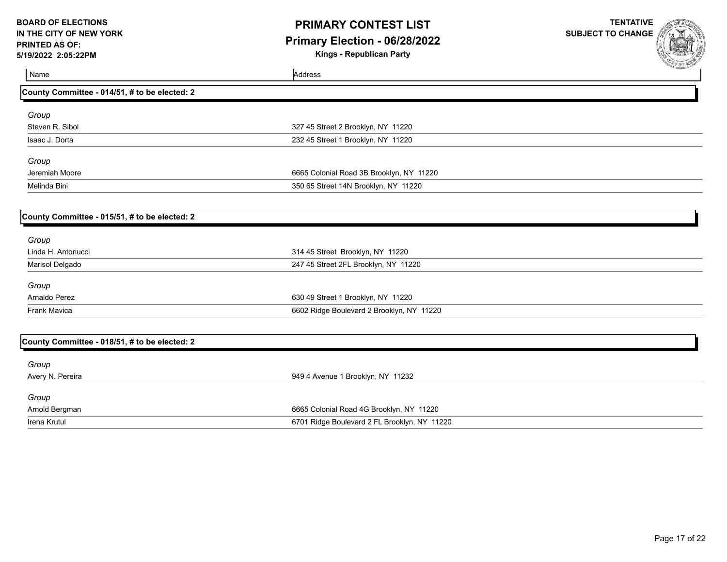## **PRIMARY CONTEST LIST Primary Election - 06/28/2022**

**Kings - Republican Party**

| Name                                          | Address                                      | <b>PARTIES AND REAL</b> |
|-----------------------------------------------|----------------------------------------------|-------------------------|
| County Committee - 014/51, # to be elected: 2 |                                              |                         |
| Group                                         |                                              |                         |
| Steven R. Sibol                               | 327 45 Street 2 Brooklyn, NY 11220           |                         |
| Isaac J. Dorta                                | 232 45 Street 1 Brooklyn, NY 11220           |                         |
| Group                                         |                                              |                         |
| Jeremiah Moore                                | 6665 Colonial Road 3B Brooklyn, NY 11220     |                         |
| Melinda Bini                                  | 350 65 Street 14N Brooklyn, NY 11220         |                         |
| County Committee - 015/51, # to be elected: 2 |                                              |                         |
| Group                                         |                                              |                         |
| Linda H. Antonucci                            | 314 45 Street Brooklyn, NY 11220             |                         |
| Marisol Delgado                               | 247 45 Street 2FL Brooklyn, NY 11220         |                         |
| Group                                         |                                              |                         |
| Arnaldo Perez                                 | 630 49 Street 1 Brooklyn, NY 11220           |                         |
| <b>Frank Mavica</b>                           | 6602 Ridge Boulevard 2 Brooklyn, NY 11220    |                         |
| County Committee - 018/51, # to be elected: 2 |                                              |                         |
|                                               |                                              |                         |
| Group<br>Avery N. Pereira                     | 949 4 Avenue 1 Brooklyn, NY 11232            |                         |
| Group                                         |                                              |                         |
| Arnold Bergman                                | 6665 Colonial Road 4G Brooklyn, NY 11220     |                         |
| Irena Krutul                                  | 6701 Ridge Boulevard 2 FL Brooklyn, NY 11220 |                         |
|                                               |                                              |                         |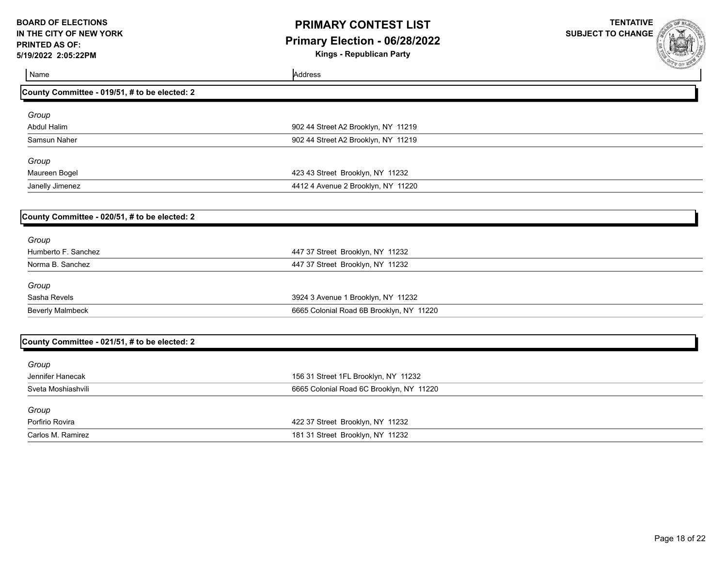## **PRIMARY CONTEST LIST Primary Election - 06/28/2022**

**Kings - Republican Party**

| Name<br>Address                                                     | <b>COUR WALES</b> |
|---------------------------------------------------------------------|-------------------|
| County Committee - 019/51, # to be elected: 2                       |                   |
| Group                                                               |                   |
| <b>Abdul Halim</b><br>902 44 Street A2 Brooklyn, NY 11219           |                   |
| 902 44 Street A2 Brooklyn, NY 11219<br>Samsun Naher                 |                   |
| Group                                                               |                   |
| 423 43 Street Brooklyn, NY 11232<br>Maureen Bogel                   |                   |
| Janelly Jimenez<br>4412 4 Avenue 2 Brooklyn, NY 11220               |                   |
| County Committee - 020/51, # to be elected: 2                       |                   |
|                                                                     |                   |
| Group                                                               |                   |
| Humberto F. Sanchez<br>447 37 Street Brooklyn, NY 11232             |                   |
| 447 37 Street Brooklyn, NY 11232<br>Norma B. Sanchez                |                   |
| Group                                                               |                   |
| Sasha Revels<br>3924 3 Avenue 1 Brooklyn, NY 11232                  |                   |
| <b>Beverly Malmbeck</b><br>6665 Colonial Road 6B Brooklyn, NY 11220 |                   |
|                                                                     |                   |
| County Committee - 021/51, # to be elected: 2                       |                   |
| Group                                                               |                   |
| 156 31 Street 1FL Brooklyn, NY 11232<br>Jennifer Hanecak            |                   |
| Sveta Moshiashvili<br>6665 Colonial Road 6C Brooklyn, NY 11220      |                   |
| Group                                                               |                   |
| Porfirio Rovira<br>422 37 Street Brooklyn, NY 11232                 |                   |
| Carlos M. Ramirez<br>181 31 Street Brooklyn, NY 11232               |                   |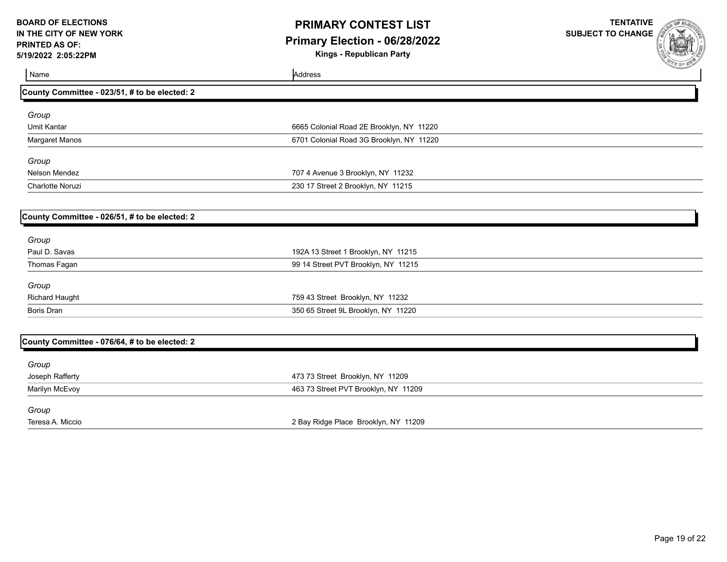## **PRIMARY CONTEST LIST Primary Election - 06/28/2022**

**Kings - Republican Party**



| Name                                          | Address                                  | <b>CONTRACTORY OF CONTRACTORY AND INCOME.</b> |
|-----------------------------------------------|------------------------------------------|-----------------------------------------------|
| County Committee - 023/51, # to be elected: 2 |                                          |                                               |
| Group                                         |                                          |                                               |
| <b>Umit Kantar</b>                            | 6665 Colonial Road 2E Brooklyn, NY 11220 |                                               |
| Margaret Manos                                | 6701 Colonial Road 3G Brooklyn, NY 11220 |                                               |
| Group                                         |                                          |                                               |
| Nelson Mendez                                 | 707 4 Avenue 3 Brooklyn, NY 11232        |                                               |
| Charlotte Noruzi                              | 230 17 Street 2 Brooklyn, NY 11215       |                                               |
|                                               |                                          |                                               |
| County Committee - 026/51, # to be elected: 2 |                                          |                                               |
| Group                                         |                                          |                                               |
| Paul D. Savas                                 | 192A 13 Street 1 Brooklyn, NY 11215      |                                               |
| Thomas Fagan                                  | 99 14 Street PVT Brooklyn, NY 11215      |                                               |
| Group                                         |                                          |                                               |
| <b>Richard Haught</b>                         | 759 43 Street Brooklyn, NY 11232         |                                               |
| <b>Boris Dran</b>                             | 350 65 Street 9L Brooklyn, NY 11220      |                                               |
|                                               |                                          |                                               |
| County Committee - 076/64, # to be elected: 2 |                                          |                                               |
| Group                                         |                                          |                                               |
| Joseph Rafferty                               | 473 73 Street Brooklyn, NY 11209         |                                               |
| Marilyn McEvoy                                | 463 73 Street PVT Brooklyn, NY 11209     |                                               |
| Group                                         |                                          |                                               |
| Teresa A. Miccio                              | 2 Bay Ridge Place Brooklyn, NY 11209     |                                               |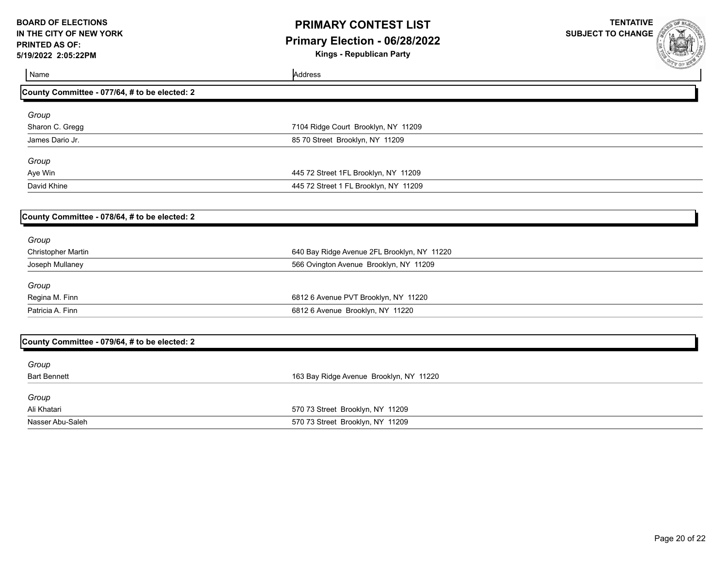# **PRIMARY CONTEST LIST Primary Election - 06/28/2022**

**Kings - Republican Party**

| Name                                          | Address                                     | <b>COLE BOOK</b> |
|-----------------------------------------------|---------------------------------------------|------------------|
| County Committee - 077/64, # to be elected: 2 |                                             |                  |
| Group                                         |                                             |                  |
| Sharon C. Gregg                               | 7104 Ridge Court Brooklyn, NY 11209         |                  |
| James Dario Jr.                               | 85 70 Street Brooklyn, NY 11209             |                  |
| Group                                         |                                             |                  |
| Aye Win                                       | 445 72 Street 1FL Brooklyn, NY 11209        |                  |
| David Khine                                   | 445 72 Street 1 FL Brooklyn, NY 11209       |                  |
| County Committee - 078/64, # to be elected: 2 |                                             |                  |
| Group                                         |                                             |                  |
| <b>Christopher Martin</b>                     | 640 Bay Ridge Avenue 2FL Brooklyn, NY 11220 |                  |
| Joseph Mullaney                               | 566 Ovington Avenue Brooklyn, NY 11209      |                  |
| Group                                         |                                             |                  |
| Regina M. Finn                                | 6812 6 Avenue PVT Brooklyn, NY 11220        |                  |
| Patricia A. Finn                              | 6812 6 Avenue Brooklyn, NY 11220            |                  |
|                                               |                                             |                  |
| County Committee - 079/64, # to be elected: 2 |                                             |                  |
| Group                                         |                                             |                  |
| <b>Bart Bennett</b>                           | 163 Bay Ridge Avenue Brooklyn, NY 11220     |                  |
| Group                                         |                                             |                  |
| Ali Khatari                                   | 570 73 Street Brooklyn, NY 11209            |                  |
| Nasser Abu-Saleh                              | 570 73 Street Brooklyn, NY 11209            |                  |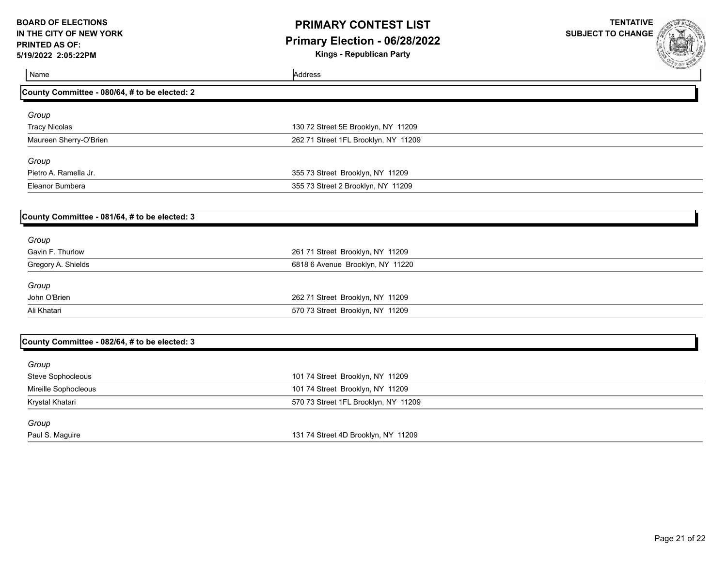# **PRIMARY CONTEST LIST Primary Election - 06/28/2022**

**Kings - Republican Party**

| Name                                          | Address                              | <b>SALE OF RUBAL</b> |
|-----------------------------------------------|--------------------------------------|----------------------|
| County Committee - 080/64, # to be elected: 2 |                                      |                      |
| Group                                         |                                      |                      |
| <b>Tracy Nicolas</b>                          | 130 72 Street 5E Brooklyn, NY 11209  |                      |
| Maureen Sherry-O'Brien                        | 262 71 Street 1FL Brooklyn, NY 11209 |                      |
| Group                                         |                                      |                      |
| Pietro A. Ramella Jr.                         | 355 73 Street Brooklyn, NY 11209     |                      |
| Eleanor Bumbera                               | 355 73 Street 2 Brooklyn, NY 11209   |                      |
| County Committee - 081/64, # to be elected: 3 |                                      |                      |
| Group                                         |                                      |                      |
| Gavin F. Thurlow                              | 261 71 Street Brooklyn, NY 11209     |                      |
| Gregory A. Shields                            | 6818 6 Avenue Brooklyn, NY 11220     |                      |
| Group                                         |                                      |                      |
| John O'Brien                                  | 262 71 Street Brooklyn, NY 11209     |                      |
| Ali Khatari                                   | 570 73 Street Brooklyn, NY 11209     |                      |
| County Committee - 082/64, # to be elected: 3 |                                      |                      |
| Group                                         |                                      |                      |
| Steve Sophocleous                             | 101 74 Street Brooklyn, NY 11209     |                      |
| Mireille Sophocleous                          | 101 74 Street Brooklyn, NY 11209     |                      |
| Krystal Khatari                               | 570 73 Street 1FL Brooklyn, NY 11209 |                      |
| Group                                         |                                      |                      |
| Paul S. Maguire                               | 131 74 Street 4D Brooklyn, NY 11209  |                      |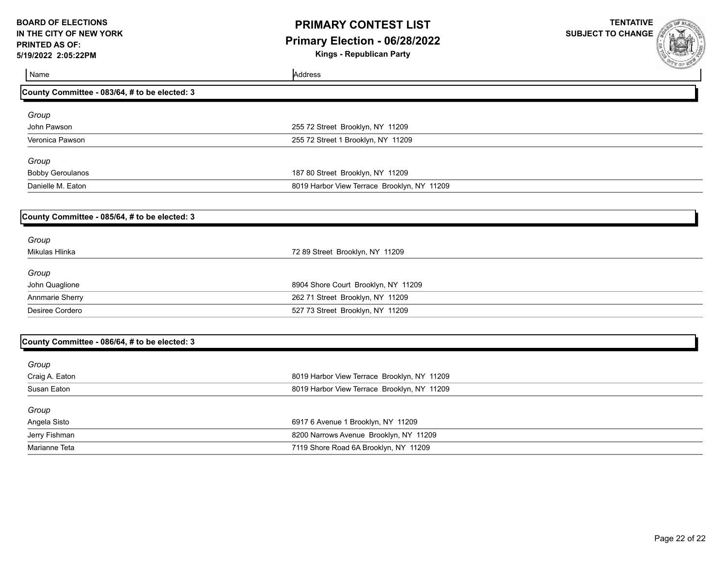# **PRIMARY CONTEST LIST Primary Election - 06/28/2022**

**Kings - Republican Party**

| Name                                          | Address                                     | <b>COLE BURNING</b> |
|-----------------------------------------------|---------------------------------------------|---------------------|
| County Committee - 083/64, # to be elected: 3 |                                             |                     |
| Group                                         |                                             |                     |
| John Pawson                                   | 255 72 Street Brooklyn, NY 11209            |                     |
| Veronica Pawson                               | 255 72 Street 1 Brooklyn, NY 11209          |                     |
| Group                                         |                                             |                     |
| <b>Bobby Geroulanos</b>                       | 187 80 Street Brooklyn, NY 11209            |                     |
| Danielle M. Eaton                             | 8019 Harbor View Terrace Brooklyn, NY 11209 |                     |
|                                               |                                             |                     |
| County Committee - 085/64, # to be elected: 3 |                                             |                     |
| Group                                         |                                             |                     |
| Mikulas Hlinka                                | 72 89 Street Brooklyn, NY 11209             |                     |
| Group                                         |                                             |                     |
| John Quaglione                                | 8904 Shore Court Brooklyn, NY 11209         |                     |
| Annmarie Sherry                               | 262 71 Street Brooklyn, NY 11209            |                     |
| Desiree Cordero                               | 527 73 Street Brooklyn, NY 11209            |                     |
|                                               |                                             |                     |
| County Committee - 086/64, # to be elected: 3 |                                             |                     |
| Group                                         |                                             |                     |
| Craig A. Eaton                                | 8019 Harbor View Terrace Brooklyn, NY 11209 |                     |
| Susan Eaton                                   | 8019 Harbor View Terrace Brooklyn, NY 11209 |                     |
| Group                                         |                                             |                     |
| Angela Sisto                                  | 6917 6 Avenue 1 Brooklyn, NY 11209          |                     |
| Jerry Fishman                                 | 8200 Narrows Avenue Brooklyn, NY 11209      |                     |
| Marianne Teta                                 | 7119 Shore Road 6A Brooklyn, NY 11209       |                     |
|                                               |                                             |                     |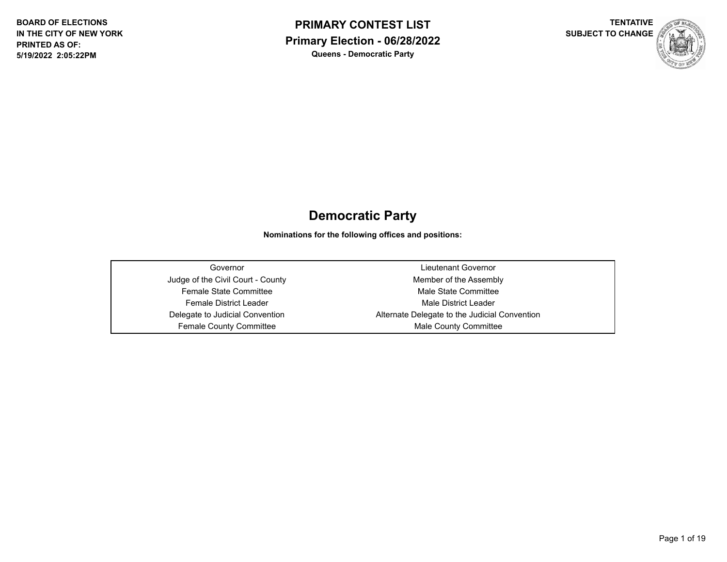



# **Democratic Party**

**Nominations for the following offices and positions:**

| Governor                          | Lieutenant Governor                           |
|-----------------------------------|-----------------------------------------------|
| Judge of the Civil Court - County | Member of the Assembly                        |
| <b>Female State Committee</b>     | Male State Committee                          |
| Female District Leader            | Male District Leader                          |
| Delegate to Judicial Convention   | Alternate Delegate to the Judicial Convention |
| <b>Female County Committee</b>    | Male County Committee                         |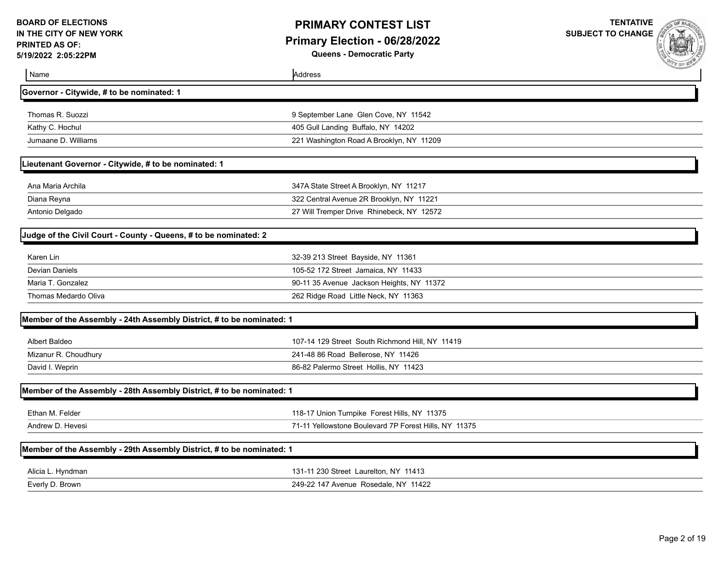### **PRIMARY CONTEST LIST Primary Election - 06/28/2022 Queens - Democratic Party**

|                                                                       |                                                       | <b>SAP &amp; OF ME</b> |
|-----------------------------------------------------------------------|-------------------------------------------------------|------------------------|
| Name                                                                  | Address                                               |                        |
| Governor - Citywide, # to be nominated: 1                             |                                                       |                        |
| Thomas R. Suozzi                                                      | 9 September Lane Glen Cove, NY 11542                  |                        |
| Kathy C. Hochul                                                       | 405 Gull Landing Buffalo, NY 14202                    |                        |
| Jumaane D. Williams                                                   | 221 Washington Road A Brooklyn, NY 11209              |                        |
| Lieutenant Governor - Citywide, # to be nominated: 1                  |                                                       |                        |
| Ana Maria Archila                                                     | 347A State Street A Brooklyn, NY 11217                |                        |
| Diana Reyna                                                           | 322 Central Avenue 2R Brooklyn, NY 11221              |                        |
| Antonio Delgado                                                       | 27 Will Tremper Drive Rhinebeck, NY 12572             |                        |
| Judge of the Civil Court - County - Queens, # to be nominated: 2      |                                                       |                        |
| Karen Lin                                                             | 32-39 213 Street Bayside, NY 11361                    |                        |
| <b>Devian Daniels</b>                                                 | 105-52 172 Street Jamaica, NY 11433                   |                        |
| Maria T. Gonzalez                                                     | 90-11 35 Avenue Jackson Heights, NY 11372             |                        |
| Thomas Medardo Oliva                                                  | 262 Ridge Road Little Neck, NY 11363                  |                        |
| Member of the Assembly - 24th Assembly District, # to be nominated: 1 |                                                       |                        |
| Albert Baldeo                                                         | 107-14 129 Street South Richmond Hill, NY 11419       |                        |
| Mizanur R. Choudhury                                                  | 241-48 86 Road Bellerose, NY 11426                    |                        |
| David I. Weprin                                                       | 86-82 Palermo Street Hollis, NY 11423                 |                        |
| Member of the Assembly - 28th Assembly District, # to be nominated: 1 |                                                       |                        |
| Ethan M. Felder                                                       | 118-17 Union Turnpike Forest Hills, NY 11375          |                        |
| Andrew D. Hevesi                                                      | 71-11 Yellowstone Boulevard 7P Forest Hills, NY 11375 |                        |
| Member of the Assembly - 29th Assembly District, # to be nominated: 1 |                                                       |                        |
| Alicia L. Hyndman                                                     | 131-11 230 Street Laurelton, NY 11413                 |                        |
| Everly D. Brown                                                       | 249-22 147 Avenue Rosedale, NY 11422                  |                        |
|                                                                       |                                                       |                        |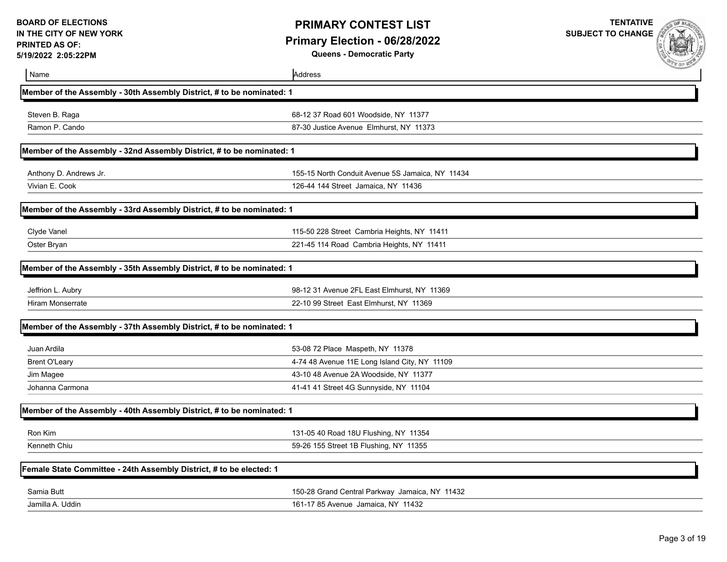**Queens - Democratic Party**

|                                                                       |                                                  | <b>CON BUS MAN</b> |
|-----------------------------------------------------------------------|--------------------------------------------------|--------------------|
| Name                                                                  | Address                                          |                    |
| Member of the Assembly - 30th Assembly District, # to be nominated: 1 |                                                  |                    |
| Steven B. Raga                                                        | 68-12 37 Road 601 Woodside, NY 11377             |                    |
| Ramon P. Cando                                                        | 87-30 Justice Avenue Elmhurst, NY 11373          |                    |
| Member of the Assembly - 32nd Assembly District, # to be nominated: 1 |                                                  |                    |
| Anthony D. Andrews Jr.                                                | 155-15 North Conduit Avenue 5S Jamaica, NY 11434 |                    |
| Vivian E. Cook                                                        | 126-44 144 Street Jamaica, NY 11436              |                    |
| Member of the Assembly - 33rd Assembly District, # to be nominated: 1 |                                                  |                    |
| Clyde Vanel                                                           | 115-50 228 Street Cambria Heights, NY 11411      |                    |
| Oster Bryan                                                           | 221-45 114 Road Cambria Heights, NY 11411        |                    |
| Member of the Assembly - 35th Assembly District, # to be nominated: 1 |                                                  |                    |
| Jeffrion L. Aubry                                                     | 98-12 31 Avenue 2FL East Elmhurst, NY 11369      |                    |
| <b>Hiram Monserrate</b>                                               | 22-10 99 Street East Elmhurst, NY 11369          |                    |
| Member of the Assembly - 37th Assembly District, # to be nominated: 1 |                                                  |                    |
| Juan Ardila                                                           | 53-08 72 Place Maspeth, NY 11378                 |                    |
| <b>Brent O'Leary</b>                                                  | 4-74 48 Avenue 11E Long Island City, NY 11109    |                    |
| Jim Magee                                                             | 43-10 48 Avenue 2A Woodside, NY 11377            |                    |
| Johanna Carmona                                                       | 41-41 41 Street 4G Sunnyside, NY 11104           |                    |
| Member of the Assembly - 40th Assembly District, # to be nominated: 1 |                                                  |                    |
| Ron Kim                                                               | 131-05 40 Road 18U Flushing, NY 11354            |                    |
| Kenneth Chiu                                                          | 59-26 155 Street 1B Flushing, NY 11355           |                    |
| Female State Committee - 24th Assembly District, # to be elected: 1   |                                                  |                    |
| Samia Butt                                                            | 150-28 Grand Central Parkway Jamaica, NY 11432   |                    |
| Jamilla A. Uddin                                                      | 161-17 85 Avenue Jamaica, NY 11432               |                    |
|                                                                       |                                                  |                    |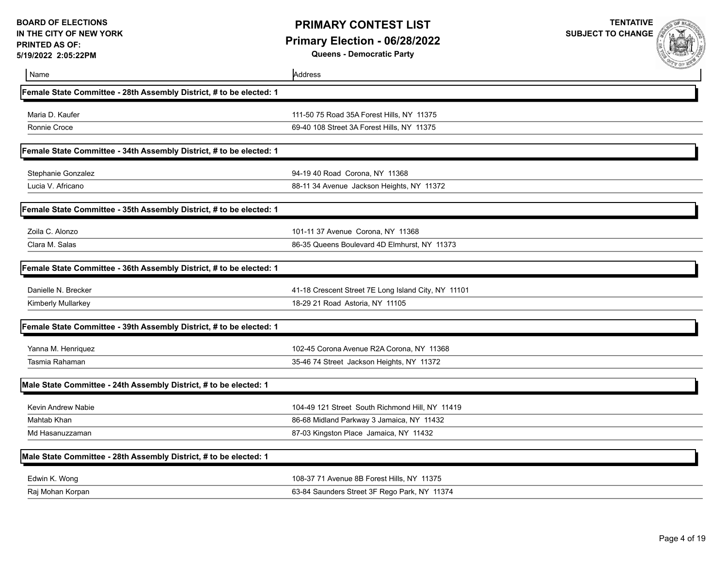**Queens - Democratic Party**



| Name                                                                | Address                                             |  |
|---------------------------------------------------------------------|-----------------------------------------------------|--|
| Female State Committee - 28th Assembly District, # to be elected: 1 |                                                     |  |
| Maria D. Kaufer                                                     | 111-50 75 Road 35A Forest Hills, NY 11375           |  |
| Ronnie Croce                                                        | 69-40 108 Street 3A Forest Hills, NY 11375          |  |
| Female State Committee - 34th Assembly District, # to be elected: 1 |                                                     |  |
| Stephanie Gonzalez                                                  | 94-19 40 Road Corona, NY 11368                      |  |
| Lucia V. Africano                                                   | 88-11 34 Avenue Jackson Heights, NY 11372           |  |
| Female State Committee - 35th Assembly District, # to be elected: 1 |                                                     |  |
| Zoila C. Alonzo                                                     | 101-11 37 Avenue Corona, NY 11368                   |  |
| Clara M. Salas                                                      | 86-35 Queens Boulevard 4D Elmhurst, NY 11373        |  |
| Female State Committee - 36th Assembly District, # to be elected: 1 |                                                     |  |
| Danielle N. Brecker                                                 | 41-18 Crescent Street 7E Long Island City, NY 11101 |  |
| Kimberly Mullarkey                                                  | 18-29 21 Road Astoria, NY 11105                     |  |
| Female State Committee - 39th Assembly District, # to be elected: 1 |                                                     |  |
| Yanna M. Henriquez                                                  | 102-45 Corona Avenue R2A Corona, NY 11368           |  |
| Tasmia Rahaman                                                      | 35-46 74 Street Jackson Heights, NY 11372           |  |
| Male State Committee - 24th Assembly District, # to be elected: 1   |                                                     |  |
| Kevin Andrew Nabie                                                  | 104-49 121 Street South Richmond Hill, NY 11419     |  |
| Mahtab Khan                                                         | 86-68 Midland Parkway 3 Jamaica, NY 11432           |  |
| Md Hasanuzzaman                                                     | 87-03 Kingston Place Jamaica, NY 11432              |  |
| Male State Committee - 28th Assembly District, # to be elected: 1   |                                                     |  |
| Edwin K. Wong                                                       | 108-37 71 Avenue 8B Forest Hills, NY 11375          |  |
| Raj Mohan Korpan                                                    | 63-84 Saunders Street 3F Rego Park, NY 11374        |  |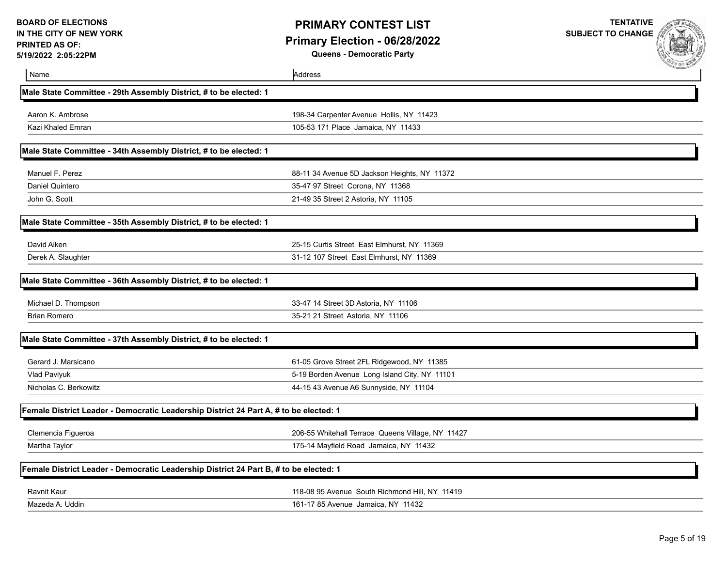**SUBJECT TO CHANGE**

**Queens - Democratic Party**



**TENTATIVE**

| Name                                                                                  | Address                                           |  |
|---------------------------------------------------------------------------------------|---------------------------------------------------|--|
| Male State Committee - 29th Assembly District, # to be elected: 1                     |                                                   |  |
| Aaron K. Ambrose                                                                      | 198-34 Carpenter Avenue Hollis, NY 11423          |  |
| Kazi Khaled Emran                                                                     | 105-53 171 Place Jamaica, NY 11433                |  |
| Male State Committee - 34th Assembly District, # to be elected: 1                     |                                                   |  |
| Manuel F. Perez                                                                       | 88-11 34 Avenue 5D Jackson Heights, NY 11372      |  |
| Daniel Quintero                                                                       | 35-47 97 Street Corona, NY 11368                  |  |
| John G. Scott                                                                         | 21-49 35 Street 2 Astoria, NY 11105               |  |
| Male State Committee - 35th Assembly District, # to be elected: 1                     |                                                   |  |
| David Aiken                                                                           | 25-15 Curtis Street East Elmhurst, NY 11369       |  |
| Derek A. Slaughter                                                                    | 31-12 107 Street East Elmhurst, NY 11369          |  |
| Male State Committee - 36th Assembly District, # to be elected: 1                     |                                                   |  |
| Michael D. Thompson                                                                   | 33-47 14 Street 3D Astoria, NY 11106              |  |
| <b>Brian Romero</b>                                                                   | 35-21 21 Street Astoria, NY 11106                 |  |
| Male State Committee - 37th Assembly District, # to be elected: 1                     |                                                   |  |
| Gerard J. Marsicano                                                                   | 61-05 Grove Street 2FL Ridgewood, NY 11385        |  |
| Vlad Pavlyuk                                                                          | 5-19 Borden Avenue Long Island City, NY 11101     |  |
| Nicholas C. Berkowitz                                                                 | 44-15 43 Avenue A6 Sunnyside, NY 11104            |  |
| Female District Leader - Democratic Leadership District 24 Part A, # to be elected: 1 |                                                   |  |
| Clemencia Figueroa                                                                    | 206-55 Whitehall Terrace Queens Village, NY 11427 |  |
| Martha Taylor                                                                         | 175-14 Mayfield Road Jamaica, NY 11432            |  |
| Female District Leader - Democratic Leadership District 24 Part B, # to be elected: 1 |                                                   |  |
| <b>Ravnit Kaur</b>                                                                    | 118-08 95 Avenue South Richmond Hill, NY 11419    |  |
| Mazeda A. Uddin                                                                       | 161-17 85 Avenue Jamaica, NY 11432                |  |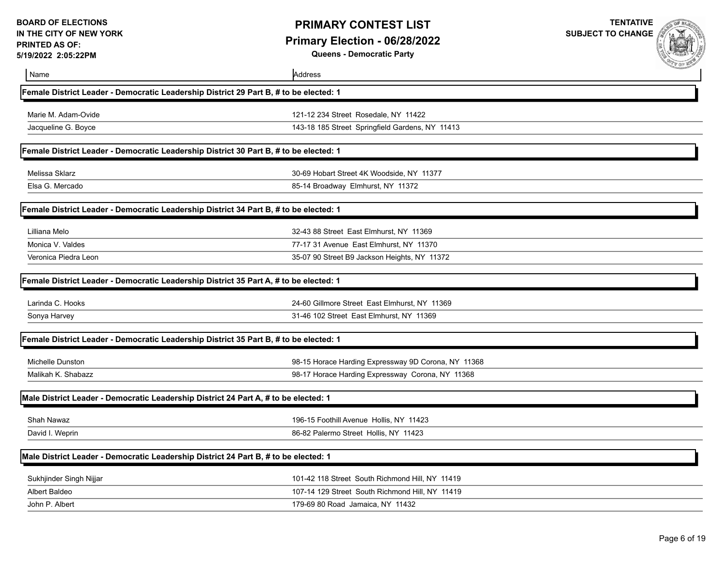### **PRIMARY CONTEST LIST Primary Election - 06/28/2022 Queens - Democratic Party**

**TENTATIVE**

**SUBJECT TO CHANGE** 

OF EL

| /19/2022 2:05:22PM                                                                    | Queens - Democratic Party                           |  |
|---------------------------------------------------------------------------------------|-----------------------------------------------------|--|
| Name                                                                                  | Address                                             |  |
| Female District Leader - Democratic Leadership District 29 Part B, # to be elected: 1 |                                                     |  |
| Marie M. Adam-Ovide                                                                   | 121-12 234 Street Rosedale, NY 11422                |  |
| Jacqueline G. Boyce                                                                   | 143-18 185 Street Springfield Gardens, NY 11413     |  |
| Female District Leader - Democratic Leadership District 30 Part B, # to be elected: 1 |                                                     |  |
| Melissa Sklarz                                                                        | 30-69 Hobart Street 4K Woodside, NY 11377           |  |
| Elsa G. Mercado                                                                       | 85-14 Broadway Elmhurst, NY 11372                   |  |
| Female District Leader - Democratic Leadership District 34 Part B, # to be elected: 1 |                                                     |  |
| Lilliana Melo                                                                         | 32-43 88 Street East Elmhurst, NY 11369             |  |
| Monica V. Valdes                                                                      | 77-17 31 Avenue East Elmhurst, NY 11370             |  |
| Veronica Piedra Leon                                                                  | 35-07 90 Street B9 Jackson Heights, NY 11372        |  |
| Female District Leader - Democratic Leadership District 35 Part A, # to be elected: 1 |                                                     |  |
| Larinda C. Hooks                                                                      | 24-60 Gillmore Street East Elmhurst, NY 11369       |  |
| Sonya Harvey                                                                          | 31-46 102 Street East Elmhurst, NY 11369            |  |
| Female District Leader - Democratic Leadership District 35 Part B, # to be elected: 1 |                                                     |  |
| <b>Michelle Dunston</b>                                                               | 98-15 Horace Harding Expressway 9D Corona, NY 11368 |  |
| Malikah K. Shabazz                                                                    | 98-17 Horace Harding Expressway Corona, NY 11368    |  |
| Male District Leader - Democratic Leadership District 24 Part A, # to be elected: 1   |                                                     |  |
| Shah Nawaz                                                                            | 196-15 Foothill Avenue Hollis, NY 11423             |  |
| David I. Weprin                                                                       | 86-82 Palermo Street Hollis, NY 11423               |  |
| Male District Leader - Democratic Leadership District 24 Part B, # to be elected: 1   |                                                     |  |
| Sukhjinder Singh Nijjar                                                               | 101-42 118 Street South Richmond Hill, NY 11419     |  |
| Albert Baldeo                                                                         | 107-14 129 Street South Richmond Hill, NY 11419     |  |
| John P. Albert                                                                        | 179-69 80 Road Jamaica, NY 11432                    |  |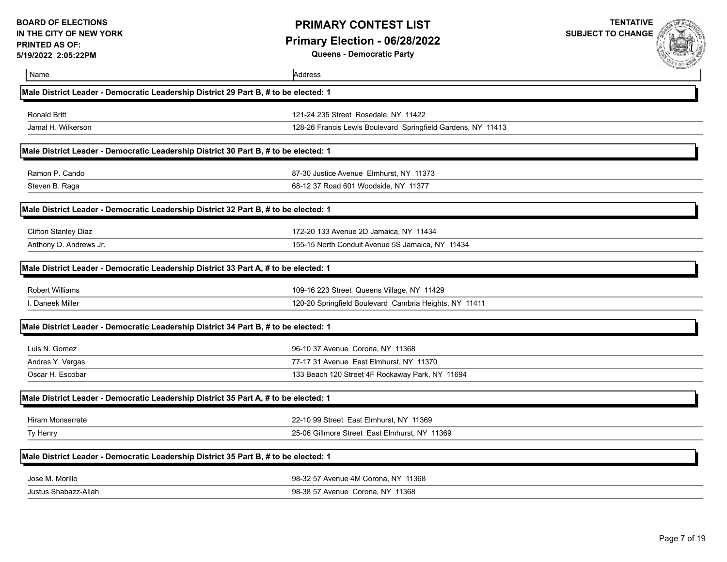**TENTATIVE SUBJECT TO CHANGE**

**Queens - Democratic Party**



| Name                                                                                | Address                                                      | A DIE ME |
|-------------------------------------------------------------------------------------|--------------------------------------------------------------|----------|
| Male District Leader - Democratic Leadership District 29 Part B, # to be elected: 1 |                                                              |          |
| <b>Ronald Britt</b>                                                                 | 121-24 235 Street Rosedale, NY 11422                         |          |
| Jamal H. Wilkerson                                                                  | 128-26 Francis Lewis Boulevard Springfield Gardens, NY 11413 |          |
| Male District Leader - Democratic Leadership District 30 Part B, # to be elected: 1 |                                                              |          |
| Ramon P. Cando                                                                      | 87-30 Justice Avenue Elmhurst, NY 11373                      |          |
| Steven B. Raga                                                                      | 68-12 37 Road 601 Woodside, NY 11377                         |          |
| Male District Leader - Democratic Leadership District 32 Part B, # to be elected: 1 |                                                              |          |
| <b>Clifton Stanley Diaz</b>                                                         | 172-20 133 Avenue 2D Jamaica, NY 11434                       |          |
| Anthony D. Andrews Jr.                                                              | 155-15 North Conduit Avenue 5S Jamaica, NY 11434             |          |
| Male District Leader - Democratic Leadership District 33 Part A, # to be elected: 1 |                                                              |          |
| <b>Robert Williams</b>                                                              | 109-16 223 Street Queens Village, NY 11429                   |          |
| I. Daneek Miller                                                                    | 120-20 Springfield Boulevard Cambria Heights, NY 11411       |          |
| Male District Leader - Democratic Leadership District 34 Part B, # to be elected: 1 |                                                              |          |
| Luis N. Gomez                                                                       | 96-10 37 Avenue Corona, NY 11368                             |          |
| Andres Y. Vargas                                                                    | 77-17 31 Avenue East Elmhurst, NY 11370                      |          |
| Oscar H. Escobar                                                                    | 133 Beach 120 Street 4F Rockaway Park, NY 11694              |          |
| Male District Leader - Democratic Leadership District 35 Part A, # to be elected: 1 |                                                              |          |
| <b>Hiram Monserrate</b>                                                             | 22-10 99 Street East Elmhurst, NY 11369                      |          |
| Ty Henry                                                                            | 25-06 Gillmore Street East Elmhurst, NY 11369                |          |
| Male District Leader - Democratic Leadership District 35 Part B, # to be elected: 1 |                                                              |          |
| Jose M. Morillo                                                                     | 98-32 57 Avenue 4M Corona, NY 11368                          |          |
| Justus Shabazz-Allah                                                                | 98-38 57 Avenue Corona, NY 11368                             |          |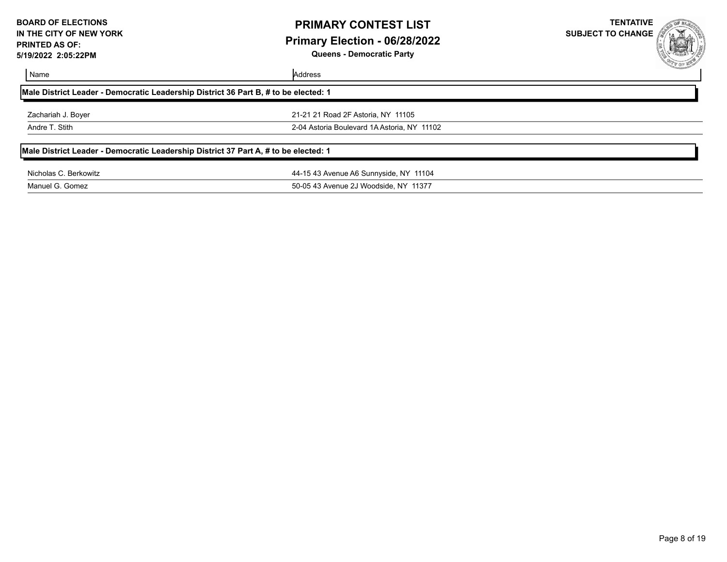### **PRIMARY CONTEST LIST Primary Election - 06/28/2022 Queens - Democratic Party**

**TENTATIVE**

**SUBJECT TO CHANGE**

#### Name Address

| Male District Leader - Democratic Leadership District 36 Part B, # to be elected: 1 |  |  |  |  |
|-------------------------------------------------------------------------------------|--|--|--|--|
|                                                                                     |  |  |  |  |

Zachariah J. Boyer 21-21 21 Road 2F Astoria, NY 11105 Andre T. Stith 2-04 Astoria Boulevard 1A Astoria, NY 11102

#### **Male District Leader - Democratic Leadership District 37 Part A, # to be elected: 1**

Nicholas C. Berkowitz 44-15 43 Avenue A6 Sunnyside, NY 11104 Manuel G. Gomez 50-05 43 Avenue 2J Woodside, NY 11377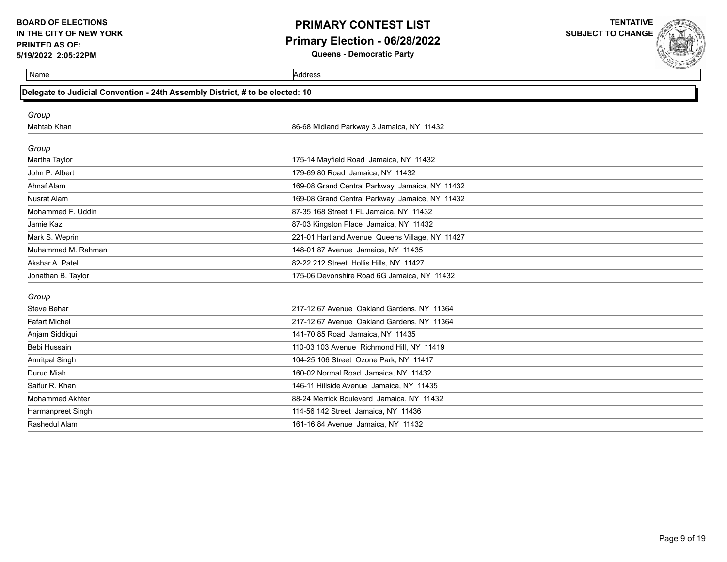# **PRIMARY CONTEST LIST Primary Election - 06/28/2022**

**Queens - Democratic Party**

**TENTATIVE SUBJECT TO CHANGE**

| Delegate to Judicial Convention - 24th Assembly District, # to be elected: 10 |                                                 |  |  |
|-------------------------------------------------------------------------------|-------------------------------------------------|--|--|
| Group                                                                         |                                                 |  |  |
| Mahtab Khan                                                                   | 86-68 Midland Parkway 3 Jamaica, NY 11432       |  |  |
| Group                                                                         |                                                 |  |  |
| Martha Taylor                                                                 | 175-14 Mayfield Road Jamaica, NY 11432          |  |  |
| John P. Albert                                                                | 179-69 80 Road Jamaica, NY 11432                |  |  |
| Ahnaf Alam                                                                    | 169-08 Grand Central Parkway Jamaica, NY 11432  |  |  |
| <b>Nusrat Alam</b>                                                            | 169-08 Grand Central Parkway Jamaice, NY 11432  |  |  |
| Mohammed F. Uddin                                                             | 87-35 168 Street 1 FL Jamaica, NY 11432         |  |  |
| Jamie Kazi                                                                    | 87-03 Kingston Place Jamaica, NY 11432          |  |  |
| Mark S. Weprin                                                                | 221-01 Hartland Avenue Queens Village, NY 11427 |  |  |
| Muhammad M. Rahman                                                            | 148-01 87 Avenue Jamaica, NY 11435              |  |  |
| Akshar A. Patel                                                               | 82-22 212 Street Hollis Hills, NY 11427         |  |  |
| Jonathan B. Taylor                                                            | 175-06 Devonshire Road 6G Jamaica, NY 11432     |  |  |
| Group                                                                         |                                                 |  |  |
| Steve Behar                                                                   | 217-12 67 Avenue Oakland Gardens, NY 11364      |  |  |
| <b>Fafart Michel</b>                                                          | 217-12 67 Avenue Oakland Gardens, NY 11364      |  |  |
| Anjam Siddiqui                                                                | 141-70 85 Road Jamaica, NY 11435                |  |  |
| Bebi Hussain                                                                  | 110-03 103 Avenue Richmond Hill, NY 11419       |  |  |
| <b>Amritpal Singh</b>                                                         | 104-25 106 Street Ozone Park, NY 11417          |  |  |
| Durud Miah                                                                    | 160-02 Normal Road Jamaica, NY 11432            |  |  |
| Saifur R. Khan                                                                | 146-11 Hillside Avenue Jamaica, NY 11435        |  |  |
| <b>Mohammed Akhter</b>                                                        | 88-24 Merrick Boulevard Jamaica, NY 11432       |  |  |
| Harmanpreet Singh                                                             | 114-56 142 Street Jamaica, NY 11436             |  |  |
| Rashedul Alam                                                                 | 161-16 84 Avenue Jamaica, NY 11432              |  |  |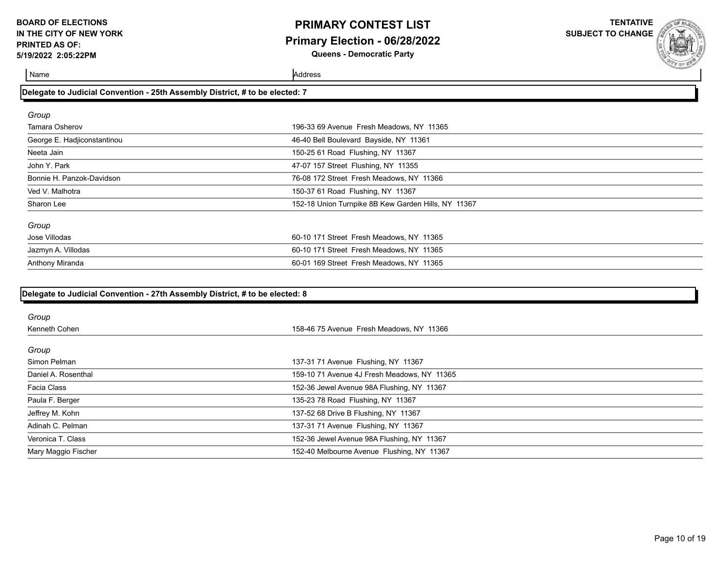### **PRIMARY CONTEST LIST Primary Election - 06/28/2022 Queens - Democratic Party**

**TENTATIVE**

**SUBJECT TO CHANGE**

Name Address

| Delegate to Judicial Convention - 25th Assembly District, # to be elected: 7 |                                                     |  |  |
|------------------------------------------------------------------------------|-----------------------------------------------------|--|--|
| Group                                                                        |                                                     |  |  |
| <b>Tamara Osherov</b>                                                        | 196-33 69 Avenue Fresh Meadows, NY 11365            |  |  |
| George E. Hadjiconstantinou                                                  | 46-40 Bell Boulevard Bayside, NY 11361              |  |  |
| Neeta Jain                                                                   | 150-25 61 Road Flushing, NY 11367                   |  |  |
| John Y. Park                                                                 | 47-07 157 Street Flushing, NY 11355                 |  |  |
| Bonnie H. Panzok-Davidson                                                    | 76-08 172 Street Fresh Meadows, NY 11366            |  |  |
| Ved V. Malhotra                                                              | 150-37 61 Road Flushing, NY 11367                   |  |  |
| Sharon Lee                                                                   | 152-18 Union Turnpike 8B Kew Garden Hills, NY 11367 |  |  |
| Group                                                                        |                                                     |  |  |
| Jose Villodas                                                                | 60-10 171 Street Fresh Meadows, NY 11365            |  |  |
| Jazmyn A. Villodas                                                           | 60-10 171 Street Fresh Meadows, NY 11365            |  |  |
| Anthony Miranda                                                              | 60-01 169 Street Fresh Meadows, NY 11365            |  |  |

| Group               |                                             |
|---------------------|---------------------------------------------|
| Kenneth Cohen       | 158-46 75 Avenue Fresh Meadows, NY 11366    |
| Group               |                                             |
| Simon Pelman        | 137-31 71 Avenue Flushing, NY 11367         |
| Daniel A. Rosenthal | 159-10 71 Avenue 4J Fresh Meadows, NY 11365 |
| Facia Class         | 152-36 Jewel Avenue 98A Flushing, NY 11367  |
| Paula F. Berger     | 135-23 78 Road Flushing, NY 11367           |
| Jeffrey M. Kohn     | 137-52 68 Drive B Flushing, NY 11367        |
| Adinah C. Pelman    | 137-31 71 Avenue Flushing, NY 11367         |
| Veronica T. Class   | 152-36 Jewel Avenue 98A Flushing, NY 11367  |
| Mary Maggio Fischer | 152-40 Melbourne Avenue Flushing, NY 11367  |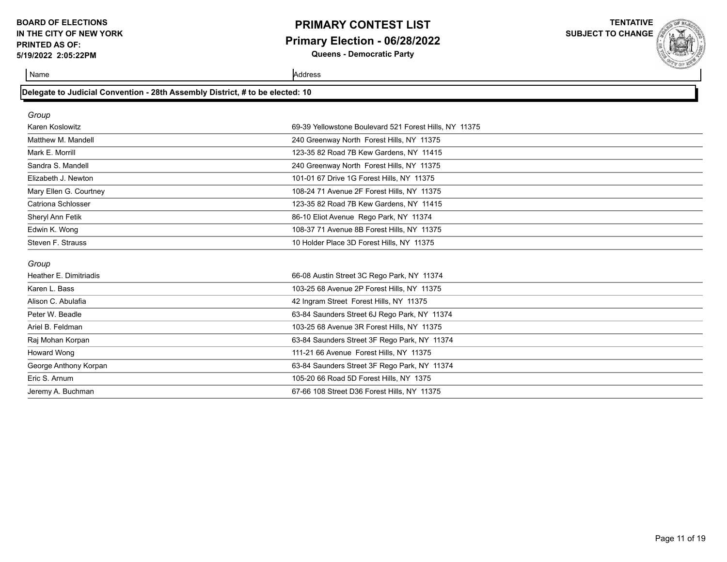### **PRIMARY CONTEST LIST Primary Election - 06/28/2022 Queens - Democratic Party**

**TENTATIVE**

**SUBJECT TO CHANGE**

| Delegate to Judicial Convention - 28th Assembly District, # to be elected: 10 |  |  |  |
|-------------------------------------------------------------------------------|--|--|--|
|-------------------------------------------------------------------------------|--|--|--|

| Group                  |                                                        |
|------------------------|--------------------------------------------------------|
| Karen Koslowitz        | 69-39 Yellowstone Boulevard 521 Forest Hills, NY 11375 |
| Matthew M. Mandell     | 240 Greenway North Forest Hills, NY 11375              |
| Mark E. Morrill        | 123-35 82 Road 7B Kew Gardens, NY 11415                |
| Sandra S. Mandell      | 240 Greenway North Forest Hills, NY 11375              |
| Elizabeth J. Newton    | 101-01 67 Drive 1G Forest Hills, NY 11375              |
| Mary Ellen G. Courtney | 108-24 71 Avenue 2F Forest Hills, NY 11375             |
| Catriona Schlosser     | 123-35 82 Road 7B Kew Gardens, NY 11415                |
| Sheryl Ann Fetik       | 86-10 Eliot Avenue Rego Park, NY 11374                 |
| Edwin K. Wong          | 108-37 71 Avenue 8B Forest Hills, NY 11375             |
| Steven F. Strauss      | 10 Holder Place 3D Forest Hills, NY 11375              |
| Group                  |                                                        |
| Heather E. Dimitriadis | 66-08 Austin Street 3C Rego Park, NY 11374             |
| Karen L. Bass          | 103-25 68 Avenue 2P Forest Hills, NY 11375             |
| Alison C. Abulafia     | 42 Ingram Street Forest Hills, NY 11375                |
| Peter W. Beadle        | 63-84 Saunders Street 6J Rego Park, NY 11374           |
| Ariel B. Feldman       | 103-25 68 Avenue 3R Forest Hills, NY 11375             |
| Raj Mohan Korpan       | 63-84 Saunders Street 3F Rego Park, NY 11374           |
| Howard Wong            | 111-21 66 Avenue Forest Hills, NY 11375                |
| George Anthony Korpan  | 63-84 Saunders Street 3F Rego Park, NY 11374           |
| Eric S. Arnum          | 105-20 66 Road 5D Forest Hills, NY 1375                |
| Jeremy A. Buchman      | 67-66 108 Street D36 Forest Hills, NY 11375            |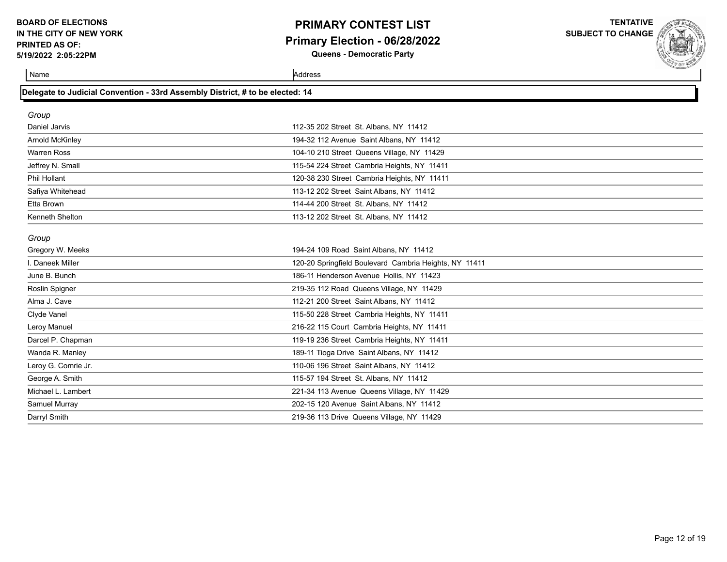### **PRIMARY CONTEST LIST Primary Election - 06/28/2022 Queens - Democratic Party**

**TENTATIVE**

**SUBJECT TO CHANGE**

**Name** Address **Address** 

| Delegate to Judicial Convention - 33rd Assembly District, # to be elected: 14 |                                                        |  |  |  |
|-------------------------------------------------------------------------------|--------------------------------------------------------|--|--|--|
| Group                                                                         |                                                        |  |  |  |
| Daniel Jarvis                                                                 | 112-35 202 Street St. Albans, NY 11412                 |  |  |  |
| Arnold McKinley                                                               | 194-32 112 Avenue Saint Albans, NY 11412               |  |  |  |
| <b>Warren Ross</b>                                                            | 104-10 210 Street Queens Village, NY 11429             |  |  |  |
| Jeffrey N. Small                                                              | 115-54 224 Street Cambria Heights, NY 11411            |  |  |  |
| Phil Hollant                                                                  | 120-38 230 Street Cambria Heights, NY 11411            |  |  |  |
| Safiya Whitehead                                                              | 113-12 202 Street Saint Albans, NY 11412               |  |  |  |
| Etta Brown                                                                    | 114-44 200 Street St. Albans, NY 11412                 |  |  |  |
| Kenneth Shelton                                                               | 113-12 202 Street St. Albans, NY 11412                 |  |  |  |
| Group                                                                         |                                                        |  |  |  |
| Gregory W. Meeks                                                              | 194-24 109 Road Saint Albans, NY 11412                 |  |  |  |
| I. Daneek Miller                                                              | 120-20 Springfield Boulevard Cambria Heights, NY 11411 |  |  |  |
| June B. Bunch                                                                 | 186-11 Henderson Avenue Hollis, NY 11423               |  |  |  |
| Roslin Spigner                                                                | 219-35 112 Road Queens Village, NY 11429               |  |  |  |
| Alma J. Cave                                                                  | 112-21 200 Street Saint Albans, NY 11412               |  |  |  |
| Clyde Vanel                                                                   | 115-50 228 Street Cambria Heights, NY 11411            |  |  |  |
| Leroy Manuel                                                                  | 216-22 115 Court Cambria Heights, NY 11411             |  |  |  |
| Darcel P. Chapman                                                             | 119-19 236 Street Cambria Heights, NY 11411            |  |  |  |
| Wanda R. Manley                                                               | 189-11 Tioga Drive Saint Albans, NY 11412              |  |  |  |
| Leroy G. Comrie Jr.                                                           | 110-06 196 Street Saint Albans, NY 11412               |  |  |  |
| George A. Smith                                                               | 115-57 194 Street St. Albans, NY 11412                 |  |  |  |
| Michael L. Lambert                                                            | 221-34 113 Avenue Queens Village, NY 11429             |  |  |  |
| Samuel Murray                                                                 | 202-15 120 Avenue Saint Albans, NY 11412               |  |  |  |
| Darryl Smith                                                                  | 219-36 113 Drive Queens Village, NY 11429              |  |  |  |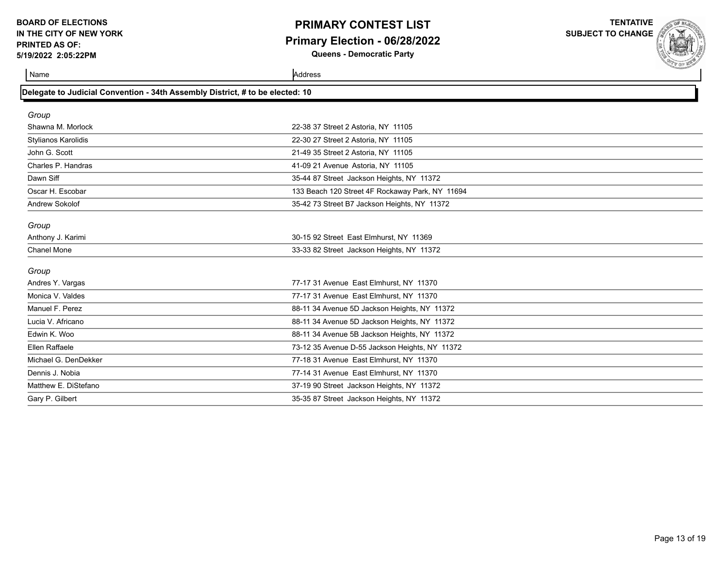### **PRIMARY CONTEST LIST Primary Election - 06/28/2022 Queens - Democratic Party**

**TENTATIVE**

**SUBJECT TO CHANGE**

| Delegate to Judicial Convention - 34th Assembly District, # to be elected: 10 |                                                 |  |  |
|-------------------------------------------------------------------------------|-------------------------------------------------|--|--|
| Group                                                                         |                                                 |  |  |
| Shawna M. Morlock                                                             | 22-38 37 Street 2 Astoria, NY 11105             |  |  |
| Stylianos Karolidis                                                           | 22-30 27 Street 2 Astoria, NY 11105             |  |  |
| John G. Scott                                                                 | 21-49 35 Street 2 Astoria, NY 11105             |  |  |
| Charles P. Handras                                                            | 41-09 21 Avenue Astoria, NY 11105               |  |  |
| Dawn Siff                                                                     | 35-44 87 Street Jackson Heights, NY 11372       |  |  |
| Oscar H. Escobar                                                              | 133 Beach 120 Street 4F Rockaway Park, NY 11694 |  |  |
| Andrew Sokolof                                                                | 35-42 73 Street B7 Jackson Heights, NY 11372    |  |  |
|                                                                               |                                                 |  |  |
| Group                                                                         |                                                 |  |  |
| Anthony J. Karimi                                                             | 30-15 92 Street East Elmhurst, NY 11369         |  |  |
| <b>Chanel Mone</b>                                                            | 33-33 82 Street Jackson Heights, NY 11372       |  |  |
| Group                                                                         |                                                 |  |  |
| Andres Y. Vargas                                                              | 77-17 31 Avenue East Elmhurst, NY 11370         |  |  |
| Monica V. Valdes                                                              | 77-17 31 Avenue East Elmhurst, NY 11370         |  |  |
| Manuel F. Perez                                                               | 88-11 34 Avenue 5D Jackson Heights, NY 11372    |  |  |
| Lucia V. Africano                                                             | 88-11 34 Avenue 5D Jackson Heights, NY 11372    |  |  |
| Edwin K. Woo                                                                  | 88-11 34 Avenue 5B Jackson Heights, NY 11372    |  |  |
| Ellen Raffaele                                                                | 73-12 35 Avenue D-55 Jackson Heights, NY 11372  |  |  |
| Michael G. DenDekker                                                          | 77-18 31 Avenue East Elmhurst, NY 11370         |  |  |
| Dennis J. Nobia                                                               | 77-14 31 Avenue East Elmhurst, NY 11370         |  |  |
| Matthew E. DiStefano                                                          | 37-19 90 Street Jackson Heights, NY 11372       |  |  |
| Gary P. Gilbert                                                               | 35-35 87 Street Jackson Heights, NY 11372       |  |  |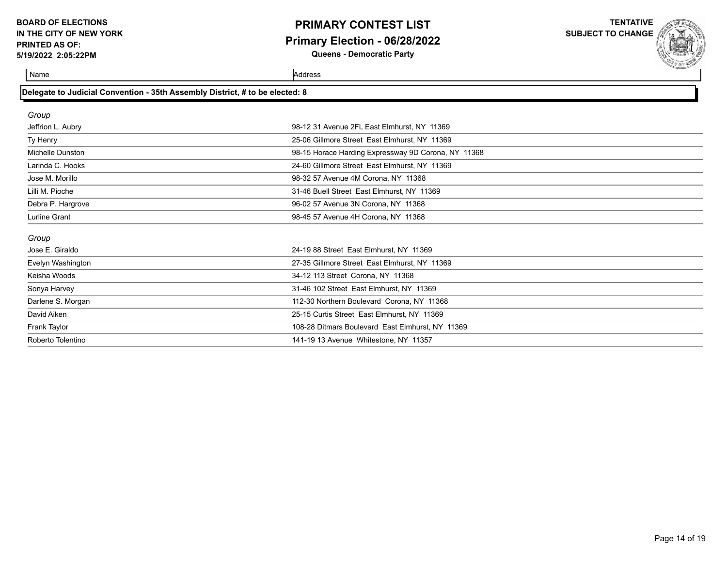### **PRIMARY CONTEST LIST Primary Election - 06/28/2022 Queens - Democratic Party**

**TENTATIVE**

**SUBJECT TO CHANGE**

| Delegate to Judicial Convention - 35th Assembly District, # to be elected: 8 |                                                     |  |
|------------------------------------------------------------------------------|-----------------------------------------------------|--|
| Group                                                                        |                                                     |  |
| Jeffrion L. Aubry                                                            | 98-12 31 Avenue 2FL East Elmhurst, NY 11369         |  |
| Ty Henry                                                                     | 25-06 Gillmore Street East Elmhurst, NY 11369       |  |
| Michelle Dunston                                                             | 98-15 Horace Harding Expressway 9D Corona, NY 11368 |  |
| Larinda C. Hooks                                                             | 24-60 Gillmore Street East Elmhurst, NY 11369       |  |
| Jose M. Morillo                                                              | 98-32 57 Avenue 4M Corona, NY 11368                 |  |
| Lilli M. Pioche                                                              | 31-46 Buell Street East Elmhurst, NY 11369          |  |
| Debra P. Hargrove                                                            | 96-02 57 Avenue 3N Corona, NY 11368                 |  |
| <b>Lurline Grant</b>                                                         | 98-45 57 Avenue 4H Corona, NY 11368                 |  |
| Group                                                                        |                                                     |  |
| Jose E. Giraldo                                                              | 24-19 88 Street East Elmhurst, NY 11369             |  |
| Evelyn Washington                                                            | 27-35 Gillmore Street East Elmhurst, NY 11369       |  |
| Keisha Woods                                                                 | 34-12 113 Street Corona, NY 11368                   |  |
| Sonya Harvey                                                                 | 31-46 102 Street East Elmhurst, NY 11369            |  |
| Darlene S. Morgan                                                            | 112-30 Northern Boulevard Corona, NY 11368          |  |
| David Aiken                                                                  | 25-15 Curtis Street East Elmhurst, NY 11369         |  |
| Frank Taylor                                                                 | 108-28 Ditmars Boulevard East Elmhurst, NY 11369    |  |
| Roberto Tolentino                                                            | 141-19 13 Avenue Whitestone, NY 11357               |  |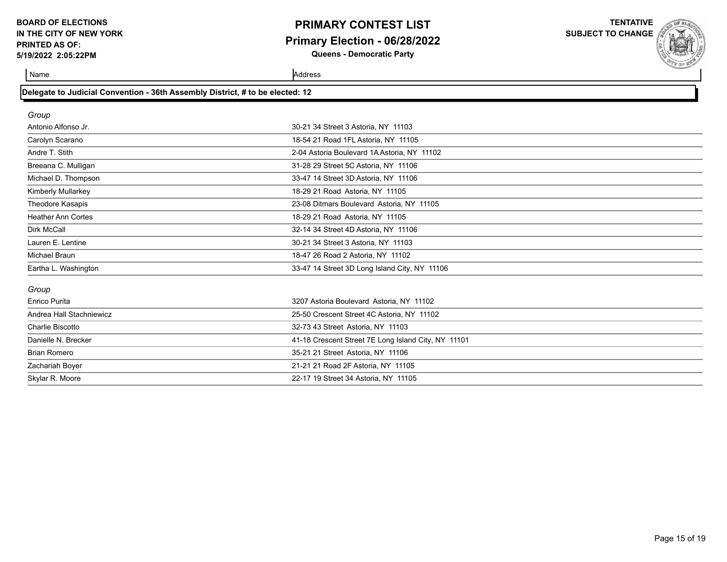### **PRIMARY CONTEST LIST Primary Election - 06/28/2022 Queens - Democratic Party**

**TENTATIVE**

**SUBJECT TO CHANGE**

| Delegate to Judicial Convention - 36th Assembly District, # to be elected: 12 |                                                     |  |  |
|-------------------------------------------------------------------------------|-----------------------------------------------------|--|--|
| Group                                                                         |                                                     |  |  |
| Antonio Alfonso Jr.                                                           | 30-21 34 Street 3 Astoria, NY 11103                 |  |  |
| Carolyn Scarano                                                               | 18-54 21 Road 1FL Astoria, NY 11105                 |  |  |
| Andre T. Stith                                                                | 2-04 Astoria Boulevard 1A Astoria, NY 11102         |  |  |
| Breeana C. Mulligan                                                           | 31-28 29 Street 5C Astoria, NY 11106                |  |  |
| Michael D. Thompson                                                           | 33-47 14 Street 3D Astoria, NY 11106                |  |  |
| Kimberly Mullarkey                                                            | 18-29 21 Road Astoria, NY 11105                     |  |  |
| Theodore Kasapis                                                              | 23-08 Ditmars Boulevard Astoria, NY 11105           |  |  |
| <b>Heather Ann Cortes</b>                                                     | 18-29 21 Road Astoria, NY 11105                     |  |  |
| Dirk McCall                                                                   | 32-14 34 Street 4D Astoria, NY 11106                |  |  |
| Lauren E. Lentine                                                             | 30-21 34 Street 3 Astoria, NY 11103                 |  |  |
| Michael Braun                                                                 | 18-47 26 Road 2 Astoria, NY 11102                   |  |  |
| Eartha L. Washington                                                          | 33-47 14 Street 3D Long Island City, NY 11106       |  |  |
| Group                                                                         |                                                     |  |  |
| Enrico Purita                                                                 | 3207 Astoria Boulevard Astoria, NY 11102            |  |  |
| Andrea Hall Stachniewicz                                                      | 25-50 Crescent Street 4C Astoria, NY 11102          |  |  |
| Charlie Biscotto                                                              | 32-73 43 Street Astoria, NY 11103                   |  |  |
| Danielle N. Brecker                                                           | 41-18 Crescent Street 7E Long Island City, NY 11101 |  |  |
| <b>Brian Romero</b>                                                           | 35-21 21 Street Astoria, NY 11106                   |  |  |
| Zachariah Boyer                                                               | 21-21 21 Road 2F Astoria, NY 11105                  |  |  |
| Skylar R. Moore                                                               | 22-17 19 Street 34 Astoria, NY 11105                |  |  |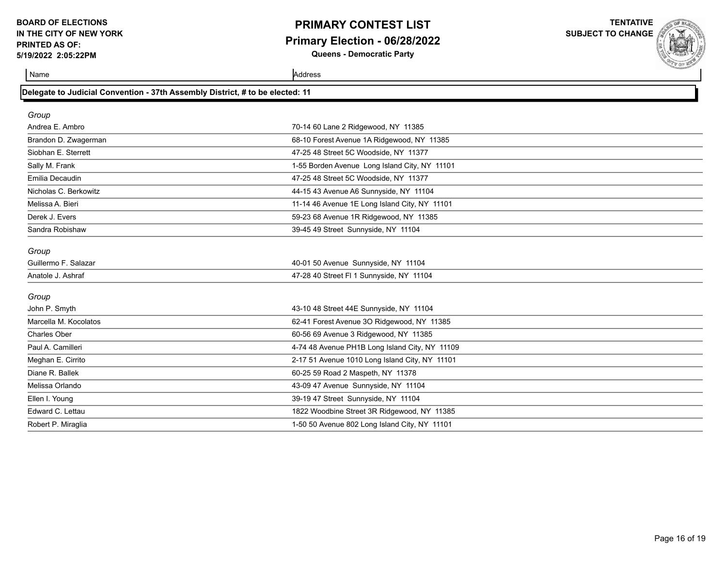### **PRIMARY CONTEST LIST Primary Election - 06/28/2022 Queens - Democratic Party**

**TENTATIVE**

**SUBJECT TO CHANGE**

**Name** Address **Address** 

| Delegate to Judicial Convention - 37th Assembly District, # to be elected: 11 |                                                |  |
|-------------------------------------------------------------------------------|------------------------------------------------|--|
| Group                                                                         |                                                |  |
| Andrea E. Ambro                                                               | 70-14 60 Lane 2 Ridgewood, NY 11385            |  |
| Brandon D. Zwagerman                                                          | 68-10 Forest Avenue 1A Ridgewood, NY 11385     |  |
| Siobhan E. Sterrett                                                           | 47-25 48 Street 5C Woodside, NY 11377          |  |
| Sally M. Frank                                                                | 1-55 Borden Avenue Long Island City, NY 11101  |  |
| Emilia Decaudin                                                               | 47-25 48 Street 5C Woodside, NY 11377          |  |
| Nicholas C. Berkowitz                                                         | 44-15 43 Avenue A6 Sunnyside, NY 11104         |  |
| Melissa A. Bieri                                                              | 11-14 46 Avenue 1E Long Island City, NY 11101  |  |
| Derek J. Evers                                                                | 59-23 68 Avenue 1R Ridgewood, NY 11385         |  |
| Sandra Robishaw                                                               | 39-45 49 Street Sunnyside, NY 11104            |  |
| Group                                                                         |                                                |  |
| Guillermo F. Salazar                                                          | 40-01 50 Avenue Sunnyside, NY 11104            |  |
| Anatole J. Ashraf                                                             | 47-28 40 Street FI 1 Sunnyside, NY 11104       |  |
| Group                                                                         |                                                |  |
| John P. Smyth                                                                 | 43-10 48 Street 44E Sunnyside, NY 11104        |  |
| Marcella M. Kocolatos                                                         | 62-41 Forest Avenue 3O Ridgewood, NY 11385     |  |
| <b>Charles Ober</b>                                                           | 60-56 69 Avenue 3 Ridgewood, NY 11385          |  |
| Paul A. Camilleri                                                             | 4-74 48 Avenue PH1B Long Island City, NY 11109 |  |
| Meghan E. Cirrito                                                             | 2-17 51 Avenue 1010 Long Island City, NY 11101 |  |
| Diane R. Ballek                                                               | 60-25 59 Road 2 Maspeth, NY 11378              |  |
| Melissa Orlando                                                               | 43-09 47 Avenue Sunnyside, NY 11104            |  |
| Ellen I. Young                                                                | 39-19 47 Street Sunnyside, NY 11104            |  |
| Edward C. Lettau                                                              | 1822 Woodbine Street 3R Ridgewood, NY 11385    |  |
| Robert P. Miraglia                                                            | 1-50 50 Avenue 802 Long Island City, NY 11101  |  |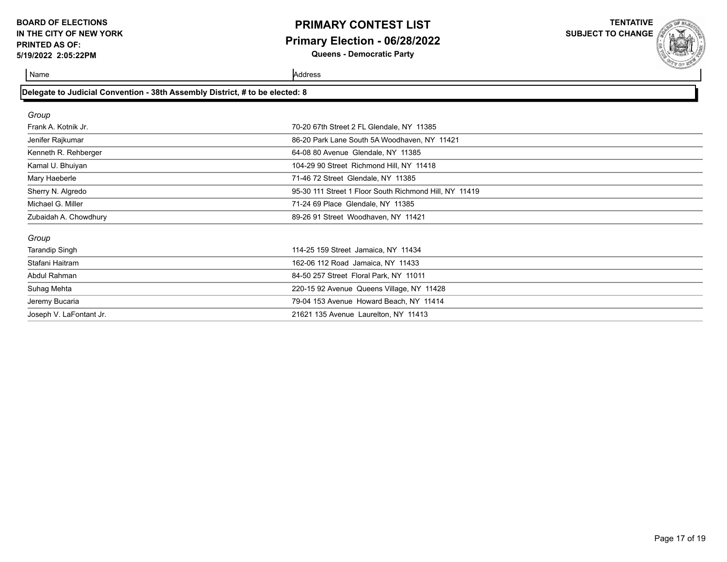**Delegate to Judicial Convention - 38th Assembly District, # to be elected: 8**

### **PRIMARY CONTEST LIST Primary Election - 06/28/2022 Queens - Democratic Party**

**TENTATIVE**

**SUBJECT TO CHANGE**

| Group                   |                                                        |  |
|-------------------------|--------------------------------------------------------|--|
| Frank A. Kotnik Jr.     | 70-20 67th Street 2 FL Glendale, NY 11385              |  |
| Jenifer Rajkumar        | 86-20 Park Lane South 5A Woodhaven, NY 11421           |  |
| Kenneth R. Rehberger    | 64-08 80 Avenue Glendale, NY 11385                     |  |
| Kamal U. Bhuiyan        | 104-29 90 Street Richmond Hill, NY 11418               |  |
| Mary Haeberle           | 71-46 72 Street Glendale, NY 11385                     |  |
| Sherry N. Algredo       | 95-30 111 Street 1 Floor South Richmond Hill, NY 11419 |  |
| Michael G. Miller       | 71-24 69 Place Glendale, NY 11385                      |  |
| Zubaidah A. Chowdhury   | 89-26 91 Street Woodhaven, NY 11421                    |  |
|                         |                                                        |  |
| Group                   |                                                        |  |
| <b>Tarandip Singh</b>   | 114-25 159 Street Jamaica, NY 11434                    |  |
| Stafani Haitram         | 162-06 112 Road Jamaica, NY 11433                      |  |
| Abdul Rahman            | 84-50 257 Street Floral Park, NY 11011                 |  |
| Suhag Mehta             | 220-15 92 Avenue Queens Village, NY 11428              |  |
| Jeremy Bucaria          | 79-04 153 Avenue Howard Beach, NY 11414                |  |
| Joseph V. LaFontant Jr. | 21621 135 Avenue Laurelton, NY 11413                   |  |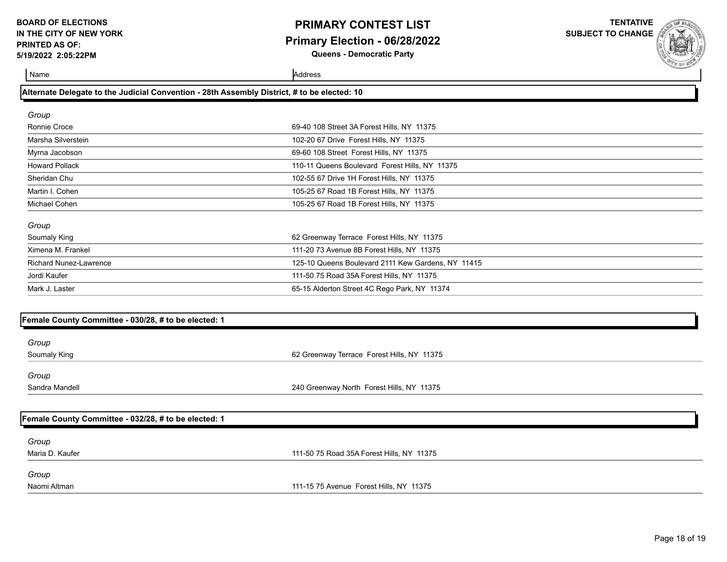### **PRIMARY CONTEST LIST Primary Election - 06/28/2022 Queens - Democratic Party**

**TENTATIVE**

**SUBJECT TO CHANGE**

Name Address and Address and Address and Address and Address and Address and Address and Address and Address and Address and Address and Address and Address and Address and Address and Address and Address and Address and A

### **Alternate Delegate to the Judicial Convention - 28th Assembly District, # to be elected: 10**

| Group                 |                                                |
|-----------------------|------------------------------------------------|
| Ronnie Croce          | 69-40 108 Street 3A Forest Hills, NY 11375     |
| Marsha Silverstein    | 102-20 67 Drive Forest Hills, NY 11375         |
| Myrna Jacobson        | 69-60 108 Street Forest Hills, NY 11375        |
| <b>Howard Pollack</b> | 110-11 Queens Boulevard Forest Hills, NY 11375 |
| Sheridan Chu          | 102-55 67 Drive 1H Forest Hills, NY 11375      |
| Martin I. Cohen       | 105-25 67 Road 1B Forest Hills, NY 11375       |
| Michael Cohen         | 105-25 67 Road 1B Forest Hills, NY 11375       |
| $C$ roun              |                                                |
|                       |                                                |

| ٠<br>۰, |
|---------|
|---------|

| Soumaly King           | 62 Greenway Terrace Forest Hills, NY 11375         |
|------------------------|----------------------------------------------------|
| Ximena M. Frankel      | 111-20 73 Avenue 8B Forest Hills, NY 11375         |
| Richard Nunez-Lawrence | 125-10 Queens Boulevard 2111 Kew Gardens, NY 11415 |
| Jordi Kaufer           | 111-50 75 Road 35A Forest Hills, NY 11375          |
| Mark J. Laster         | 65-15 Alderton Street 4C Rego Park, NY 11374       |

#### **Female County Committee - 030/28, # to be elected: 1**

*Group*

Soumaly King 62 Greenway Terrace Forest Hills, NY 11375

*Group*

Sandra Mandell 240 Greenway North Forest Hills, NY 11375

|  |  |  | Female County Committee - 032/28, # to be elected: 1 |
|--|--|--|------------------------------------------------------|
|--|--|--|------------------------------------------------------|

*Group*

Maria D. Kaufer 111-50 75 Road 35A Forest Hills, NY 11375

*Group*

Naomi Altman 111-15 75 Avenue Forest Hills, NY 11375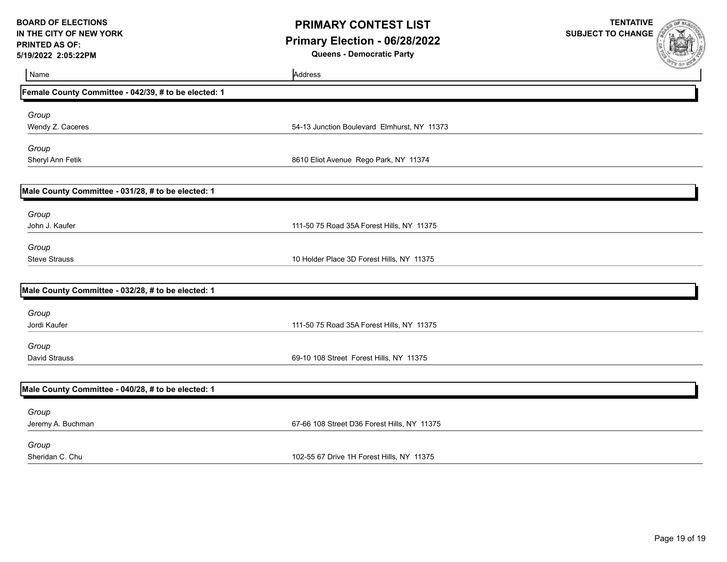## **PRIMARY CONTEST LIST Primary Election - 06/28/2022 Queens - Democratic Party**

**TENTATIVE SUBJECT TO CHANGE**

Name Address and Address and Address and Address and Address and Address and Address and Address and Address and Address and Address and Address and Address and Address and Address and Address and Address and Address and A **Female County Committee - 042/39, # to be elected: 1** *Group* Wendy Z. Caceres 54-13 Junction Boulevard Elmhurst, NY 11373 *Group* Sheryl Ann Fetik 8610 Eliot Avenue Rego Park, NY 11374 **Male County Committee - 031/28, # to be elected: 1** *Group* John J. Kaufer 111-50 75 Road 35A Forest Hills, NY 11375 *Group* Steve Strauss 10 Holder Place 3D Forest Hills, NY 11375 **Male County Committee - 032/28, # to be elected: 1** *Group* Jordi Kaufer 111-50 75 Road 35A Forest Hills, NY 11375 *Group* David Strauss 69-10 108 Street Forest Hills, NY 11375 **Male County Committee - 040/28, # to be elected: 1** *Group* Jeremy A. Buchman 67-66 108 Street D36 Forest Hills, NY 11375 *Group* Sheridan C. Chu 102-55 67 Drive 1H Forest Hills, NY 11375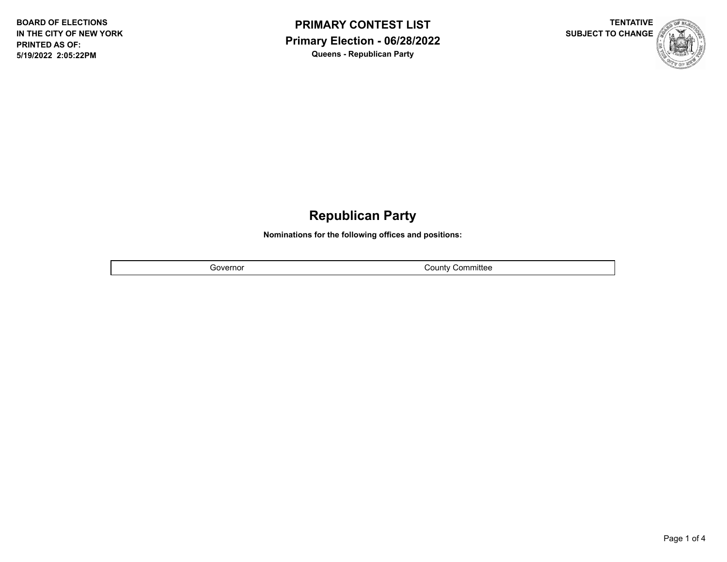



# **Republican Party**

**Nominations for the following offices and positions:**

Governor **County County Countillation** 

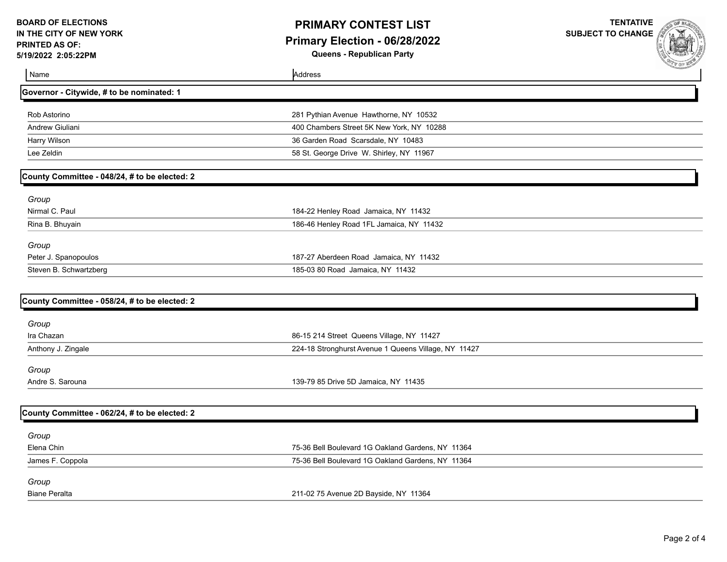Name Address and Address and Address and Address and Address and Address and Address and Address and Address and Address and Address and Address and Address and Address and Address and Address and Address and Address and A

## **PRIMARY CONTEST LIST Primary Election - 06/28/2022 Queens - Republican Party**

**TENTATIVE**

**SUBJECT TO CHANGE**

| Governor - Citywide, # to be nominated: 1     |                                                      |  |
|-----------------------------------------------|------------------------------------------------------|--|
| Rob Astorino                                  | 281 Pythian Avenue Hawthorne, NY 10532               |  |
| Andrew Giuliani                               | 400 Chambers Street 5K New York, NY 10288            |  |
| Harry Wilson                                  | 36 Garden Road Scarsdale, NY 10483                   |  |
| Lee Zeldin                                    | 58 St. George Drive W. Shirley, NY 11967             |  |
|                                               |                                                      |  |
| County Committee - 048/24, # to be elected: 2 |                                                      |  |
| Group                                         |                                                      |  |
| Nirmal C. Paul                                | 184-22 Henley Road Jamaica, NY 11432                 |  |
| Rina B. Bhuyain                               | 186-46 Henley Road 1FL Jamaica, NY 11432             |  |
| Group                                         |                                                      |  |
| Peter J. Spanopoulos                          | 187-27 Aberdeen Road Jamaica, NY 11432               |  |
| Steven B. Schwartzberg                        | 185-03 80 Road Jamaica, NY 11432                     |  |
|                                               |                                                      |  |
| County Committee - 058/24, # to be elected: 2 |                                                      |  |
| Group                                         |                                                      |  |
| Ira Chazan                                    | 86-15 214 Street Queens Village, NY 11427            |  |
| Anthony J. Zingale                            | 224-18 Stronghurst Avenue 1 Queens Village, NY 11427 |  |
| Group                                         |                                                      |  |
| Andre S. Sarouna                              | 139-79 85 Drive 5D Jamaica, NY 11435                 |  |
|                                               |                                                      |  |
| County Committee - 062/24, # to be elected: 2 |                                                      |  |
| Group                                         |                                                      |  |
| Elena Chin                                    | 75-36 Bell Boulevard 1G Oakland Gardens, NY 11364    |  |
| James F. Coppola                              | 75-36 Bell Boulevard 1G Oakland Gardens, NY 11364    |  |
| Group                                         |                                                      |  |

Biane Peralta 211-02 75 Avenue 2D Bayside, NY 11364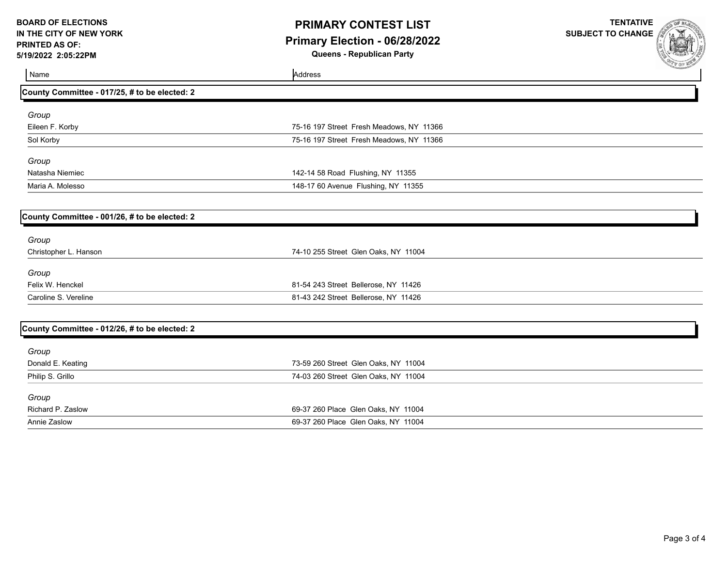# **PRIMARY CONTEST LIST Primary Election - 06/28/2022**

**SUBJECT TO CHANGE**

**TENTATIVE**

**Queens - Republican Party**

| ∣ Name                                        | Address                                  |  |
|-----------------------------------------------|------------------------------------------|--|
| County Committee - 017/25, # to be elected: 2 |                                          |  |
| Group                                         |                                          |  |
| Eileen F. Korby                               | 75-16 197 Street Fresh Meadows, NY 11366 |  |
| Sol Korby                                     | 75-16 197 Street Fresh Meadows, NY 11366 |  |
| Group                                         |                                          |  |
| Natasha Niemiec                               | 142-14 58 Road Flushing, NY 11355        |  |
| Maria A. Molesso                              | 148-17 60 Avenue Flushing, NY 11355      |  |
|                                               |                                          |  |

| County Committee - 001/26, # to be elected: 2 |                                      |  |
|-----------------------------------------------|--------------------------------------|--|
| Group                                         |                                      |  |
| Christopher L. Hanson                         | 74-10 255 Street Glen Oaks, NY 11004 |  |
| Group                                         |                                      |  |
| Felix W. Henckel                              | 81-54 243 Street Bellerose, NY 11426 |  |
| Caroline S. Vereline                          | 81-43 242 Street Bellerose, NY 11426 |  |
|                                               |                                      |  |

| County Committee - 012/26, # to be elected: 2 |                                      |  |
|-----------------------------------------------|--------------------------------------|--|
| Group                                         |                                      |  |
| Donald E. Keating                             | 73-59 260 Street Glen Oaks, NY 11004 |  |
| Philip S. Grillo                              | 74-03 260 Street Glen Oaks, NY 11004 |  |
| Group                                         |                                      |  |
| Richard P. Zaslow                             | 69-37 260 Place Glen Oaks, NY 11004  |  |
| Annie Zaslow                                  | 69-37 260 Place Glen Oaks, NY 11004  |  |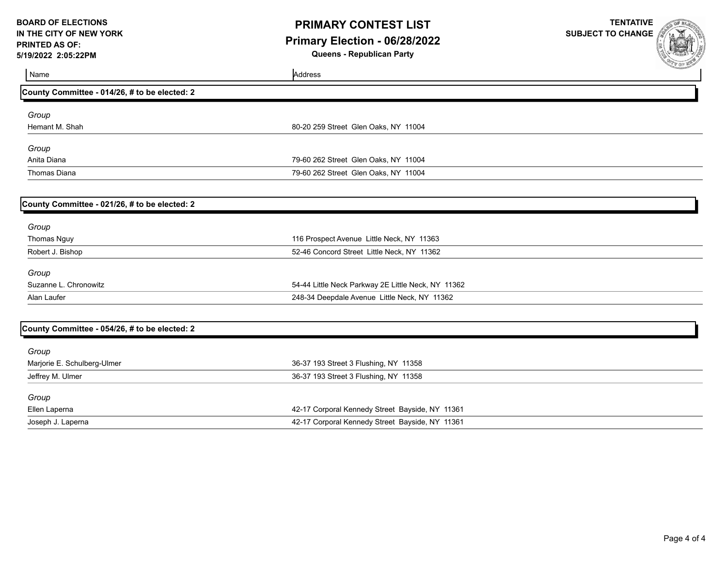### **PRIMARY CONTEST LIST Primary Election - 06/28/2022 Queens - Republican Party**

**TENTATIVE**

**SUBJECT TO CHANGE**

| <b>IJIZUZZ Z.UJ.ZZFIVI</b>                    | gacche - Republican i arty                         | <b>CALL OF MER</b> |
|-----------------------------------------------|----------------------------------------------------|--------------------|
| Name                                          | Address                                            |                    |
| County Committee - 014/26, # to be elected: 2 |                                                    |                    |
| Group                                         |                                                    |                    |
| Hemant M. Shah                                | 80-20 259 Street Glen Oaks, NY 11004               |                    |
| Group                                         |                                                    |                    |
| Anita Diana                                   | 79-60 262 Street Glen Oaks, NY 11004               |                    |
| <b>Thomas Diana</b>                           | 79-60 262 Street Glen Oaks, NY 11004               |                    |
| County Committee - 021/26, # to be elected: 2 |                                                    |                    |
| Group                                         |                                                    |                    |
| Thomas Nguy                                   | 116 Prospect Avenue Little Neck, NY 11363          |                    |
| Robert J. Bishop                              | 52-46 Concord Street Little Neck, NY 11362         |                    |
| Group                                         |                                                    |                    |
| Suzanne L. Chronowitz                         | 54-44 Little Neck Parkway 2E Little Neck, NY 11362 |                    |
| Alan Laufer                                   | 248-34 Deepdale Avenue Little Neck, NY 11362       |                    |
| County Committee - 054/26, # to be elected: 2 |                                                    |                    |
| Group                                         |                                                    |                    |
| Marjorie E. Schulberg-Ulmer                   | 36-37 193 Street 3 Flushing, NY 11358              |                    |
| Jeffrey M. Ulmer                              | 36-37 193 Street 3 Flushing, NY 11358              |                    |
| Group                                         |                                                    |                    |
| Ellen Laperna                                 | 42-17 Corporal Kennedy Street Bayside, NY 11361    |                    |
| Joseph J. Laperna                             | 42-17 Corporal Kennedy Street Bayside, NY 11361    |                    |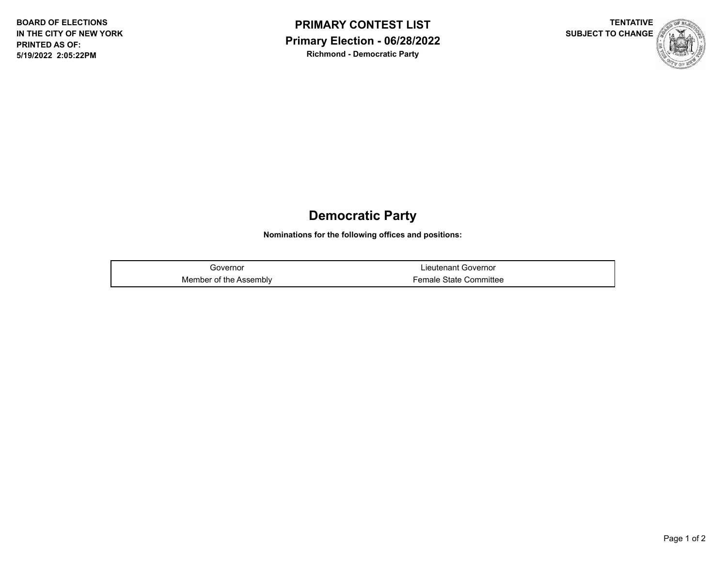



## **Democratic Party**

**Nominations for the following offices and positions:**

Governor **Contract Covernor** Covernor **Covernor** Member of the Assembly **Female State Committee**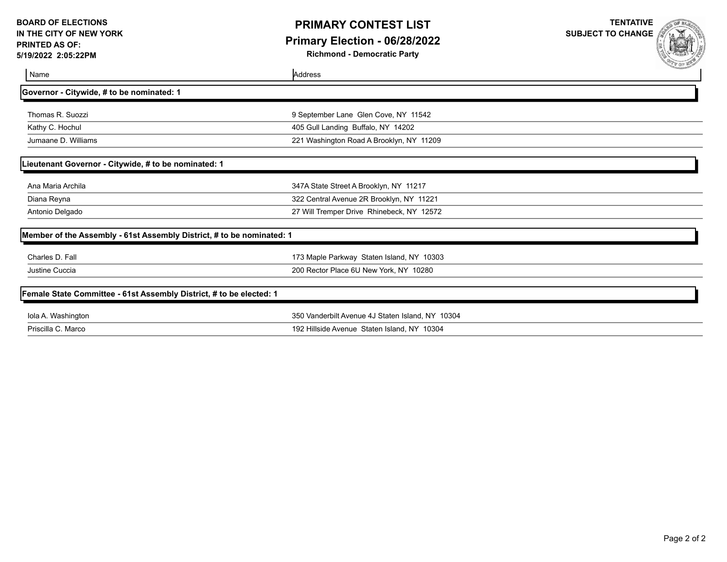## **PRIMARY CONTEST LIST Primary Election - 06/28/2022**

**Richmond - Democratic Party**

**TENTATIVE SUBJECT TO CHANGE**

| Name                                                                  | Address                                          | -42222224 |
|-----------------------------------------------------------------------|--------------------------------------------------|-----------|
| Governor - Citywide, # to be nominated: 1                             |                                                  |           |
| Thomas R. Suozzi                                                      | 9 September Lane Glen Cove, NY 11542             |           |
| Kathy C. Hochul                                                       | 405 Gull Landing Buffalo, NY 14202               |           |
| Jumaane D. Williams                                                   | 221 Washington Road A Brooklyn, NY 11209         |           |
| Lieutenant Governor - Citywide, # to be nominated: 1                  |                                                  |           |
| Ana Maria Archila                                                     | 347A State Street A Brooklyn, NY 11217           |           |
| Diana Reyna                                                           | 322 Central Avenue 2R Brooklyn, NY 11221         |           |
| Antonio Delgado                                                       | 27 Will Tremper Drive Rhinebeck, NY 12572        |           |
| Member of the Assembly - 61st Assembly District, # to be nominated: 1 |                                                  |           |
| Charles D. Fall                                                       | 173 Maple Parkway Staten Island, NY 10303        |           |
| Justine Cuccia                                                        | 200 Rector Place 6U New York, NY 10280           |           |
| Female State Committee - 61st Assembly District, # to be elected: 1   |                                                  |           |
| Iola A. Washington                                                    | 350 Vanderbilt Avenue 4J Staten Island, NY 10304 |           |
| Priscilla C. Marco                                                    | 192 Hillside Avenue Staten Island, NY 10304      |           |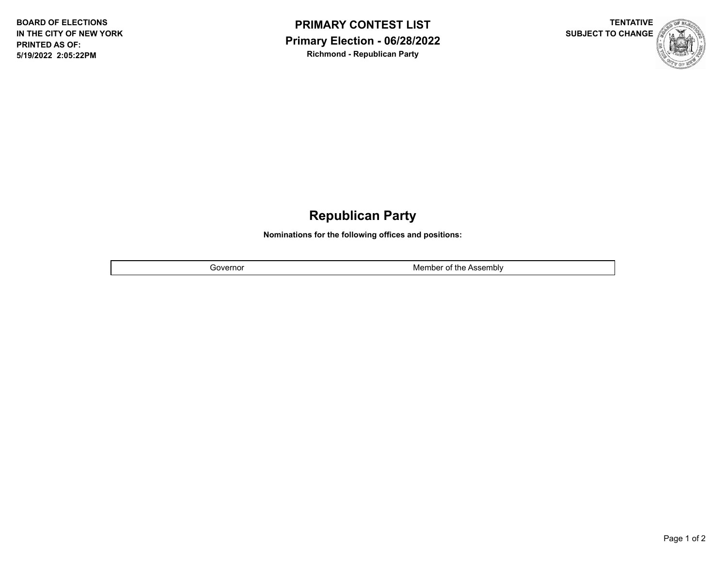



## **Republican Party**

**Nominations for the following offices and positions:**

Governor **Member of the Assembly**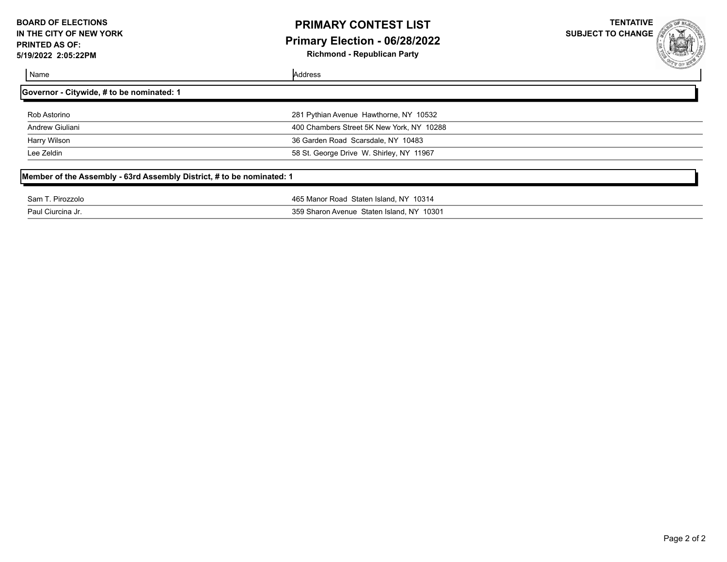## **PRIMARY CONTEST LIST Primary Election - 06/28/2022**

**Richmond - Republican Party**

**TENTATIVE SUBJECT TO CHANGE**



| Name | Address |
|------|---------|
|      |         |

| Governor - Citywide, # to be nominated: 1 |                                           |  |
|-------------------------------------------|-------------------------------------------|--|
| Rob Astorino                              | 281 Pythian Avenue Hawthorne, NY 10532    |  |
| Andrew Giuliani                           | 400 Chambers Street 5K New York, NY 10288 |  |
| Harry Wilson                              | 36 Garden Road Scarsdale, NY 10483        |  |
| Lee Zeldin                                | 58 St. George Drive W. Shirley, NY 11967  |  |
|                                           |                                           |  |

## **Member of the Assembly - 63rd Assembly District, # to be nominated: 1**

| Sam <sup>-</sup>       | 465 Manor Road Staten Island, NY 10314       |
|------------------------|----------------------------------------------|
| <sup>:</sup> Pirozzolo |                                              |
|                        |                                              |
| Paul Ciurcina   പ.     | 359 Sharon Avenue<br>Staten Island, NY 10301 |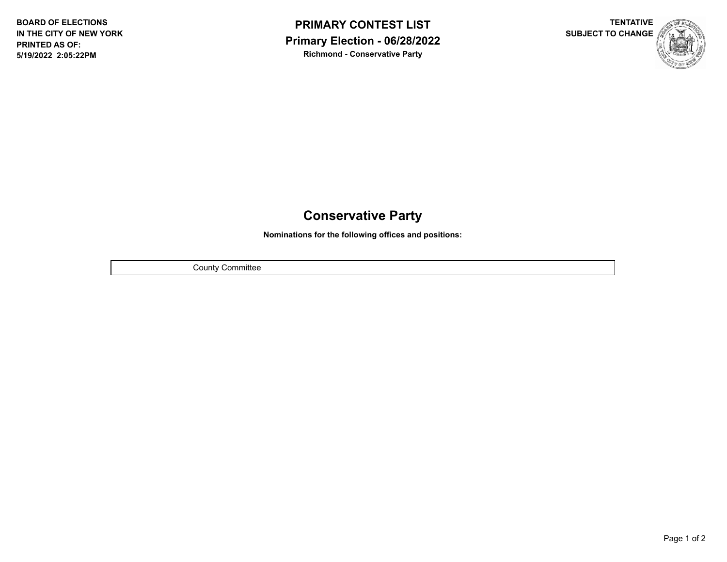



# **Conservative Party**

**Nominations for the following offices and positions:**

County Committee